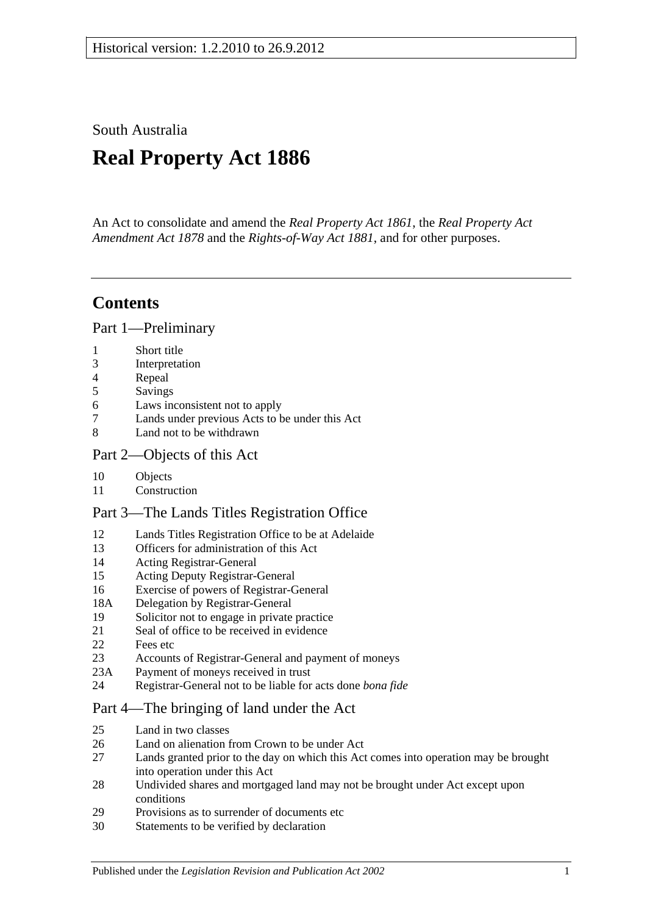South Australia

# **Real Property Act 1886**

An Act to consolidate and amend the *[Real Property Act](http://www.legislation.sa.gov.au/index.aspx?action=legref&type=act&legtitle=Real%20Property%20Act%201861) 1861*, the *[Real Property Act](http://www.legislation.sa.gov.au/index.aspx?action=legref&type=act&legtitle=Real%20Property%20Act%20Amendment%20Act%201878)  [Amendment Act](http://www.legislation.sa.gov.au/index.aspx?action=legref&type=act&legtitle=Real%20Property%20Act%20Amendment%20Act%201878) 1878* and the *[Rights-of-Way Act](http://www.legislation.sa.gov.au/index.aspx?action=legref&type=act&legtitle=Rights-of-Way%20Act%201881) 1881*, and for other purposes.

## **Contents**

[Part 1—Preliminary](#page-10-0)

- 1 [Short title](#page-10-1)
- 3 [Interpretation](#page-10-2)
- 4 [Repeal](#page-11-0)
- 5 [Savings](#page-12-0)
- 6 [Laws inconsistent not to apply](#page-12-1)
- 7 [Lands under previous Acts to be under this Act](#page-12-2)
- 8 [Land not to be withdrawn](#page-12-3)

## [Part 2—Objects of this Act](#page-14-0)

- 10 [Objects](#page-14-1)
- 11 [Construction](#page-14-2)

## [Part 3—The Lands Titles Registration Office](#page-16-0)

- 12 [Lands Titles Registration Office to be at Adelaide](#page-16-1)
- 13 [Officers for administration of this Act](#page-16-2)
- 14 [Acting Registrar-General](#page-16-3)
- 15 [Acting Deputy Registrar-General](#page-16-4)
- 16 [Exercise of powers of Registrar-General](#page-16-5)
- 18A [Delegation by Registrar-General](#page-17-0)
- 19 [Solicitor not to engage in private practice](#page-17-1)
- 21 [Seal of office to be received in evidence](#page-17-2)
- 22 [Fees etc](#page-17-3)
- 23 [Accounts of Registrar-General and payment of moneys](#page-17-4)
- 23A [Payment of moneys received in trust](#page-17-5)
- 24 [Registrar-General not to be liable for acts done](#page-18-0) *bona fide*

## [Part 4—The bringing of land under the Act](#page-20-0)

- 25 [Land in two classes](#page-20-1)
- 26 [Land on alienation from Crown to be under Act](#page-20-2)<br>27 Lands granted prior to the day on which this Act
- Lands granted prior to the day on which this Act comes into operation may be brought [into operation under this Act](#page-20-3)
- 28 [Undivided shares and mortgaged land may not be brought under Act except upon](#page-21-0)  [conditions](#page-21-0)
- 29 [Provisions as to surrender of documents etc](#page-21-1)
- 30 [Statements to be verified by declaration](#page-21-2)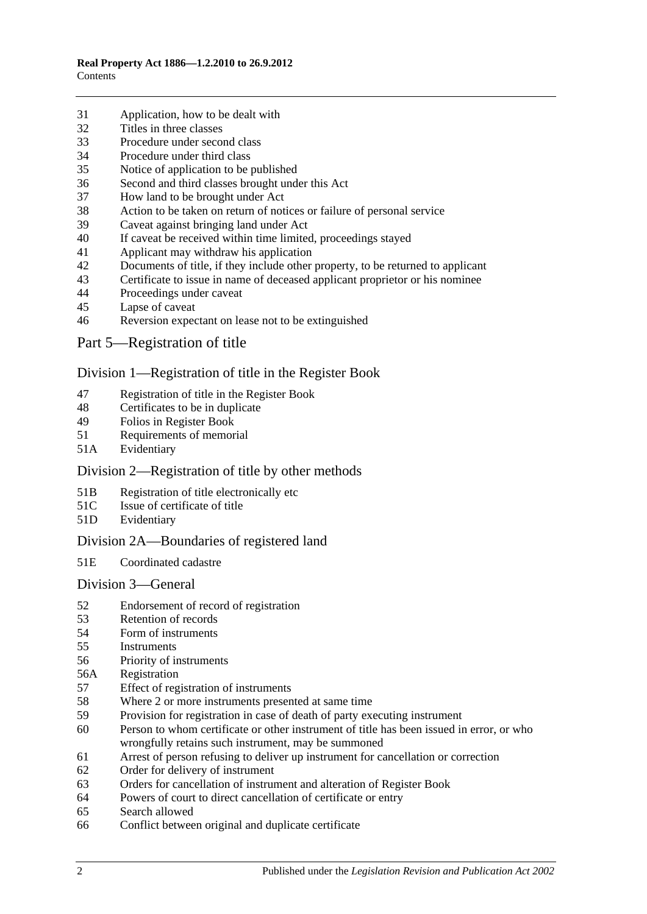- [Application, how to be dealt with](#page-21-3)
- [Titles in three classes](#page-22-0)
- [Procedure under second class](#page-22-1)
- [Procedure under third class](#page-23-0)
- [Notice of application to be published](#page-23-1)
- [Second and third classes brought under this Act](#page-23-2)
- [How land to be brought under Act](#page-23-3)
- [Action to be taken on return of notices or failure of personal service](#page-24-0)
- [Caveat against bringing land under Act](#page-24-1)
- [If caveat be received within time limited, proceedings stayed](#page-24-2)
- [Applicant may withdraw his application](#page-24-3)
- [Documents of title, if they include other property, to be returned to applicant](#page-24-4)<br>43 Certificate to issue in name of deceased applicant proprietor or his nominee
- [Certificate to issue in name of deceased applicant proprietor or his nominee](#page-25-0)
- [Proceedings under caveat](#page-25-1)
- [Lapse of caveat](#page-25-2)
- [Reversion expectant on lease not to be extinguished](#page-25-3)
- [Part 5—Registration of title](#page-26-0)

#### [Division 1—Registration of title in the Register Book](#page-26-1)

- [Registration of title in the Register Book](#page-26-2)
- [Certificates to be in duplicate](#page-26-3)
- [Folios in Register Book](#page-26-4)
- [Requirements of memorial](#page-26-5)
- 51A [Evidentiary](#page-26-6)

## [Division 2—Registration of title by other methods](#page-26-7)

- 51B [Registration of title electronically etc](#page-26-8)
- 51C [Issue of certificate of title](#page-27-0)
- 51D [Evidentiary](#page-28-0)

## [Division 2A—Boundaries of registered land](#page-28-1)

51E [Coordinated cadastre](#page-28-2)

#### [Division 3—General](#page-28-3)

- [Endorsement of record of registration](#page-28-4)
- [Retention of records](#page-29-0)
- [Form of instruments](#page-29-1)<br>55 Instruments
- **[Instruments](#page-29-2)**
- [Priority of instruments](#page-29-3)
- 56A [Registration](#page-30-0)
- [Effect of registration of instruments](#page-30-1)
- [Where 2 or more instruments presented at same time](#page-30-2)
- [Provision for registration in case of death of party executing instrument](#page-30-3)
- [Person to whom certificate or other instrument of title has been issued in error,](#page-30-4) or who [wrongfully retains such instrument, may be summoned](#page-30-4)
- [Arrest of person refusing to deliver up instrument for cancellation or correction](#page-31-0)
- [Order for delivery of instrument](#page-31-1)
- [Orders for cancellation of instrument and alteration of Register Book](#page-31-2)
- [Powers of court to direct cancellation of certificate or entry](#page-31-3)
- [Search allowed](#page-31-4)
- [Conflict between original and duplicate certificate](#page-31-5)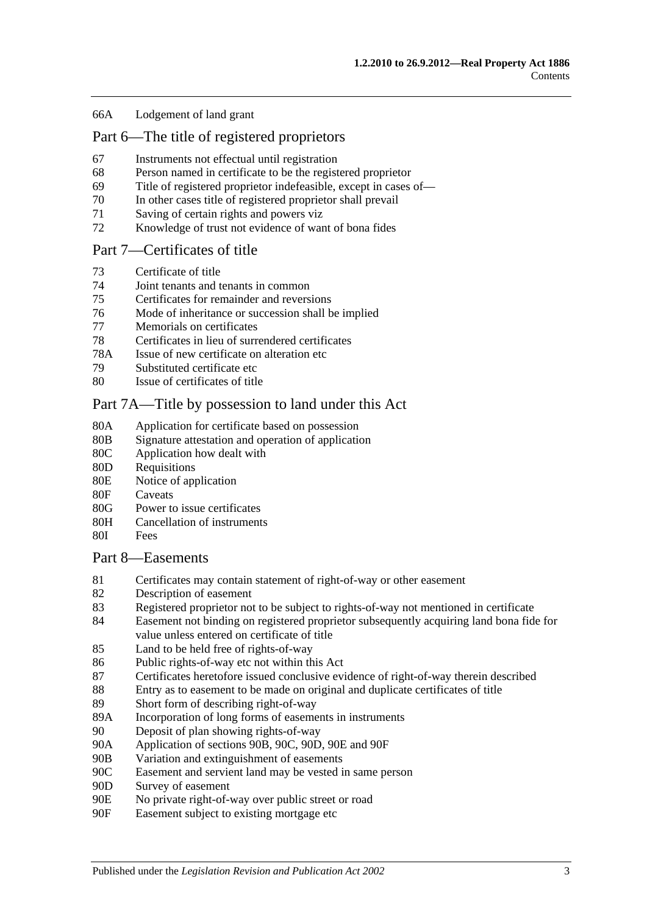#### 66A [Lodgement of land grant](#page-32-0)

## [Part 6—The title of registered proprietors](#page-34-0)

- 67 [Instruments not effectual until registration](#page-34-1)
- 68 [Person named in certificate to be the registered proprietor](#page-34-2)
- 69 [Title of registered proprietor indefeasible, except in cases of—](#page-34-3)
- 70 [In other cases title of registered proprietor shall prevail](#page-35-0)
- 71 [Saving of certain rights and powers viz](#page-36-0)
- 72 [Knowledge of trust not evidence of want of bona fides](#page-36-1)

#### [Part 7—Certificates of title](#page-38-0)

- 73 [Certificate of title](#page-38-1)
- 74 [Joint tenants and tenants in common](#page-38-2)
- 75 [Certificates for remainder and reversions](#page-38-3)
- 76 [Mode of inheritance or succession shall be implied](#page-38-4)
- 77 [Memorials on certificates](#page-38-5)
- 78 [Certificates in lieu of surrendered certificates](#page-38-6)
- 78A [Issue of new certificate on alteration etc](#page-39-0)
- 79 [Substituted certificate etc](#page-39-1)
- 80 [Issue of certificates of title](#page-39-2)

#### [Part 7A—Title by possession to land under this Act](#page-40-0)

- 80A [Application for certificate based on possession](#page-40-1)
- 80B [Signature attestation and operation of application](#page-40-2)
- 80C [Application how dealt with](#page-40-3)
- 80D [Requisitions](#page-40-4)
- 80E [Notice of application](#page-40-5)
- 80F [Caveats](#page-41-0)
- 80G [Power to issue certificates](#page-41-1)
- 80H [Cancellation of instruments](#page-42-0)
- 80I [Fees](#page-42-1)

#### [Part 8—Easements](#page-44-0)

- 81 [Certificates may contain statement of right-of-way or other easement](#page-44-1)
- 82 [Description of easement](#page-44-2)
- 83 [Registered proprietor not to be subject to rights-of-way not mentioned in certificate](#page-44-3)
- 84 [Easement not binding on registered proprietor subsequently acquiring land bona fide for](#page-44-4)  [value unless entered on certificate of title](#page-44-4)
- 85 [Land to be held free of rights-of-way](#page-44-5)
- 86 [Public rights-of-way etc not within this Act](#page-44-6)
- 87 [Certificates heretofore issued conclusive evidence of right-of-way therein described](#page-45-0)
- 88 [Entry as to easement to be made on original and duplicate certificates of title](#page-45-1)
- 89 [Short form of describing right-of-way](#page-45-2)
- 89A [Incorporation of long forms of easements in instruments](#page-45-3)
- 90 [Deposit of plan showing rights-of-way](#page-45-4)
- 90A [Application of sections](#page-45-5) 90B, [90C, 90D, 90E](#page-45-5) and [90F](#page-45-5)
- 90B [Variation and extinguishment of easements](#page-46-0)
- 90C [Easement and servient land may be vested in same person](#page-48-0)
- 90D [Survey of easement](#page-49-0)
- 90E [No private right-of-way over public street or road](#page-49-1)
- 90F [Easement subject to existing mortgage etc](#page-49-2)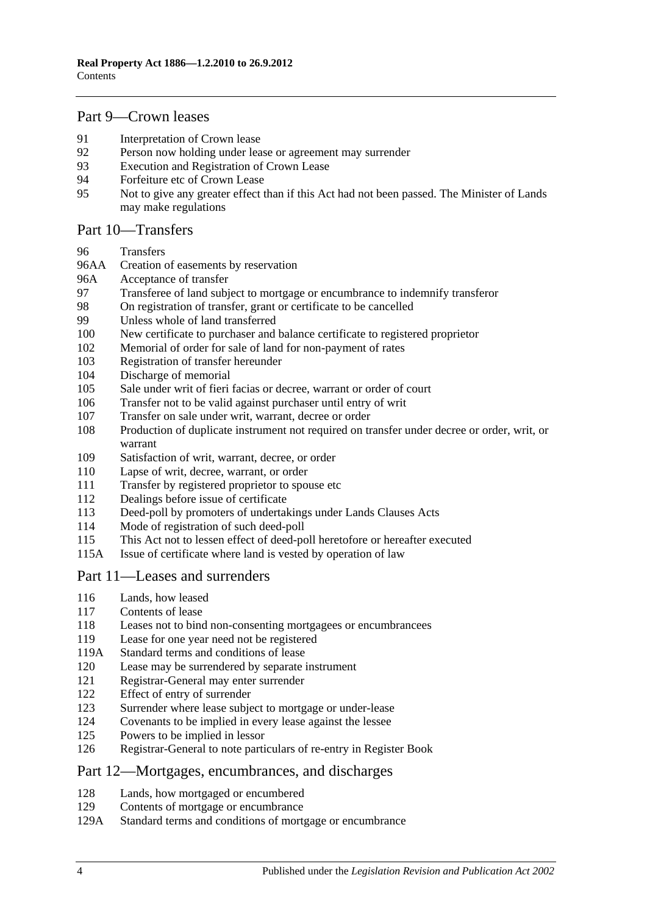## [Part 9—Crown leases](#page-50-0)

- [Interpretation of Crown lease](#page-50-1)<br>92 Person now holding under lea
- [Person now holding under lease or agreement may surrender](#page-50-2)
- [Execution and Registration of Crown Lease](#page-50-3)
- [Forfeiture etc of Crown Lease](#page-50-4)
- [Not to give any greater effect than if this Act had not been passed. The Minister of Lands](#page-50-5)  [may make regulations](#page-50-5)

#### [Part 10—Transfers](#page-52-0)

- [Transfers](#page-52-1)
- 96AA [Creation of easements by reservation](#page-52-2)
- 96A [Acceptance of transfer](#page-52-3)
- [Transferee of land subject to mortgage or encumbrance to indemnify transferor](#page-52-4)<br>98 On registration of transfer, grant or certificate to be cancelled
- [On registration of transfer, grant or certificate to be cancelled](#page-53-0)
- [Unless whole of land transferred](#page-53-1)
- [New certificate to purchaser and balance certificate to registered proprietor](#page-53-2)
- [Memorial of order for sale of land for non-payment of rates](#page-53-3)
- [Registration of transfer hereunder](#page-53-4)
- [Discharge of memorial](#page-54-0)
- [Sale under writ of fieri facias or decree, warrant or order of court](#page-54-1)
- [Transfer not to be valid against purchaser until entry of writ](#page-54-2)
- [Transfer on sale under writ, warrant, decree or order](#page-54-3)
- [Production of duplicate instrument not required on transfer under decree or order, writ, or](#page-54-4)  [warrant](#page-54-4)
- [Satisfaction of writ, warrant, decree, or order](#page-55-0)
- [Lapse of writ, decree, warrant, or order](#page-55-1)
- [Transfer by registered proprietor to spouse etc](#page-55-2)
- [Dealings before issue of certificate](#page-55-3)
- [Deed-poll by promoters of undertakings under Lands Clauses Acts](#page-55-4)
- [Mode of registration of such deed-poll](#page-56-0)
- [This Act not to lessen effect of deed-poll heretofore or hereafter executed](#page-56-1)
- 115A [Issue of certificate where land is vested by operation of](#page-56-2) law

#### [Part 11—Leases and surrenders](#page-58-0)

- [Lands, how leased](#page-58-1)
- [Contents of lease](#page-58-2)
- [Leases not to bind non-consenting mortgagees or encumbrancees](#page-58-3)
- [Lease for one year need not be registered](#page-58-4)
- 119A [Standard terms and conditions of lease](#page-58-5)
- [Lease may be surrendered by separate instrument](#page-59-0)
- [Registrar-General may enter surrender](#page-59-1)
- [Effect of entry of surrender](#page-59-2)<br>123 Surrender where lease subject
- [Surrender where lease subject to mortgage or under-lease](#page-59-3)
- [Covenants to be implied in every lease against the lessee](#page-59-4)
- [Powers to be implied in lessor](#page-59-5)
- [Registrar-General to note particulars of re-entry in Register Book](#page-60-0)

#### [Part 12—Mortgages, encumbrances, and discharges](#page-62-0)

- [Lands, how mortgaged or encumbered](#page-62-1)
- [Contents of mortgage or encumbrance](#page-62-2)
- 129A [Standard terms and conditions of mortgage or encumbrance](#page-62-3)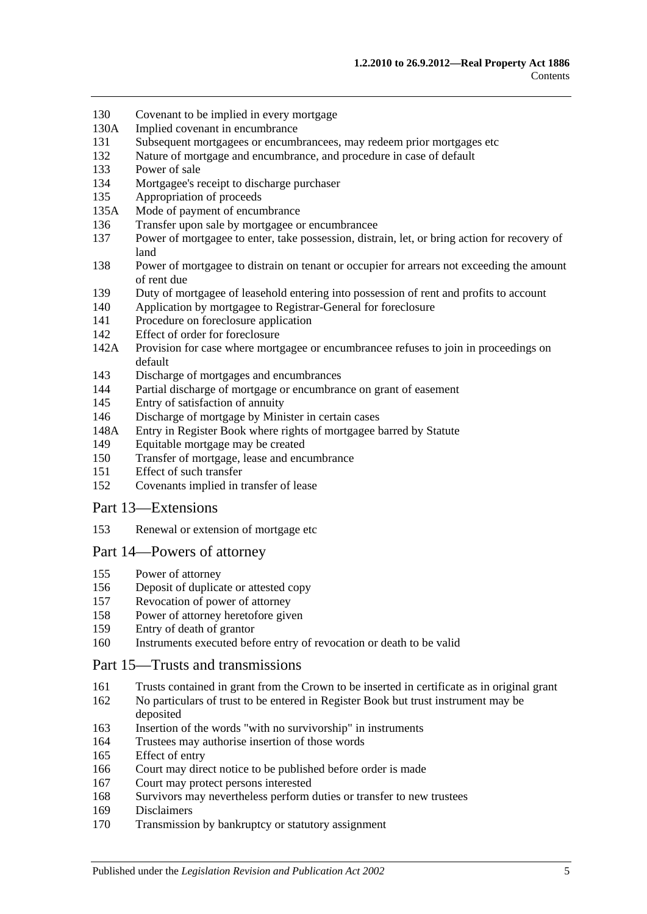- [Covenant to be implied in every mortgage](#page-63-0)
- 130A [Implied covenant in encumbrance](#page-63-1)
- [Subsequent mortgagees or encumbrancees, may redeem prior mortgages etc](#page-63-2)
- [Nature of mortgage and encumbrance, and procedure in case of default](#page-63-3)
- [Power of sale](#page-64-0)
- [Mortgagee's receipt to discharge purchaser](#page-64-1)
- [Appropriation of proceeds](#page-64-2)
- 135A [Mode of payment of encumbrance](#page-64-3)
- [Transfer upon sale by mortgagee or encumbrancee](#page-64-4)
- [Power of mortgagee to enter, take possession, distrain, let, or bring action for recovery of](#page-65-0)  [land](#page-65-0)
- [Power of mortgagee to distrain on tenant or occupier for arrears not exceeding the amount](#page-65-1)  [of rent due](#page-65-1)
- [Duty of mortgagee of leasehold entering into possession of rent and profits to account](#page-66-0)
- [Application by mortgagee to Registrar-General for foreclosure](#page-66-1)
- [Procedure on foreclosure application](#page-66-2)
- [Effect of order for foreclosure](#page-67-0)
- 142A [Provision for case where mortgagee or encumbrancee refuses to join in proceedings on](#page-67-1)  [default](#page-67-1)
- [Discharge of mortgages and encumbrances](#page-67-2)
- [Partial discharge of mortgage or encumbrance on grant of easement](#page-67-3)
- [Entry of satisfaction of annuity](#page-68-0)
- [Discharge of mortgage by Minister in certain cases](#page-68-1)
- 148A [Entry in Register Book where rights of mortgagee barred by Statute](#page-69-0)
- [Equitable mortgage may be created](#page-69-1)
- [Transfer of mortgage, lease and encumbrance](#page-69-2)
- [Effect of such transfer](#page-69-3)
- [Covenants implied in transfer of lease](#page-70-0)

#### [Part 13—Extensions](#page-72-0)

[Renewal or extension of mortgage etc](#page-72-1)

#### [Part 14—Powers of attorney](#page-74-0)

- [Power of attorney](#page-74-1)
- [Deposit of duplicate or attested copy](#page-74-2)
- [Revocation of power of attorney](#page-74-3)
- [Power of attorney heretofore given](#page-74-4)
- [Entry of death of grantor](#page-74-5)
- [Instruments executed before entry of revocation or death to be valid](#page-74-6)

#### [Part 15—Trusts and transmissions](#page-76-0)

- [Trusts contained in grant from the Crown to be inserted in certificate as in original grant](#page-76-1)
- [No particulars of trust to be entered in Register Book but trust instrument may be](#page-76-2)  [deposited](#page-76-2)
- [Insertion of the words "with no survivorship" in instruments](#page-76-3)
- [Trustees may authorise insertion of those words](#page-76-4)
- [Effect of entry](#page-77-0)
- [Court may direct notice to be published before order is made](#page-77-1)
- [Court may protect persons interested](#page-77-2)
- [Survivors may nevertheless perform duties or transfer to new trustees](#page-77-3)
- [Disclaimers](#page-77-4)
- [Transmission by bankruptcy or statutory assignment](#page-78-0)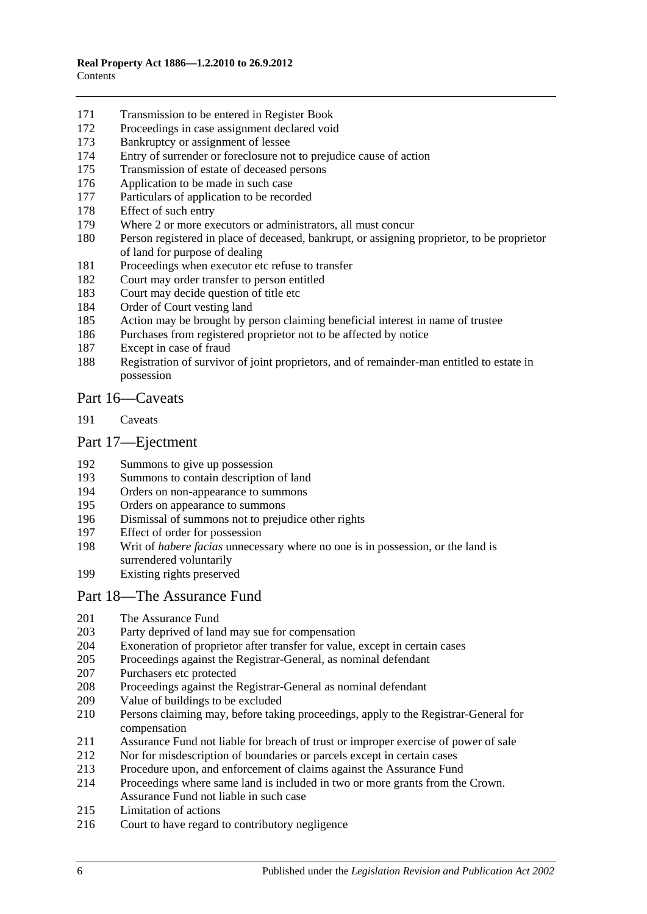- [Transmission to be entered in Register Book](#page-79-0)
- [Proceedings in case assignment declared void](#page-79-1)
- [Bankruptcy or assignment of lessee](#page-79-2)
- [Entry of surrender or foreclosure not to prejudice cause of action](#page-81-0)
- [Transmission of estate of deceased persons](#page-81-1)
- [Application to be made in such case](#page-81-2)
- [Particulars of application to be recorded](#page-81-3)
- [Effect of such entry](#page-81-4)<br>179 Where 2 or more ex
- [Where 2 or more executors or administrators, all must concur](#page-81-5)
- [Person registered in place of deceased, bankrupt, or assigning proprietor, to be proprietor](#page-81-6)  [of land for purpose of dealing](#page-81-6)
- [Proceedings when executor etc refuse to transfer](#page-82-0)
- [Court may order transfer to person entitled](#page-82-1)
- [Court may decide question of title etc](#page-82-2)
- [Order of Court vesting land](#page-82-3)
- [Action may be brought by person claiming beneficial interest in name of trustee](#page-82-4)
- [Purchases from registered proprietor not to be affected by notice](#page-82-5)
- [Except in case of fraud](#page-83-0)
- [Registration of survivor of joint proprietors, and of remainder-man entitled to estate in](#page-83-1)  [possession](#page-83-1)

### [Part 16—Caveats](#page-84-0)

[Caveats](#page-84-1)

#### [Part 17—Ejectment](#page-88-0)

- [Summons to give up possession](#page-88-1)
- [Summons to contain description of land](#page-88-2)
- [Orders on non-appearance to summons](#page-88-3)
- [Orders on appearance to summons](#page-88-4)
- [Dismissal of summons not to prejudice other rights](#page-88-5)
- [Effect of order for possession](#page-88-6)
- Writ of *habere facias* [unnecessary where no one is in possession, or the land is](#page-89-0)  [surrendered voluntarily](#page-89-0)
- [Existing rights preserved](#page-89-1)

#### [Part 18—The Assurance Fund](#page-90-0)

- [The Assurance Fund](#page-90-1)
- [Party deprived of land may sue for compensation](#page-91-0)<br>204 Exoneration of proprietor after transfer for value,
- [Exoneration of proprietor after transfer for value, except in certain cases](#page-91-1)
- [Proceedings against the Registrar-General, as nominal defendant](#page-91-2)
- [Purchasers etc protected](#page-91-3)
- [Proceedings against the Registrar-General as nominal defendant](#page-92-0)
- [Value of buildings to be excluded](#page-92-1)
- [Persons claiming may, before taking proceedings, apply to the Registrar-General for](#page-92-2)  [compensation](#page-92-2)
- [Assurance Fund not liable for breach of trust or improper exercise of power of sale](#page-92-3)
- [Nor for misdescription of boundaries or parcels except in certain cases](#page-93-0)
- [Procedure upon, and enforcement of claims against the Assurance Fund](#page-93-1)
- [Proceedings where same land is included in two or more grants from the Crown.](#page-94-0)  [Assurance Fund not liable in such case](#page-94-0)
- [Limitation of actions](#page-94-1)
- [Court to have regard to contributory negligence](#page-95-0)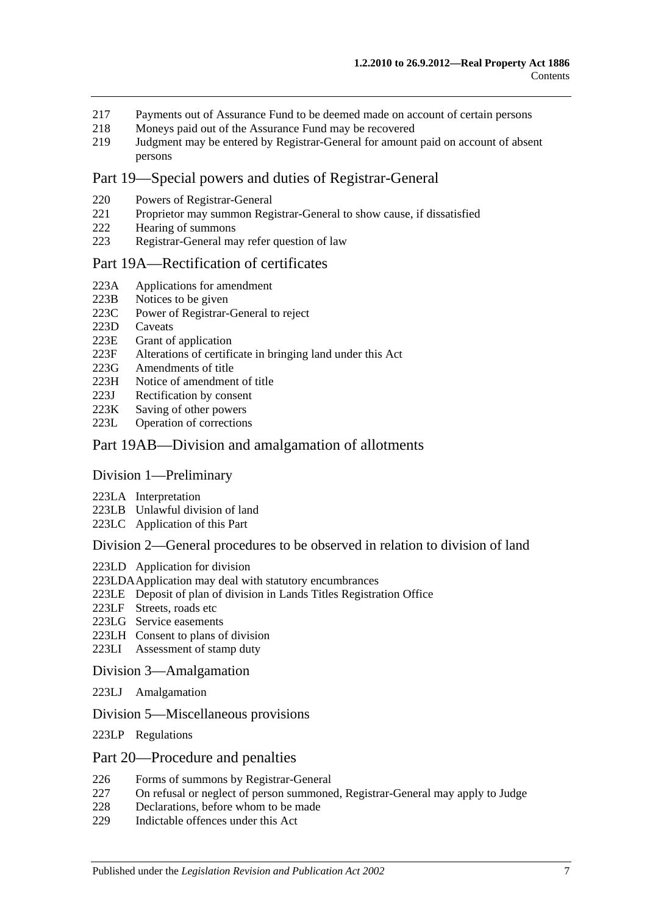- 217 [Payments out of Assurance Fund to be deemed made on account of certain persons](#page-95-1)
- 218 [Moneys paid out of the Assurance Fund may be recovered](#page-95-2)<br>219 Judgment may be entered by Registrar-General for amount
- 219 [Judgment may be entered by Registrar-General for amount paid on account of absent](#page-95-3)  [persons](#page-95-3)

## [Part 19—Special powers and duties of Registrar-General](#page-96-0)

- 220 [Powers of Registrar-General](#page-96-1)
- 221 [Proprietor may summon Registrar-General to show cause, if dissatisfied](#page-98-0)
- 222 [Hearing of summons](#page-99-0)
- 223 [Registrar-General may refer question of law](#page-99-1)

#### [Part 19A—Rectification of certificates](#page-100-0)

- 223A [Applications for amendment](#page-100-1)
- 
- 223B [Notices to be given](#page-100-2)<br>223C Power of Registrar-[Power of Registrar-General to reject](#page-100-3)
- 223D [Caveats](#page-100-4)<br>223E Grant of
- [Grant of application](#page-101-0)
- 223F [Alterations of certificate in bringing land under this Act](#page-101-1)
- 223G [Amendments of title](#page-101-2)
- 223H [Notice of amendment of title](#page-101-3)
- 223J [Rectification by consent](#page-102-0)
- 223K [Saving of other powers](#page-102-1)<br>223L Operation of correction
- [Operation of corrections](#page-102-2)

#### [Part 19AB—Division and amalgamation of allotments](#page-104-0)

#### [Division 1—Preliminary](#page-104-1)

- 223LA [Interpretation](#page-104-2)
- 223LB [Unlawful division of land](#page-107-0)
- 223LC [Application of this Part](#page-108-0)

#### [Division 2—General procedures to be observed in relation to division of land](#page-108-1)

- 223LD [Application for division](#page-108-2)
- [223LDAApplication may deal with statutory encumbrances](#page-110-0)
- 223LE [Deposit of plan of division in Lands Titles Registration Office](#page-110-1)
- 223LF [Streets, roads etc](#page-111-0)
- 223LG [Service easements](#page-112-0)
- 223LH [Consent to plans of division](#page-113-0)
- 223LI [Assessment of stamp duty](#page-114-0)

#### [Division 3—Amalgamation](#page-114-1)

- 223LJ [Amalgamation](#page-114-2)
- [Division 5—Miscellaneous provisions](#page-115-0)
- 223LP [Regulations](#page-115-1)

#### [Part 20—Procedure and penalties](#page-116-0)

- 226 [Forms of summons by Registrar-General](#page-116-1)
- 227 [On refusal or neglect of person summoned, Registrar-General may apply to Judge](#page-116-2)
- 228 [Declarations, before whom to be made](#page-116-3)
- 229 [Indictable offences under this Act](#page-116-4)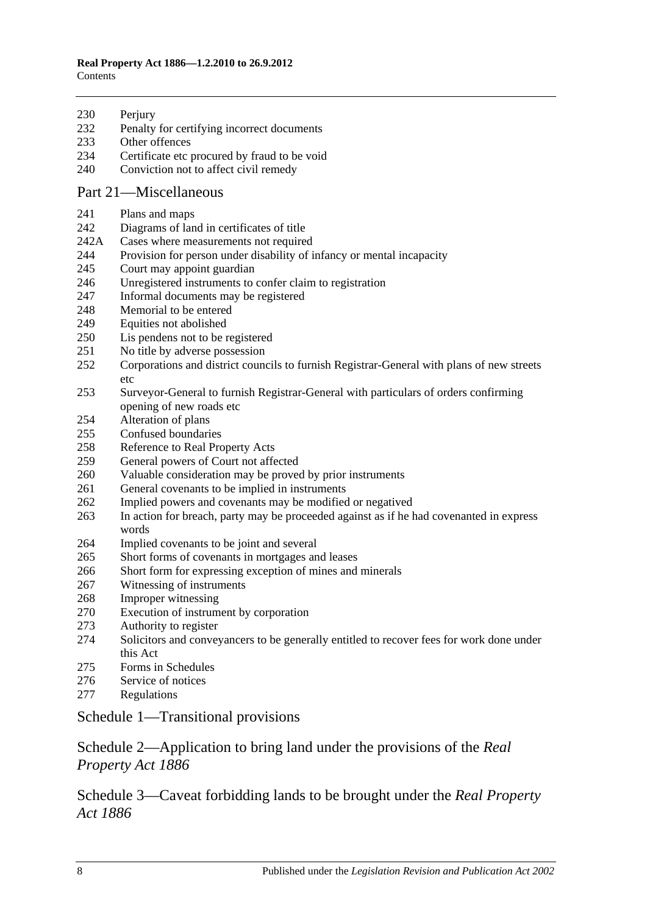#### **Real Property Act 1886—1.2.2010 to 26.9.2012 Contents**

- 230 Periury [Penalty for certifying incorrect documents](#page-117-1)
- [Other offences](#page-117-2)
- [Certificate etc procured by fraud to be void](#page-118-0)
- [Conviction not to affect civil remedy](#page-118-1)

## [Part 21—Miscellaneous](#page-120-0)

- [Plans and maps](#page-120-1)
- [Diagrams of land in certificates of title](#page-120-2)
- 242A [Cases where measurements not required](#page-120-3)
- [Provision for person under disability of infancy or mental incapacity](#page-120-4)
- [Court may appoint guardian](#page-121-0)
- [Unregistered instruments to confer claim to registration](#page-121-1)
- [Informal documents may be registered](#page-121-2)
- [Memorial to be entered](#page-121-3)
- [Equities not abolished](#page-121-4)
- [Lis pendens not to be registered](#page-122-0)
- [No title by adverse possession](#page-122-1)
- [Corporations and district councils to furnish Registrar-General with plans of new streets](#page-122-2)  [etc](#page-122-2)
- [Surveyor-General to furnish Registrar-General with particulars of orders confirming](#page-122-3)  [opening of new roads etc](#page-122-3)
- [Alteration of plans](#page-122-4)
- [Confused boundaries](#page-123-0)
- [Reference to Real Property Acts](#page-123-1)
- [General powers of Court not affected](#page-123-2)
- [Valuable consideration may be proved by prior instruments](#page-123-3)
- [General covenants to be implied in instruments](#page-124-0)
- [Implied powers and covenants may be modified or negatived](#page-124-1)
- [In action for breach, party may be proceeded against as if he had covenanted in express](#page-124-2)  [words](#page-124-2)
- [Implied covenants to](#page-124-3) be joint and several
- [Short forms of covenants in mortgages and leases](#page-124-4)
- [Short form for expressing exception of mines and minerals](#page-124-5)
- [Witnessing of instruments](#page-125-0)
- [Improper witnessing](#page-125-1)
- [Execution of instrument by corporation](#page-125-2)
- [Authority to register](#page-125-3)
- [Solicitors and conveyancers to be generally entitled to recover fees for work done under](#page-126-0)  [this Act](#page-126-0)
- [Forms in Schedules](#page-126-1)
- [Service of notices](#page-126-2)
- [Regulations](#page-126-3)

## [Schedule 1—Transitional provisions](#page-128-0)

## [Schedule 2—Application to bring land under the provisions of the](#page-131-0) *Real [Property Act](#page-131-0) 1886*

[Schedule 3—Caveat forbidding lands to be brought under the](#page-132-0) *Real Property Act [1886](#page-132-0)*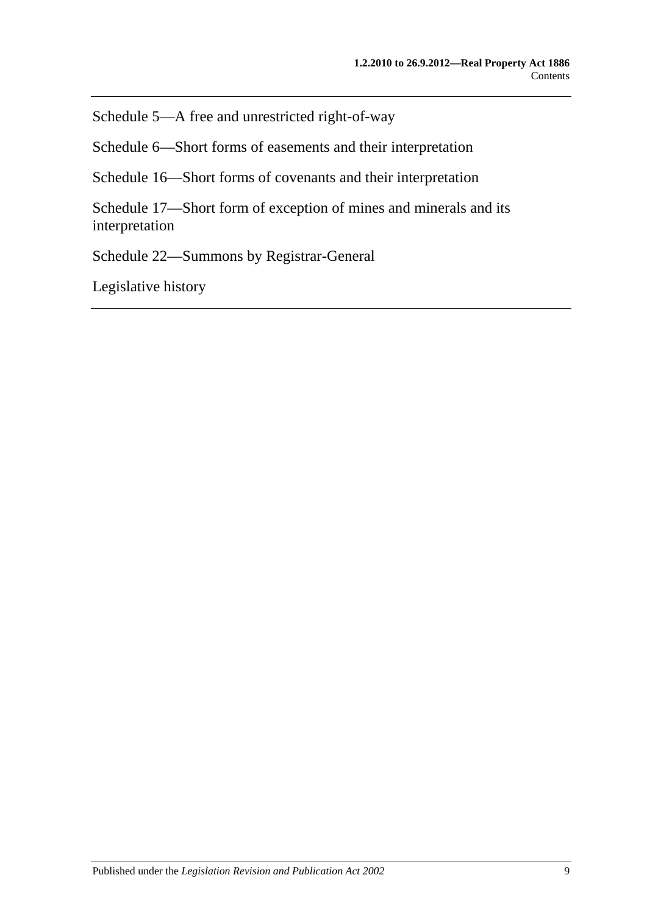[Schedule 5—A free and unrestricted right-of-way](#page-132-1)

[Schedule 6—Short forms of easements and their interpretation](#page-132-2)

[Schedule 16—Short forms of covenants and their interpretation](#page-135-0)

[Schedule 17—Short form of exception of mines and minerals and its](#page-137-0)  [interpretation](#page-137-0)

[Schedule 22—Summons by Registrar-General](#page-137-1)

[Legislative history](#page-138-0)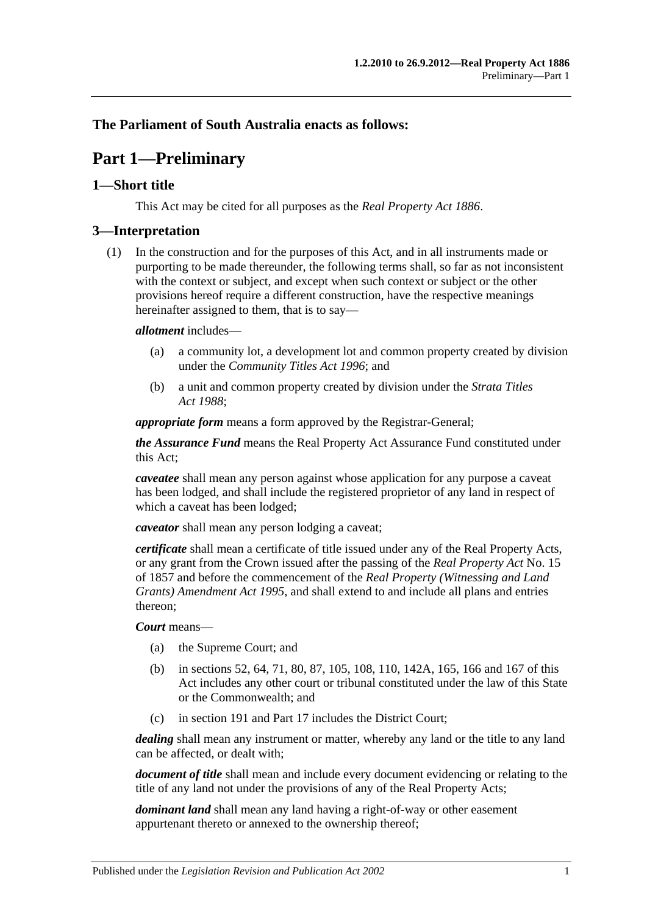## <span id="page-10-0"></span>**The Parliament of South Australia enacts as follows:**

## **Part 1—Preliminary**

## <span id="page-10-1"></span>**1—Short title**

This Act may be cited for all purposes as the *[Real Property Act](http://www.legislation.sa.gov.au/index.aspx?action=legref&type=act&legtitle=Real%20Property%20Act%201886) 1886*.

#### <span id="page-10-2"></span>**3—Interpretation**

(1) In the construction and for the purposes of this Act, and in all instruments made or purporting to be made thereunder, the following terms shall, so far as not inconsistent with the context or subject, and except when such context or subject or the other provisions hereof require a different construction, have the respective meanings hereinafter assigned to them, that is to say—

#### *allotment* includes—

- (a) a community lot, a development lot and common property created by division under the *[Community Titles Act](http://www.legislation.sa.gov.au/index.aspx?action=legref&type=act&legtitle=Community%20Titles%20Act%201996) 1996*; and
- (b) a unit and common property created by division under the *[Strata Titles](http://www.legislation.sa.gov.au/index.aspx?action=legref&type=act&legtitle=Strata%20Titles%20Act%201988)  Act [1988](http://www.legislation.sa.gov.au/index.aspx?action=legref&type=act&legtitle=Strata%20Titles%20Act%201988)*;

*appropriate form* means a form approved by the Registrar-General;

*the Assurance Fund* means the Real Property Act Assurance Fund constituted under this Act;

*caveatee* shall mean any person against whose application for any purpose a caveat has been lodged, and shall include the registered proprietor of any land in respect of which a caveat has been lodged;

*caveator* shall mean any person lodging a caveat;

*certificate* shall mean a certificate of title issued under any of the Real Property Acts, or any grant from the Crown issued after the passing of the *[Real Property Act](http://www.legislation.sa.gov.au/index.aspx?action=legref&type=act&legtitle=Real%20Property%20Act)* No. 15 of 1857 and before the commencement of the *[Real Property \(Witnessing and Land](http://www.legislation.sa.gov.au/index.aspx?action=legref&type=act&legtitle=Real%20Property%20(Witnessing%20and%20Land%20Grants)%20Amendment%20Act%201995)  [Grants\) Amendment Act](http://www.legislation.sa.gov.au/index.aspx?action=legref&type=act&legtitle=Real%20Property%20(Witnessing%20and%20Land%20Grants)%20Amendment%20Act%201995) 1995*, and shall extend to and include all plans and entries thereon;

#### *Court* means—

- (a) the Supreme Court; and
- (b) in [sections](#page-28-4) 52, [64,](#page-31-3) [71,](#page-36-0) [80,](#page-39-2) [87,](#page-45-0) [105,](#page-54-1) [108,](#page-54-4) [110,](#page-55-1) [142A,](#page-67-1) [165,](#page-77-0) [166](#page-77-1) and [167](#page-77-2) of this Act includes any other court or tribunal constituted under the law of this State or the Commonwealth; and
- (c) in [section](#page-84-1) 191 and [Part 17](#page-88-0) includes the District Court;

*dealing* shall mean any instrument or matter, whereby any land or the title to any land can be affected, or dealt with;

*document of title* shall mean and include every document evidencing or relating to the title of any land not under the provisions of any of the Real Property Acts;

*dominant land* shall mean any land having a right-of-way or other easement appurtenant thereto or annexed to the ownership thereof;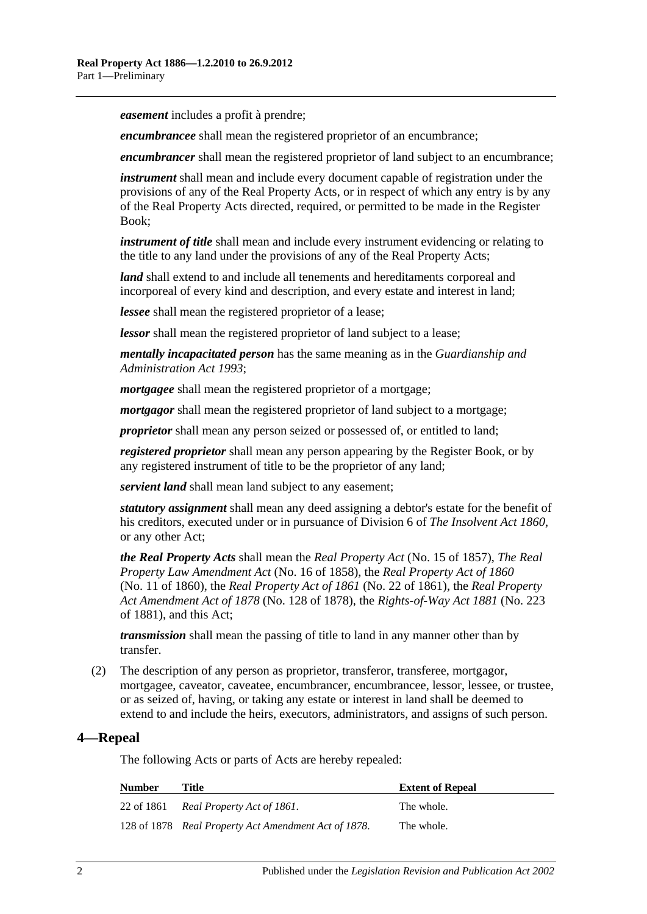*easement* includes a profit à prendre;

*encumbrancee* shall mean the registered proprietor of an encumbrance;

*encumbrancer* shall mean the registered proprietor of land subject to an encumbrance;

*instrument* shall mean and include every document capable of registration under the provisions of any of the Real Property Acts, or in respect of which any entry is by any of the Real Property Acts directed, required, or permitted to be made in the Register Book;

*instrument of title* shall mean and include every instrument evidencing or relating to the title to any land under the provisions of any of the Real Property Acts;

*land* shall extend to and include all tenements and hereditaments corporeal and incorporeal of every kind and description, and every estate and interest in land;

*lessee* shall mean the registered proprietor of a lease;

*lessor* shall mean the registered proprietor of land subject to a lease;

*mentally incapacitated person* has the same meaning as in the *[Guardianship and](http://www.legislation.sa.gov.au/index.aspx?action=legref&type=act&legtitle=Guardianship%20and%20Administration%20Act%201993)  [Administration Act](http://www.legislation.sa.gov.au/index.aspx?action=legref&type=act&legtitle=Guardianship%20and%20Administration%20Act%201993) 1993*;

*mortgagee* shall mean the registered proprietor of a mortgage;

*mortgagor* shall mean the registered proprietor of land subject to a mortgage;

*proprietor* shall mean any person seized or possessed of, or entitled to land;

*registered proprietor* shall mean any person appearing by the Register Book, or by any registered instrument of title to be the proprietor of any land;

*servient land* shall mean land subject to any easement;

*statutory assignment* shall mean any deed assigning a debtor's estate for the benefit of his creditors, executed under or in pursuance of Division 6 of *[The Insolvent Act](http://www.legislation.sa.gov.au/index.aspx?action=legref&type=act&legtitle=The%20Insolvent%20Act%201860) 1860*, or any other Act;

*the Real Property Acts* shall mean the *[Real Property Act](http://www.legislation.sa.gov.au/index.aspx?action=legref&type=act&legtitle=Real%20Property%20Act)* (No. 15 of 1857), *[The Real](http://www.legislation.sa.gov.au/index.aspx?action=legref&type=act&legtitle=The%20Real%20Property%20Law%20Amendment%20Act)  [Property Law Amendment Act](http://www.legislation.sa.gov.au/index.aspx?action=legref&type=act&legtitle=The%20Real%20Property%20Law%20Amendment%20Act)* (No. 16 of 1858), the *Real [Property Act of](http://www.legislation.sa.gov.au/index.aspx?action=legref&type=act&legtitle=Real%20Property%20Act%20of%201860) 1860* (No. 11 of 1860), the *[Real Property Act of](http://www.legislation.sa.gov.au/index.aspx?action=legref&type=act&legtitle=Real%20Property%20Act%20of%201861) 1861* (No. 22 of 1861), the *[Real Property](http://www.legislation.sa.gov.au/index.aspx?action=legref&type=act&legtitle=Real%20Property%20Act%20Amendment%20Act%20of%201878)  [Act Amendment Act of](http://www.legislation.sa.gov.au/index.aspx?action=legref&type=act&legtitle=Real%20Property%20Act%20Amendment%20Act%20of%201878) 1878* (No. 128 of 1878), the *[Rights-of-Way Act](http://www.legislation.sa.gov.au/index.aspx?action=legref&type=act&legtitle=Rights-of-Way%20Act%201881) 1881* (No. 223 of 1881), and this Act;

*transmission* shall mean the passing of title to land in any manner other than by transfer.

(2) The description of any person as proprietor, transferor, transferee, mortgagor, mortgagee, caveator, caveatee, encumbrancer, encumbrancee, lessor, lessee, or trustee, or as seized of, having, or taking any estate or interest in land shall be deemed to extend to and include the heirs, executors, administrators, and assigns of such person.

#### <span id="page-11-0"></span>**4—Repeal**

The following Acts or parts of Acts are hereby repealed:

| <b>Number</b> | Title                                                | <b>Extent of Repeal</b> |
|---------------|------------------------------------------------------|-------------------------|
| 22 of 1861    | Real Property Act of 1861.                           | The whole.              |
|               | 128 of 1878 Real Property Act Amendment Act of 1878. | The whole.              |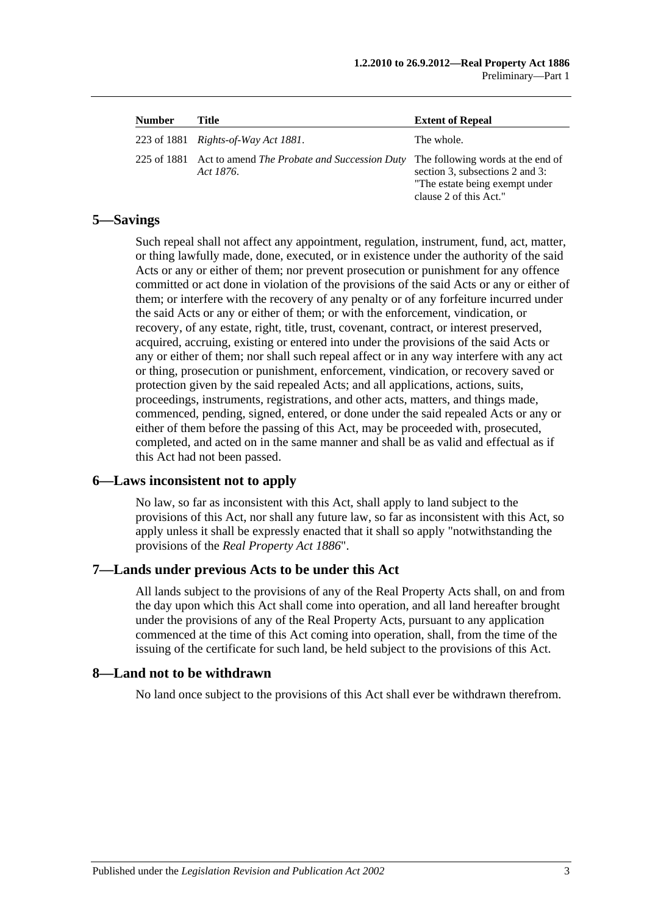| <b>Number</b> | Title                                                                 | <b>Extent of Repeal</b>                                                                                                          |
|---------------|-----------------------------------------------------------------------|----------------------------------------------------------------------------------------------------------------------------------|
|               | 223 of 1881 <i>Rights-of-Way Act 1881</i> .                           | The whole.                                                                                                                       |
|               | 225 of 1881 Act to amend The Probate and Succession Duty<br>Act 1876. | The following words at the end of<br>section 3, subsections 2 and 3:<br>"The estate being exempt under<br>clause 2 of this Act." |

## <span id="page-12-0"></span>**5—Savings**

Such repeal shall not affect any appointment, regulation, instrument, fund, act, matter, or thing lawfully made, done, executed, or in existence under the authority of the said Acts or any or either of them; nor prevent prosecution or punishment for any offence committed or act done in violation of the provisions of the said Acts or any or either of them; or interfere with the recovery of any penalty or of any forfeiture incurred under the said Acts or any or either of them; or with the enforcement, vindication, or recovery, of any estate, right, title, trust, covenant, contract, or interest preserved, acquired, accruing, existing or entered into under the provisions of the said Acts or any or either of them; nor shall such repeal affect or in any way interfere with any act or thing, prosecution or punishment, enforcement, vindication, or recovery saved or protection given by the said repealed Acts; and all applications, actions, suits, proceedings, instruments, registrations, and other acts, matters, and things made, commenced, pending, signed, entered, or done under the said repealed Acts or any or either of them before the passing of this Act, may be proceeded with, prosecuted, completed, and acted on in the same manner and shall be as valid and effectual as if this Act had not been passed.

## <span id="page-12-1"></span>**6—Laws inconsistent not to apply**

No law, so far as inconsistent with this Act, shall apply to land subject to the provisions of this Act, nor shall any future law, so far as inconsistent with this Act, so apply unless it shall be expressly enacted that it shall so apply "notwithstanding the provisions of the *[Real Property Act](http://www.legislation.sa.gov.au/index.aspx?action=legref&type=act&legtitle=Real%20Property%20Act%201886) 1886*".

## <span id="page-12-2"></span>**7—Lands under previous Acts to be under this Act**

All lands subject to the provisions of any of the Real Property Acts shall, on and from the day upon which this Act shall come into operation, and all land hereafter brought under the provisions of any of the Real Property Acts, pursuant to any application commenced at the time of this Act coming into operation, shall, from the time of the issuing of the certificate for such land, be held subject to the provisions of this Act.

#### <span id="page-12-3"></span>**8—Land not to be withdrawn**

No land once subject to the provisions of this Act shall ever be withdrawn therefrom.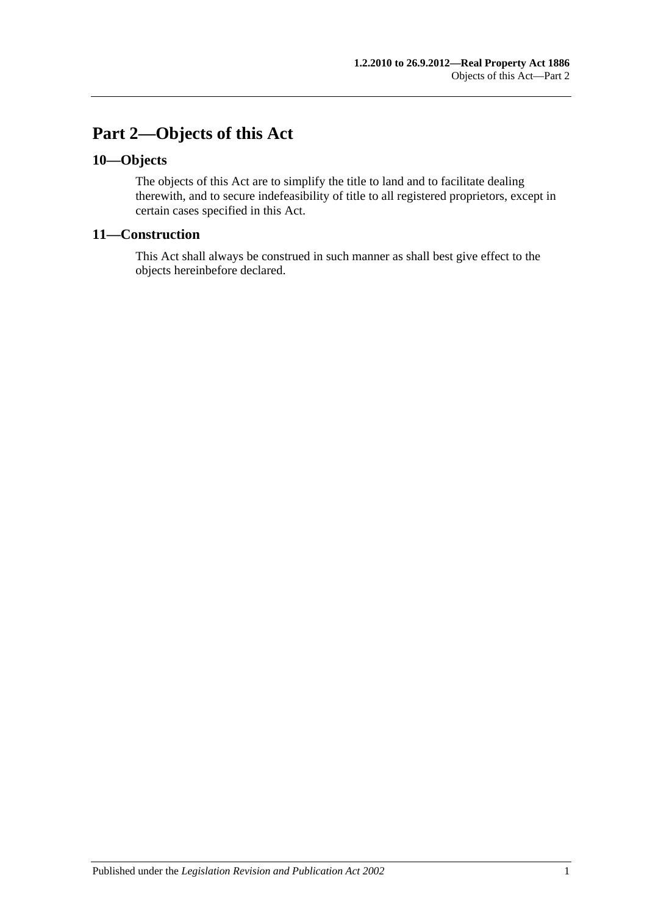## <span id="page-14-0"></span>**Part 2—Objects of this Act**

## <span id="page-14-1"></span>**10—Objects**

The objects of this Act are to simplify the title to land and to facilitate dealing therewith, and to secure indefeasibility of title to all registered proprietors, except in certain cases specified in this Act.

## <span id="page-14-2"></span>**11—Construction**

This Act shall always be construed in such manner as shall best give effect to the objects hereinbefore declared.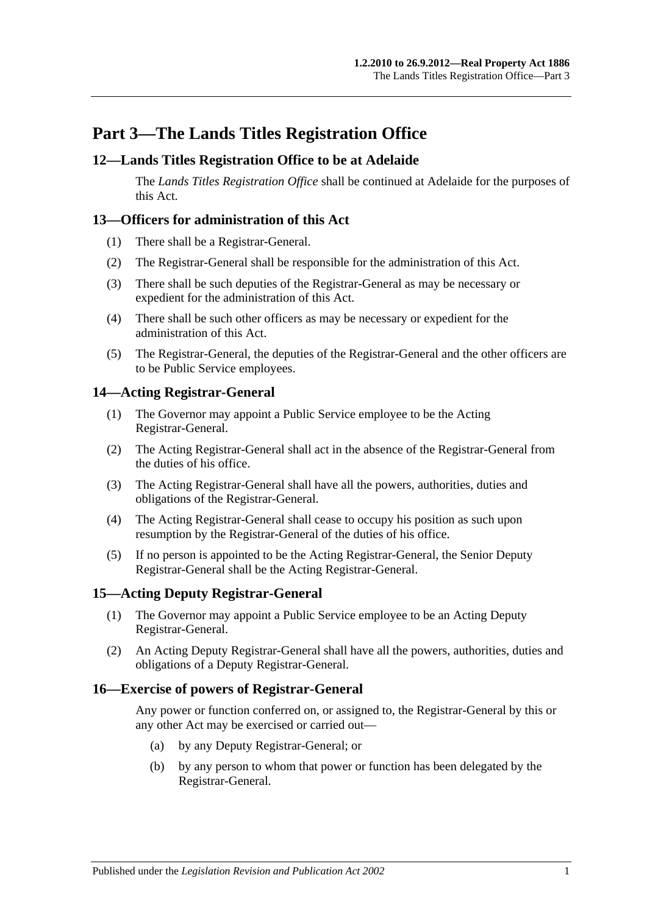## <span id="page-16-0"></span>**Part 3—The Lands Titles Registration Office**

## <span id="page-16-1"></span>**12—Lands Titles Registration Office to be at Adelaide**

The *Lands Titles Registration Office* shall be continued at Adelaide for the purposes of this Act.

## <span id="page-16-2"></span>**13—Officers for administration of this Act**

- (1) There shall be a Registrar-General.
- (2) The Registrar-General shall be responsible for the administration of this Act.
- (3) There shall be such deputies of the Registrar-General as may be necessary or expedient for the administration of this Act.
- (4) There shall be such other officers as may be necessary or expedient for the administration of this Act.
- (5) The Registrar-General, the deputies of the Registrar-General and the other officers are to be Public Service employees.

## <span id="page-16-3"></span>**14—Acting Registrar-General**

- (1) The Governor may appoint a Public Service employee to be the Acting Registrar-General.
- (2) The Acting Registrar-General shall act in the absence of the Registrar-General from the duties of his office.
- (3) The Acting Registrar-General shall have all the powers, authorities, duties and obligations of the Registrar-General.
- (4) The Acting Registrar-General shall cease to occupy his position as such upon resumption by the Registrar-General of the duties of his office.
- (5) If no person is appointed to be the Acting Registrar-General, the Senior Deputy Registrar-General shall be the Acting Registrar-General.

## <span id="page-16-4"></span>**15—Acting Deputy Registrar-General**

- (1) The Governor may appoint a Public Service employee to be an Acting Deputy Registrar-General.
- (2) An Acting Deputy Registrar-General shall have all the powers, authorities, duties and obligations of a Deputy Registrar-General.

## <span id="page-16-5"></span>**16—Exercise of powers of Registrar-General**

Any power or function conferred on, or assigned to, the Registrar-General by this or any other Act may be exercised or carried out—

- (a) by any Deputy Registrar-General; or
- (b) by any person to whom that power or function has been delegated by the Registrar-General.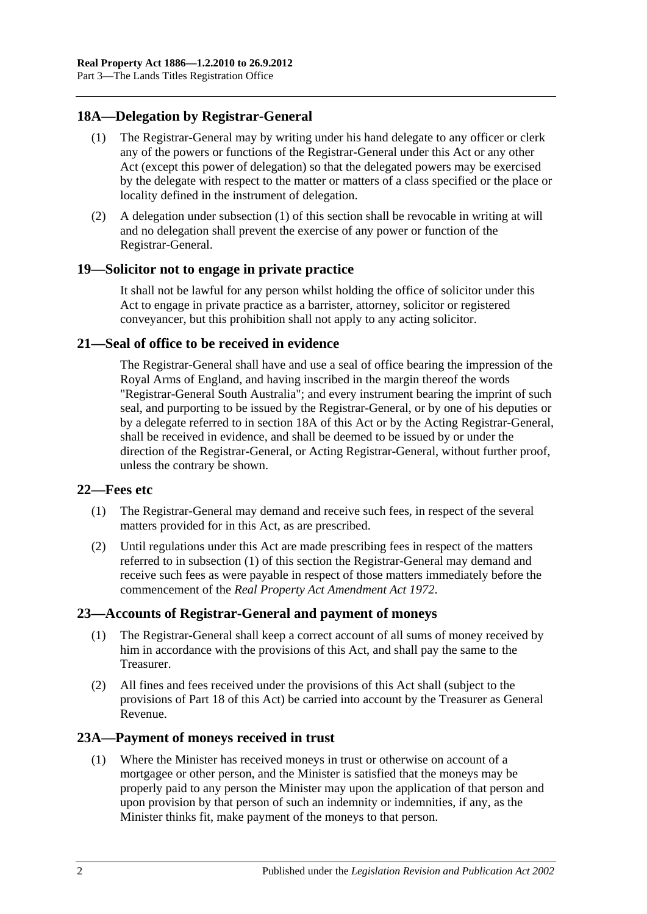## <span id="page-17-6"></span><span id="page-17-0"></span>**18A—Delegation by Registrar-General**

- (1) The Registrar-General may by writing under his hand delegate to any officer or clerk any of the powers or functions of the Registrar-General under this Act or any other Act (except this power of delegation) so that the delegated powers may be exercised by the delegate with respect to the matter or matters of a class specified or the place or locality defined in the instrument of delegation.
- (2) A delegation under [subsection](#page-17-6) (1) of this section shall be revocable in writing at will and no delegation shall prevent the exercise of any power or function of the Registrar-General.

#### <span id="page-17-1"></span>**19—Solicitor not to engage in private practice**

It shall not be lawful for any person whilst holding the office of solicitor under this Act to engage in private practice as a barrister, attorney, solicitor or registered conveyancer, but this prohibition shall not apply to any acting solicitor.

## <span id="page-17-2"></span>**21—Seal of office to be received in evidence**

The Registrar-General shall have and use a seal of office bearing the impression of the Royal Arms of England, and having inscribed in the margin thereof the words "Registrar-General South Australia"; and every instrument bearing the imprint of such seal, and purporting to be issued by the Registrar-General, or by one of his deputies or by a delegate referred to in [section](#page-17-0) 18A of this Act or by the Acting Registrar-General, shall be received in evidence, and shall be deemed to be issued by or under the direction of the Registrar-General, or Acting Registrar-General, without further proof, unless the contrary be shown.

#### <span id="page-17-7"></span><span id="page-17-3"></span>**22—Fees etc**

- (1) The Registrar-General may demand and receive such fees, in respect of the several matters provided for in this Act, as are prescribed.
- (2) Until regulations under this Act are made prescribing fees in respect of the matters referred to in [subsection](#page-17-7) (1) of this section the Registrar-General may demand and receive such fees as were payable in respect of those matters immediately before the commencement of the *[Real Property Act Amendment Act](http://www.legislation.sa.gov.au/index.aspx?action=legref&type=act&legtitle=Real%20Property%20Act%20Amendment%20Act%201972) 1972*.

## <span id="page-17-4"></span>**23—Accounts of Registrar-General and payment of moneys**

- (1) The Registrar-General shall keep a correct account of all sums of money received by him in accordance with the provisions of this Act, and shall pay the same to the Treasurer.
- (2) All fines and fees received under the provisions of this Act shall (subject to the provisions of [Part 18](#page-90-0) of this Act) be carried into account by the Treasurer as General Revenue.

## <span id="page-17-8"></span><span id="page-17-5"></span>**23A—Payment of moneys received in trust**

(1) Where the Minister has received moneys in trust or otherwise on account of a mortgagee or other person, and the Minister is satisfied that the moneys may be properly paid to any person the Minister may upon the application of that person and upon provision by that person of such an indemnity or indemnities, if any, as the Minister thinks fit, make payment of the moneys to that person.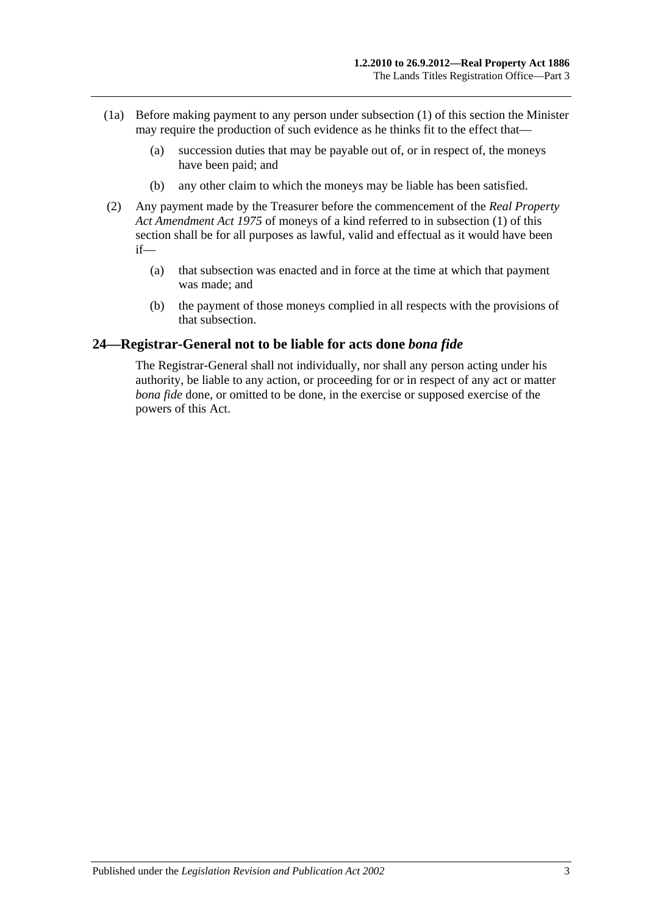- (1a) Before making payment to any person under [subsection](#page-17-8) (1) of this section the Minister may require the production of such evidence as he thinks fit to the effect that—
	- (a) succession duties that may be payable out of, or in respect of, the moneys have been paid; and
	- (b) any other claim to which the moneys may be liable has been satisfied.
- (2) Any payment made by the Treasurer before the commencement of the *[Real Property](http://www.legislation.sa.gov.au/index.aspx?action=legref&type=act&legtitle=Real%20Property%20Act%20Amendment%20Act%201975)  [Act Amendment Act](http://www.legislation.sa.gov.au/index.aspx?action=legref&type=act&legtitle=Real%20Property%20Act%20Amendment%20Act%201975) 1975* of moneys of a kind referred to in [subsection](#page-17-8) (1) of this section shall be for all purposes as lawful, valid and effectual as it would have been if—
	- (a) that subsection was enacted and in force at the time at which that payment was made; and
	- (b) the payment of those moneys complied in all respects with the provisions of that subsection.

## <span id="page-18-0"></span>**24—Registrar-General not to be liable for acts done** *bona fide*

The Registrar-General shall not individually, nor shall any person acting under his authority, be liable to any action, or proceeding for or in respect of any act or matter *bona fide* done, or omitted to be done, in the exercise or supposed exercise of the powers of this Act.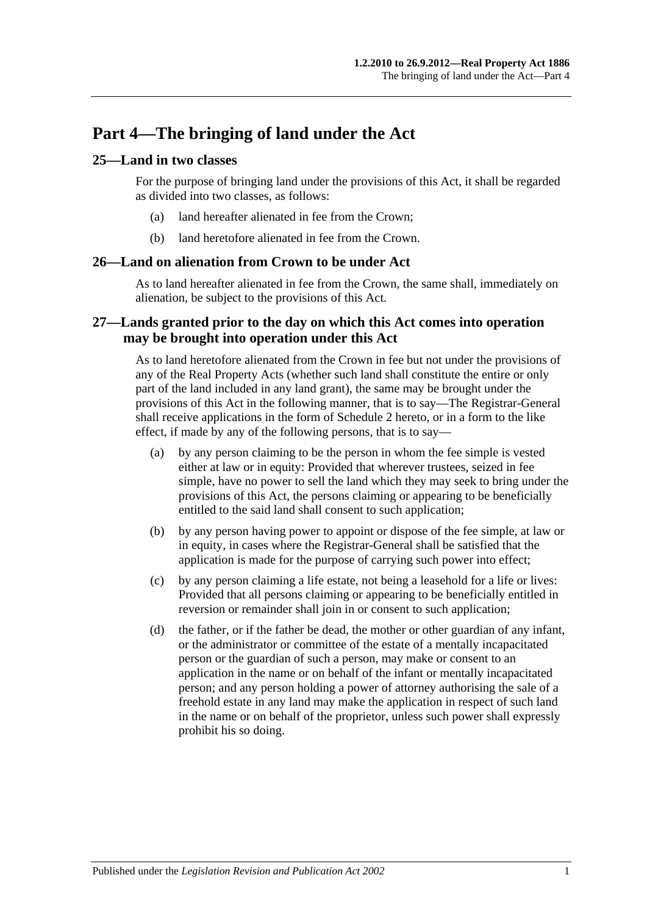## <span id="page-20-0"></span>**Part 4—The bringing of land under the Act**

## <span id="page-20-1"></span>**25—Land in two classes**

For the purpose of bringing land under the provisions of this Act, it shall be regarded as divided into two classes, as follows:

- (a) land hereafter alienated in fee from the Crown;
- (b) land heretofore alienated in fee from the Crown.

#### <span id="page-20-2"></span>**26—Land on alienation from Crown to be under Act**

As to land hereafter alienated in fee from the Crown, the same shall, immediately on alienation, be subject to the provisions of this Act.

## <span id="page-20-3"></span>**27—Lands granted prior to the day on which this Act comes into operation may be brought into operation under this Act**

As to land heretofore alienated from the Crown in fee but not under the provisions of any of the Real Property Acts (whether such land shall constitute the entire or only part of the land included in any land grant), the same may be brought under the provisions of this Act in the following manner, that is to say—The Registrar-General shall receive applications in the form of [Schedule 2](#page-131-0) hereto, or in a form to the like effect, if made by any of the following persons, that is to say—

- (a) by any person claiming to be the person in whom the fee simple is vested either at law or in equity: Provided that wherever trustees, seized in fee simple, have no power to sell the land which they may seek to bring under the provisions of this Act, the persons claiming or appearing to be beneficially entitled to the said land shall consent to such application;
- (b) by any person having power to appoint or dispose of the fee simple, at law or in equity, in cases where the Registrar-General shall be satisfied that the application is made for the purpose of carrying such power into effect;
- (c) by any person claiming a life estate, not being a leasehold for a life or lives: Provided that all persons claiming or appearing to be beneficially entitled in reversion or remainder shall join in or consent to such application;
- (d) the father, or if the father be dead, the mother or other guardian of any infant, or the administrator or committee of the estate of a mentally incapacitated person or the guardian of such a person, may make or consent to an application in the name or on behalf of the infant or mentally incapacitated person; and any person holding a power of attorney authorising the sale of a freehold estate in any land may make the application in respect of such land in the name or on behalf of the proprietor, unless such power shall expressly prohibit his so doing.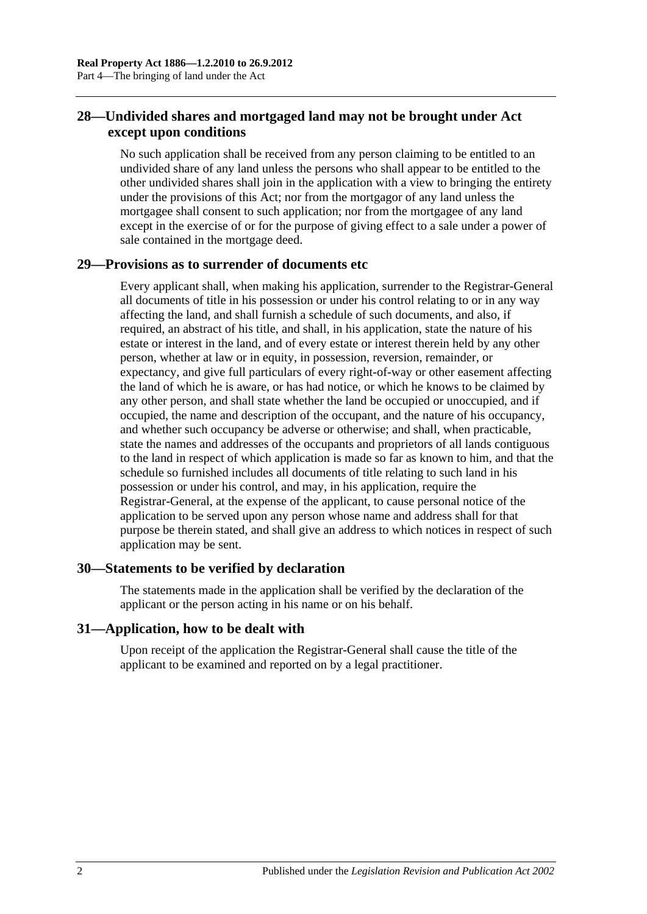## <span id="page-21-0"></span>**28—Undivided shares and mortgaged land may not be brought under Act except upon conditions**

No such application shall be received from any person claiming to be entitled to an undivided share of any land unless the persons who shall appear to be entitled to the other undivided shares shall join in the application with a view to bringing the entirety under the provisions of this Act; nor from the mortgagor of any land unless the mortgagee shall consent to such application; nor from the mortgagee of any land except in the exercise of or for the purpose of giving effect to a sale under a power of sale contained in the mortgage deed.

## <span id="page-21-1"></span>**29—Provisions as to surrender of documents etc**

Every applicant shall, when making his application, surrender to the Registrar-General all documents of title in his possession or under his control relating to or in any way affecting the land, and shall furnish a schedule of such documents, and also, if required, an abstract of his title, and shall, in his application, state the nature of his estate or interest in the land, and of every estate or interest therein held by any other person, whether at law or in equity, in possession, reversion, remainder, or expectancy, and give full particulars of every right-of-way or other easement affecting the land of which he is aware, or has had notice, or which he knows to be claimed by any other person, and shall state whether the land be occupied or unoccupied, and if occupied, the name and description of the occupant, and the nature of his occupancy, and whether such occupancy be adverse or otherwise; and shall, when practicable, state the names and addresses of the occupants and proprietors of all lands contiguous to the land in respect of which application is made so far as known to him, and that the schedule so furnished includes all documents of title relating to such land in his possession or under his control, and may, in his application, require the Registrar-General, at the expense of the applicant, to cause personal notice of the application to be served upon any person whose name and address shall for that purpose be therein stated, and shall give an address to which notices in respect of such application may be sent.

## <span id="page-21-2"></span>**30—Statements to be verified by declaration**

The statements made in the application shall be verified by the declaration of the applicant or the person acting in his name or on his behalf.

## <span id="page-21-3"></span>**31—Application, how to be dealt with**

Upon receipt of the application the Registrar-General shall cause the title of the applicant to be examined and reported on by a legal practitioner.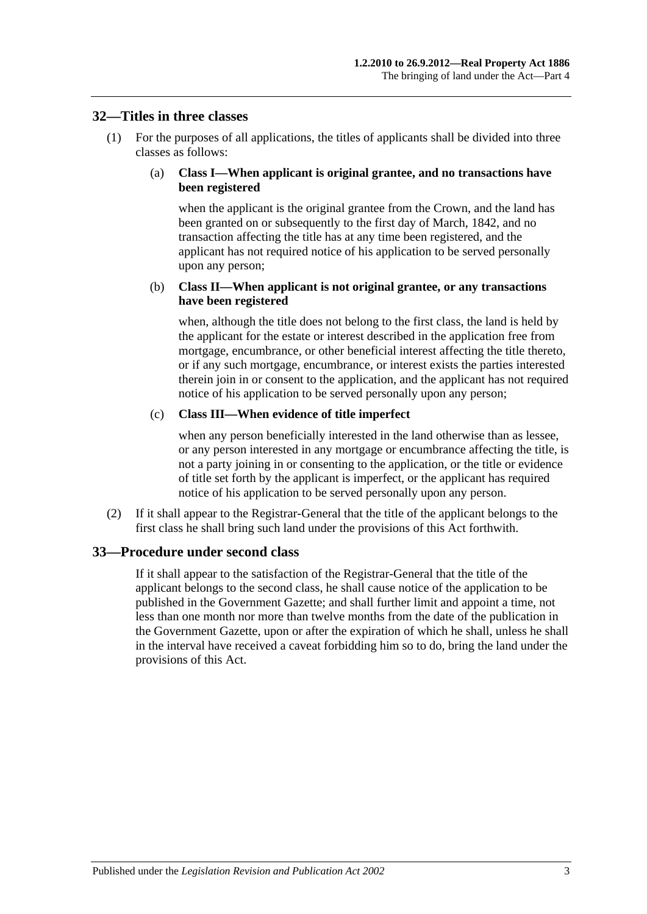#### <span id="page-22-0"></span>**32—Titles in three classes**

(1) For the purposes of all applications, the titles of applicants shall be divided into three classes as follows:

#### (a) **Class I—When applicant is original grantee, and no transactions have been registered**

when the applicant is the original grantee from the Crown, and the land has been granted on or subsequently to the first day of March, 1842, and no transaction affecting the title has at any time been registered, and the applicant has not required notice of his application to be served personally upon any person;

#### (b) **Class II—When applicant is not original grantee, or any transactions have been registered**

when, although the title does not belong to the first class, the land is held by the applicant for the estate or interest described in the application free from mortgage, encumbrance, or other beneficial interest affecting the title thereto, or if any such mortgage, encumbrance, or interest exists the parties interested therein join in or consent to the application, and the applicant has not required notice of his application to be served personally upon any person;

#### (c) **Class III—When evidence of title imperfect**

when any person beneficially interested in the land otherwise than as lessee, or any person interested in any mortgage or encumbrance affecting the title, is not a party joining in or consenting to the application, or the title or evidence of title set forth by the applicant is imperfect, or the applicant has required notice of his application to be served personally upon any person.

(2) If it shall appear to the Registrar-General that the title of the applicant belongs to the first class he shall bring such land under the provisions of this Act forthwith.

## <span id="page-22-1"></span>**33—Procedure under second class**

If it shall appear to the satisfaction of the Registrar-General that the title of the applicant belongs to the second class, he shall cause notice of the application to be published in the Government Gazette; and shall further limit and appoint a time, not less than one month nor more than twelve months from the date of the publication in the Government Gazette, upon or after the expiration of which he shall, unless he shall in the interval have received a caveat forbidding him so to do, bring the land under the provisions of this Act.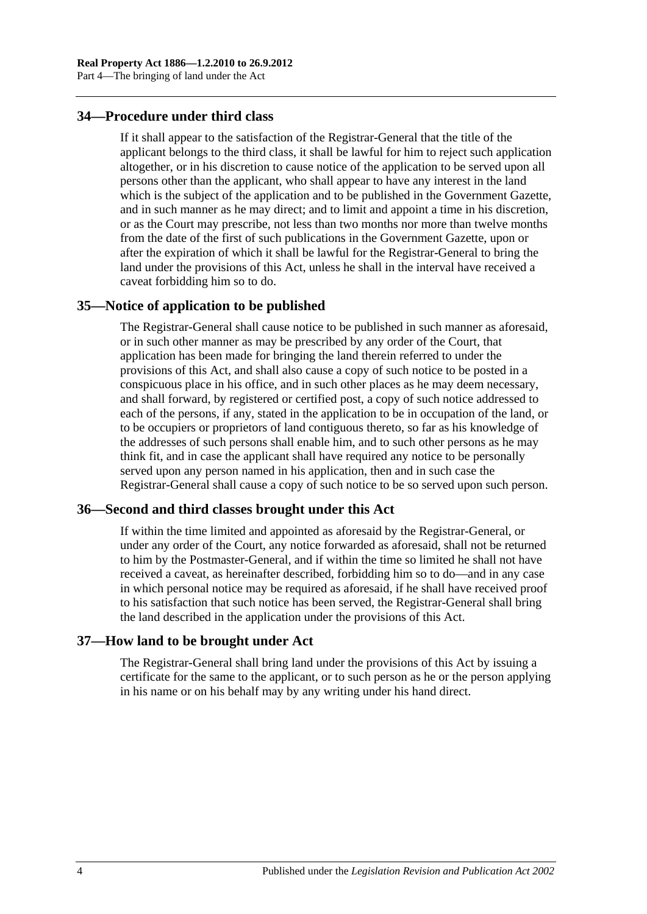### <span id="page-23-0"></span>**34—Procedure under third class**

If it shall appear to the satisfaction of the Registrar-General that the title of the applicant belongs to the third class, it shall be lawful for him to reject such application altogether, or in his discretion to cause notice of the application to be served upon all persons other than the applicant, who shall appear to have any interest in the land which is the subject of the application and to be published in the Government Gazette, and in such manner as he may direct; and to limit and appoint a time in his discretion, or as the Court may prescribe, not less than two months nor more than twelve months from the date of the first of such publications in the Government Gazette, upon or after the expiration of which it shall be lawful for the Registrar-General to bring the land under the provisions of this Act, unless he shall in the interval have received a caveat forbidding him so to do.

#### <span id="page-23-1"></span>**35—Notice of application to be published**

The Registrar-General shall cause notice to be published in such manner as aforesaid, or in such other manner as may be prescribed by any order of the Court, that application has been made for bringing the land therein referred to under the provisions of this Act, and shall also cause a copy of such notice to be posted in a conspicuous place in his office, and in such other places as he may deem necessary, and shall forward, by registered or certified post, a copy of such notice addressed to each of the persons, if any, stated in the application to be in occupation of the land, or to be occupiers or proprietors of land contiguous thereto, so far as his knowledge of the addresses of such persons shall enable him, and to such other persons as he may think fit, and in case the applicant shall have required any notice to be personally served upon any person named in his application, then and in such case the Registrar-General shall cause a copy of such notice to be so served upon such person.

#### <span id="page-23-2"></span>**36—Second and third classes brought under this Act**

If within the time limited and appointed as aforesaid by the Registrar-General, or under any order of the Court, any notice forwarded as aforesaid, shall not be returned to him by the Postmaster-General, and if within the time so limited he shall not have received a caveat, as hereinafter described, forbidding him so to do—and in any case in which personal notice may be required as aforesaid, if he shall have received proof to his satisfaction that such notice has been served, the Registrar-General shall bring the land described in the application under the provisions of this Act.

#### <span id="page-23-3"></span>**37—How land to be brought under Act**

The Registrar-General shall bring land under the provisions of this Act by issuing a certificate for the same to the applicant, or to such person as he or the person applying in his name or on his behalf may by any writing under his hand direct.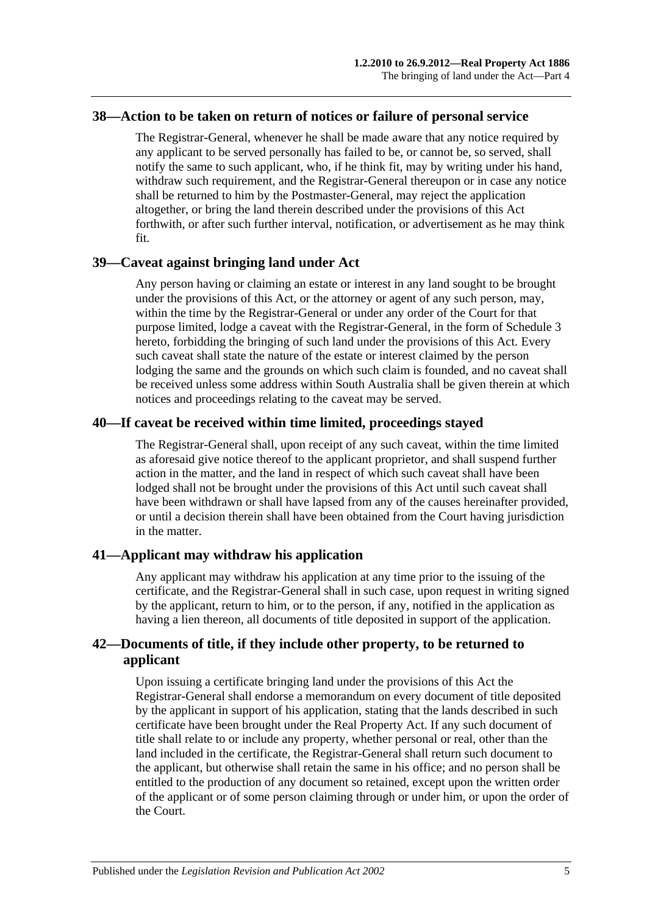#### <span id="page-24-0"></span>**38—Action to be taken on return of notices or failure of personal service**

The Registrar-General, whenever he shall be made aware that any notice required by any applicant to be served personally has failed to be, or cannot be, so served, shall notify the same to such applicant, who, if he think fit, may by writing under his hand, withdraw such requirement, and the Registrar-General thereupon or in case any notice shall be returned to him by the Postmaster-General, may reject the application altogether, or bring the land therein described under the provisions of this Act forthwith, or after such further interval, notification, or advertisement as he may think fit.

#### <span id="page-24-1"></span>**39—Caveat against bringing land under Act**

Any person having or claiming an estate or interest in any land sought to be brought under the provisions of this Act, or the attorney or agent of any such person, may, within the time by the Registrar-General or under any order of the Court for that purpose limited, lodge a caveat with the Registrar-General, in the form of [Schedule 3](#page-132-0) hereto, forbidding the bringing of such land under the provisions of this Act. Every such caveat shall state the nature of the estate or interest claimed by the person lodging the same and the grounds on which such claim is founded, and no caveat shall be received unless some address within South Australia shall be given therein at which notices and proceedings relating to the caveat may be served.

## <span id="page-24-2"></span>**40—If caveat be received within time limited, proceedings stayed**

The Registrar-General shall, upon receipt of any such caveat, within the time limited as aforesaid give notice thereof to the applicant proprietor, and shall suspend further action in the matter, and the land in respect of which such caveat shall have been lodged shall not be brought under the provisions of this Act until such caveat shall have been withdrawn or shall have lapsed from any of the causes hereinafter provided, or until a decision therein shall have been obtained from the Court having jurisdiction in the matter.

## <span id="page-24-3"></span>**41—Applicant may withdraw his application**

Any applicant may withdraw his application at any time prior to the issuing of the certificate, and the Registrar-General shall in such case, upon request in writing signed by the applicant, return to him, or to the person, if any, notified in the application as having a lien thereon, all documents of title deposited in support of the application.

## <span id="page-24-4"></span>**42—Documents of title, if they include other property, to be returned to applicant**

Upon issuing a certificate bringing land under the provisions of this Act the Registrar-General shall endorse a memorandum on every document of title deposited by the applicant in support of his application, stating that the lands described in such certificate have been brought under the Real Property Act. If any such document of title shall relate to or include any property, whether personal or real, other than the land included in the certificate, the Registrar-General shall return such document to the applicant, but otherwise shall retain the same in his office; and no person shall be entitled to the production of any document so retained, except upon the written order of the applicant or of some person claiming through or under him, or upon the order of the Court.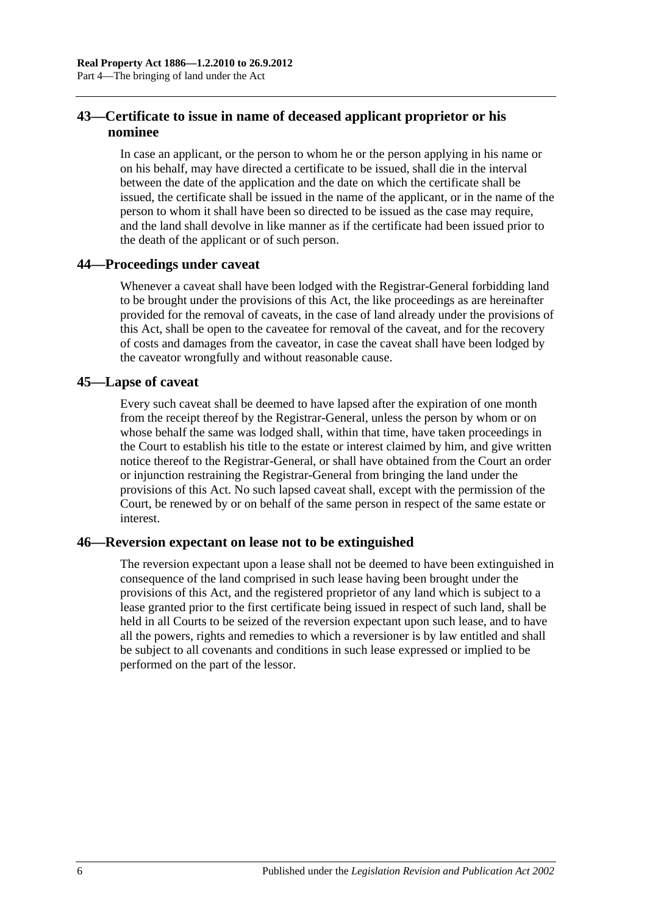## <span id="page-25-0"></span>**43—Certificate to issue in name of deceased applicant proprietor or his nominee**

In case an applicant, or the person to whom he or the person applying in his name or on his behalf, may have directed a certificate to be issued, shall die in the interval between the date of the application and the date on which the certificate shall be issued, the certificate shall be issued in the name of the applicant, or in the name of the person to whom it shall have been so directed to be issued as the case may require, and the land shall devolve in like manner as if the certificate had been issued prior to the death of the applicant or of such person.

## <span id="page-25-1"></span>**44—Proceedings under caveat**

Whenever a caveat shall have been lodged with the Registrar-General forbidding land to be brought under the provisions of this Act, the like proceedings as are hereinafter provided for the removal of caveats, in the case of land already under the provisions of this Act, shall be open to the caveatee for removal of the caveat, and for the recovery of costs and damages from the caveator, in case the caveat shall have been lodged by the caveator wrongfully and without reasonable cause.

#### <span id="page-25-2"></span>**45—Lapse of caveat**

Every such caveat shall be deemed to have lapsed after the expiration of one month from the receipt thereof by the Registrar-General, unless the person by whom or on whose behalf the same was lodged shall, within that time, have taken proceedings in the Court to establish his title to the estate or interest claimed by him, and give written notice thereof to the Registrar-General, or shall have obtained from the Court an order or injunction restraining the Registrar-General from bringing the land under the provisions of this Act. No such lapsed caveat shall, except with the permission of the Court, be renewed by or on behalf of the same person in respect of the same estate or interest.

## <span id="page-25-3"></span>**46—Reversion expectant on lease not to be extinguished**

The reversion expectant upon a lease shall not be deemed to have been extinguished in consequence of the land comprised in such lease having been brought under the provisions of this Act, and the registered proprietor of any land which is subject to a lease granted prior to the first certificate being issued in respect of such land, shall be held in all Courts to be seized of the reversion expectant upon such lease, and to have all the powers, rights and remedies to which a reversioner is by law entitled and shall be subject to all covenants and conditions in such lease expressed or implied to be performed on the part of the lessor.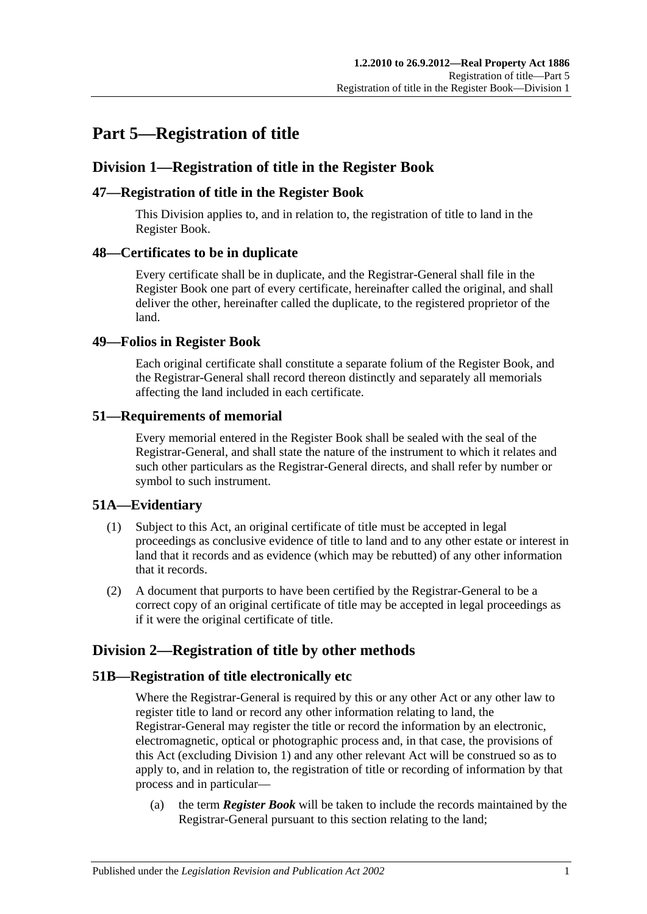## <span id="page-26-0"></span>**Part 5—Registration of title**

## <span id="page-26-1"></span>**Division 1—Registration of title in the Register Book**

## <span id="page-26-2"></span>**47—Registration of title in the Register Book**

This Division applies to, and in relation to, the registration of title to land in the Register Book.

## <span id="page-26-3"></span>**48—Certificates to be in duplicate**

Every certificate shall be in duplicate, and the Registrar-General shall file in the Register Book one part of every certificate, hereinafter called the original, and shall deliver the other, hereinafter called the duplicate, to the registered proprietor of the land.

## <span id="page-26-4"></span>**49—Folios in Register Book**

Each original certificate shall constitute a separate folium of the Register Book, and the Registrar-General shall record thereon distinctly and separately all memorials affecting the land included in each certificate.

## <span id="page-26-5"></span>**51—Requirements of memorial**

Every memorial entered in the Register Book shall be sealed with the seal of the Registrar-General, and shall state the nature of the instrument to which it relates and such other particulars as the Registrar-General directs, and shall refer by number or symbol to such instrument.

## <span id="page-26-6"></span>**51A—Evidentiary**

- (1) Subject to this Act, an original certificate of title must be accepted in legal proceedings as conclusive evidence of title to land and to any other estate or interest in land that it records and as evidence (which may be rebutted) of any other information that it records.
- (2) A document that purports to have been certified by the Registrar-General to be a correct copy of an original certificate of title may be accepted in legal proceedings as if it were the original certificate of title.

## <span id="page-26-7"></span>**Division 2—Registration of title by other methods**

## <span id="page-26-8"></span>**51B—Registration of title electronically etc**

Where the Registrar-General is required by this or any other Act or any other law to register title to land or record any other information relating to land, the Registrar-General may register the title or record the information by an electronic, electromagnetic, optical or photographic process and, in that case, the provisions of this Act (excluding [Division 1\)](#page-26-1) and any other relevant Act will be construed so as to apply to, and in relation to, the registration of title or recording of information by that process and in particular—

(a) the term *Register Book* will be taken to include the records maintained by the Registrar-General pursuant to this section relating to the land;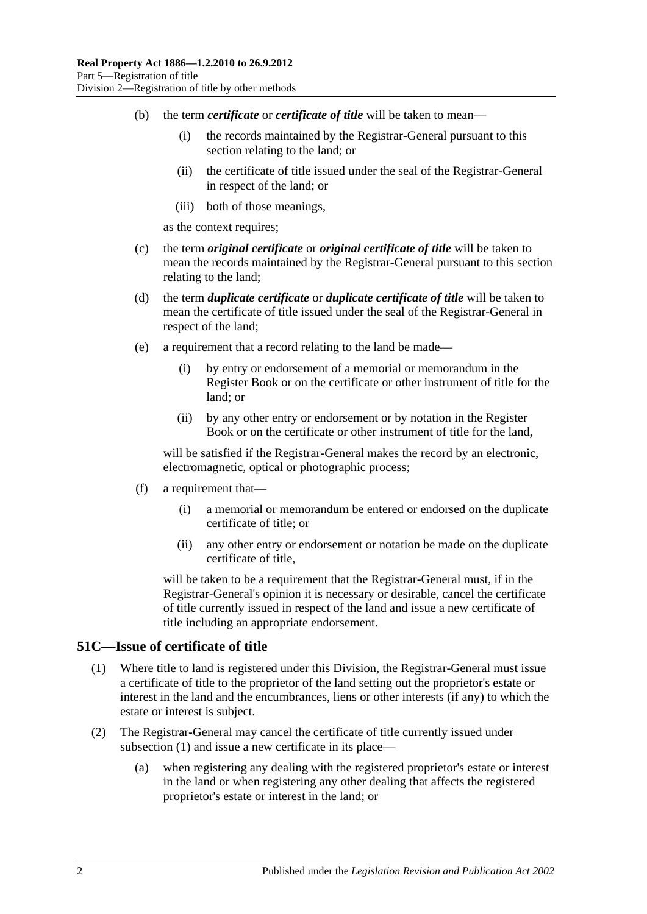- (b) the term *certificate* or *certificate of title* will be taken to mean—
	- (i) the records maintained by the Registrar-General pursuant to this section relating to the land; or
	- (ii) the certificate of title issued under the seal of the Registrar-General in respect of the land; or
	- (iii) both of those meanings,

as the context requires;

- (c) the term *original certificate* or *original certificate of title* will be taken to mean the records maintained by the Registrar-General pursuant to this section relating to the land;
- (d) the term *duplicate certificate* or *duplicate certificate of title* will be taken to mean the certificate of title issued under the seal of the Registrar-General in respect of the land;
- (e) a requirement that a record relating to the land be made—
	- (i) by entry or endorsement of a memorial or memorandum in the Register Book or on the certificate or other instrument of title for the land; or
	- (ii) by any other entry or endorsement or by notation in the Register Book or on the certificate or other instrument of title for the land,

will be satisfied if the Registrar-General makes the record by an electronic, electromagnetic, optical or photographic process;

- (f) a requirement that—
	- (i) a memorial or memorandum be entered or endorsed on the duplicate certificate of title; or
	- (ii) any other entry or endorsement or notation be made on the duplicate certificate of title,

will be taken to be a requirement that the Registrar-General must, if in the Registrar-General's opinion it is necessary or desirable, cancel the certificate of title currently issued in respect of the land and issue a new certificate of title including an appropriate endorsement.

#### <span id="page-27-1"></span><span id="page-27-0"></span>**51C—Issue of certificate of title**

- (1) Where title to land is registered under this Division, the Registrar-General must issue a certificate of title to the proprietor of the land setting out the proprietor's estate or interest in the land and the encumbrances, liens or other interests (if any) to which the estate or interest is subject.
- (2) The Registrar-General may cancel the certificate of title currently issued under [subsection](#page-27-1) (1) and issue a new certificate in its place—
	- (a) when registering any dealing with the registered proprietor's estate or interest in the land or when registering any other dealing that affects the registered proprietor's estate or interest in the land; or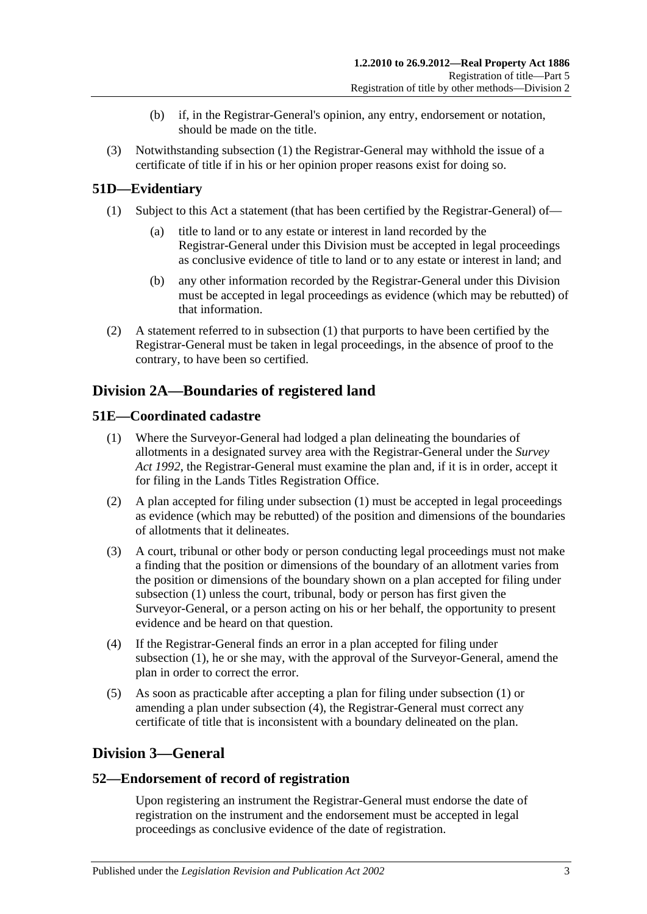- (b) if, in the Registrar-General's opinion, any entry, endorsement or notation, should be made on the title.
- (3) Notwithstanding [subsection](#page-27-1) (1) the Registrar-General may withhold the issue of a certificate of title if in his or her opinion proper reasons exist for doing so.

## <span id="page-28-5"></span><span id="page-28-0"></span>**51D—Evidentiary**

- (1) Subject to this Act a statement (that has been certified by the Registrar-General) of
	- title to land or to any estate or interest in land recorded by the Registrar-General under this Division must be accepted in legal proceedings as conclusive evidence of title to land or to any estate or interest in land; and
	- (b) any other information recorded by the Registrar-General under this Division must be accepted in legal proceedings as evidence (which may be rebutted) of that information.
- (2) A statement referred to in [subsection](#page-28-5) (1) that purports to have been certified by the Registrar-General must be taken in legal proceedings, in the absence of proof to the contrary, to have been so certified.

## <span id="page-28-1"></span>**Division 2A—Boundaries of registered land**

## <span id="page-28-6"></span><span id="page-28-2"></span>**51E—Coordinated cadastre**

- (1) Where the Surveyor-General had lodged a plan delineating the boundaries of allotments in a designated survey area with the Registrar-General under the *[Survey](http://www.legislation.sa.gov.au/index.aspx?action=legref&type=act&legtitle=Survey%20Act%201992)  Act [1992](http://www.legislation.sa.gov.au/index.aspx?action=legref&type=act&legtitle=Survey%20Act%201992)*, the Registrar-General must examine the plan and, if it is in order, accept it for filing in the Lands Titles Registration Office.
- (2) A plan accepted for filing under [subsection](#page-28-6) (1) must be accepted in legal proceedings as evidence (which may be rebutted) of the position and dimensions of the boundaries of allotments that it delineates.
- (3) A court, tribunal or other body or person conducting legal proceedings must not make a finding that the position or dimensions of the boundary of an allotment varies from the position or dimensions of the boundary shown on a plan accepted for filing under [subsection](#page-28-6) (1) unless the court, tribunal, body or person has first given the Surveyor-General, or a person acting on his or her behalf, the opportunity to present evidence and be heard on that question.
- <span id="page-28-7"></span>(4) If the Registrar-General finds an error in a plan accepted for filing under [subsection](#page-28-6) (1), he or she may, with the approval of the Surveyor-General, amend the plan in order to correct the error.
- (5) As soon as practicable after accepting a plan for filing under [subsection](#page-28-6) (1) or amending a plan under [subsection](#page-28-7) (4), the Registrar-General must correct any certificate of title that is inconsistent with a boundary delineated on the plan.

## <span id="page-28-3"></span>**Division 3—General**

## <span id="page-28-4"></span>**52—Endorsement of record of registration**

Upon registering an instrument the Registrar-General must endorse the date of registration on the instrument and the endorsement must be accepted in legal proceedings as conclusive evidence of the date of registration.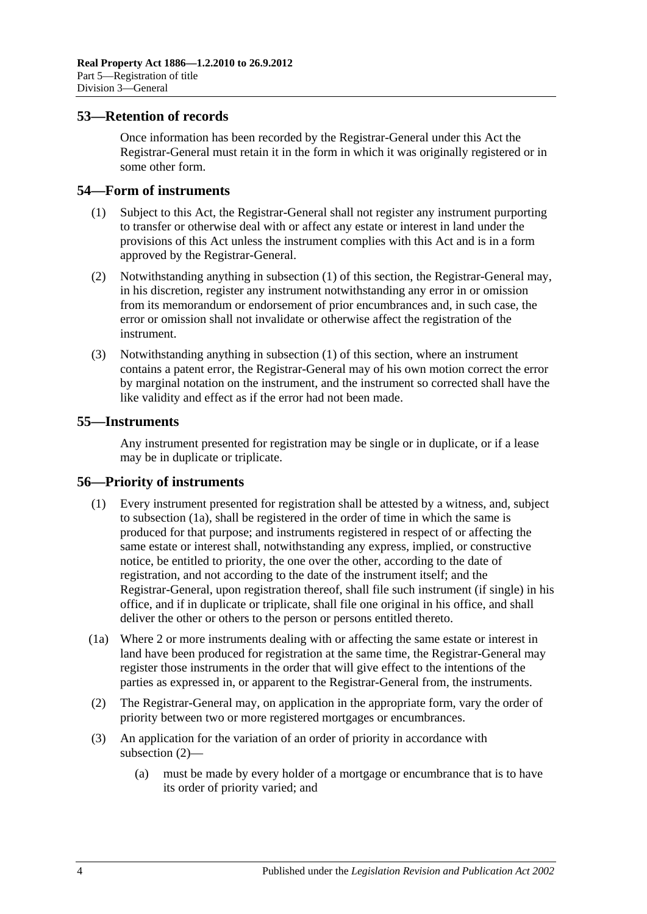#### <span id="page-29-0"></span>**53—Retention of records**

Once information has been recorded by the Registrar-General under this Act the Registrar-General must retain it in the form in which it was originally registered or in some other form.

#### <span id="page-29-4"></span><span id="page-29-1"></span>**54—Form of instruments**

- (1) Subject to this Act, the Registrar-General shall not register any instrument purporting to transfer or otherwise deal with or affect any estate or interest in land under the provisions of this Act unless the instrument complies with this Act and is in a form approved by the Registrar-General.
- (2) Notwithstanding anything in [subsection](#page-29-4) (1) of this section, the Registrar-General may, in his discretion, register any instrument notwithstanding any error in or omission from its memorandum or endorsement of prior encumbrances and, in such case, the error or omission shall not invalidate or otherwise affect the registration of the instrument.
- (3) Notwithstanding anything in [subsection](#page-29-4) (1) of this section, where an instrument contains a patent error, the Registrar-General may of his own motion correct the error by marginal notation on the instrument, and the instrument so corrected shall have the like validity and effect as if the error had not been made.

#### <span id="page-29-2"></span>**55—Instruments**

Any instrument presented for registration may be single or in duplicate, or if a lease may be in duplicate or triplicate.

#### <span id="page-29-3"></span>**56—Priority of instruments**

- (1) Every instrument presented for registration shall be attested by a witness, and, subject to [subsection](#page-29-5) (1a), shall be registered in the order of time in which the same is produced for that purpose; and instruments registered in respect of or affecting the same estate or interest shall, notwithstanding any express, implied, or constructive notice, be entitled to priority, the one over the other, according to the date of registration, and not according to the date of the instrument itself; and the Registrar-General, upon registration thereof, shall file such instrument (if single) in his office, and if in duplicate or triplicate, shall file one original in his office, and shall deliver the other or others to the person or persons entitled thereto.
- <span id="page-29-5"></span>(1a) Where 2 or more instruments dealing with or affecting the same estate or interest in land have been produced for registration at the same time, the Registrar-General may register those instruments in the order that will give effect to the intentions of the parties as expressed in, or apparent to the Registrar-General from, the instruments.
- <span id="page-29-6"></span>(2) The Registrar-General may, on application in the appropriate form, vary the order of priority between two or more registered mortgages or encumbrances.
- (3) An application for the variation of an order of priority in accordance with [subsection](#page-29-6) (2)—
	- (a) must be made by every holder of a mortgage or encumbrance that is to have its order of priority varied; and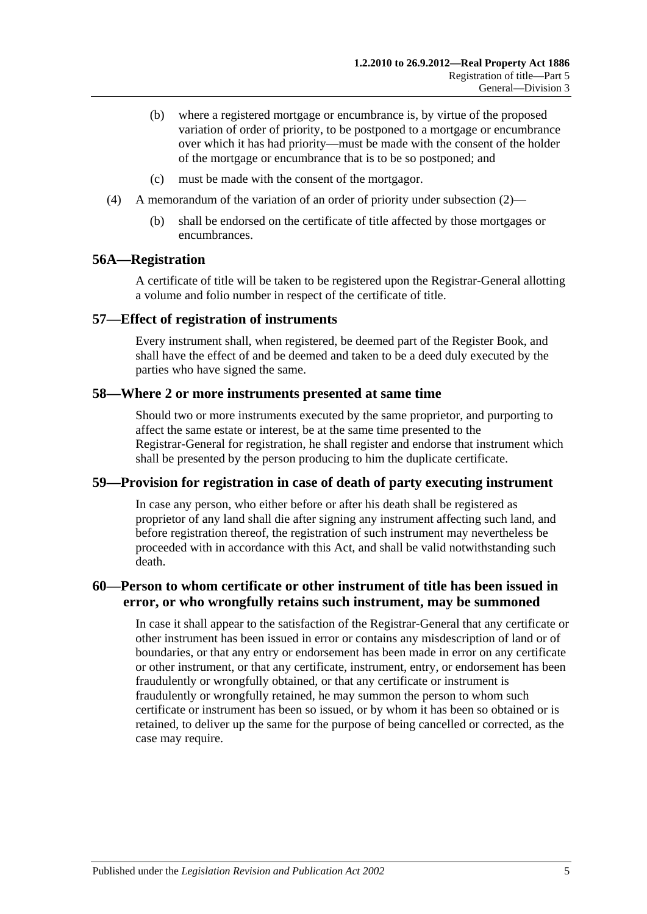- (b) where a registered mortgage or encumbrance is, by virtue of the proposed variation of order of priority, to be postponed to a mortgage or encumbrance over which it has had priority—must be made with the consent of the holder of the mortgage or encumbrance that is to be so postponed; and
- (c) must be made with the consent of the mortgagor.
- (4) A memorandum of the variation of an order of priority under [subsection](#page-29-6) (2)—
	- (b) shall be endorsed on the certificate of title affected by those mortgages or encumbrances.

#### <span id="page-30-0"></span>**56A—Registration**

A certificate of title will be taken to be registered upon the Registrar-General allotting a volume and folio number in respect of the certificate of title.

#### <span id="page-30-1"></span>**57—Effect of registration of instruments**

Every instrument shall, when registered, be deemed part of the Register Book, and shall have the effect of and be deemed and taken to be a deed duly executed by the parties who have signed the same.

#### <span id="page-30-2"></span>**58—Where 2 or more instruments presented at same time**

Should two or more instruments executed by the same proprietor, and purporting to affect the same estate or interest, be at the same time presented to the Registrar-General for registration, he shall register and endorse that instrument which shall be presented by the person producing to him the duplicate certificate.

#### <span id="page-30-3"></span>**59—Provision for registration in case of death of party executing instrument**

In case any person, who either before or after his death shall be registered as proprietor of any land shall die after signing any instrument affecting such land, and before registration thereof, the registration of such instrument may nevertheless be proceeded with in accordance with this Act, and shall be valid notwithstanding such death.

## <span id="page-30-4"></span>**60—Person to whom certificate or other instrument of title has been issued in error, or who wrongfully retains such instrument, may be summoned**

In case it shall appear to the satisfaction of the Registrar-General that any certificate or other instrument has been issued in error or contains any misdescription of land or of boundaries, or that any entry or endorsement has been made in error on any certificate or other instrument, or that any certificate, instrument, entry, or endorsement has been fraudulently or wrongfully obtained, or that any certificate or instrument is fraudulently or wrongfully retained, he may summon the person to whom such certificate or instrument has been so issued, or by whom it has been so obtained or is retained, to deliver up the same for the purpose of being cancelled or corrected, as the case may require.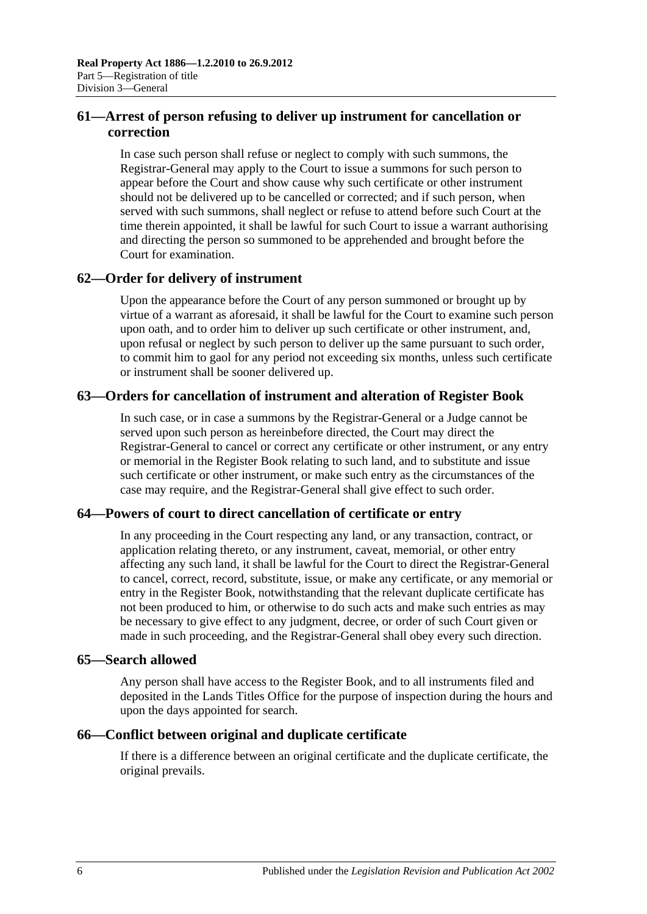## <span id="page-31-0"></span>**61—Arrest of person refusing to deliver up instrument for cancellation or correction**

In case such person shall refuse or neglect to comply with such summons, the Registrar-General may apply to the Court to issue a summons for such person to appear before the Court and show cause why such certificate or other instrument should not be delivered up to be cancelled or corrected; and if such person, when served with such summons, shall neglect or refuse to attend before such Court at the time therein appointed, it shall be lawful for such Court to issue a warrant authorising and directing the person so summoned to be apprehended and brought before the Court for examination.

## <span id="page-31-1"></span>**62—Order for delivery of instrument**

Upon the appearance before the Court of any person summoned or brought up by virtue of a warrant as aforesaid, it shall be lawful for the Court to examine such person upon oath, and to order him to deliver up such certificate or other instrument, and, upon refusal or neglect by such person to deliver up the same pursuant to such order, to commit him to gaol for any period not exceeding six months, unless such certificate or instrument shall be sooner delivered up.

## <span id="page-31-2"></span>**63—Orders for cancellation of instrument and alteration of Register Book**

In such case, or in case a summons by the Registrar-General or a Judge cannot be served upon such person as hereinbefore directed, the Court may direct the Registrar-General to cancel or correct any certificate or other instrument, or any entry or memorial in the Register Book relating to such land, and to substitute and issue such certificate or other instrument, or make such entry as the circumstances of the case may require, and the Registrar-General shall give effect to such order.

## <span id="page-31-3"></span>**64—Powers of court to direct cancellation of certificate or entry**

In any proceeding in the Court respecting any land, or any transaction, contract, or application relating thereto, or any instrument, caveat, memorial, or other entry affecting any such land, it shall be lawful for the Court to direct the Registrar-General to cancel, correct, record, substitute, issue, or make any certificate, or any memorial or entry in the Register Book, notwithstanding that the relevant duplicate certificate has not been produced to him, or otherwise to do such acts and make such entries as may be necessary to give effect to any judgment, decree, or order of such Court given or made in such proceeding, and the Registrar-General shall obey every such direction.

## <span id="page-31-4"></span>**65—Search allowed**

Any person shall have access to the Register Book, and to all instruments filed and deposited in the Lands Titles Office for the purpose of inspection during the hours and upon the days appointed for search.

## <span id="page-31-5"></span>**66—Conflict between original and duplicate certificate**

If there is a difference between an original certificate and the duplicate certificate, the original prevails.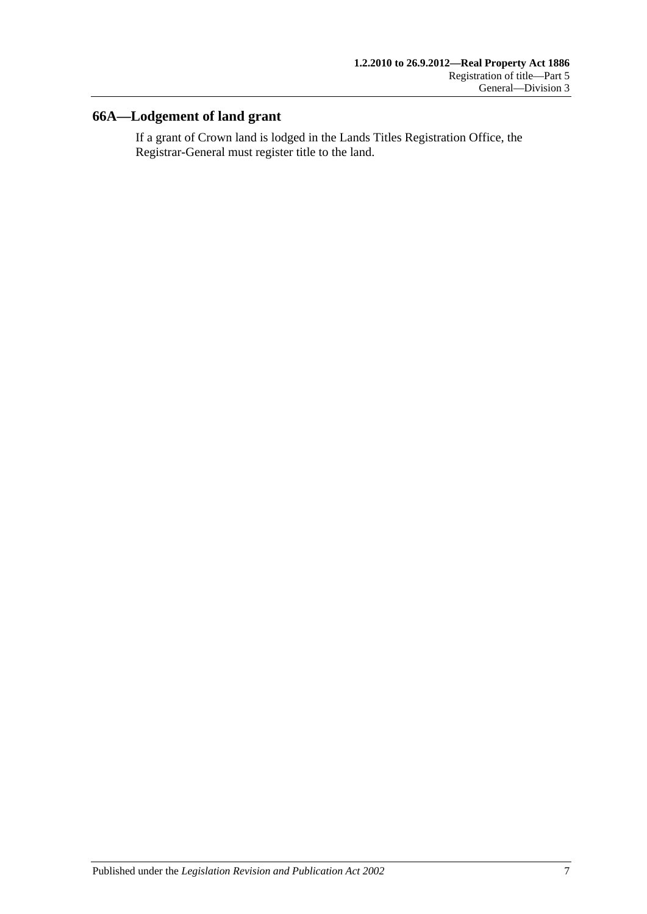## <span id="page-32-0"></span>**66A—Lodgement of land grant**

If a grant of Crown land is lodged in the Lands Titles Registration Office, the Registrar-General must register title to the land.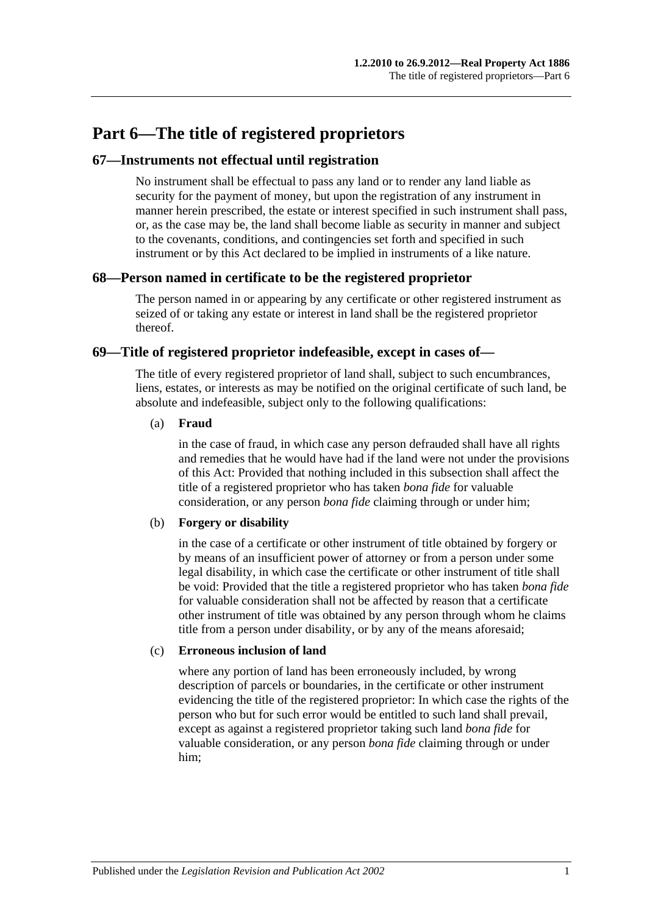## <span id="page-34-0"></span>**Part 6—The title of registered proprietors**

## <span id="page-34-1"></span>**67—Instruments not effectual until registration**

No instrument shall be effectual to pass any land or to render any land liable as security for the payment of money, but upon the registration of any instrument in manner herein prescribed, the estate or interest specified in such instrument shall pass, or, as the case may be, the land shall become liable as security in manner and subject to the covenants, conditions, and contingencies set forth and specified in such instrument or by this Act declared to be implied in instruments of a like nature.

## <span id="page-34-2"></span>**68—Person named in certificate to be the registered proprietor**

The person named in or appearing by any certificate or other registered instrument as seized of or taking any estate or interest in land shall be the registered proprietor thereof.

## <span id="page-34-3"></span>**69—Title of registered proprietor indefeasible, except in cases of—**

The title of every registered proprietor of land shall, subject to such encumbrances, liens, estates, or interests as may be notified on the original certificate of such land, be absolute and indefeasible, subject only to the following qualifications:

#### (a) **Fraud**

in the case of fraud, in which case any person defrauded shall have all rights and remedies that he would have had if the land were not under the provisions of this Act: Provided that nothing included in this subsection shall affect the title of a registered proprietor who has taken *bona fide* for valuable consideration, or any person *bona fide* claiming through or under him;

#### (b) **Forgery or disability**

in the case of a certificate or other instrument of title obtained by forgery or by means of an insufficient power of attorney or from a person under some legal disability, in which case the certificate or other instrument of title shall be void: Provided that the title a registered proprietor who has taken *bona fide* for valuable consideration shall not be affected by reason that a certificate other instrument of title was obtained by any person through whom he claims title from a person under disability, or by any of the means aforesaid;

#### (c) **Erroneous inclusion of land**

where any portion of land has been erroneously included, by wrong description of parcels or boundaries, in the certificate or other instrument evidencing the title of the registered proprietor: In which case the rights of the person who but for such error would be entitled to such land shall prevail, except as against a registered proprietor taking such land *bona fide* for valuable consideration, or any person *bona fide* claiming through or under him;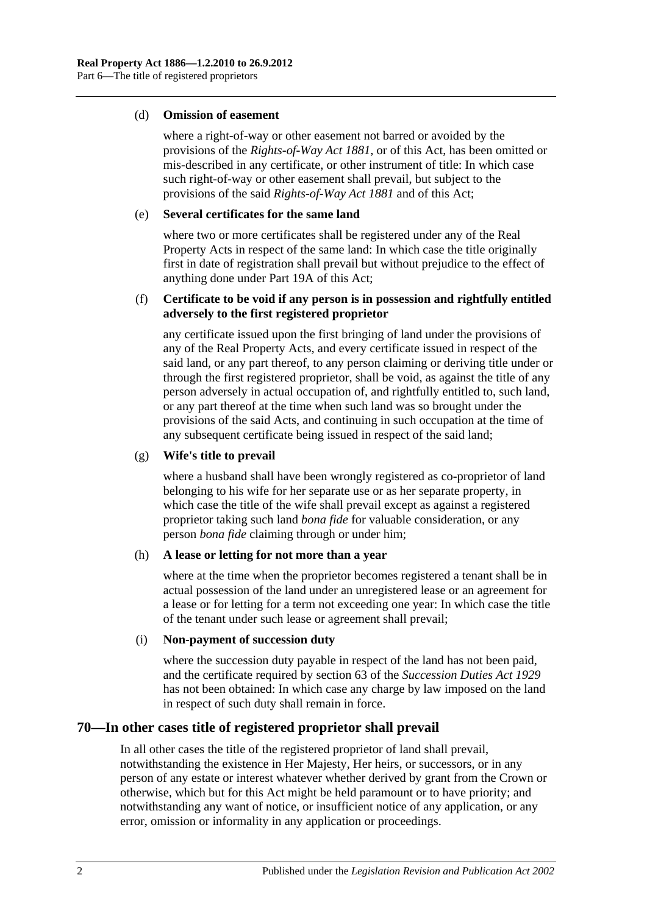#### (d) **Omission of easement**

where a right-of-way or other easement not barred or avoided by the provisions of the *[Rights-of-Way Act](http://www.legislation.sa.gov.au/index.aspx?action=legref&type=act&legtitle=Rights-of-Way%20Act%201881) 1881*, or of this Act, has been omitted or mis-described in any certificate, or other instrument of title: In which case such right-of-way or other easement shall prevail, but subject to the provisions of the said *[Rights-of-Way Act](http://www.legislation.sa.gov.au/index.aspx?action=legref&type=act&legtitle=Rights-of-Way%20Act%201881) 1881* and of this Act;

#### (e) **Several certificates for the same land**

where two or more certificates shall be registered under any of the Real Property Acts in respect of the same land: In which case the title originally first in date of registration shall prevail but without prejudice to the effect of anything done under [Part 19A](#page-100-0) of this Act;

#### (f) **Certificate to be void if any person is in possession and rightfully entitled adversely to the first registered proprietor**

any certificate issued upon the first bringing of land under the provisions of any of the Real Property Acts, and every certificate issued in respect of the said land, or any part thereof, to any person claiming or deriving title under or through the first registered proprietor, shall be void, as against the title of any person adversely in actual occupation of, and rightfully entitled to, such land, or any part thereof at the time when such land was so brought under the provisions of the said Acts, and continuing in such occupation at the time of any subsequent certificate being issued in respect of the said land;

#### (g) **Wife's title to prevail**

where a husband shall have been wrongly registered as co-proprietor of land belonging to his wife for her separate use or as her separate property, in which case the title of the wife shall prevail except as against a registered proprietor taking such land *bona fide* for valuable consideration, or any person *bona fide* claiming through or under him;

#### (h) **A lease or letting for not more than a year**

where at the time when the proprietor becomes registered a tenant shall be in actual possession of the land under an unregistered lease or an agreement for a lease or for letting for a term not exceeding one year: In which case the title of the tenant under such lease or agreement shall prevail;

#### (i) **Non-payment of succession duty**

where the succession duty payable in respect of the land has not been paid, and the certificate required by section 63 of the *[Succession Duties Act](http://www.legislation.sa.gov.au/index.aspx?action=legref&type=act&legtitle=Succession%20Duties%20Act%201929) 1929* has not been obtained: In which case any charge by law imposed on the land in respect of such duty shall remain in force.

## <span id="page-35-0"></span>**70—In other cases title of registered proprietor shall prevail**

In all other cases the title of the registered proprietor of land shall prevail, notwithstanding the existence in Her Majesty, Her heirs, or successors, or in any person of any estate or interest whatever whether derived by grant from the Crown or otherwise, which but for this Act might be held paramount or to have priority; and notwithstanding any want of notice, or insufficient notice of any application, or any error, omission or informality in any application or proceedings.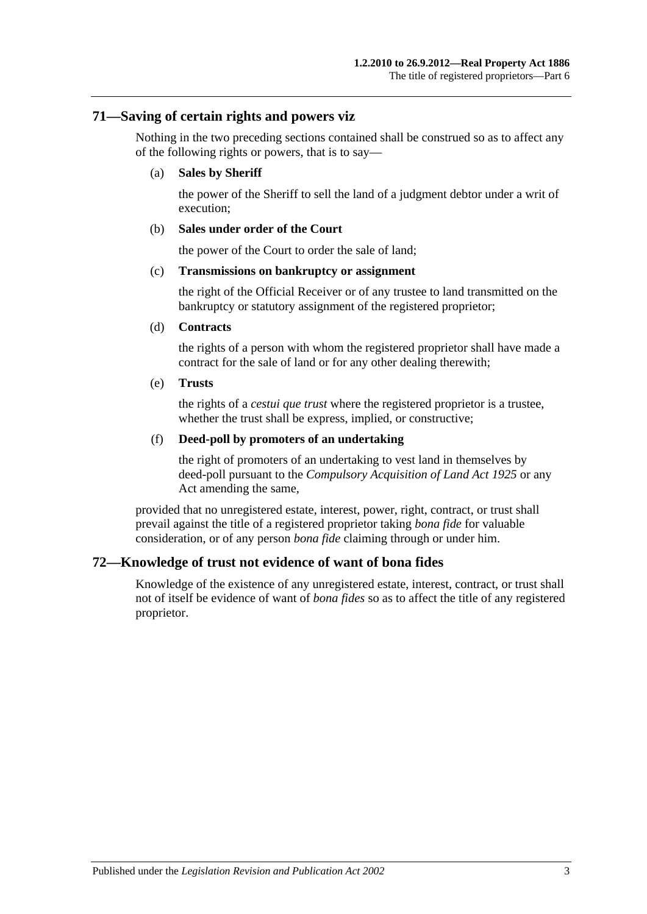### **71—Saving of certain rights and powers viz**

Nothing in the two preceding sections contained shall be construed so as to affect any of the following rights or powers, that is to say—

#### (a) **Sales by Sheriff**

the power of the Sheriff to sell the land of a judgment debtor under a writ of execution;

#### (b) **Sales under order of the Court**

the power of the Court to order the sale of land;

#### (c) **Transmissions on bankruptcy or assignment**

the right of the Official Receiver or of any trustee to land transmitted on the bankruptcy or statutory assignment of the registered proprietor;

#### (d) **Contracts**

the rights of a person with whom the registered proprietor shall have made a contract for the sale of land or for any other dealing therewith;

#### (e) **Trusts**

the rights of a *cestui que trust* where the registered proprietor is a trustee, whether the trust shall be express, implied, or constructive;

#### (f) **Deed-poll by promoters of an undertaking**

the right of promoters of an undertaking to vest land in themselves by deed-poll pursuant to the *[Compulsory Acquisition of Land Act](http://www.legislation.sa.gov.au/index.aspx?action=legref&type=act&legtitle=Compulsory%20Acquisition%20of%20Land%20Act%201925) 1925* or any Act amending the same,

provided that no unregistered estate, interest, power, right, contract, or trust shall prevail against the title of a registered proprietor taking *bona fide* for valuable consideration, or of any person *bona fide* claiming through or under him.

## **72—Knowledge of trust not evidence of want of bona fides**

Knowledge of the existence of any unregistered estate, interest, contract, or trust shall not of itself be evidence of want of *bona fides* so as to affect the title of any registered proprietor.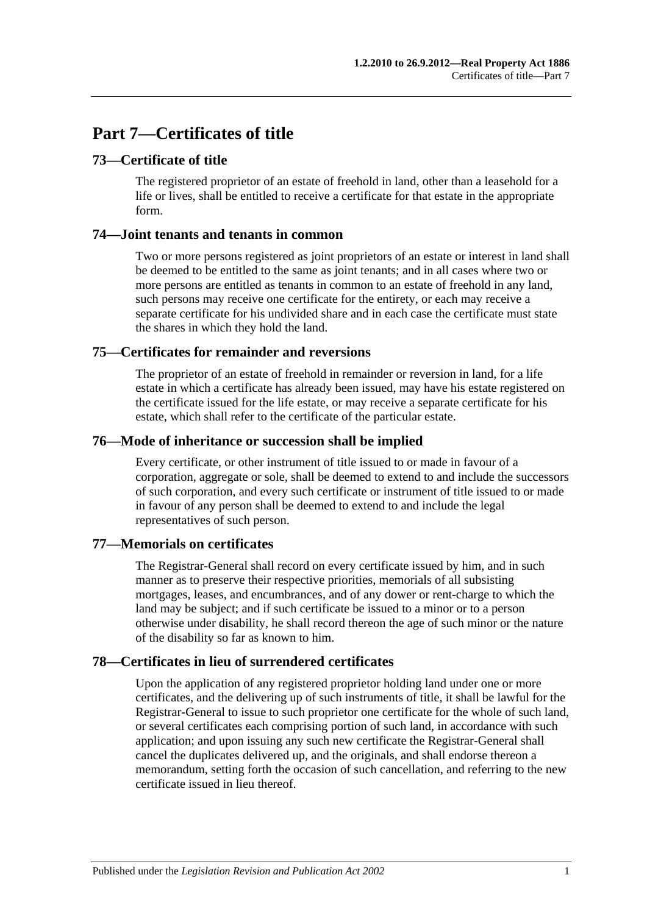# **Part 7—Certificates of title**

## **73—Certificate of title**

The registered proprietor of an estate of freehold in land, other than a leasehold for a life or lives, shall be entitled to receive a certificate for that estate in the appropriate form.

## **74—Joint tenants and tenants in common**

Two or more persons registered as joint proprietors of an estate or interest in land shall be deemed to be entitled to the same as joint tenants; and in all cases where two or more persons are entitled as tenants in common to an estate of freehold in any land, such persons may receive one certificate for the entirety, or each may receive a separate certificate for his undivided share and in each case the certificate must state the shares in which they hold the land.

## **75—Certificates for remainder and reversions**

The proprietor of an estate of freehold in remainder or reversion in land, for a life estate in which a certificate has already been issued, may have his estate registered on the certificate issued for the life estate, or may receive a separate certificate for his estate, which shall refer to the certificate of the particular estate.

## **76—Mode of inheritance or succession shall be implied**

Every certificate, or other instrument of title issued to or made in favour of a corporation, aggregate or sole, shall be deemed to extend to and include the successors of such corporation, and every such certificate or instrument of title issued to or made in favour of any person shall be deemed to extend to and include the legal representatives of such person.

## **77—Memorials on certificates**

The Registrar-General shall record on every certificate issued by him, and in such manner as to preserve their respective priorities, memorials of all subsisting mortgages, leases, and encumbrances, and of any dower or rent-charge to which the land may be subject; and if such certificate be issued to a minor or to a person otherwise under disability, he shall record thereon the age of such minor or the nature of the disability so far as known to him.

## **78—Certificates in lieu of surrendered certificates**

Upon the application of any registered proprietor holding land under one or more certificates, and the delivering up of such instruments of title, it shall be lawful for the Registrar-General to issue to such proprietor one certificate for the whole of such land, or several certificates each comprising portion of such land, in accordance with such application; and upon issuing any such new certificate the Registrar-General shall cancel the duplicates delivered up, and the originals, and shall endorse thereon a memorandum, setting forth the occasion of such cancellation, and referring to the new certificate issued in lieu thereof.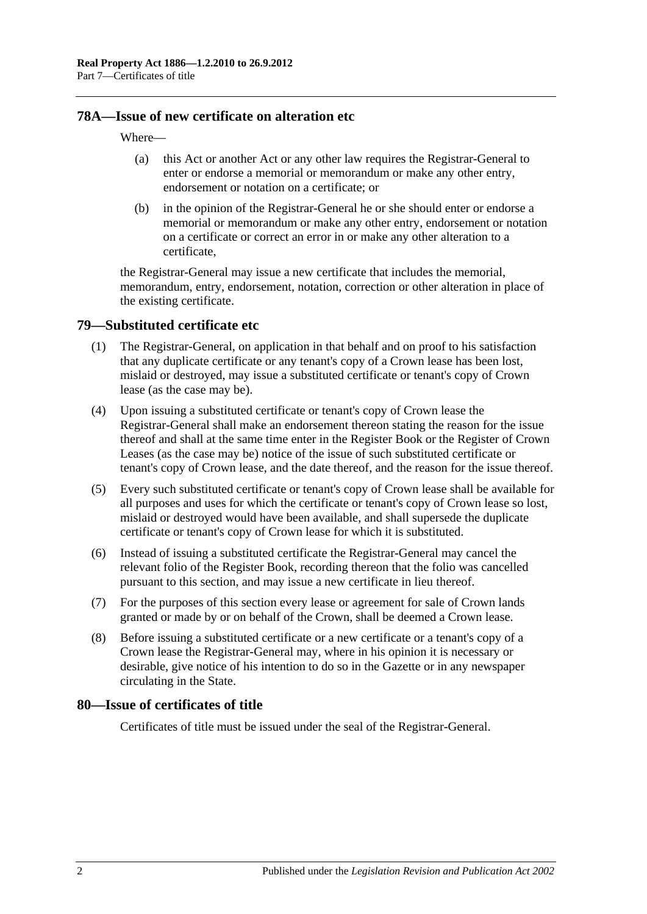## **78A—Issue of new certificate on alteration etc**

#### Where—

- (a) this Act or another Act or any other law requires the Registrar-General to enter or endorse a memorial or memorandum or make any other entry, endorsement or notation on a certificate; or
- (b) in the opinion of the Registrar-General he or she should enter or endorse a memorial or memorandum or make any other entry, endorsement or notation on a certificate or correct an error in or make any other alteration to a certificate,

the Registrar-General may issue a new certificate that includes the memorial, memorandum, entry, endorsement, notation, correction or other alteration in place of the existing certificate.

#### <span id="page-39-0"></span>**79—Substituted certificate etc**

- (1) The Registrar-General, on application in that behalf and on proof to his satisfaction that any duplicate certificate or any tenant's copy of a Crown lease has been lost, mislaid or destroyed, may issue a substituted certificate or tenant's copy of Crown lease (as the case may be).
- (4) Upon issuing a substituted certificate or tenant's copy of Crown lease the Registrar-General shall make an endorsement thereon stating the reason for the issue thereof and shall at the same time enter in the Register Book or the Register of Crown Leases (as the case may be) notice of the issue of such substituted certificate or tenant's copy of Crown lease, and the date thereof, and the reason for the issue thereof.
- (5) Every such substituted certificate or tenant's copy of Crown lease shall be available for all purposes and uses for which the certificate or tenant's copy of Crown lease so lost, mislaid or destroyed would have been available, and shall supersede the duplicate certificate or tenant's copy of Crown lease for which it is substituted.
- (6) Instead of issuing a substituted certificate the Registrar-General may cancel the relevant folio of the Register Book, recording thereon that the folio was cancelled pursuant to this section, and may issue a new certificate in lieu thereof.
- (7) For the purposes of this section every lease or agreement for sale of Crown lands granted or made by or on behalf of the Crown, shall be deemed a Crown lease.
- (8) Before issuing a substituted certificate or a new certificate or a tenant's copy of a Crown lease the Registrar-General may, where in his opinion it is necessary or desirable, give notice of his intention to do so in the Gazette or in any newspaper circulating in the State.

#### **80—Issue of certificates of title**

Certificates of title must be issued under the seal of the Registrar-General.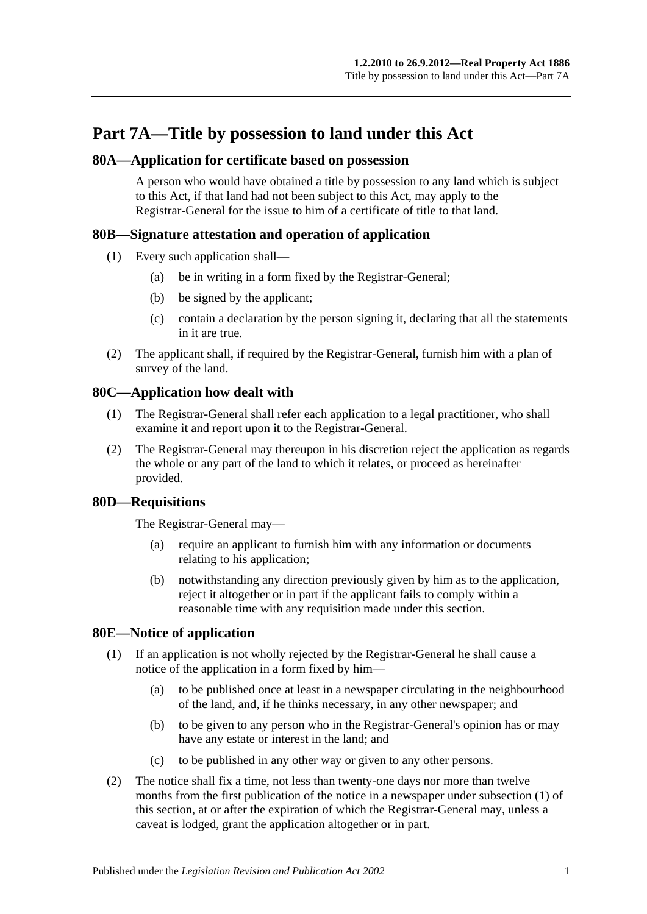# **Part 7A—Title by possession to land under this Act**

## **80A—Application for certificate based on possession**

A person who would have obtained a title by possession to any land which is subject to this Act, if that land had not been subject to this Act, may apply to the Registrar-General for the issue to him of a certificate of title to that land.

## **80B—Signature attestation and operation of application**

- (1) Every such application shall—
	- (a) be in writing in a form fixed by the Registrar-General;
	- (b) be signed by the applicant;
	- (c) contain a declaration by the person signing it, declaring that all the statements in it are true.
- (2) The applicant shall, if required by the Registrar-General, furnish him with a plan of survey of the land.

## **80C—Application how dealt with**

- (1) The Registrar-General shall refer each application to a legal practitioner, who shall examine it and report upon it to the Registrar-General.
- (2) The Registrar-General may thereupon in his discretion reject the application as regards the whole or any part of the land to which it relates, or proceed as hereinafter provided.

## **80D—Requisitions**

The Registrar-General may—

- (a) require an applicant to furnish him with any information or documents relating to his application;
- (b) notwithstanding any direction previously given by him as to the application, reject it altogether or in part if the applicant fails to comply within a reasonable time with any requisition made under this section.

## <span id="page-40-1"></span><span id="page-40-0"></span>**80E—Notice of application**

- (1) If an application is not wholly rejected by the Registrar-General he shall cause a notice of the application in a form fixed by him—
	- (a) to be published once at least in a newspaper circulating in the neighbourhood of the land, and, if he thinks necessary, in any other newspaper; and
	- (b) to be given to any person who in the Registrar-General's opinion has or may have any estate or interest in the land; and
	- (c) to be published in any other way or given to any other persons.
- (2) The notice shall fix a time, not less than twenty-one days nor more than twelve months from the first publication of the notice in a newspaper under [subsection](#page-40-0) (1) of this section, at or after the expiration of which the Registrar-General may, unless a caveat is lodged, grant the application altogether or in part.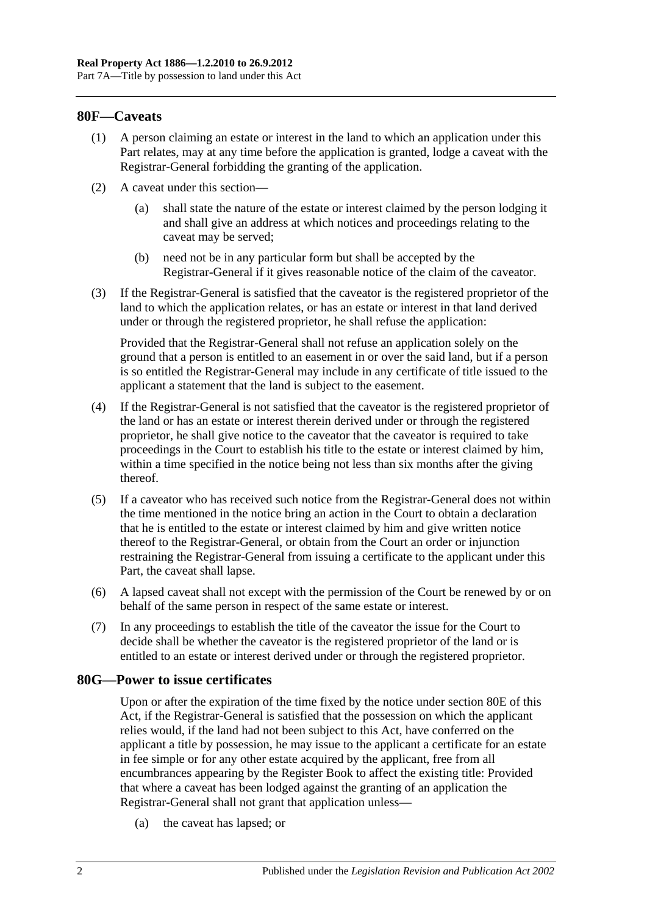#### **80F—Caveats**

- (1) A person claiming an estate or interest in the land to which an application under this Part relates, may at any time before the application is granted, lodge a caveat with the Registrar-General forbidding the granting of the application.
- (2) A caveat under this section—
	- (a) shall state the nature of the estate or interest claimed by the person lodging it and shall give an address at which notices and proceedings relating to the caveat may be served;
	- (b) need not be in any particular form but shall be accepted by the Registrar-General if it gives reasonable notice of the claim of the caveator.
- (3) If the Registrar-General is satisfied that the caveator is the registered proprietor of the land to which the application relates, or has an estate or interest in that land derived under or through the registered proprietor, he shall refuse the application:

Provided that the Registrar-General shall not refuse an application solely on the ground that a person is entitled to an easement in or over the said land, but if a person is so entitled the Registrar-General may include in any certificate of title issued to the applicant a statement that the land is subject to the easement.

- (4) If the Registrar-General is not satisfied that the caveator is the registered proprietor of the land or has an estate or interest therein derived under or through the registered proprietor, he shall give notice to the caveator that the caveator is required to take proceedings in the Court to establish his title to the estate or interest claimed by him, within a time specified in the notice being not less than six months after the giving thereof.
- (5) If a caveator who has received such notice from the Registrar-General does not within the time mentioned in the notice bring an action in the Court to obtain a declaration that he is entitled to the estate or interest claimed by him and give written notice thereof to the Registrar-General, or obtain from the Court an order or injunction restraining the Registrar-General from issuing a certificate to the applicant under this Part, the caveat shall lapse.
- (6) A lapsed caveat shall not except with the permission of the Court be renewed by or on behalf of the same person in respect of the same estate or interest.
- (7) In any proceedings to establish the title of the caveator the issue for the Court to decide shall be whether the caveator is the registered proprietor of the land or is entitled to an estate or interest derived under or through the registered proprietor.

#### **80G—Power to issue certificates**

Upon or after the expiration of the time fixed by the notice under [section](#page-40-1) 80E of this Act, if the Registrar-General is satisfied that the possession on which the applicant relies would, if the land had not been subject to this Act, have conferred on the applicant a title by possession, he may issue to the applicant a certificate for an estate in fee simple or for any other estate acquired by the applicant, free from all encumbrances appearing by the Register Book to affect the existing title: Provided that where a caveat has been lodged against the granting of an application the Registrar-General shall not grant that application unless—

(a) the caveat has lapsed; or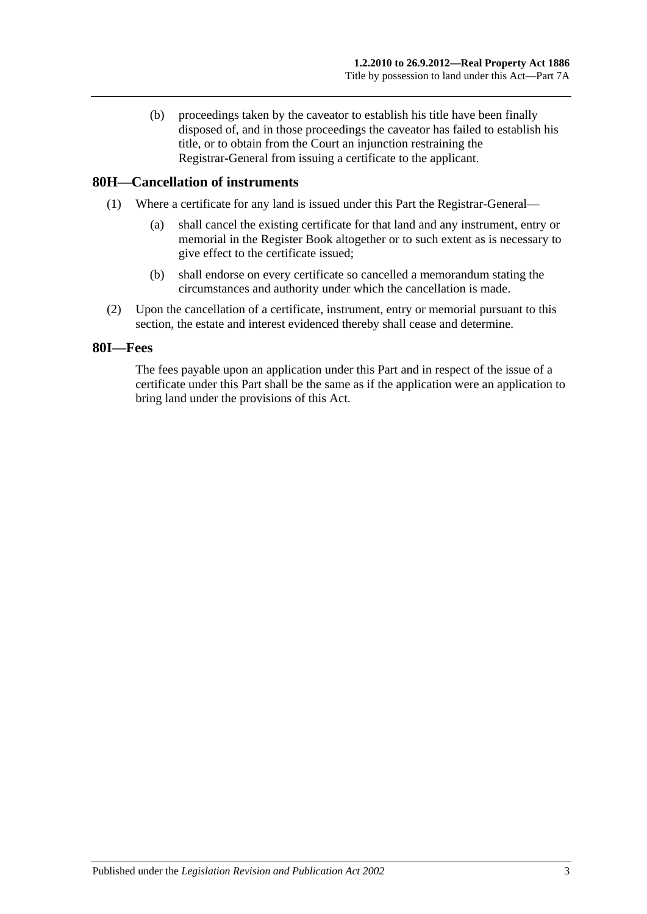(b) proceedings taken by the caveator to establish his title have been finally disposed of, and in those proceedings the caveator has failed to establish his title, or to obtain from the Court an injunction restraining the Registrar-General from issuing a certificate to the applicant.

## **80H—Cancellation of instruments**

- (1) Where a certificate for any land is issued under this Part the Registrar-General—
	- (a) shall cancel the existing certificate for that land and any instrument, entry or memorial in the Register Book altogether or to such extent as is necessary to give effect to the certificate issued;
	- (b) shall endorse on every certificate so cancelled a memorandum stating the circumstances and authority under which the cancellation is made.
- (2) Upon the cancellation of a certificate, instrument, entry or memorial pursuant to this section, the estate and interest evidenced thereby shall cease and determine.

#### **80I—Fees**

The fees payable upon an application under this Part and in respect of the issue of a certificate under this Part shall be the same as if the application were an application to bring land under the provisions of this Act.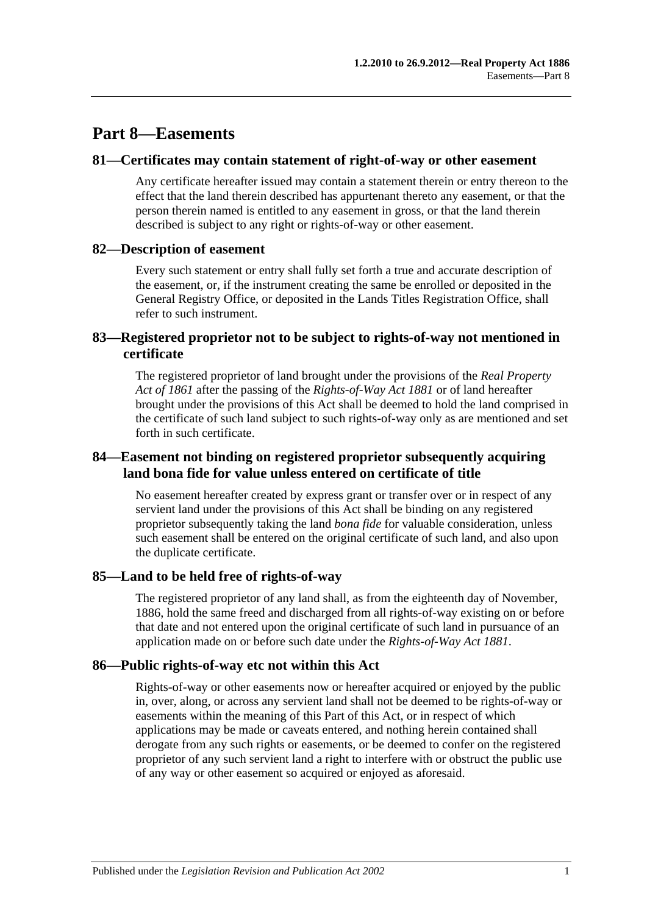# **Part 8—Easements**

#### **81—Certificates may contain statement of right-of-way or other easement**

Any certificate hereafter issued may contain a statement therein or entry thereon to the effect that the land therein described has appurtenant thereto any easement, or that the person therein named is entitled to any easement in gross, or that the land therein described is subject to any right or rights-of-way or other easement.

#### **82—Description of easement**

Every such statement or entry shall fully set forth a true and accurate description of the easement, or, if the instrument creating the same be enrolled or deposited in the General Registry Office, or deposited in the Lands Titles Registration Office, shall refer to such instrument.

## **83—Registered proprietor not to be subject to rights-of-way not mentioned in certificate**

The registered proprietor of land brought under the provisions of the *[Real Property](http://www.legislation.sa.gov.au/index.aspx?action=legref&type=act&legtitle=Real%20Property%20Act%20of%201861)  [Act of](http://www.legislation.sa.gov.au/index.aspx?action=legref&type=act&legtitle=Real%20Property%20Act%20of%201861) 1861* after the passing of the *[Rights-of-Way Act](http://www.legislation.sa.gov.au/index.aspx?action=legref&type=act&legtitle=Rights-of-Way%20Act%201881) 1881* or of land hereafter brought under the provisions of this Act shall be deemed to hold the land comprised in the certificate of such land subject to such rights-of-way only as are mentioned and set forth in such certificate.

## **84—Easement not binding on registered proprietor subsequently acquiring land bona fide for value unless entered on certificate of title**

No easement hereafter created by express grant or transfer over or in respect of any servient land under the provisions of this Act shall be binding on any registered proprietor subsequently taking the land *bona fide* for valuable consideration, unless such easement shall be entered on the original certificate of such land, and also upon the duplicate certificate.

## **85—Land to be held free of rights-of-way**

The registered proprietor of any land shall, as from the eighteenth day of November, 1886, hold the same freed and discharged from all rights-of-way existing on or before that date and not entered upon the original certificate of such land in pursuance of an application made on or before such date under the *[Rights-of-Way Act](http://www.legislation.sa.gov.au/index.aspx?action=legref&type=act&legtitle=Rights-of-Way%20Act%201881) 1881*.

## **86—Public rights-of-way etc not within this Act**

Rights-of-way or other easements now or hereafter acquired or enjoyed by the public in, over, along, or across any servient land shall not be deemed to be rights-of-way or easements within the meaning of this Part of this Act, or in respect of which applications may be made or caveats entered, and nothing herein contained shall derogate from any such rights or easements, or be deemed to confer on the registered proprietor of any such servient land a right to interfere with or obstruct the public use of any way or other easement so acquired or enjoyed as aforesaid.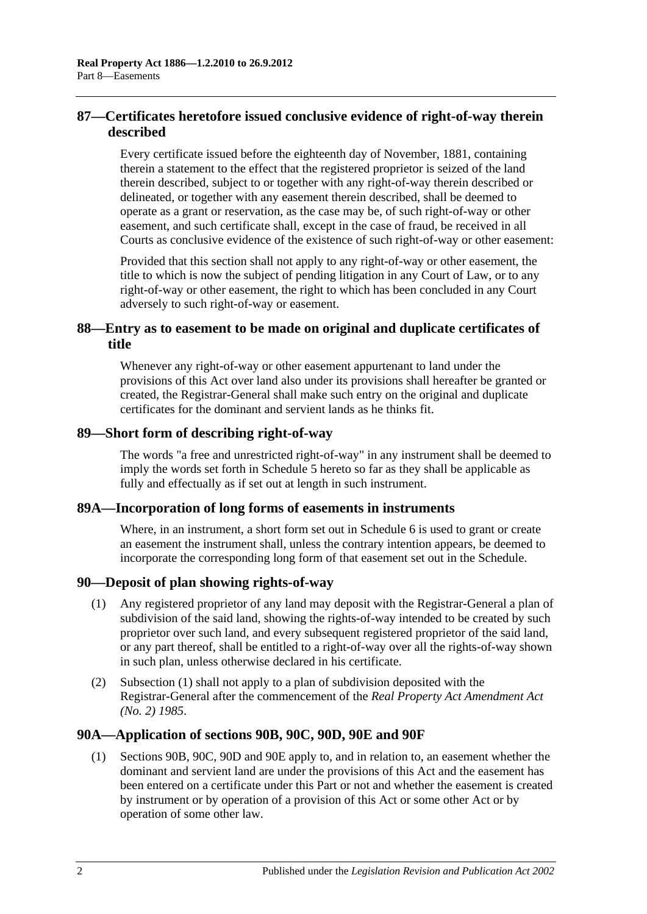## **87—Certificates heretofore issued conclusive evidence of right-of-way therein described**

Every certificate issued before the eighteenth day of November, 1881, containing therein a statement to the effect that the registered proprietor is seized of the land therein described, subject to or together with any right-of-way therein described or delineated, or together with any easement therein described, shall be deemed to operate as a grant or reservation, as the case may be, of such right-of-way or other easement, and such certificate shall, except in the case of fraud, be received in all Courts as conclusive evidence of the existence of such right-of-way or other easement:

Provided that this section shall not apply to any right-of-way or other easement, the title to which is now the subject of pending litigation in any Court of Law, or to any right-of-way or other easement, the right to which has been concluded in any Court adversely to such right-of-way or easement.

## **88—Entry as to easement to be made on original and duplicate certificates of title**

Whenever any right-of-way or other easement appurtenant to land under the provisions of this Act over land also under its provisions shall hereafter be granted or created, the Registrar-General shall make such entry on the original and duplicate certificates for the dominant and servient lands as he thinks fit.

#### **89—Short form of describing right-of-way**

The words "a free and unrestricted right-of-way" in any instrument shall be deemed to imply the words set forth in [Schedule 5](#page-132-0) hereto so far as they shall be applicable as fully and effectually as if set out at length in such instrument.

## **89A—Incorporation of long forms of easements in instruments**

Where, in an instrument, a short form set out in [Schedule 6](#page-132-1) is used to grant or create an easement the instrument shall, unless the contrary intention appears, be deemed to incorporate the corresponding long form of that easement set out in the Schedule.

## <span id="page-45-0"></span>**90—Deposit of plan showing rights-of-way**

- (1) Any registered proprietor of any land may deposit with the Registrar-General a plan of subdivision of the said land, showing the rights-of-way intended to be created by such proprietor over such land, and every subsequent registered proprietor of the said land, or any part thereof, shall be entitled to a right-of-way over all the rights-of-way shown in such plan, unless otherwise declared in his certificate.
- (2) [Subsection](#page-45-0) (1) shall not apply to a plan of subdivision deposited with the Registrar-General after the commencement of the *[Real Property Act Amendment Act](http://www.legislation.sa.gov.au/index.aspx?action=legref&type=act&legtitle=Real%20Property%20Act%20Amendment%20Act%20(No.%202)%201985)  (No. 2) [1985](http://www.legislation.sa.gov.au/index.aspx?action=legref&type=act&legtitle=Real%20Property%20Act%20Amendment%20Act%20(No.%202)%201985)*.

## **90A—Application of [sections](#page-46-0) 90B, [90C,](#page-48-0) [90D,](#page-49-0) [90E](#page-49-1) and [90F](#page-49-2)**

(1) [Sections](#page-46-0) 90B, [90C,](#page-48-0) [90D](#page-49-0) and [90E](#page-49-1) apply to, and in relation to, an easement whether the dominant and servient land are under the provisions of this Act and the easement has been entered on a certificate under this Part or not and whether the easement is created by instrument or by operation of a provision of this Act or some other Act or by operation of some other law.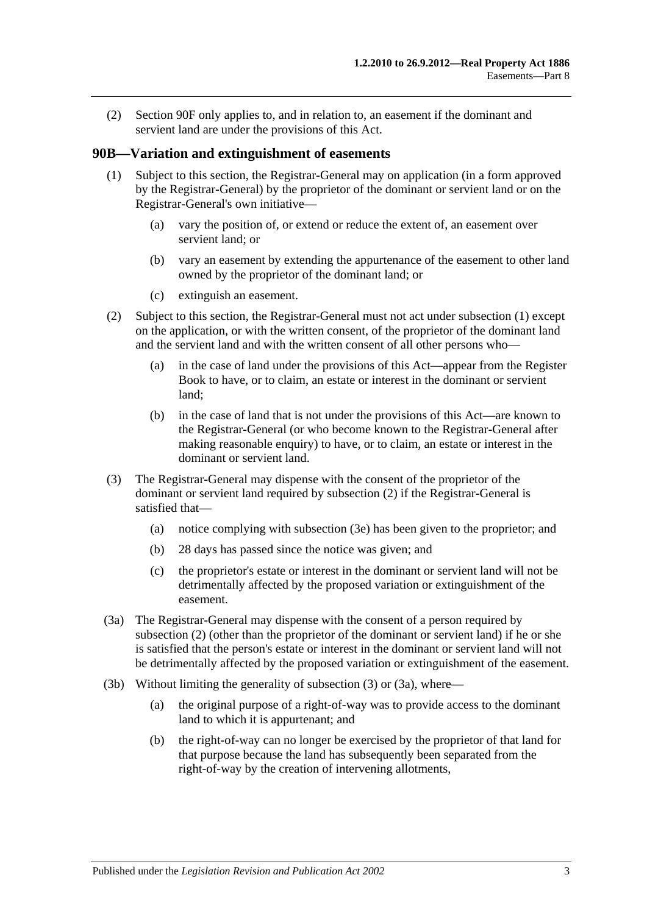(2) [Section](#page-49-2) 90F only applies to, and in relation to, an easement if the dominant and servient land are under the provisions of this Act.

#### <span id="page-46-1"></span><span id="page-46-0"></span>**90B—Variation and extinguishment of easements**

- (1) Subject to this section, the Registrar-General may on application (in a form approved by the Registrar-General) by the proprietor of the dominant or servient land or on the Registrar-General's own initiative—
	- (a) vary the position of, or extend or reduce the extent of, an easement over servient land; or
	- (b) vary an easement by extending the appurtenance of the easement to other land owned by the proprietor of the dominant land; or
	- (c) extinguish an easement.
- <span id="page-46-2"></span>(2) Subject to this section, the Registrar-General must not act under [subsection](#page-46-1) (1) except on the application, or with the written consent, of the proprietor of the dominant land and the servient land and with the written consent of all other persons who—
	- (a) in the case of land under the provisions of this Act—appear from the Register Book to have, or to claim, an estate or interest in the dominant or servient land;
	- (b) in the case of land that is not under the provisions of this Act—are known to the Registrar-General (or who become known to the Registrar-General after making reasonable enquiry) to have, or to claim, an estate or interest in the dominant or servient land.
- <span id="page-46-3"></span>(3) The Registrar-General may dispense with the consent of the proprietor of the dominant or servient land required by [subsection](#page-46-2) (2) if the Registrar-General is satisfied that—
	- (a) notice complying with [subsection](#page-47-0) (3e) has been given to the proprietor; and
	- (b) 28 days has passed since the notice was given; and
	- (c) the proprietor's estate or interest in the dominant or servient land will not be detrimentally affected by the proposed variation or extinguishment of the easement.
- <span id="page-46-4"></span>(3a) The Registrar-General may dispense with the consent of a person required by [subsection](#page-46-2) (2) (other than the proprietor of the dominant or servient land) if he or she is satisfied that the person's estate or interest in the dominant or servient land will not be detrimentally affected by the proposed variation or extinguishment of the easement.
- <span id="page-46-5"></span>(3b) Without limiting the generality of [subsection](#page-46-3) (3) or [\(3a\),](#page-46-4) where—
	- (a) the original purpose of a right-of-way was to provide access to the dominant land to which it is appurtenant; and
	- (b) the right-of-way can no longer be exercised by the proprietor of that land for that purpose because the land has subsequently been separated from the right-of-way by the creation of intervening allotments,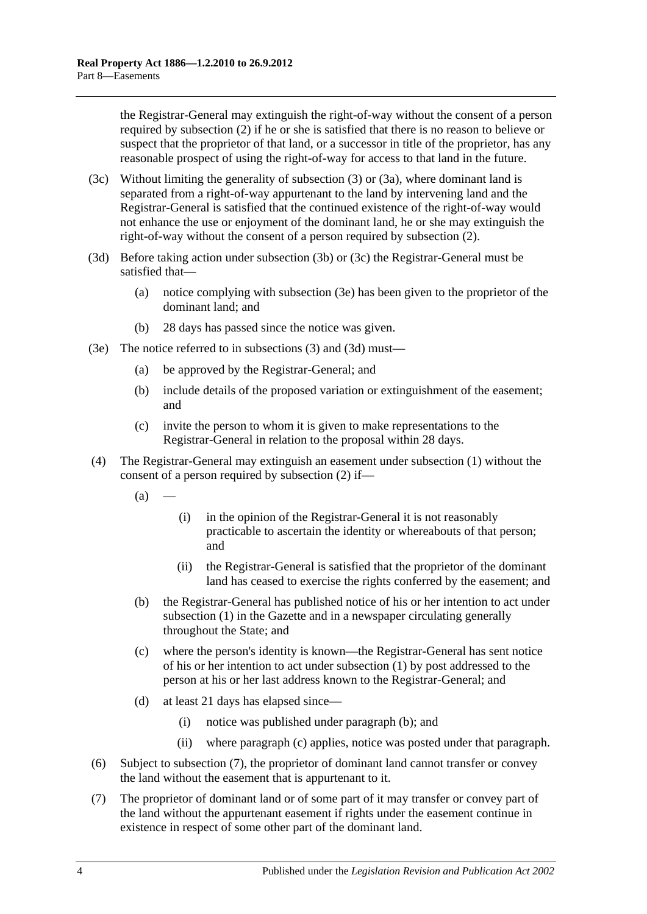the Registrar-General may extinguish the right-of-way without the consent of a person required by [subsection](#page-46-2) (2) if he or she is satisfied that there is no reason to believe or suspect that the proprietor of that land, or a successor in title of the proprietor, has any reasonable prospect of using the right-of-way for access to that land in the future.

- <span id="page-47-1"></span>(3c) Without limiting the generality of [subsection](#page-46-3) (3) or [\(3a\),](#page-46-4) where dominant land is separated from a right-of-way appurtenant to the land by intervening land and the Registrar-General is satisfied that the continued existence of the right-of-way would not enhance the use or enjoyment of the dominant land, he or she may extinguish the right-of-way without the consent of a person required by [subsection](#page-46-2) (2).
- <span id="page-47-2"></span>(3d) Before taking action under [subsection](#page-46-5) (3b) or [\(3c\)](#page-47-1) the Registrar-General must be satisfied that—
	- (a) notice complying with [subsection](#page-47-0) (3e) has been given to the proprietor of the dominant land; and
	- (b) 28 days has passed since the notice was given.
- <span id="page-47-0"></span>(3e) The notice referred to in [subsections](#page-46-3) (3) and [\(3d\)](#page-47-2) must—
	- (a) be approved by the Registrar-General; and
	- (b) include details of the proposed variation or extinguishment of the easement; and
	- (c) invite the person to whom it is given to make representations to the Registrar-General in relation to the proposal within 28 days.
- <span id="page-47-3"></span>(4) The Registrar-General may extinguish an easement under [subsection](#page-46-1) (1) without the consent of a person required by [subsection](#page-46-2) (2) if—
	- $(a)$ 
		- (i) in the opinion of the Registrar-General it is not reasonably practicable to ascertain the identity or whereabouts of that person; and
		- (ii) the Registrar-General is satisfied that the proprietor of the dominant land has ceased to exercise the rights conferred by the easement; and
	- (b) the Registrar-General has published notice of his or her intention to act under [subsection](#page-46-1) (1) in the Gazette and in a newspaper circulating generally throughout the State; and
	- (c) where the person's identity is known—the Registrar-General has sent notice of his or her intention to act under [subsection](#page-46-1) (1) by post addressed to the person at his or her last address known to the Registrar-General; and
	- (d) at least 21 days has elapsed since—
		- (i) notice was published under [paragraph](#page-47-3) (b); and
		- (ii) where [paragraph](#page-47-4) (c) applies, notice was posted under that paragraph.
- <span id="page-47-4"></span>(6) Subject to [subsection](#page-47-5) (7), the proprietor of dominant land cannot transfer or convey the land without the easement that is appurtenant to it.
- <span id="page-47-5"></span>(7) The proprietor of dominant land or of some part of it may transfer or convey part of the land without the appurtenant easement if rights under the easement continue in existence in respect of some other part of the dominant land.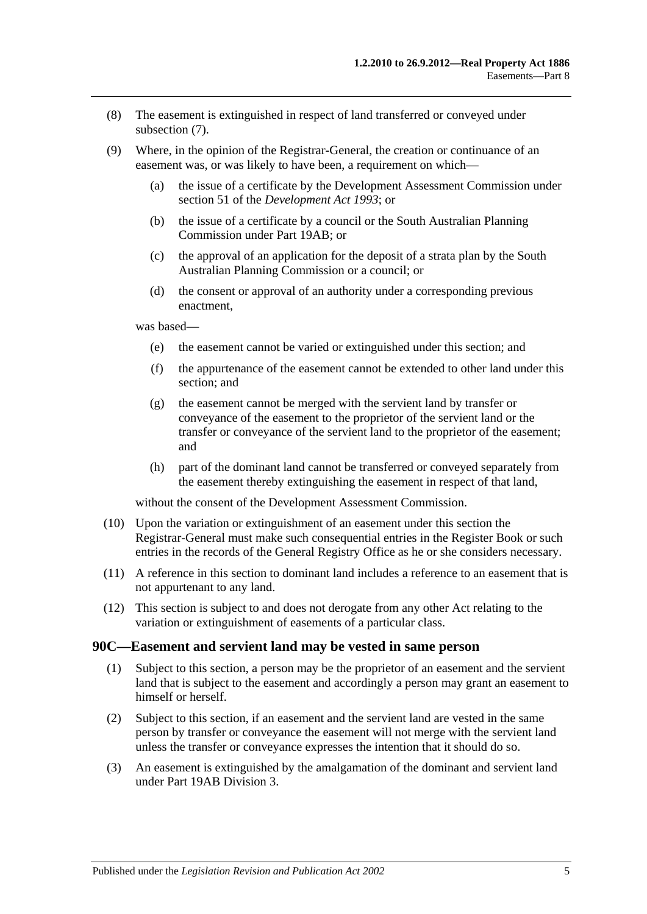- (8) The easement is extinguished in respect of land transferred or conveyed under [subsection](#page-47-5) (7).
- (9) Where, in the opinion of the Registrar-General, the creation or continuance of an easement was, or was likely to have been, a requirement on which—
	- (a) the issue of a certificate by the Development Assessment Commission under section 51 of the *[Development Act](http://www.legislation.sa.gov.au/index.aspx?action=legref&type=act&legtitle=Development%20Act%201993) 1993*; or
	- (b) the issue of a certificate by a council or the South Australian Planning Commission under [Part 19AB;](#page-104-0) or
	- (c) the approval of an application for the deposit of a strata plan by the South Australian Planning Commission or a council; or
	- (d) the consent or approval of an authority under a corresponding previous enactment,

was based—

- (e) the easement cannot be varied or extinguished under this section; and
- (f) the appurtenance of the easement cannot be extended to other land under this section; and
- (g) the easement cannot be merged with the servient land by transfer or conveyance of the easement to the proprietor of the servient land or the transfer or conveyance of the servient land to the proprietor of the easement; and
- (h) part of the dominant land cannot be transferred or conveyed separately from the easement thereby extinguishing the easement in respect of that land,

without the consent of the Development Assessment Commission.

- (10) Upon the variation or extinguishment of an easement under this section the Registrar-General must make such consequential entries in the Register Book or such entries in the records of the General Registry Office as he or she considers necessary.
- (11) A reference in this section to dominant land includes a reference to an easement that is not appurtenant to any land.
- (12) This section is subject to and does not derogate from any other Act relating to the variation or extinguishment of easements of a particular class.

#### <span id="page-48-0"></span>**90C—Easement and servient land may be vested in same person**

- (1) Subject to this section, a person may be the proprietor of an easement and the servient land that is subject to the easement and accordingly a person may grant an easement to himself or herself.
- (2) Subject to this section, if an easement and the servient land are vested in the same person by transfer or conveyance the easement will not merge with the servient land unless the transfer or conveyance expresses the intention that it should do so.
- (3) An easement is extinguished by the amalgamation of the dominant and servient land under [Part 19AB](#page-104-0) [Division 3.](#page-114-0)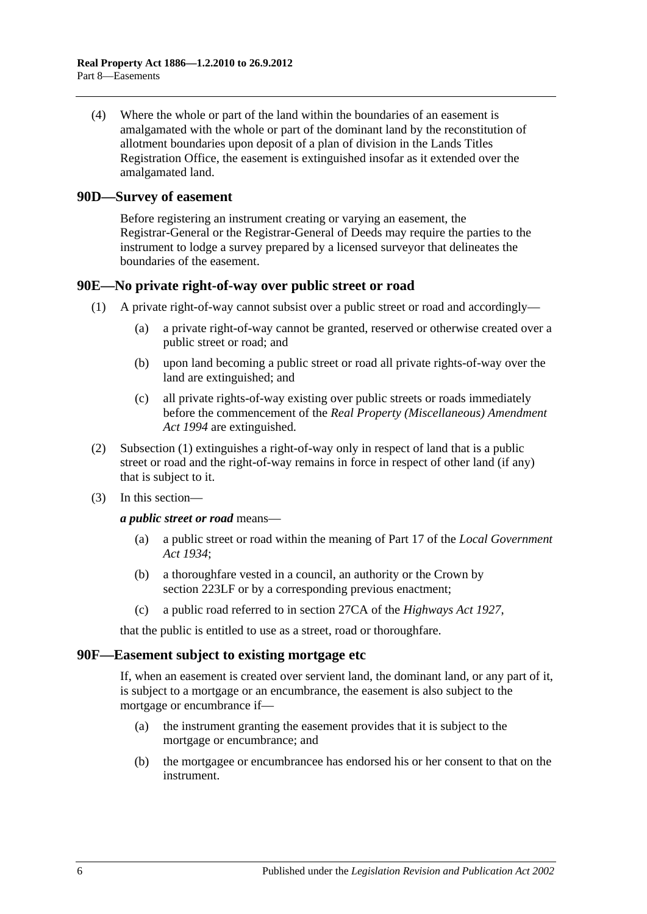(4) Where the whole or part of the land within the boundaries of an easement is amalgamated with the whole or part of the dominant land by the reconstitution of allotment boundaries upon deposit of a plan of division in the Lands Titles Registration Office, the easement is extinguished insofar as it extended over the amalgamated land.

#### <span id="page-49-0"></span>**90D—Survey of easement**

Before registering an instrument creating or varying an easement, the Registrar-General or the Registrar-General of Deeds may require the parties to the instrument to lodge a survey prepared by a licensed surveyor that delineates the boundaries of the easement.

#### <span id="page-49-3"></span><span id="page-49-1"></span>**90E—No private right-of-way over public street or road**

- (1) A private right-of-way cannot subsist over a public street or road and accordingly—
	- (a) a private right-of-way cannot be granted, reserved or otherwise created over a public street or road; and
	- (b) upon land becoming a public street or road all private rights-of-way over the land are extinguished; and
	- (c) all private rights-of-way existing over public streets or roads immediately before the commencement of the *[Real Property \(Miscellaneous\) Amendment](http://www.legislation.sa.gov.au/index.aspx?action=legref&type=act&legtitle=Real%20Property%20(Miscellaneous)%20Amendment%20Act%201994)  Act [1994](http://www.legislation.sa.gov.au/index.aspx?action=legref&type=act&legtitle=Real%20Property%20(Miscellaneous)%20Amendment%20Act%201994)* are extinguished.
- (2) [Subsection](#page-49-3) (1) extinguishes a right-of-way only in respect of land that is a public street or road and the right-of-way remains in force in respect of other land (if any) that is subject to it.
- (3) In this section—

*a public street or road* means—

- (a) a public street or road within the meaning of Part 17 of the *[Local Government](http://www.legislation.sa.gov.au/index.aspx?action=legref&type=act&legtitle=Local%20Government%20Act%201934)  Act [1934](http://www.legislation.sa.gov.au/index.aspx?action=legref&type=act&legtitle=Local%20Government%20Act%201934)*;
- (b) a thoroughfare vested in a council, an authority or the Crown by [section](#page-111-0) 223LF or by a corresponding previous enactment;
- (c) a public road referred to in section 27CA of the *[Highways Act](http://www.legislation.sa.gov.au/index.aspx?action=legref&type=act&legtitle=Highways%20Act%201927) 1927*,

that the public is entitled to use as a street, road or thoroughfare.

#### <span id="page-49-2"></span>**90F—Easement subject to existing mortgage etc**

If, when an easement is created over servient land, the dominant land, or any part of it, is subject to a mortgage or an encumbrance, the easement is also subject to the mortgage or encumbrance if—

- (a) the instrument granting the easement provides that it is subject to the mortgage or encumbrance; and
- (b) the mortgagee or encumbrancee has endorsed his or her consent to that on the instrument.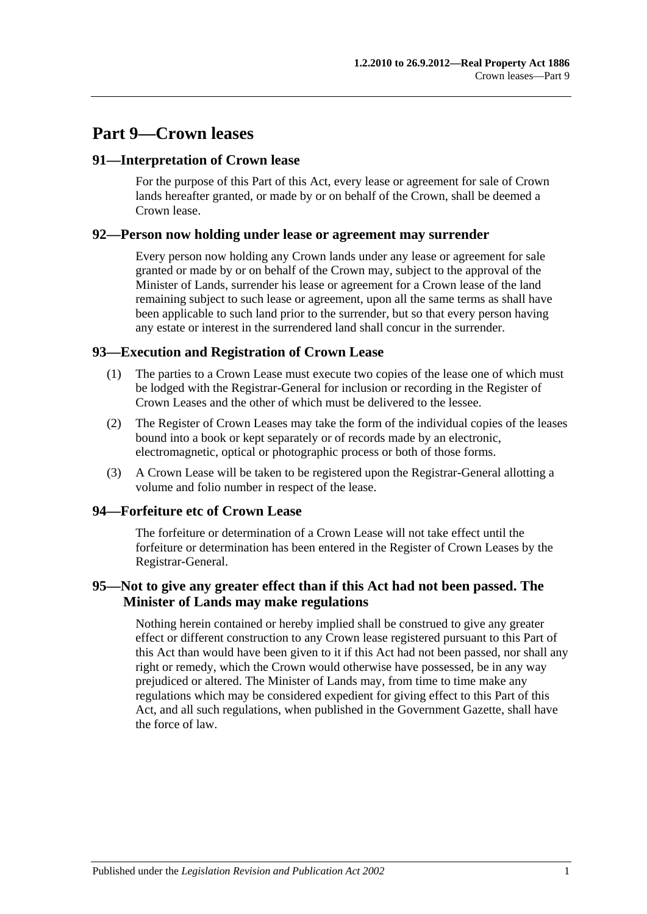# **Part 9—Crown leases**

## **91—Interpretation of Crown lease**

For the purpose of this Part of this Act, every lease or agreement for sale of Crown lands hereafter granted, or made by or on behalf of the Crown, shall be deemed a Crown lease.

#### **92—Person now holding under lease or agreement may surrender**

Every person now holding any Crown lands under any lease or agreement for sale granted or made by or on behalf of the Crown may, subject to the approval of the Minister of Lands, surrender his lease or agreement for a Crown lease of the land remaining subject to such lease or agreement, upon all the same terms as shall have been applicable to such land prior to the surrender, but so that every person having any estate or interest in the surrendered land shall concur in the surrender.

## **93—Execution and Registration of Crown Lease**

- (1) The parties to a Crown Lease must execute two copies of the lease one of which must be lodged with the Registrar-General for inclusion or recording in the Register of Crown Leases and the other of which must be delivered to the lessee.
- (2) The Register of Crown Leases may take the form of the individual copies of the leases bound into a book or kept separately or of records made by an electronic, electromagnetic, optical or photographic process or both of those forms.
- (3) A Crown Lease will be taken to be registered upon the Registrar-General allotting a volume and folio number in respect of the lease.

## **94—Forfeiture etc of Crown Lease**

The forfeiture or determination of a Crown Lease will not take effect until the forfeiture or determination has been entered in the Register of Crown Leases by the Registrar-General.

## **95—Not to give any greater effect than if this Act had not been passed. The Minister of Lands may make regulations**

Nothing herein contained or hereby implied shall be construed to give any greater effect or different construction to any Crown lease registered pursuant to this Part of this Act than would have been given to it if this Act had not been passed, nor shall any right or remedy, which the Crown would otherwise have possessed, be in any way prejudiced or altered. The Minister of Lands may, from time to time make any regulations which may be considered expedient for giving effect to this Part of this Act, and all such regulations, when published in the Government Gazette, shall have the force of law.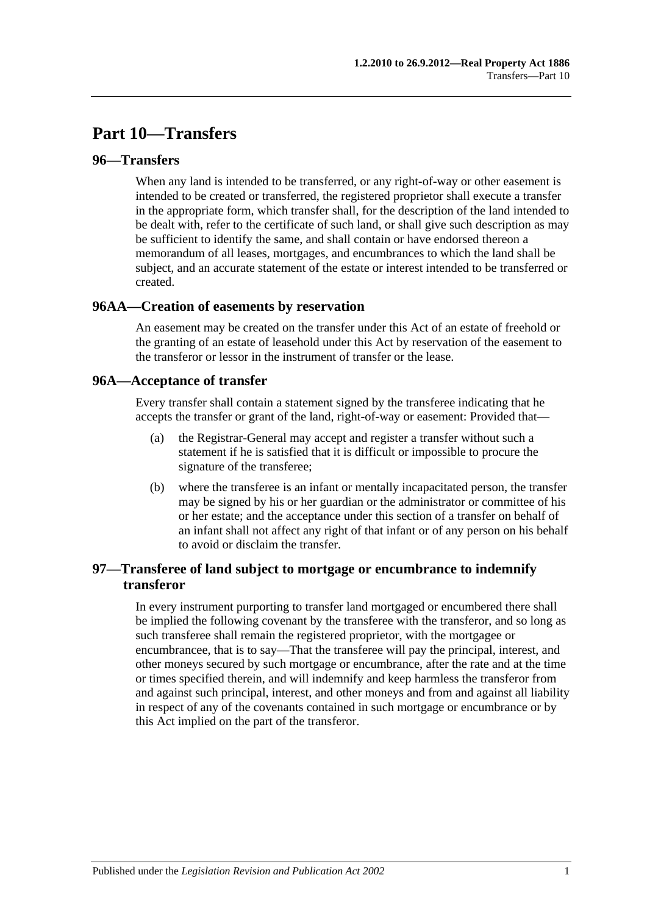# **Part 10—Transfers**

## **96—Transfers**

When any land is intended to be transferred, or any right-of-way or other easement is intended to be created or transferred, the registered proprietor shall execute a transfer in the appropriate form, which transfer shall, for the description of the land intended to be dealt with, refer to the certificate of such land, or shall give such description as may be sufficient to identify the same, and shall contain or have endorsed thereon a memorandum of all leases, mortgages, and encumbrances to which the land shall be subject, and an accurate statement of the estate or interest intended to be transferred or created.

#### **96AA—Creation of easements by reservation**

An easement may be created on the transfer under this Act of an estate of freehold or the granting of an estate of leasehold under this Act by reservation of the easement to the transferor or lessor in the instrument of transfer or the lease.

#### **96A—Acceptance of transfer**

Every transfer shall contain a statement signed by the transferee indicating that he accepts the transfer or grant of the land, right-of-way or easement: Provided that—

- (a) the Registrar-General may accept and register a transfer without such a statement if he is satisfied that it is difficult or impossible to procure the signature of the transferee;
- (b) where the transferee is an infant or mentally incapacitated person, the transfer may be signed by his or her guardian or the administrator or committee of his or her estate; and the acceptance under this section of a transfer on behalf of an infant shall not affect any right of that infant or of any person on his behalf to avoid or disclaim the transfer.

## **97—Transferee of land subject to mortgage or encumbrance to indemnify transferor**

In every instrument purporting to transfer land mortgaged or encumbered there shall be implied the following covenant by the transferee with the transferor, and so long as such transferee shall remain the registered proprietor, with the mortgagee or encumbrancee, that is to say—That the transferee will pay the principal, interest, and other moneys secured by such mortgage or encumbrance, after the rate and at the time or times specified therein, and will indemnify and keep harmless the transferor from and against such principal, interest, and other moneys and from and against all liability in respect of any of the covenants contained in such mortgage or encumbrance or by this Act implied on the part of the transferor.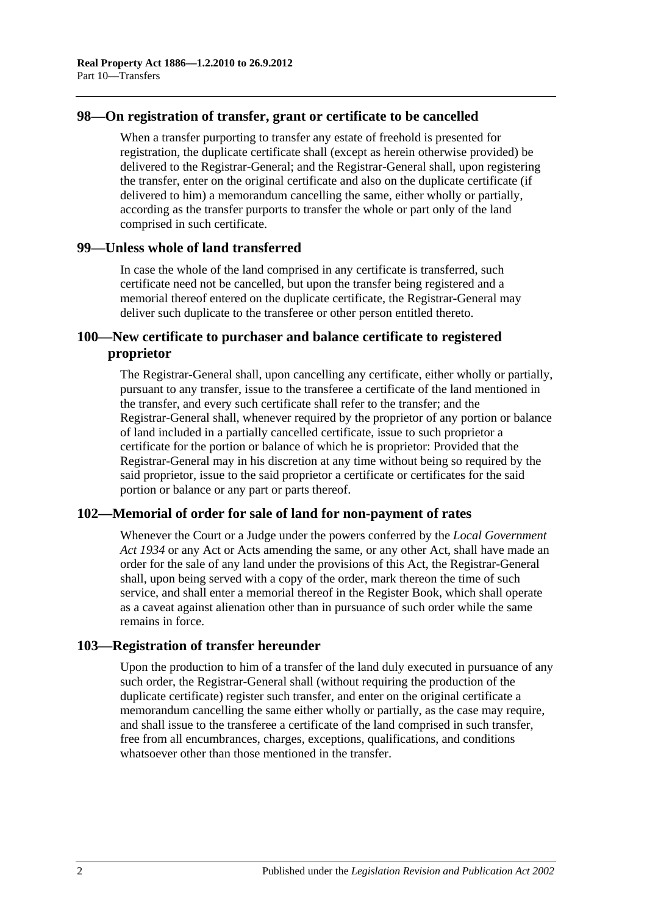### **98—On registration of transfer, grant or certificate to be cancelled**

When a transfer purporting to transfer any estate of freehold is presented for registration, the duplicate certificate shall (except as herein otherwise provided) be delivered to the Registrar-General; and the Registrar-General shall, upon registering the transfer, enter on the original certificate and also on the duplicate certificate (if delivered to him) a memorandum cancelling the same, either wholly or partially, according as the transfer purports to transfer the whole or part only of the land comprised in such certificate.

#### **99—Unless whole of land transferred**

In case the whole of the land comprised in any certificate is transferred, such certificate need not be cancelled, but upon the transfer being registered and a memorial thereof entered on the duplicate certificate, the Registrar-General may deliver such duplicate to the transferee or other person entitled thereto.

## **100—New certificate to purchaser and balance certificate to registered proprietor**

The Registrar-General shall, upon cancelling any certificate, either wholly or partially, pursuant to any transfer, issue to the transferee a certificate of the land mentioned in the transfer, and every such certificate shall refer to the transfer; and the Registrar-General shall, whenever required by the proprietor of any portion or balance of land included in a partially cancelled certificate, issue to such proprietor a certificate for the portion or balance of which he is proprietor: Provided that the Registrar-General may in his discretion at any time without being so required by the said proprietor, issue to the said proprietor a certificate or certificates for the said portion or balance or any part or parts thereof.

## **102—Memorial of order for sale of land for non-payment of rates**

Whenever the Court or a Judge under the powers conferred by the *[Local Government](http://www.legislation.sa.gov.au/index.aspx?action=legref&type=act&legtitle=Local%20Government%20Act%201934)  Act [1934](http://www.legislation.sa.gov.au/index.aspx?action=legref&type=act&legtitle=Local%20Government%20Act%201934)* or any Act or Acts amending the same, or any other Act, shall have made an order for the sale of any land under the provisions of this Act, the Registrar-General shall, upon being served with a copy of the order, mark thereon the time of such service, and shall enter a memorial thereof in the Register Book, which shall operate as a caveat against alienation other than in pursuance of such order while the same remains in force.

## **103—Registration of transfer hereunder**

Upon the production to him of a transfer of the land duly executed in pursuance of any such order, the Registrar-General shall (without requiring the production of the duplicate certificate) register such transfer, and enter on the original certificate a memorandum cancelling the same either wholly or partially, as the case may require, and shall issue to the transferee a certificate of the land comprised in such transfer, free from all encumbrances, charges, exceptions, qualifications, and conditions whatsoever other than those mentioned in the transfer.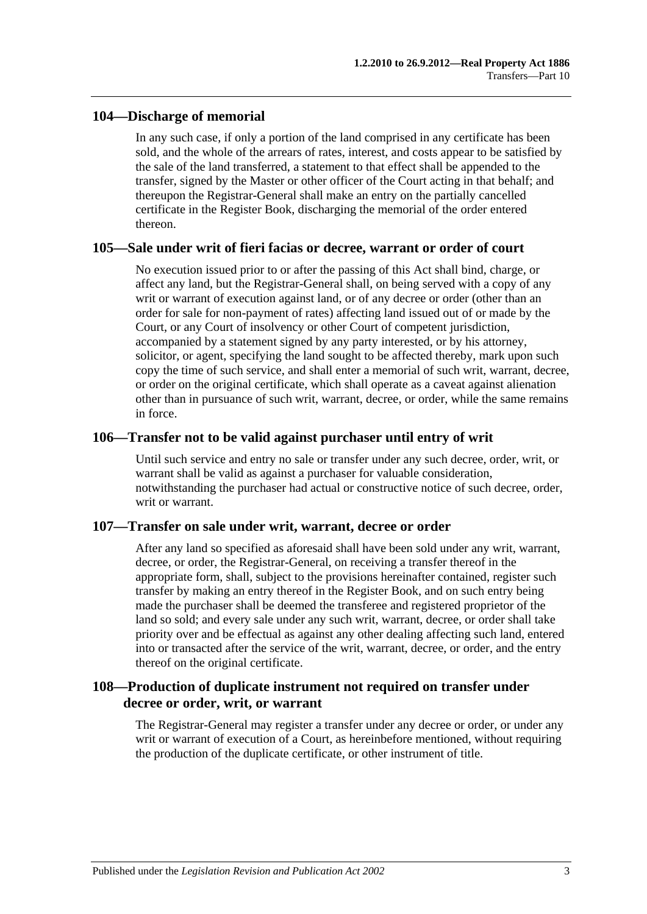## **104—Discharge of memorial**

In any such case, if only a portion of the land comprised in any certificate has been sold, and the whole of the arrears of rates, interest, and costs appear to be satisfied by the sale of the land transferred, a statement to that effect shall be appended to the transfer, signed by the Master or other officer of the Court acting in that behalf; and thereupon the Registrar-General shall make an entry on the partially cancelled certificate in the Register Book, discharging the memorial of the order entered thereon.

#### **105—Sale under writ of fieri facias or decree, warrant or order of court**

No execution issued prior to or after the passing of this Act shall bind, charge, or affect any land, but the Registrar-General shall, on being served with a copy of any writ or warrant of execution against land, or of any decree or order (other than an order for sale for non-payment of rates) affecting land issued out of or made by the Court, or any Court of insolvency or other Court of competent jurisdiction, accompanied by a statement signed by any party interested, or by his attorney, solicitor, or agent, specifying the land sought to be affected thereby, mark upon such copy the time of such service, and shall enter a memorial of such writ, warrant, decree, or order on the original certificate, which shall operate as a caveat against alienation other than in pursuance of such writ, warrant, decree, or order, while the same remains in force.

#### **106—Transfer not to be valid against purchaser until entry of writ**

Until such service and entry no sale or transfer under any such decree, order, writ, or warrant shall be valid as against a purchaser for valuable consideration, notwithstanding the purchaser had actual or constructive notice of such decree, order, writ or warrant.

## **107—Transfer on sale under writ, warrant, decree or order**

After any land so specified as aforesaid shall have been sold under any writ, warrant, decree, or order, the Registrar-General, on receiving a transfer thereof in the appropriate form, shall, subject to the provisions hereinafter contained, register such transfer by making an entry thereof in the Register Book, and on such entry being made the purchaser shall be deemed the transferee and registered proprietor of the land so sold; and every sale under any such writ, warrant, decree, or order shall take priority over and be effectual as against any other dealing affecting such land, entered into or transacted after the service of the writ, warrant, decree, or order, and the entry thereof on the original certificate.

## **108—Production of duplicate instrument not required on transfer under decree or order, writ, or warrant**

The Registrar-General may register a transfer under any decree or order, or under any writ or warrant of execution of a Court, as hereinbefore mentioned, without requiring the production of the duplicate certificate, or other instrument of title.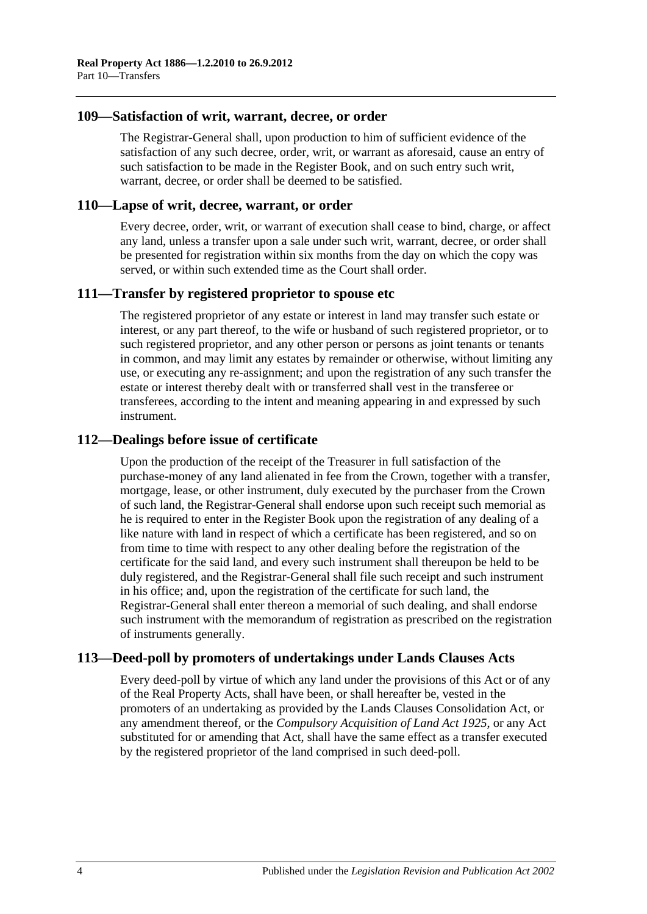#### **109—Satisfaction of writ, warrant, decree, or order**

The Registrar-General shall, upon production to him of sufficient evidence of the satisfaction of any such decree, order, writ, or warrant as aforesaid, cause an entry of such satisfaction to be made in the Register Book, and on such entry such writ, warrant, decree, or order shall be deemed to be satisfied.

#### **110—Lapse of writ, decree, warrant, or order**

Every decree, order, writ, or warrant of execution shall cease to bind, charge, or affect any land, unless a transfer upon a sale under such writ, warrant, decree, or order shall be presented for registration within six months from the day on which the copy was served, or within such extended time as the Court shall order.

## **111—Transfer by registered proprietor to spouse etc**

The registered proprietor of any estate or interest in land may transfer such estate or interest, or any part thereof, to the wife or husband of such registered proprietor, or to such registered proprietor, and any other person or persons as joint tenants or tenants in common, and may limit any estates by remainder or otherwise, without limiting any use, or executing any re-assignment; and upon the registration of any such transfer the estate or interest thereby dealt with or transferred shall vest in the transferee or transferees, according to the intent and meaning appearing in and expressed by such instrument.

#### **112—Dealings before issue of certificate**

Upon the production of the receipt of the Treasurer in full satisfaction of the purchase-money of any land alienated in fee from the Crown, together with a transfer, mortgage, lease, or other instrument, duly executed by the purchaser from the Crown of such land, the Registrar-General shall endorse upon such receipt such memorial as he is required to enter in the Register Book upon the registration of any dealing of a like nature with land in respect of which a certificate has been registered, and so on from time to time with respect to any other dealing before the registration of the certificate for the said land, and every such instrument shall thereupon be held to be duly registered, and the Registrar-General shall file such receipt and such instrument in his office; and, upon the registration of the certificate for such land, the Registrar-General shall enter thereon a memorial of such dealing, and shall endorse such instrument with the memorandum of registration as prescribed on the registration of instruments generally.

## **113—Deed-poll by promoters of undertakings under Lands Clauses Acts**

Every deed-poll by virtue of which any land under the provisions of this Act or of any of the Real Property Acts, shall have been, or shall hereafter be, vested in the promoters of an undertaking as provided by the Lands Clauses Consolidation Act, or any amendment thereof, or the *[Compulsory Acquisition of Land Act](http://www.legislation.sa.gov.au/index.aspx?action=legref&type=act&legtitle=Compulsory%20Acquisition%20of%20Land%20Act%201925) 1925*, or any Act substituted for or amending that Act, shall have the same effect as a transfer executed by the registered proprietor of the land comprised in such deed-poll.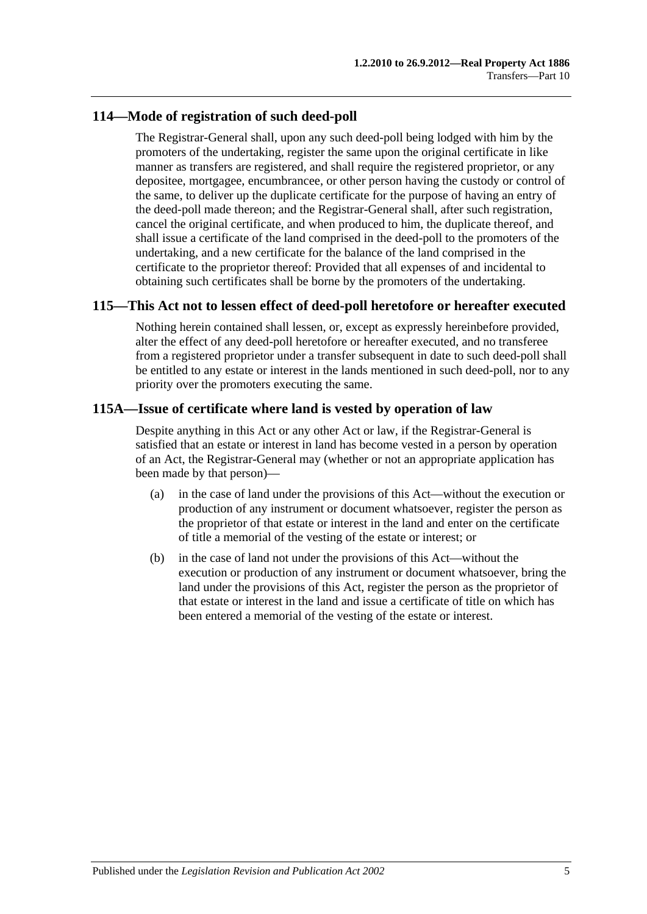## **114—Mode of registration of such deed-poll**

The Registrar-General shall, upon any such deed-poll being lodged with him by the promoters of the undertaking, register the same upon the original certificate in like manner as transfers are registered, and shall require the registered proprietor, or any depositee, mortgagee, encumbrancee, or other person having the custody or control of the same, to deliver up the duplicate certificate for the purpose of having an entry of the deed-poll made thereon; and the Registrar-General shall, after such registration, cancel the original certificate, and when produced to him, the duplicate thereof, and shall issue a certificate of the land comprised in the deed-poll to the promoters of the undertaking, and a new certificate for the balance of the land comprised in the certificate to the proprietor thereof: Provided that all expenses of and incidental to obtaining such certificates shall be borne by the promoters of the undertaking.

## **115—This Act not to lessen effect of deed-poll heretofore or hereafter executed**

Nothing herein contained shall lessen, or, except as expressly hereinbefore provided, alter the effect of any deed-poll heretofore or hereafter executed, and no transferee from a registered proprietor under a transfer subsequent in date to such deed-poll shall be entitled to any estate or interest in the lands mentioned in such deed-poll, nor to any priority over the promoters executing the same.

## **115A—Issue of certificate where land is vested by operation of law**

Despite anything in this Act or any other Act or law, if the Registrar-General is satisfied that an estate or interest in land has become vested in a person by operation of an Act, the Registrar-General may (whether or not an appropriate application has been made by that person)—

- (a) in the case of land under the provisions of this Act—without the execution or production of any instrument or document whatsoever, register the person as the proprietor of that estate or interest in the land and enter on the certificate of title a memorial of the vesting of the estate or interest; or
- (b) in the case of land not under the provisions of this Act—without the execution or production of any instrument or document whatsoever, bring the land under the provisions of this Act, register the person as the proprietor of that estate or interest in the land and issue a certificate of title on which has been entered a memorial of the vesting of the estate or interest.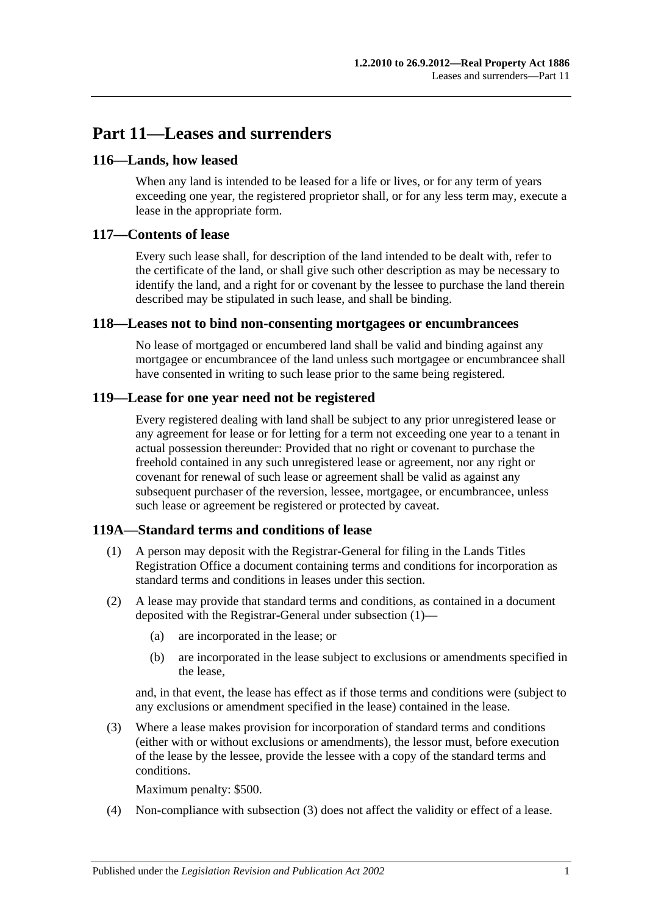# **Part 11—Leases and surrenders**

## **116—Lands, how leased**

When any land is intended to be leased for a life or lives, or for any term of years exceeding one year, the registered proprietor shall, or for any less term may, execute a lease in the appropriate form.

## **117—Contents of lease**

Every such lease shall, for description of the land intended to be dealt with, refer to the certificate of the land, or shall give such other description as may be necessary to identify the land, and a right for or covenant by the lessee to purchase the land therein described may be stipulated in such lease, and shall be binding.

## **118—Leases not to bind non-consenting mortgagees or encumbrancees**

No lease of mortgaged or encumbered land shall be valid and binding against any mortgagee or encumbrancee of the land unless such mortgagee or encumbrancee shall have consented in writing to such lease prior to the same being registered.

## **119—Lease for one year need not be registered**

Every registered dealing with land shall be subject to any prior unregistered lease or any agreement for lease or for letting for a term not exceeding one year to a tenant in actual possession thereunder: Provided that no right or covenant to purchase the freehold contained in any such unregistered lease or agreement, nor any right or covenant for renewal of such lease or agreement shall be valid as against any subsequent purchaser of the reversion, lessee, mortgagee, or encumbrancee, unless such lease or agreement be registered or protected by caveat.

## <span id="page-58-0"></span>**119A—Standard terms and conditions of lease**

- (1) A person may deposit with the Registrar-General for filing in the Lands Titles Registration Office a document containing terms and conditions for incorporation as standard terms and conditions in leases under this section.
- (2) A lease may provide that standard terms and conditions, as contained in a document deposited with the Registrar-General under [subsection](#page-58-0) (1)—
	- (a) are incorporated in the lease; or
	- (b) are incorporated in the lease subject to exclusions or amendments specified in the lease,

and, in that event, the lease has effect as if those terms and conditions were (subject to any exclusions or amendment specified in the lease) contained in the lease.

<span id="page-58-1"></span>(3) Where a lease makes provision for incorporation of standard terms and conditions (either with or without exclusions or amendments), the lessor must, before execution of the lease by the lessee, provide the lessee with a copy of the standard terms and conditions.

Maximum penalty: \$500.

(4) Non-compliance with [subsection](#page-58-1) (3) does not affect the validity or effect of a lease.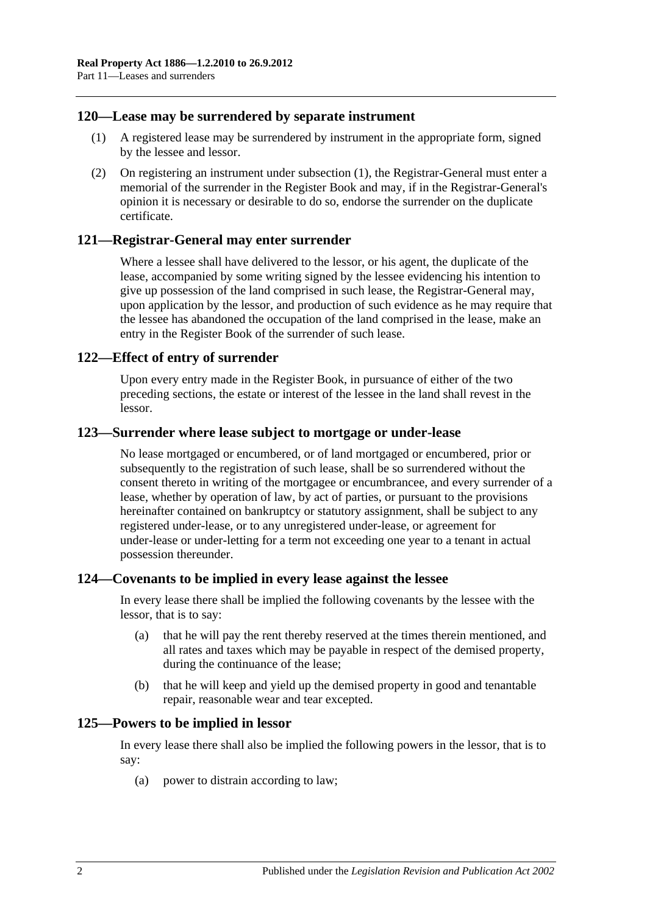## <span id="page-59-0"></span>**120—Lease may be surrendered by separate instrument**

- (1) A registered lease may be surrendered by instrument in the appropriate form, signed by the lessee and lessor.
- (2) On registering an instrument under [subsection](#page-59-0) (1), the Registrar-General must enter a memorial of the surrender in the Register Book and may, if in the Registrar-General's opinion it is necessary or desirable to do so, endorse the surrender on the duplicate certificate.

#### **121—Registrar-General may enter surrender**

Where a lessee shall have delivered to the lessor, or his agent, the duplicate of the lease, accompanied by some writing signed by the lessee evidencing his intention to give up possession of the land comprised in such lease, the Registrar-General may, upon application by the lessor, and production of such evidence as he may require that the lessee has abandoned the occupation of the land comprised in the lease, make an entry in the Register Book of the surrender of such lease.

#### **122—Effect of entry of surrender**

Upon every entry made in the Register Book, in pursuance of either of the two preceding sections, the estate or interest of the lessee in the land shall revest in the lessor.

#### **123—Surrender where lease subject to mortgage or under-lease**

No lease mortgaged or encumbered, or of land mortgaged or encumbered, prior or subsequently to the registration of such lease, shall be so surrendered without the consent thereto in writing of the mortgagee or encumbrancee, and every surrender of a lease, whether by operation of law, by act of parties, or pursuant to the provisions hereinafter contained on bankruptcy or statutory assignment, shall be subject to any registered under-lease, or to any unregistered under-lease, or agreement for under-lease or under-letting for a term not exceeding one year to a tenant in actual possession thereunder.

#### **124—Covenants to be implied in every lease against the lessee**

In every lease there shall be implied the following covenants by the lessee with the lessor, that is to say:

- (a) that he will pay the rent thereby reserved at the times therein mentioned, and all rates and taxes which may be payable in respect of the demised property, during the continuance of the lease;
- (b) that he will keep and yield up the demised property in good and tenantable repair, reasonable wear and tear excepted.

#### **125—Powers to be implied in lessor**

In every lease there shall also be implied the following powers in the lessor, that is to say:

(a) power to distrain according to law;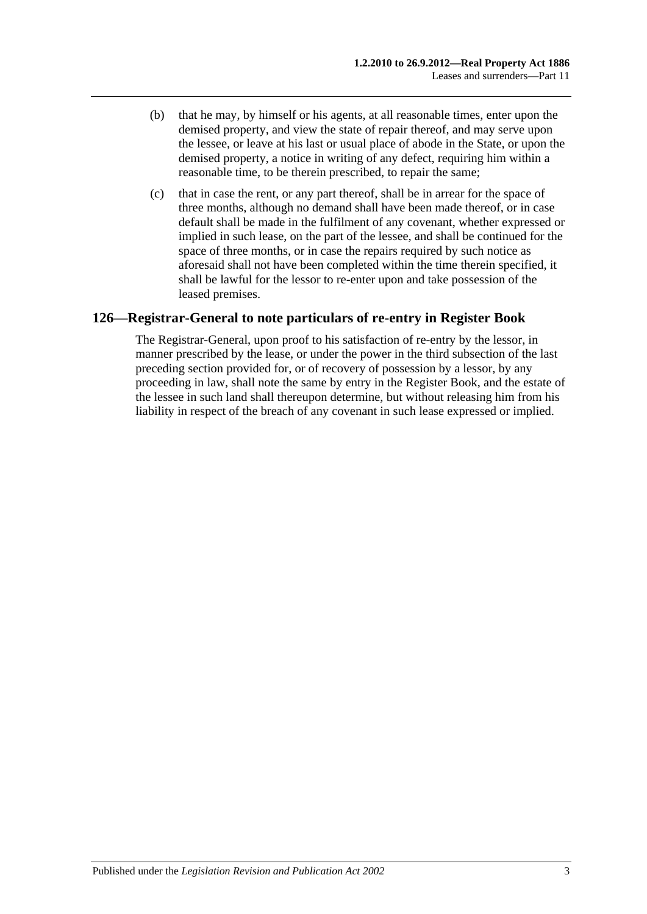- (b) that he may, by himself or his agents, at all reasonable times, enter upon the demised property, and view the state of repair thereof, and may serve upon the lessee, or leave at his last or usual place of abode in the State, or upon the demised property, a notice in writing of any defect, requiring him within a reasonable time, to be therein prescribed, to repair the same;
- (c) that in case the rent, or any part thereof, shall be in arrear for the space of three months, although no demand shall have been made thereof, or in case default shall be made in the fulfilment of any covenant, whether expressed or implied in such lease, on the part of the lessee, and shall be continued for the space of three months, or in case the repairs required by such notice as aforesaid shall not have been completed within the time therein specified, it shall be lawful for the lessor to re-enter upon and take possession of the leased premises.

## **126—Registrar-General to note particulars of re-entry in Register Book**

The Registrar-General, upon proof to his satisfaction of re-entry by the lessor, in manner prescribed by the lease, or under the power in the third subsection of the last preceding section provided for, or of recovery of possession by a lessor, by any proceeding in law, shall note the same by entry in the Register Book, and the estate of the lessee in such land shall thereupon determine, but without releasing him from his liability in respect of the breach of any covenant in such lease expressed or implied.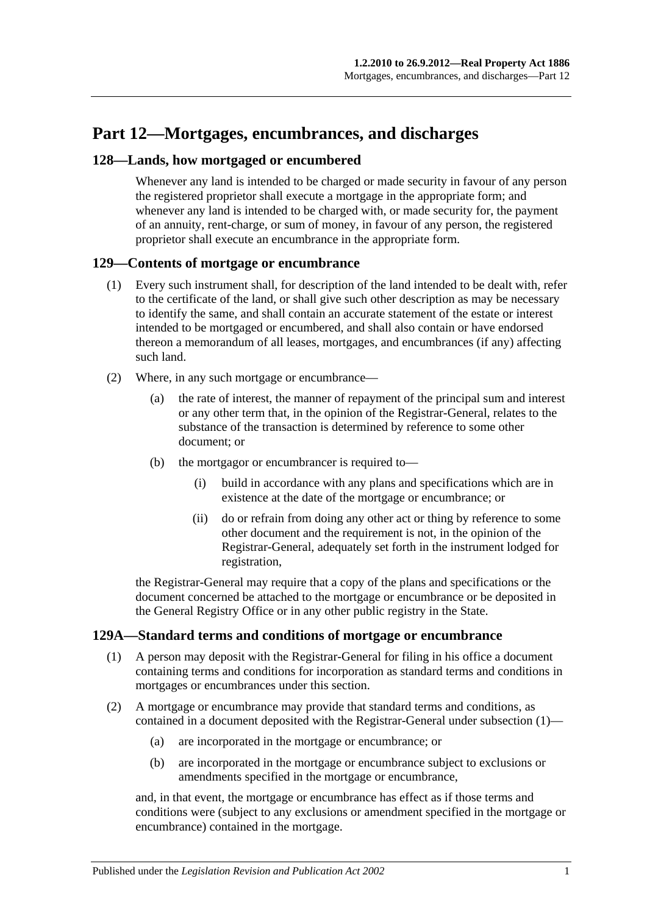# **Part 12—Mortgages, encumbrances, and discharges**

## **128—Lands, how mortgaged or encumbered**

Whenever any land is intended to be charged or made security in favour of any person the registered proprietor shall execute a mortgage in the appropriate form; and whenever any land is intended to be charged with, or made security for, the payment of an annuity, rent-charge, or sum of money, in favour of any person, the registered proprietor shall execute an encumbrance in the appropriate form.

## **129—Contents of mortgage or encumbrance**

- (1) Every such instrument shall, for description of the land intended to be dealt with, refer to the certificate of the land, or shall give such other description as may be necessary to identify the same, and shall contain an accurate statement of the estate or interest intended to be mortgaged or encumbered, and shall also contain or have endorsed thereon a memorandum of all leases, mortgages, and encumbrances (if any) affecting such land.
- (2) Where, in any such mortgage or encumbrance—
	- (a) the rate of interest, the manner of repayment of the principal sum and interest or any other term that, in the opinion of the Registrar-General, relates to the substance of the transaction is determined by reference to some other document; or
	- (b) the mortgagor or encumbrancer is required to—
		- (i) build in accordance with any plans and specifications which are in existence at the date of the mortgage or encumbrance; or
		- (ii) do or refrain from doing any other act or thing by reference to some other document and the requirement is not, in the opinion of the Registrar-General, adequately set forth in the instrument lodged for registration,

the Registrar-General may require that a copy of the plans and specifications or the document concerned be attached to the mortgage or encumbrance or be deposited in the General Registry Office or in any other public registry in the State.

## <span id="page-62-0"></span>**129A—Standard terms and conditions of mortgage or encumbrance**

- (1) A person may deposit with the Registrar-General for filing in his office a document containing terms and conditions for incorporation as standard terms and conditions in mortgages or encumbrances under this section.
- (2) A mortgage or encumbrance may provide that standard terms and conditions, as contained in a document deposited with the Registrar-General under [subsection](#page-62-0) (1)—
	- (a) are incorporated in the mortgage or encumbrance; or
	- (b) are incorporated in the mortgage or encumbrance subject to exclusions or amendments specified in the mortgage or encumbrance,

and, in that event, the mortgage or encumbrance has effect as if those terms and conditions were (subject to any exclusions or amendment specified in the mortgage or encumbrance) contained in the mortgage.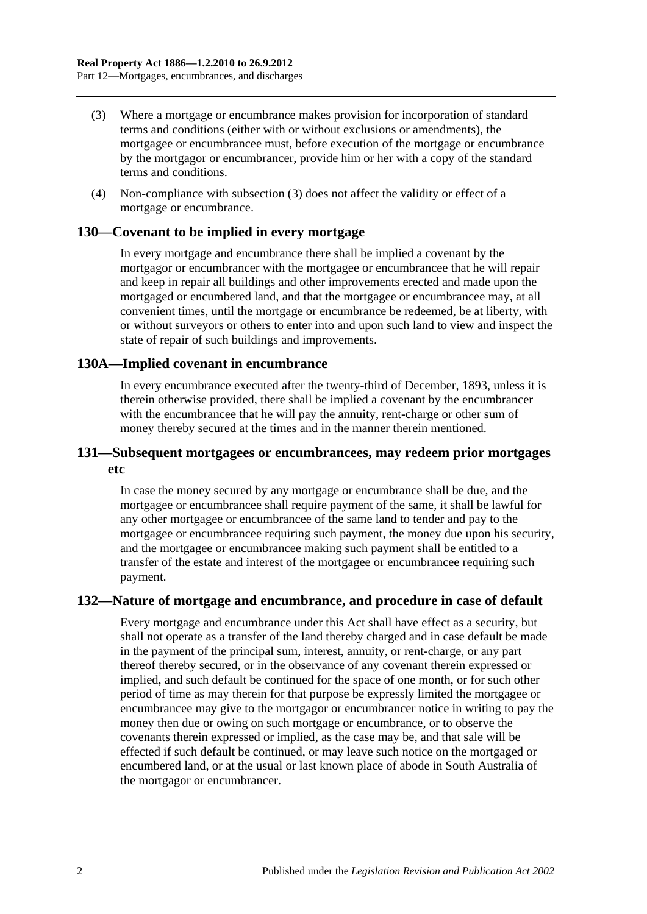- (3) Where a mortgage or encumbrance makes provision for incorporation of standard terms and conditions (either with or without exclusions or amendments), the mortgagee or encumbrancee must, before execution of the mortgage or encumbrance by the mortgagor or encumbrancer, provide him or her with a copy of the standard terms and conditions.
- (4) Non-compliance with subsection (3) does not affect the validity or effect of a mortgage or encumbrance.

#### **130—Covenant to be implied in every mortgage**

In every mortgage and encumbrance there shall be implied a covenant by the mortgagor or encumbrancer with the mortgagee or encumbrancee that he will repair and keep in repair all buildings and other improvements erected and made upon the mortgaged or encumbered land, and that the mortgagee or encumbrancee may, at all convenient times, until the mortgage or encumbrance be redeemed, be at liberty, with or without surveyors or others to enter into and upon such land to view and inspect the state of repair of such buildings and improvements.

#### **130A—Implied covenant in encumbrance**

In every encumbrance executed after the twenty-third of December, 1893, unless it is therein otherwise provided, there shall be implied a covenant by the encumbrancer with the encumbrancee that he will pay the annuity, rent-charge or other sum of money thereby secured at the times and in the manner therein mentioned.

## **131—Subsequent mortgagees or encumbrancees, may redeem prior mortgages etc**

In case the money secured by any mortgage or encumbrance shall be due, and the mortgagee or encumbrancee shall require payment of the same, it shall be lawful for any other mortgagee or encumbrancee of the same land to tender and pay to the mortgagee or encumbrancee requiring such payment, the money due upon his security, and the mortgagee or encumbrancee making such payment shall be entitled to a transfer of the estate and interest of the mortgagee or encumbrancee requiring such payment.

## **132—Nature of mortgage and encumbrance, and procedure in case of default**

Every mortgage and encumbrance under this Act shall have effect as a security, but shall not operate as a transfer of the land thereby charged and in case default be made in the payment of the principal sum, interest, annuity, or rent-charge, or any part thereof thereby secured, or in the observance of any covenant therein expressed or implied, and such default be continued for the space of one month, or for such other period of time as may therein for that purpose be expressly limited the mortgagee or encumbrancee may give to the mortgagor or encumbrancer notice in writing to pay the money then due or owing on such mortgage or encumbrance, or to observe the covenants therein expressed or implied, as the case may be, and that sale will be effected if such default be continued, or may leave such notice on the mortgaged or encumbered land, or at the usual or last known place of abode in South Australia of the mortgagor or encumbrancer.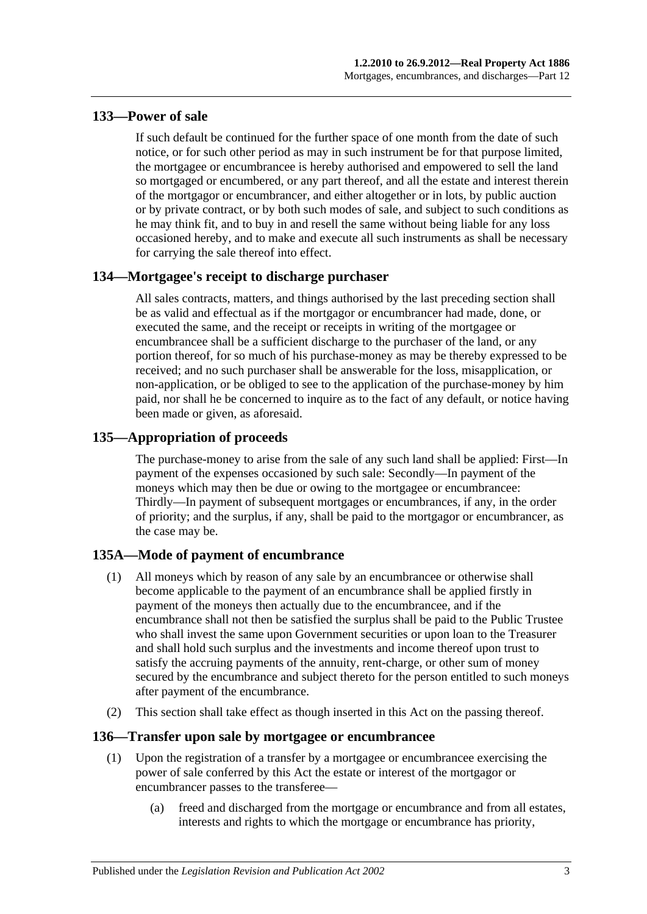## **133—Power of sale**

If such default be continued for the further space of one month from the date of such notice, or for such other period as may in such instrument be for that purpose limited, the mortgagee or encumbrancee is hereby authorised and empowered to sell the land so mortgaged or encumbered, or any part thereof, and all the estate and interest therein of the mortgagor or encumbrancer, and either altogether or in lots, by public auction or by private contract, or by both such modes of sale, and subject to such conditions as he may think fit, and to buy in and resell the same without being liable for any loss occasioned hereby, and to make and execute all such instruments as shall be necessary for carrying the sale thereof into effect.

## **134—Mortgagee's receipt to discharge purchaser**

All sales contracts, matters, and things authorised by the last preceding section shall be as valid and effectual as if the mortgagor or encumbrancer had made, done, or executed the same, and the receipt or receipts in writing of the mortgagee or encumbrancee shall be a sufficient discharge to the purchaser of the land, or any portion thereof, for so much of his purchase-money as may be thereby expressed to be received; and no such purchaser shall be answerable for the loss, misapplication, or non-application, or be obliged to see to the application of the purchase-money by him paid, nor shall he be concerned to inquire as to the fact of any default, or notice having been made or given, as aforesaid.

## **135—Appropriation of proceeds**

The purchase-money to arise from the sale of any such land shall be applied: First—In payment of the expenses occasioned by such sale: Secondly—In payment of the moneys which may then be due or owing to the mortgagee or encumbrancee: Thirdly—In payment of subsequent mortgages or encumbrances, if any, in the order of priority; and the surplus, if any, shall be paid to the mortgagor or encumbrancer, as the case may be.

# **135A—Mode of payment of encumbrance**

- (1) All moneys which by reason of any sale by an encumbrancee or otherwise shall become applicable to the payment of an encumbrance shall be applied firstly in payment of the moneys then actually due to the encumbrancee, and if the encumbrance shall not then be satisfied the surplus shall be paid to the Public Trustee who shall invest the same upon Government securities or upon loan to the Treasurer and shall hold such surplus and the investments and income thereof upon trust to satisfy the accruing payments of the annuity, rent-charge, or other sum of money secured by the encumbrance and subject thereto for the person entitled to such moneys after payment of the encumbrance.
- (2) This section shall take effect as though inserted in this Act on the passing thereof.

## **136—Transfer upon sale by mortgagee or encumbrancee**

- (1) Upon the registration of a transfer by a mortgagee or encumbrancee exercising the power of sale conferred by this Act the estate or interest of the mortgagor or encumbrancer passes to the transferee—
	- (a) freed and discharged from the mortgage or encumbrance and from all estates, interests and rights to which the mortgage or encumbrance has priority,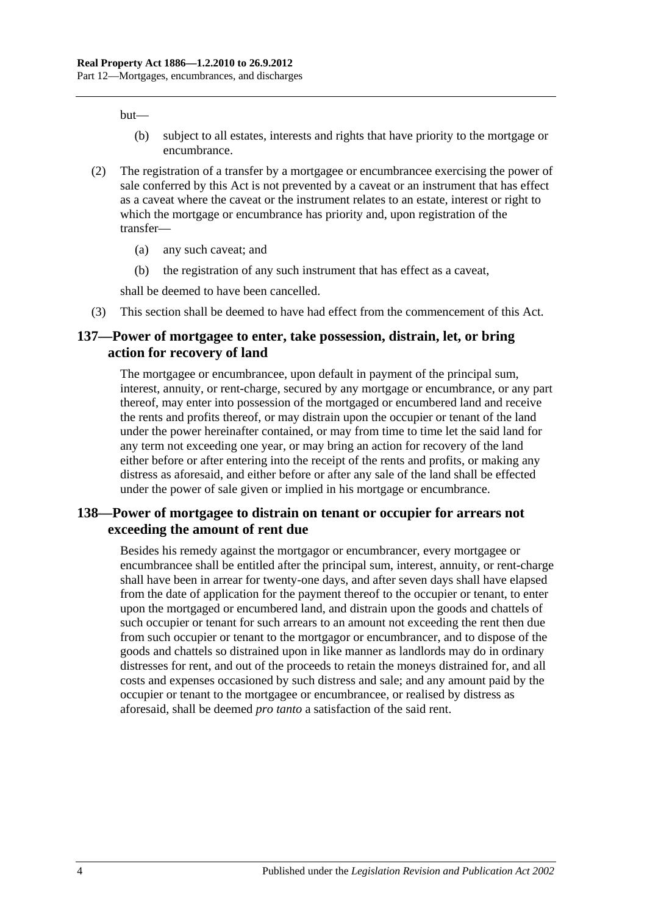but—

- (b) subject to all estates, interests and rights that have priority to the mortgage or encumbrance.
- (2) The registration of a transfer by a mortgagee or encumbrancee exercising the power of sale conferred by this Act is not prevented by a caveat or an instrument that has effect as a caveat where the caveat or the instrument relates to an estate, interest or right to which the mortgage or encumbrance has priority and, upon registration of the transfer—
	- (a) any such caveat; and
	- (b) the registration of any such instrument that has effect as a caveat,

shall be deemed to have been cancelled.

(3) This section shall be deemed to have had effect from the commencement of this Act.

#### **137—Power of mortgagee to enter, take possession, distrain, let, or bring action for recovery of land**

The mortgagee or encumbrancee, upon default in payment of the principal sum, interest, annuity, or rent-charge, secured by any mortgage or encumbrance, or any part thereof, may enter into possession of the mortgaged or encumbered land and receive the rents and profits thereof, or may distrain upon the occupier or tenant of the land under the power hereinafter contained, or may from time to time let the said land for any term not exceeding one year, or may bring an action for recovery of the land either before or after entering into the receipt of the rents and profits, or making any distress as aforesaid, and either before or after any sale of the land shall be effected under the power of sale given or implied in his mortgage or encumbrance.

## **138—Power of mortgagee to distrain on tenant or occupier for arrears not exceeding the amount of rent due**

Besides his remedy against the mortgagor or encumbrancer, every mortgagee or encumbrancee shall be entitled after the principal sum, interest, annuity, or rent-charge shall have been in arrear for twenty-one days, and after seven days shall have elapsed from the date of application for the payment thereof to the occupier or tenant, to enter upon the mortgaged or encumbered land, and distrain upon the goods and chattels of such occupier or tenant for such arrears to an amount not exceeding the rent then due from such occupier or tenant to the mortgagor or encumbrancer, and to dispose of the goods and chattels so distrained upon in like manner as landlords may do in ordinary distresses for rent, and out of the proceeds to retain the moneys distrained for, and all costs and expenses occasioned by such distress and sale; and any amount paid by the occupier or tenant to the mortgagee or encumbrancee, or realised by distress as aforesaid, shall be deemed *pro tanto* a satisfaction of the said rent.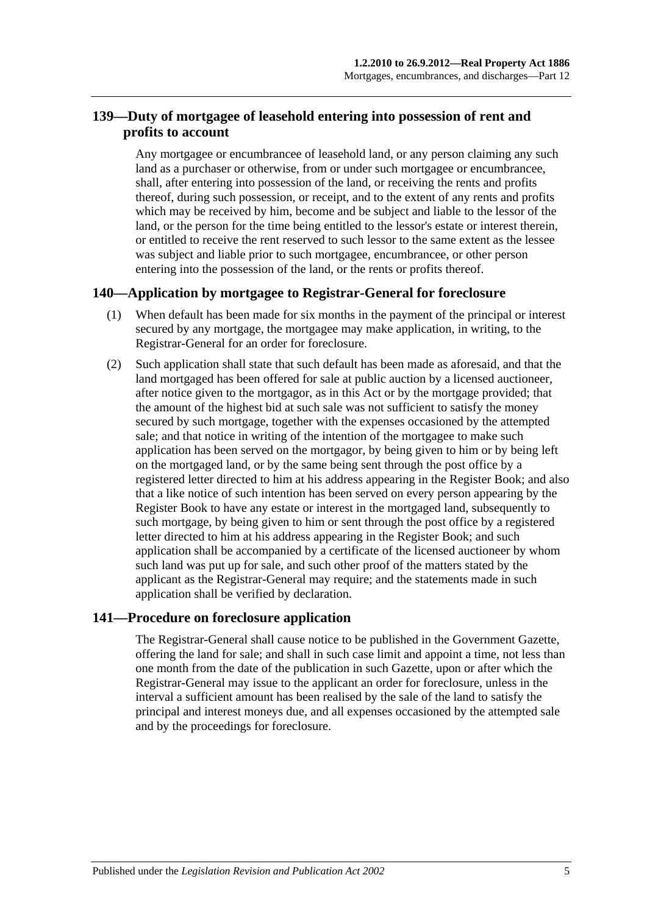# **139—Duty of mortgagee of leasehold entering into possession of rent and profits to account**

Any mortgagee or encumbrancee of leasehold land, or any person claiming any such land as a purchaser or otherwise, from or under such mortgagee or encumbrancee, shall, after entering into possession of the land, or receiving the rents and profits thereof, during such possession, or receipt, and to the extent of any rents and profits which may be received by him, become and be subject and liable to the lessor of the land, or the person for the time being entitled to the lessor's estate or interest therein, or entitled to receive the rent reserved to such lessor to the same extent as the lessee was subject and liable prior to such mortgagee, encumbrancee, or other person entering into the possession of the land, or the rents or profits thereof.

## **140—Application by mortgagee to Registrar-General for foreclosure**

- (1) When default has been made for six months in the payment of the principal or interest secured by any mortgage, the mortgagee may make application, in writing, to the Registrar-General for an order for foreclosure.
- (2) Such application shall state that such default has been made as aforesaid, and that the land mortgaged has been offered for sale at public auction by a licensed auctioneer, after notice given to the mortgagor, as in this Act or by the mortgage provided; that the amount of the highest bid at such sale was not sufficient to satisfy the money secured by such mortgage, together with the expenses occasioned by the attempted sale; and that notice in writing of the intention of the mortgagee to make such application has been served on the mortgagor, by being given to him or by being left on the mortgaged land, or by the same being sent through the post office by a registered letter directed to him at his address appearing in the Register Book; and also that a like notice of such intention has been served on every person appearing by the Register Book to have any estate or interest in the mortgaged land, subsequently to such mortgage, by being given to him or sent through the post office by a registered letter directed to him at his address appearing in the Register Book; and such application shall be accompanied by a certificate of the licensed auctioneer by whom such land was put up for sale, and such other proof of the matters stated by the applicant as the Registrar-General may require; and the statements made in such application shall be verified by declaration.

## **141—Procedure on foreclosure application**

The Registrar-General shall cause notice to be published in the Government Gazette, offering the land for sale; and shall in such case limit and appoint a time, not less than one month from the date of the publication in such Gazette, upon or after which the Registrar-General may issue to the applicant an order for foreclosure, unless in the interval a sufficient amount has been realised by the sale of the land to satisfy the principal and interest moneys due, and all expenses occasioned by the attempted sale and by the proceedings for foreclosure.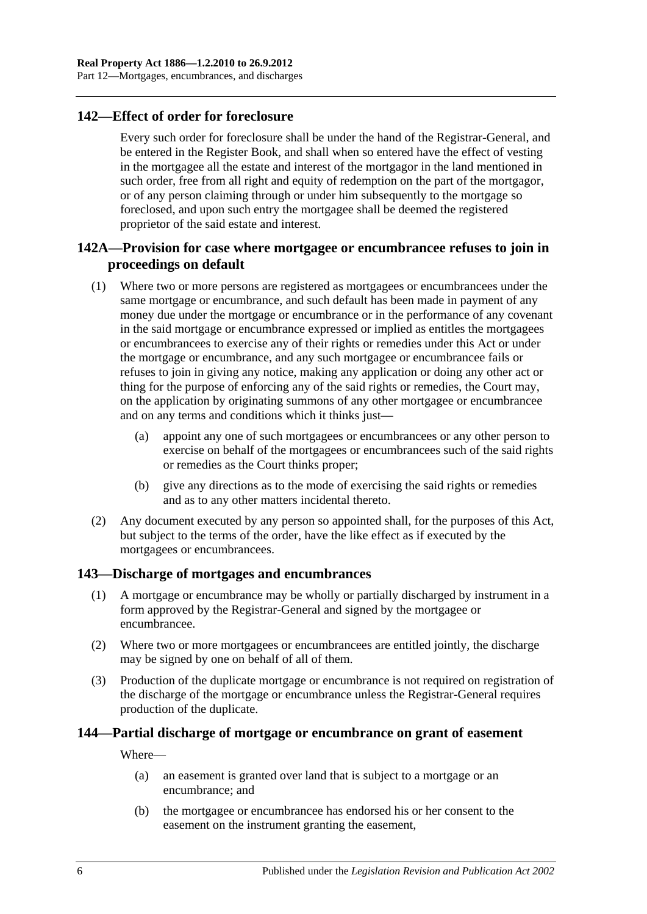## **142—Effect of order for foreclosure**

Every such order for foreclosure shall be under the hand of the Registrar-General, and be entered in the Register Book, and shall when so entered have the effect of vesting in the mortgagee all the estate and interest of the mortgagor in the land mentioned in such order, free from all right and equity of redemption on the part of the mortgagor, or of any person claiming through or under him subsequently to the mortgage so foreclosed, and upon such entry the mortgagee shall be deemed the registered proprietor of the said estate and interest.

## **142A—Provision for case where mortgagee or encumbrancee refuses to join in proceedings on default**

- (1) Where two or more persons are registered as mortgagees or encumbrancees under the same mortgage or encumbrance, and such default has been made in payment of any money due under the mortgage or encumbrance or in the performance of any covenant in the said mortgage or encumbrance expressed or implied as entitles the mortgagees or encumbrancees to exercise any of their rights or remedies under this Act or under the mortgage or encumbrance, and any such mortgagee or encumbrancee fails or refuses to join in giving any notice, making any application or doing any other act or thing for the purpose of enforcing any of the said rights or remedies, the Court may, on the application by originating summons of any other mortgagee or encumbrancee and on any terms and conditions which it thinks just—
	- (a) appoint any one of such mortgagees or encumbrancees or any other person to exercise on behalf of the mortgagees or encumbrancees such of the said rights or remedies as the Court thinks proper;
	- (b) give any directions as to the mode of exercising the said rights or remedies and as to any other matters incidental thereto.
- (2) Any document executed by any person so appointed shall, for the purposes of this Act, but subject to the terms of the order, have the like effect as if executed by the mortgagees or encumbrancees.

## **143—Discharge of mortgages and encumbrances**

- (1) A mortgage or encumbrance may be wholly or partially discharged by instrument in a form approved by the Registrar-General and signed by the mortgagee or encumbrancee.
- (2) Where two or more mortgagees or encumbrancees are entitled jointly, the discharge may be signed by one on behalf of all of them.
- (3) Production of the duplicate mortgage or encumbrance is not required on registration of the discharge of the mortgage or encumbrance unless the Registrar-General requires production of the duplicate.

## **144—Partial discharge of mortgage or encumbrance on grant of easement**

Where—

- (a) an easement is granted over land that is subject to a mortgage or an encumbrance; and
- (b) the mortgagee or encumbrancee has endorsed his or her consent to the easement on the instrument granting the easement,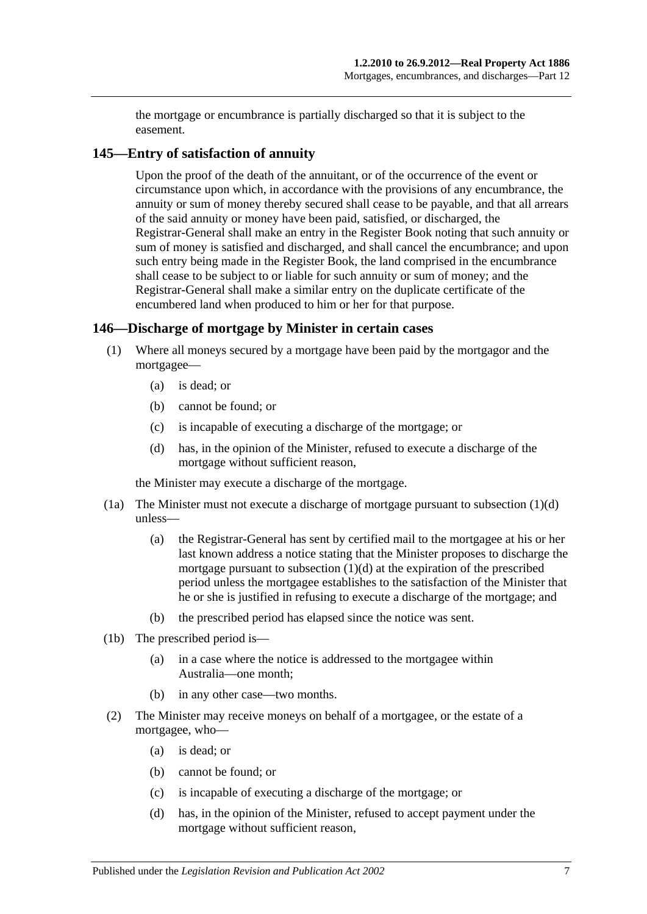the mortgage or encumbrance is partially discharged so that it is subject to the easement.

## **145—Entry of satisfaction of annuity**

Upon the proof of the death of the annuitant, or of the occurrence of the event or circumstance upon which, in accordance with the provisions of any encumbrance, the annuity or sum of money thereby secured shall cease to be payable, and that all arrears of the said annuity or money have been paid, satisfied, or discharged, the Registrar-General shall make an entry in the Register Book noting that such annuity or sum of money is satisfied and discharged, and shall cancel the encumbrance; and upon such entry being made in the Register Book, the land comprised in the encumbrance shall cease to be subject to or liable for such annuity or sum of money; and the Registrar-General shall make a similar entry on the duplicate certificate of the encumbered land when produced to him or her for that purpose.

## **146—Discharge of mortgage by Minister in certain cases**

- (1) Where all moneys secured by a mortgage have been paid by the mortgagor and the mortgagee—
	- (a) is dead; or
	- (b) cannot be found; or
	- (c) is incapable of executing a discharge of the mortgage; or
	- (d) has, in the opinion of the Minister, refused to execute a discharge of the mortgage without sufficient reason,

<span id="page-68-0"></span>the Minister may execute a discharge of the mortgage.

- (1a) The Minister must not execute a discharge of mortgage pursuant to [subsection](#page-68-0) (1)(d) unless—
	- (a) the Registrar-General has sent by certified mail to the mortgagee at his or her last known address a notice stating that the Minister proposes to discharge the mortgage pursuant to [subsection](#page-68-0)  $(1)(d)$  at the expiration of the prescribed period unless the mortgagee establishes to the satisfaction of the Minister that he or she is justified in refusing to execute a discharge of the mortgage; and
	- (b) the prescribed period has elapsed since the notice was sent.
- (1b) The prescribed period is—
	- (a) in a case where the notice is addressed to the mortgagee within Australia—one month;
	- (b) in any other case—two months.
- <span id="page-68-1"></span>(2) The Minister may receive moneys on behalf of a mortgagee, or the estate of a mortgagee, who—
	- (a) is dead; or
	- (b) cannot be found; or
	- (c) is incapable of executing a discharge of the mortgage; or
	- (d) has, in the opinion of the Minister, refused to accept payment under the mortgage without sufficient reason,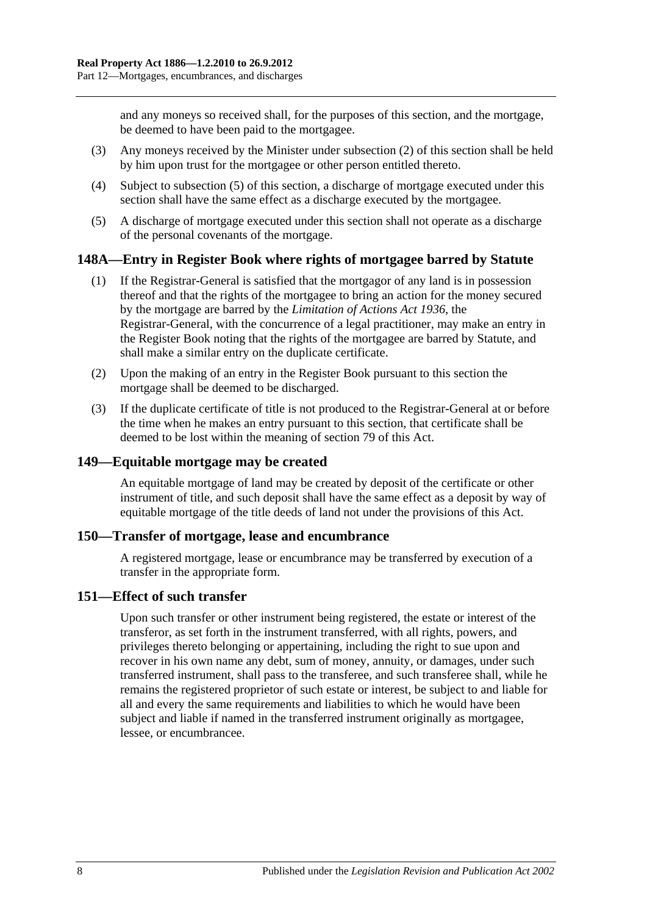and any moneys so received shall, for the purposes of this section, and the mortgage, be deemed to have been paid to the mortgagee.

- (3) Any moneys received by the Minister under [subsection](#page-68-1) (2) of this section shall be held by him upon trust for the mortgagee or other person entitled thereto.
- (4) Subject to [subsection](#page-69-0) (5) of this section, a discharge of mortgage executed under this section shall have the same effect as a discharge executed by the mortgagee.
- <span id="page-69-0"></span>(5) A discharge of mortgage executed under this section shall not operate as a discharge of the personal covenants of the mortgage.

## **148A—Entry in Register Book where rights of mortgagee barred by Statute**

- (1) If the Registrar-General is satisfied that the mortgagor of any land is in possession thereof and that the rights of the mortgagee to bring an action for the money secured by the mortgage are barred by the *[Limitation of Actions Act](http://www.legislation.sa.gov.au/index.aspx?action=legref&type=act&legtitle=Limitation%20of%20Actions%20Act%201936) 1936*, the Registrar-General, with the concurrence of a legal practitioner, may make an entry in the Register Book noting that the rights of the mortgagee are barred by Statute, and shall make a similar entry on the duplicate certificate.
- (2) Upon the making of an entry in the Register Book pursuant to this section the mortgage shall be deemed to be discharged.
- (3) If the duplicate certificate of title is not produced to the Registrar-General at or before the time when he makes an entry pursuant to this section, that certificate shall be deemed to be lost within the meaning of [section](#page-39-0) 79 of this Act.

## **149—Equitable mortgage may be created**

An equitable mortgage of land may be created by deposit of the certificate or other instrument of title, and such deposit shall have the same effect as a deposit by way of equitable mortgage of the title deeds of land not under the provisions of this Act.

#### **150—Transfer of mortgage, lease and encumbrance**

A registered mortgage, lease or encumbrance may be transferred by execution of a transfer in the appropriate form.

#### **151—Effect of such transfer**

Upon such transfer or other instrument being registered, the estate or interest of the transferor, as set forth in the instrument transferred, with all rights, powers, and privileges thereto belonging or appertaining, including the right to sue upon and recover in his own name any debt, sum of money, annuity, or damages, under such transferred instrument, shall pass to the transferee, and such transferee shall, while he remains the registered proprietor of such estate or interest, be subject to and liable for all and every the same requirements and liabilities to which he would have been subject and liable if named in the transferred instrument originally as mortgagee, lessee, or encumbrancee.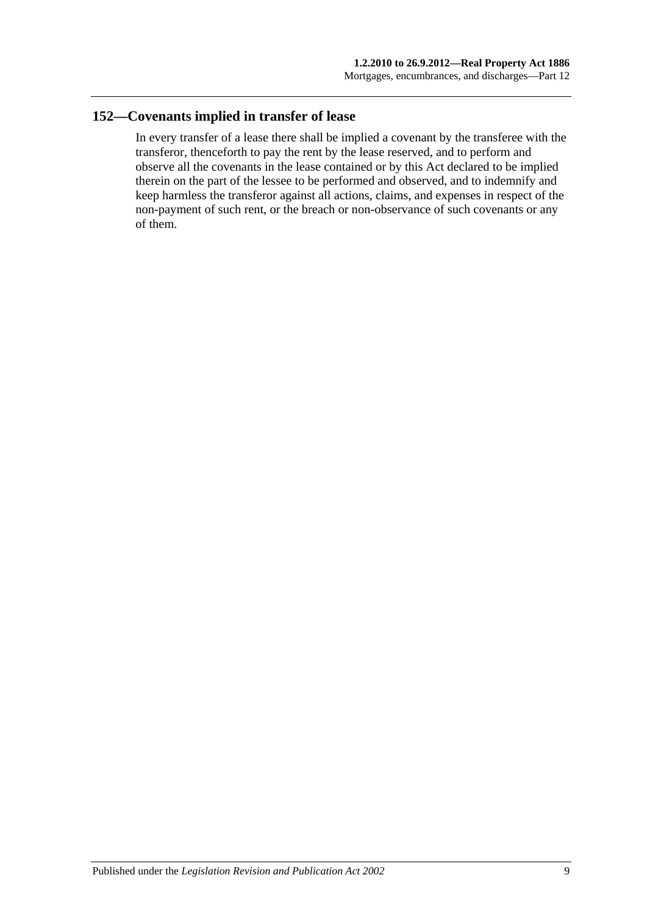## **152—Covenants implied in transfer of lease**

In every transfer of a lease there shall be implied a covenant by the transferee with the transferor, thenceforth to pay the rent by the lease reserved, and to perform and observe all the covenants in the lease contained or by this Act declared to be implied therein on the part of the lessee to be performed and observed, and to indemnify and keep harmless the transferor against all actions, claims, and expenses in respect of the non-payment of such rent, or the breach or non-observance of such covenants or any of them.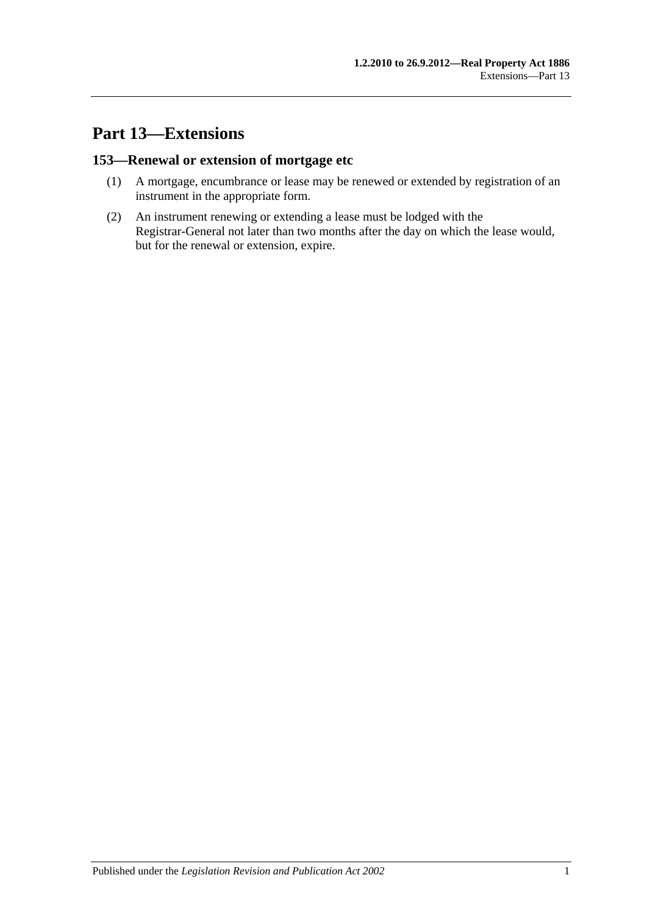## **Part 13—Extensions**

### **153—Renewal or extension of mortgage etc**

- (1) A mortgage, encumbrance or lease may be renewed or extended by registration of an instrument in the appropriate form.
- (2) An instrument renewing or extending a lease must be lodged with the Registrar-General not later than two months after the day on which the lease would, but for the renewal or extension, expire.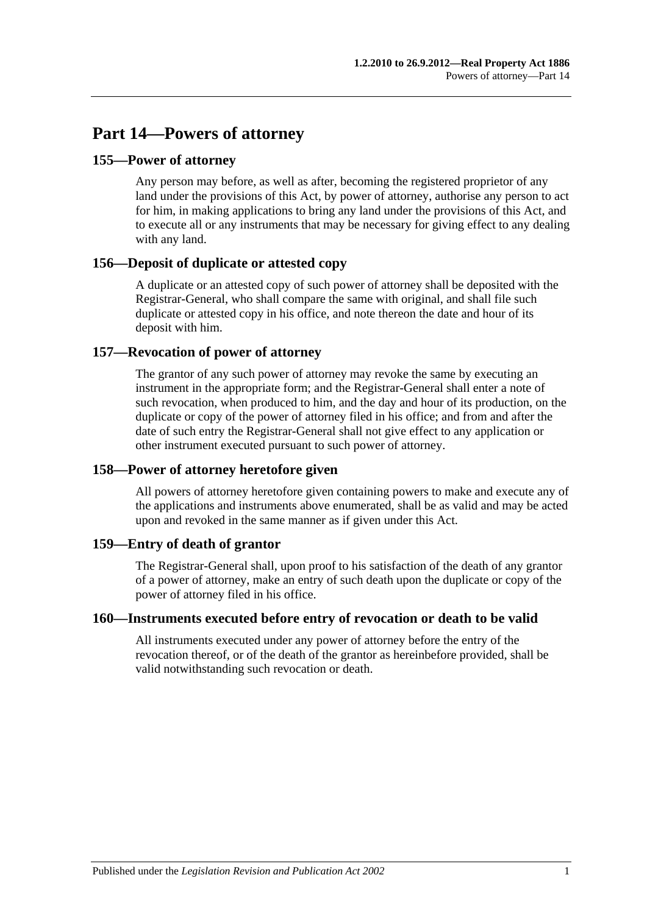## **Part 14—Powers of attorney**

### **155—Power of attorney**

Any person may before, as well as after, becoming the registered proprietor of any land under the provisions of this Act, by power of attorney, authorise any person to act for him, in making applications to bring any land under the provisions of this Act, and to execute all or any instruments that may be necessary for giving effect to any dealing with any land.

### **156—Deposit of duplicate or attested copy**

A duplicate or an attested copy of such power of attorney shall be deposited with the Registrar-General, who shall compare the same with original, and shall file such duplicate or attested copy in his office, and note thereon the date and hour of its deposit with him.

### **157—Revocation of power of attorney**

The grantor of any such power of attorney may revoke the same by executing an instrument in the appropriate form; and the Registrar-General shall enter a note of such revocation, when produced to him, and the day and hour of its production, on the duplicate or copy of the power of attorney filed in his office; and from and after the date of such entry the Registrar-General shall not give effect to any application or other instrument executed pursuant to such power of attorney.

### **158—Power of attorney heretofore given**

All powers of attorney heretofore given containing powers to make and execute any of the applications and instruments above enumerated, shall be as valid and may be acted upon and revoked in the same manner as if given under this Act.

### **159—Entry of death of grantor**

The Registrar-General shall, upon proof to his satisfaction of the death of any grantor of a power of attorney, make an entry of such death upon the duplicate or copy of the power of attorney filed in his office.

### **160—Instruments executed before entry of revocation or death to be valid**

All instruments executed under any power of attorney before the entry of the revocation thereof, or of the death of the grantor as hereinbefore provided, shall be valid notwithstanding such revocation or death.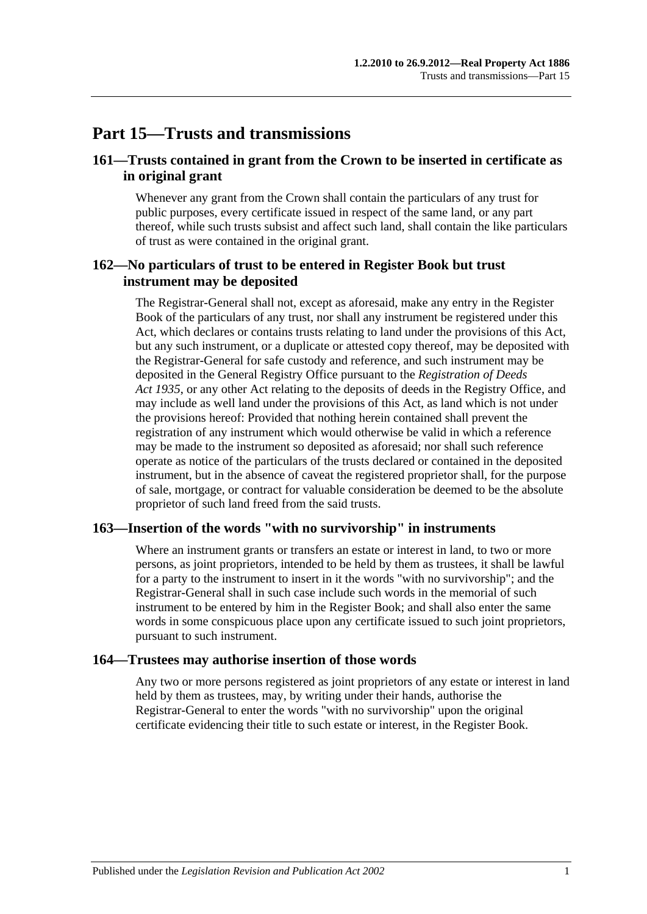## **Part 15—Trusts and transmissions**

### **161—Trusts contained in grant from the Crown to be inserted in certificate as in original grant**

Whenever any grant from the Crown shall contain the particulars of any trust for public purposes, every certificate issued in respect of the same land, or any part thereof, while such trusts subsist and affect such land, shall contain the like particulars of trust as were contained in the original grant.

### **162—No particulars of trust to be entered in Register Book but trust instrument may be deposited**

The Registrar-General shall not, except as aforesaid, make any entry in the Register Book of the particulars of any trust, nor shall any instrument be registered under this Act, which declares or contains trusts relating to land under the provisions of this Act, but any such instrument, or a duplicate or attested copy thereof, may be deposited with the Registrar-General for safe custody and reference, and such instrument may be deposited in the General Registry Office pursuant to the *[Registration of Deeds](http://www.legislation.sa.gov.au/index.aspx?action=legref&type=act&legtitle=Registration%20of%20Deeds%20Act%201935)  Act [1935](http://www.legislation.sa.gov.au/index.aspx?action=legref&type=act&legtitle=Registration%20of%20Deeds%20Act%201935)*, or any other Act relating to the deposits of deeds in the Registry Office, and may include as well land under the provisions of this Act, as land which is not under the provisions hereof: Provided that nothing herein contained shall prevent the registration of any instrument which would otherwise be valid in which a reference may be made to the instrument so deposited as aforesaid; nor shall such reference operate as notice of the particulars of the trusts declared or contained in the deposited instrument, but in the absence of caveat the registered proprietor shall, for the purpose of sale, mortgage, or contract for valuable consideration be deemed to be the absolute proprietor of such land freed from the said trusts.

#### **163—Insertion of the words "with no survivorship" in instruments**

Where an instrument grants or transfers an estate or interest in land, to two or more persons, as joint proprietors, intended to be held by them as trustees, it shall be lawful for a party to the instrument to insert in it the words "with no survivorship"; and the Registrar-General shall in such case include such words in the memorial of such instrument to be entered by him in the Register Book; and shall also enter the same words in some conspicuous place upon any certificate issued to such joint proprietors, pursuant to such instrument.

#### **164—Trustees may authorise insertion of those words**

Any two or more persons registered as joint proprietors of any estate or interest in land held by them as trustees, may, by writing under their hands, authorise the Registrar-General to enter the words "with no survivorship" upon the original certificate evidencing their title to such estate or interest, in the Register Book.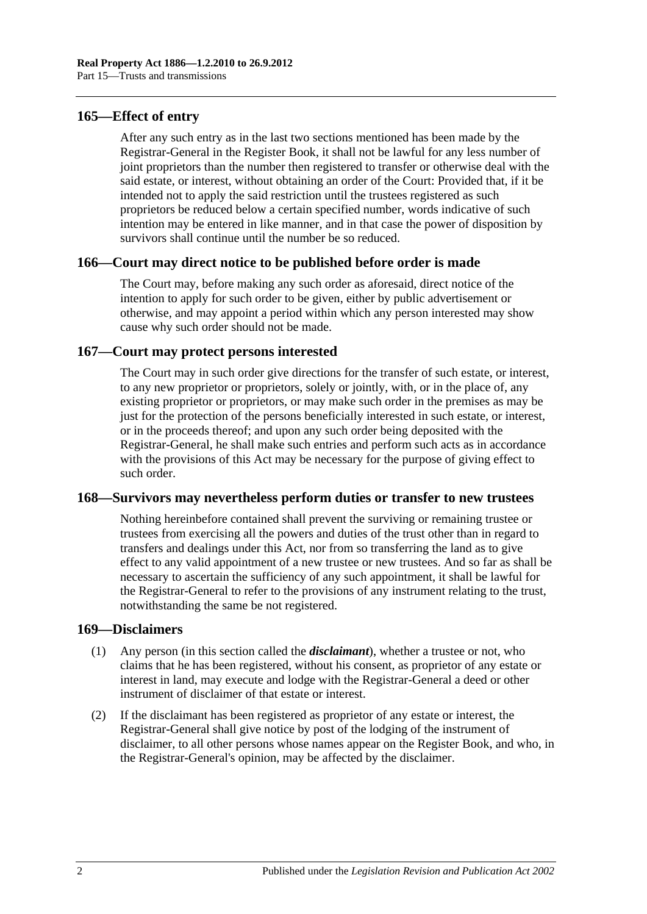#### **165—Effect of entry**

After any such entry as in the last two sections mentioned has been made by the Registrar-General in the Register Book, it shall not be lawful for any less number of joint proprietors than the number then registered to transfer or otherwise deal with the said estate, or interest, without obtaining an order of the Court: Provided that, if it be intended not to apply the said restriction until the trustees registered as such proprietors be reduced below a certain specified number, words indicative of such intention may be entered in like manner, and in that case the power of disposition by survivors shall continue until the number be so reduced.

#### **166—Court may direct notice to be published before order is made**

The Court may, before making any such order as aforesaid, direct notice of the intention to apply for such order to be given, either by public advertisement or otherwise, and may appoint a period within which any person interested may show cause why such order should not be made.

### **167—Court may protect persons interested**

The Court may in such order give directions for the transfer of such estate, or interest, to any new proprietor or proprietors, solely or jointly, with, or in the place of, any existing proprietor or proprietors, or may make such order in the premises as may be just for the protection of the persons beneficially interested in such estate, or interest, or in the proceeds thereof; and upon any such order being deposited with the Registrar-General, he shall make such entries and perform such acts as in accordance with the provisions of this Act may be necessary for the purpose of giving effect to such order.

#### **168—Survivors may nevertheless perform duties or transfer to new trustees**

Nothing hereinbefore contained shall prevent the surviving or remaining trustee or trustees from exercising all the powers and duties of the trust other than in regard to transfers and dealings under this Act, nor from so transferring the land as to give effect to any valid appointment of a new trustee or new trustees. And so far as shall be necessary to ascertain the sufficiency of any such appointment, it shall be lawful for the Registrar-General to refer to the provisions of any instrument relating to the trust, notwithstanding the same be not registered.

#### **169—Disclaimers**

- (1) Any person (in this section called the *disclaimant*), whether a trustee or not, who claims that he has been registered, without his consent, as proprietor of any estate or interest in land, may execute and lodge with the Registrar-General a deed or other instrument of disclaimer of that estate or interest.
- (2) If the disclaimant has been registered as proprietor of any estate or interest, the Registrar-General shall give notice by post of the lodging of the instrument of disclaimer, to all other persons whose names appear on the Register Book, and who, in the Registrar-General's opinion, may be affected by the disclaimer.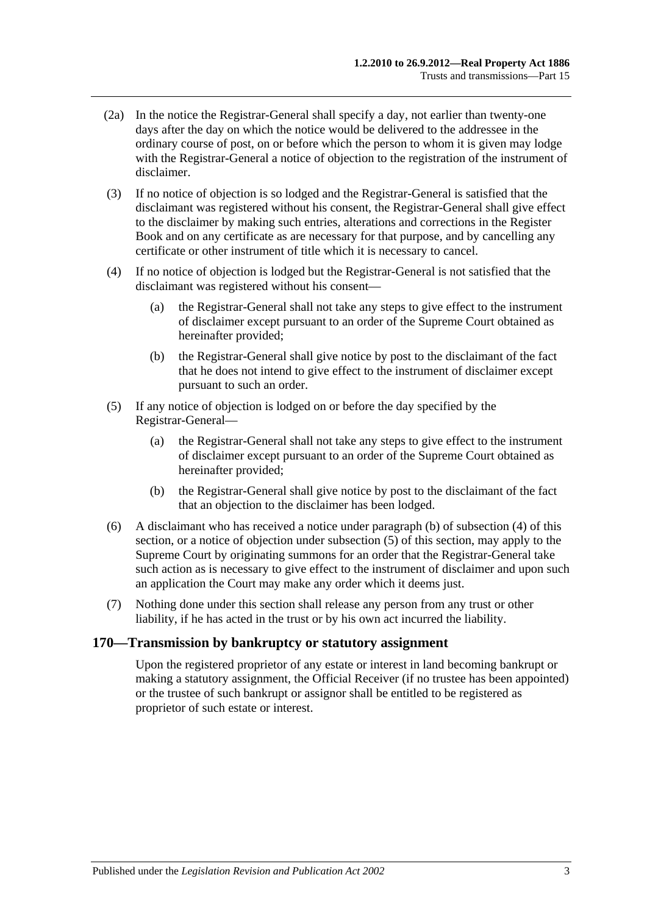- (2a) In the notice the Registrar-General shall specify a day, not earlier than twenty-one days after the day on which the notice would be delivered to the addressee in the ordinary course of post, on or before which the person to whom it is given may lodge with the Registrar-General a notice of objection to the registration of the instrument of disclaimer.
- (3) If no notice of objection is so lodged and the Registrar-General is satisfied that the disclaimant was registered without his consent, the Registrar-General shall give effect to the disclaimer by making such entries, alterations and corrections in the Register Book and on any certificate as are necessary for that purpose, and by cancelling any certificate or other instrument of title which it is necessary to cancel.
- <span id="page-78-1"></span>(4) If no notice of objection is lodged but the Registrar-General is not satisfied that the disclaimant was registered without his consent—
	- (a) the Registrar-General shall not take any steps to give effect to the instrument of disclaimer except pursuant to an order of the Supreme Court obtained as hereinafter provided;
	- (b) the Registrar-General shall give notice by post to the disclaimant of the fact that he does not intend to give effect to the instrument of disclaimer except pursuant to such an order.
- <span id="page-78-2"></span><span id="page-78-0"></span>(5) If any notice of objection is lodged on or before the day specified by the Registrar-General—
	- (a) the Registrar-General shall not take any steps to give effect to the instrument of disclaimer except pursuant to an order of the Supreme Court obtained as hereinafter provided;
	- (b) the Registrar-General shall give notice by post to the disclaimant of the fact that an objection to the disclaimer has been lodged.
- (6) A disclaimant who has received a notice under [paragraph](#page-78-0) (b) of [subsection](#page-78-1) (4) of this section, or a notice of objection under [subsection](#page-78-2) (5) of this section, may apply to the Supreme Court by originating summons for an order that the Registrar-General take such action as is necessary to give effect to the instrument of disclaimer and upon such an application the Court may make any order which it deems just.
- (7) Nothing done under this section shall release any person from any trust or other liability, if he has acted in the trust or by his own act incurred the liability.

#### **170—Transmission by bankruptcy or statutory assignment**

Upon the registered proprietor of any estate or interest in land becoming bankrupt or making a statutory assignment, the Official Receiver (if no trustee has been appointed) or the trustee of such bankrupt or assignor shall be entitled to be registered as proprietor of such estate or interest.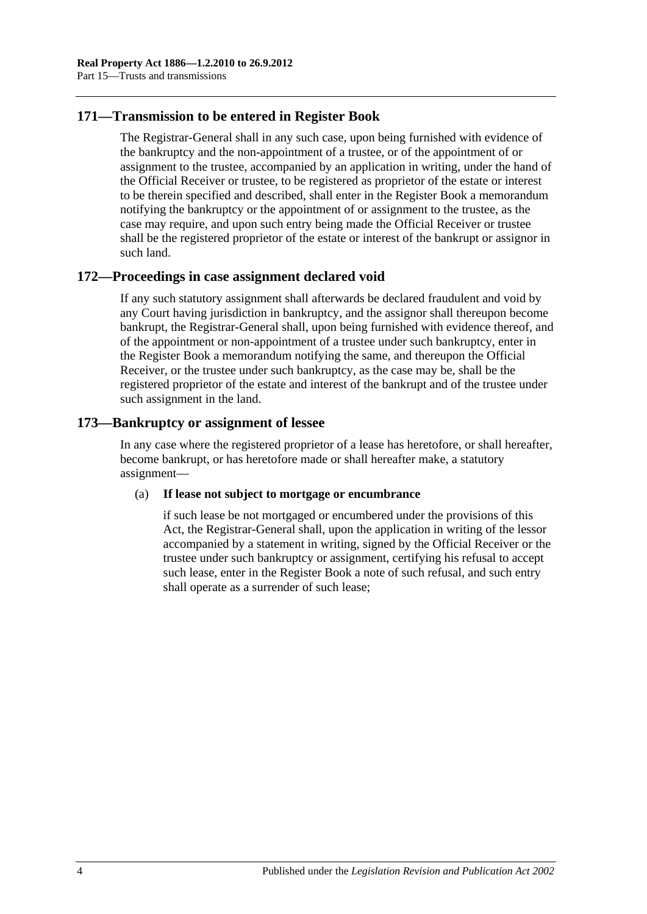### **171—Transmission to be entered in Register Book**

The Registrar-General shall in any such case, upon being furnished with evidence of the bankruptcy and the non-appointment of a trustee, or of the appointment of or assignment to the trustee, accompanied by an application in writing, under the hand of the Official Receiver or trustee, to be registered as proprietor of the estate or interest to be therein specified and described, shall enter in the Register Book a memorandum notifying the bankruptcy or the appointment of or assignment to the trustee, as the case may require, and upon such entry being made the Official Receiver or trustee shall be the registered proprietor of the estate or interest of the bankrupt or assignor in such land.

### **172—Proceedings in case assignment declared void**

If any such statutory assignment shall afterwards be declared fraudulent and void by any Court having jurisdiction in bankruptcy, and the assignor shall thereupon become bankrupt, the Registrar-General shall, upon being furnished with evidence thereof, and of the appointment or non-appointment of a trustee under such bankruptcy, enter in the Register Book a memorandum notifying the same, and thereupon the Official Receiver, or the trustee under such bankruptcy, as the case may be, shall be the registered proprietor of the estate and interest of the bankrupt and of the trustee under such assignment in the land.

### **173—Bankruptcy or assignment of lessee**

In any case where the registered proprietor of a lease has heretofore, or shall hereafter, become bankrupt, or has heretofore made or shall hereafter make, a statutory assignment—

#### (a) **If lease not subject to mortgage or encumbrance**

if such lease be not mortgaged or encumbered under the provisions of this Act, the Registrar-General shall, upon the application in writing of the lessor accompanied by a statement in writing, signed by the Official Receiver or the trustee under such bankruptcy or assignment, certifying his refusal to accept such lease, enter in the Register Book a note of such refusal, and such entry shall operate as a surrender of such lease;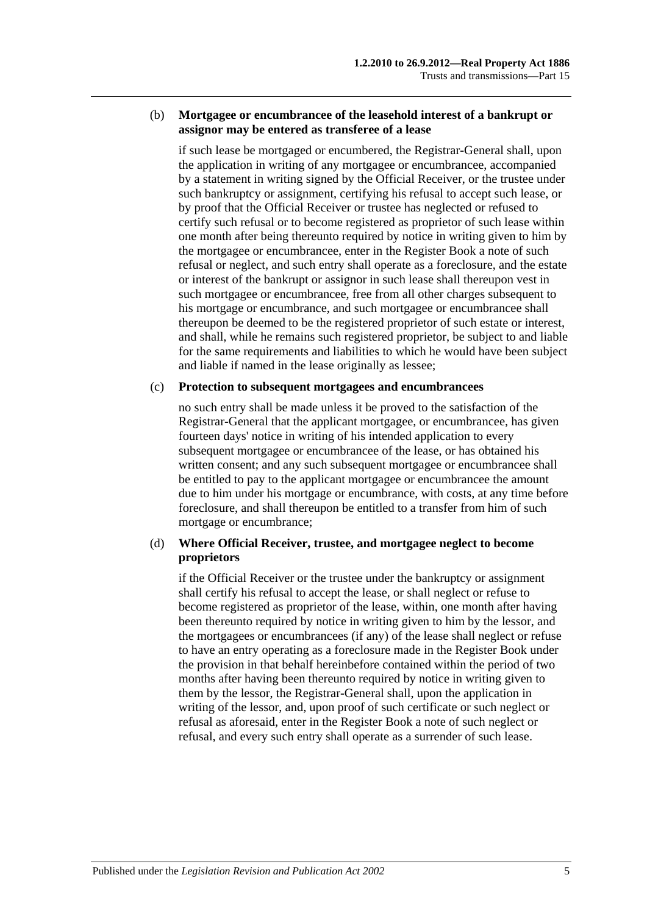#### (b) **Mortgagee or encumbrancee of the leasehold interest of a bankrupt or assignor may be entered as transferee of a lease**

if such lease be mortgaged or encumbered, the Registrar-General shall, upon the application in writing of any mortgagee or encumbrancee, accompanied by a statement in writing signed by the Official Receiver, or the trustee under such bankruptcy or assignment, certifying his refusal to accept such lease, or by proof that the Official Receiver or trustee has neglected or refused to certify such refusal or to become registered as proprietor of such lease within one month after being thereunto required by notice in writing given to him by the mortgagee or encumbrancee, enter in the Register Book a note of such refusal or neglect, and such entry shall operate as a foreclosure, and the estate or interest of the bankrupt or assignor in such lease shall thereupon vest in such mortgagee or encumbrancee, free from all other charges subsequent to his mortgage or encumbrance, and such mortgagee or encumbrancee shall thereupon be deemed to be the registered proprietor of such estate or interest, and shall, while he remains such registered proprietor, be subject to and liable for the same requirements and liabilities to which he would have been subject and liable if named in the lease originally as lessee;

#### (c) **Protection to subsequent mortgagees and encumbrancees**

no such entry shall be made unless it be proved to the satisfaction of the Registrar-General that the applicant mortgagee, or encumbrancee, has given fourteen days' notice in writing of his intended application to every subsequent mortgagee or encumbrancee of the lease, or has obtained his written consent; and any such subsequent mortgagee or encumbrancee shall be entitled to pay to the applicant mortgagee or encumbrancee the amount due to him under his mortgage or encumbrance, with costs, at any time before foreclosure, and shall thereupon be entitled to a transfer from him of such mortgage or encumbrance;

#### (d) **Where Official Receiver, trustee, and mortgagee neglect to become proprietors**

if the Official Receiver or the trustee under the bankruptcy or assignment shall certify his refusal to accept the lease, or shall neglect or refuse to become registered as proprietor of the lease, within, one month after having been thereunto required by notice in writing given to him by the lessor, and the mortgagees or encumbrancees (if any) of the lease shall neglect or refuse to have an entry operating as a foreclosure made in the Register Book under the provision in that behalf hereinbefore contained within the period of two months after having been thereunto required by notice in writing given to them by the lessor, the Registrar-General shall, upon the application in writing of the lessor, and, upon proof of such certificate or such neglect or refusal as aforesaid, enter in the Register Book a note of such neglect or refusal, and every such entry shall operate as a surrender of such lease.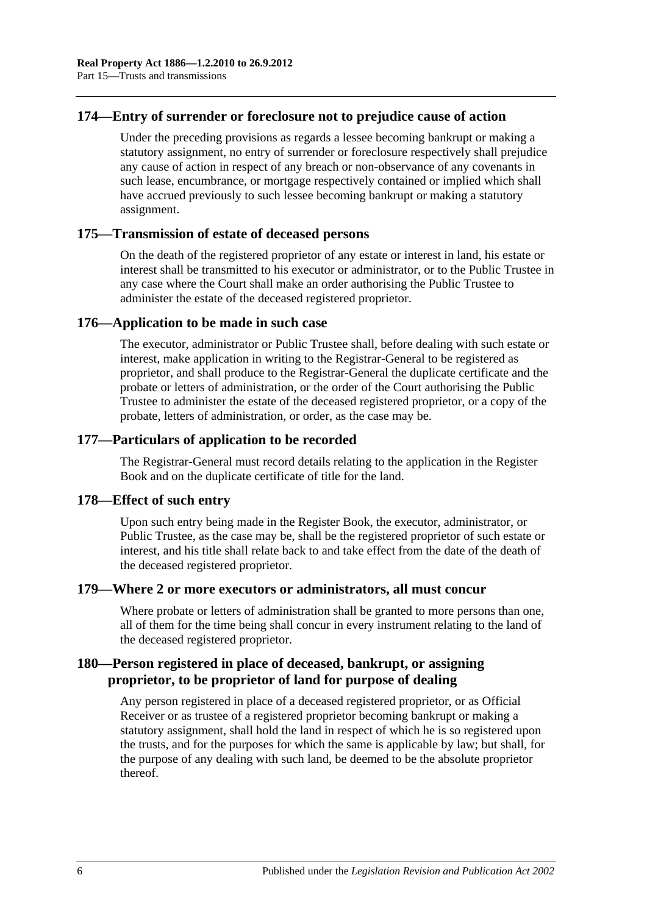### **174—Entry of surrender or foreclosure not to prejudice cause of action**

Under the preceding provisions as regards a lessee becoming bankrupt or making a statutory assignment, no entry of surrender or foreclosure respectively shall prejudice any cause of action in respect of any breach or non-observance of any covenants in such lease, encumbrance, or mortgage respectively contained or implied which shall have accrued previously to such lessee becoming bankrupt or making a statutory assignment.

#### **175—Transmission of estate of deceased persons**

On the death of the registered proprietor of any estate or interest in land, his estate or interest shall be transmitted to his executor or administrator, or to the Public Trustee in any case where the Court shall make an order authorising the Public Trustee to administer the estate of the deceased registered proprietor.

#### **176—Application to be made in such case**

The executor, administrator or Public Trustee shall, before dealing with such estate or interest, make application in writing to the Registrar-General to be registered as proprietor, and shall produce to the Registrar-General the duplicate certificate and the probate or letters of administration, or the order of the Court authorising the Public Trustee to administer the estate of the deceased registered proprietor, or a copy of the probate, letters of administration, or order, as the case may be.

### **177—Particulars of application to be recorded**

The Registrar-General must record details relating to the application in the Register Book and on the duplicate certificate of title for the land.

#### **178—Effect of such entry**

Upon such entry being made in the Register Book, the executor, administrator, or Public Trustee, as the case may be, shall be the registered proprietor of such estate or interest, and his title shall relate back to and take effect from the date of the death of the deceased registered proprietor.

#### **179—Where 2 or more executors or administrators, all must concur**

Where probate or letters of administration shall be granted to more persons than one, all of them for the time being shall concur in every instrument relating to the land of the deceased registered proprietor.

### **180—Person registered in place of deceased, bankrupt, or assigning proprietor, to be proprietor of land for purpose of dealing**

Any person registered in place of a deceased registered proprietor, or as Official Receiver or as trustee of a registered proprietor becoming bankrupt or making a statutory assignment, shall hold the land in respect of which he is so registered upon the trusts, and for the purposes for which the same is applicable by law; but shall, for the purpose of any dealing with such land, be deemed to be the absolute proprietor thereof.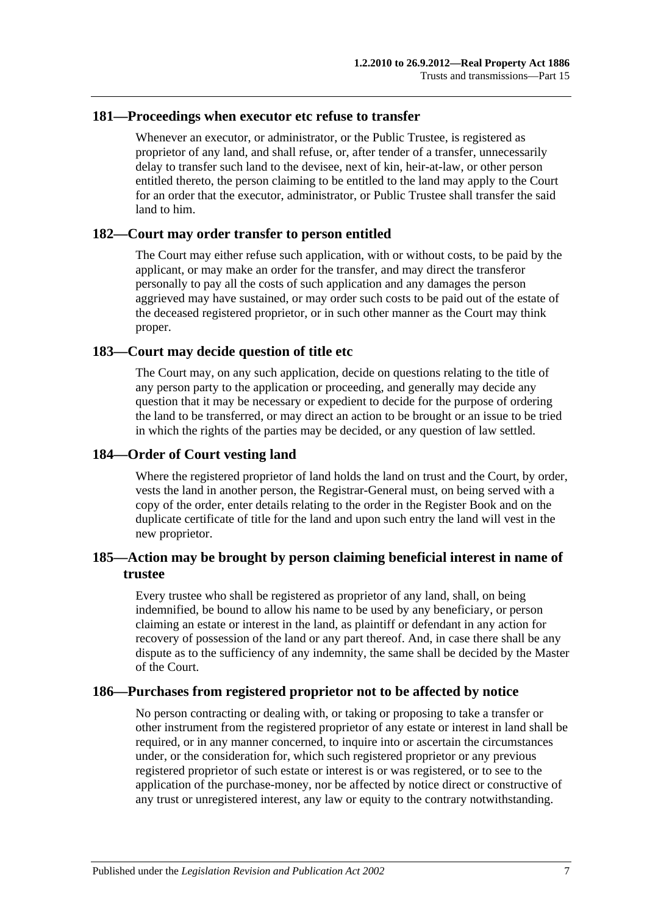#### **181—Proceedings when executor etc refuse to transfer**

Whenever an executor, or administrator, or the Public Trustee, is registered as proprietor of any land, and shall refuse, or, after tender of a transfer, unnecessarily delay to transfer such land to the devisee, next of kin, heir-at-law, or other person entitled thereto, the person claiming to be entitled to the land may apply to the Court for an order that the executor, administrator, or Public Trustee shall transfer the said land to him.

#### **182—Court may order transfer to person entitled**

The Court may either refuse such application, with or without costs, to be paid by the applicant, or may make an order for the transfer, and may direct the transferor personally to pay all the costs of such application and any damages the person aggrieved may have sustained, or may order such costs to be paid out of the estate of the deceased registered proprietor, or in such other manner as the Court may think proper.

#### **183—Court may decide question of title etc**

The Court may, on any such application, decide on questions relating to the title of any person party to the application or proceeding, and generally may decide any question that it may be necessary or expedient to decide for the purpose of ordering the land to be transferred, or may direct an action to be brought or an issue to be tried in which the rights of the parties may be decided, or any question of law settled.

#### **184—Order of Court vesting land**

Where the registered proprietor of land holds the land on trust and the Court, by order, vests the land in another person, the Registrar-General must, on being served with a copy of the order, enter details relating to the order in the Register Book and on the duplicate certificate of title for the land and upon such entry the land will vest in the new proprietor.

### **185—Action may be brought by person claiming beneficial interest in name of trustee**

Every trustee who shall be registered as proprietor of any land, shall, on being indemnified, be bound to allow his name to be used by any beneficiary, or person claiming an estate or interest in the land, as plaintiff or defendant in any action for recovery of possession of the land or any part thereof. And, in case there shall be any dispute as to the sufficiency of any indemnity, the same shall be decided by the Master of the Court.

### **186—Purchases from registered proprietor not to be affected by notice**

No person contracting or dealing with, or taking or proposing to take a transfer or other instrument from the registered proprietor of any estate or interest in land shall be required, or in any manner concerned, to inquire into or ascertain the circumstances under, or the consideration for, which such registered proprietor or any previous registered proprietor of such estate or interest is or was registered, or to see to the application of the purchase-money, nor be affected by notice direct or constructive of any trust or unregistered interest, any law or equity to the contrary notwithstanding.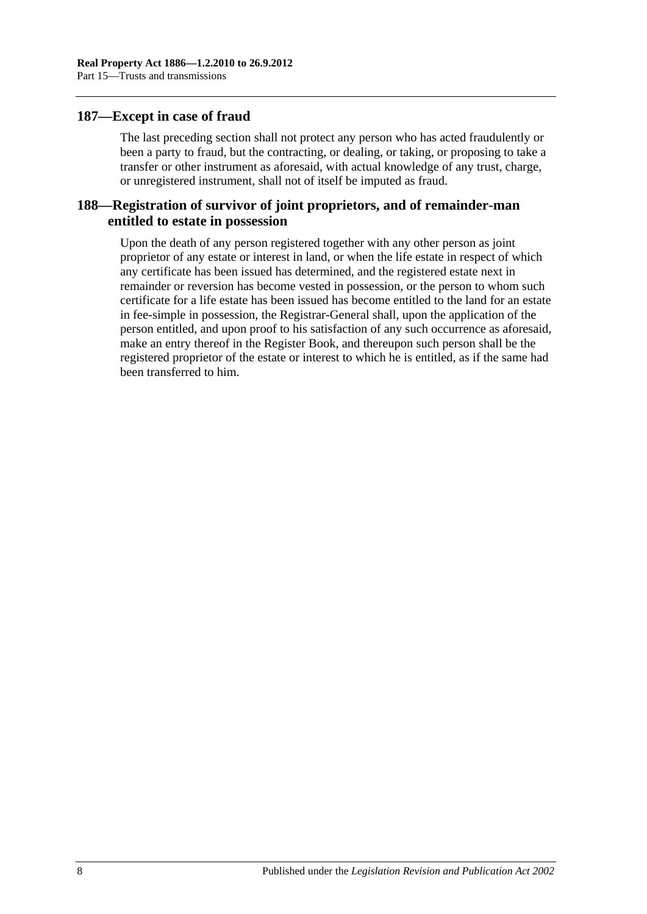#### **187—Except in case of fraud**

The last preceding section shall not protect any person who has acted fraudulently or been a party to fraud, but the contracting, or dealing, or taking, or proposing to take a transfer or other instrument as aforesaid, with actual knowledge of any trust, charge, or unregistered instrument, shall not of itself be imputed as fraud.

### **188—Registration of survivor of joint proprietors, and of remainder-man entitled to estate in possession**

Upon the death of any person registered together with any other person as joint proprietor of any estate or interest in land, or when the life estate in respect of which any certificate has been issued has determined, and the registered estate next in remainder or reversion has become vested in possession, or the person to whom such certificate for a life estate has been issued has become entitled to the land for an estate in fee-simple in possession, the Registrar-General shall, upon the application of the person entitled, and upon proof to his satisfaction of any such occurrence as aforesaid, make an entry thereof in the Register Book, and thereupon such person shall be the registered proprietor of the estate or interest to which he is entitled, as if the same had been transferred to him.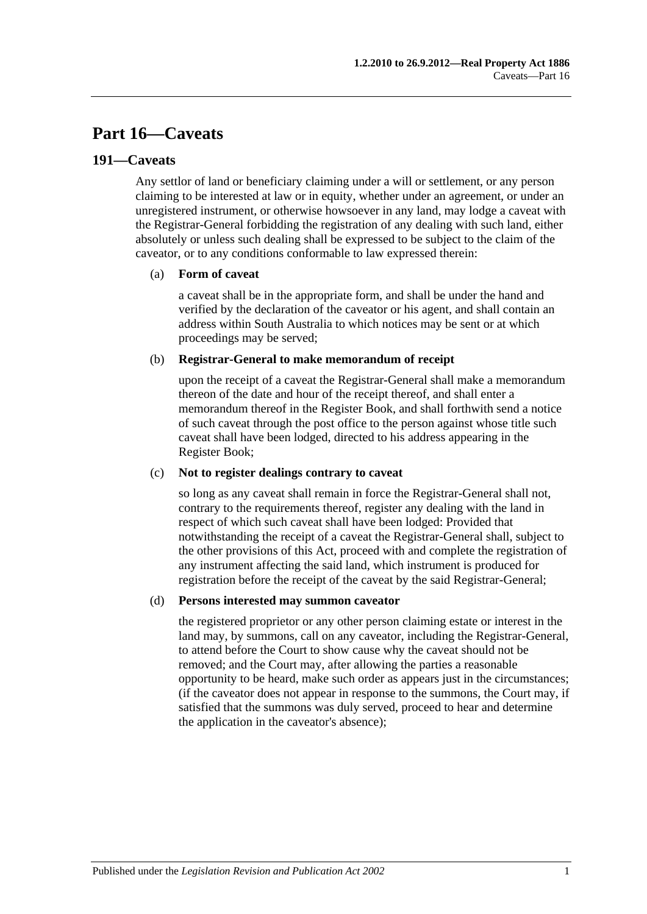## **Part 16—Caveats**

#### **191—Caveats**

Any settlor of land or beneficiary claiming under a will or settlement, or any person claiming to be interested at law or in equity, whether under an agreement, or under an unregistered instrument, or otherwise howsoever in any land, may lodge a caveat with the Registrar-General forbidding the registration of any dealing with such land, either absolutely or unless such dealing shall be expressed to be subject to the claim of the caveator, or to any conditions conformable to law expressed therein:

#### (a) **Form of caveat**

a caveat shall be in the appropriate form, and shall be under the hand and verified by the declaration of the caveator or his agent, and shall contain an address within South Australia to which notices may be sent or at which proceedings may be served;

#### (b) **Registrar-General to make memorandum of receipt**

upon the receipt of a caveat the Registrar-General shall make a memorandum thereon of the date and hour of the receipt thereof, and shall enter a memorandum thereof in the Register Book, and shall forthwith send a notice of such caveat through the post office to the person against whose title such caveat shall have been lodged, directed to his address appearing in the Register Book;

#### (c) **Not to register dealings contrary to caveat**

so long as any caveat shall remain in force the Registrar-General shall not, contrary to the requirements thereof, register any dealing with the land in respect of which such caveat shall have been lodged: Provided that notwithstanding the receipt of a caveat the Registrar-General shall, subject to the other provisions of this Act, proceed with and complete the registration of any instrument affecting the said land, which instrument is produced for registration before the receipt of the caveat by the said Registrar-General;

#### (d) **Persons interested may summon caveator**

the registered proprietor or any other person claiming estate or interest in the land may, by summons, call on any caveator, including the Registrar-General, to attend before the Court to show cause why the caveat should not be removed; and the Court may, after allowing the parties a reasonable opportunity to be heard, make such order as appears just in the circumstances; (if the caveator does not appear in response to the summons, the Court may, if satisfied that the summons was duly served, proceed to hear and determine the application in the caveator's absence);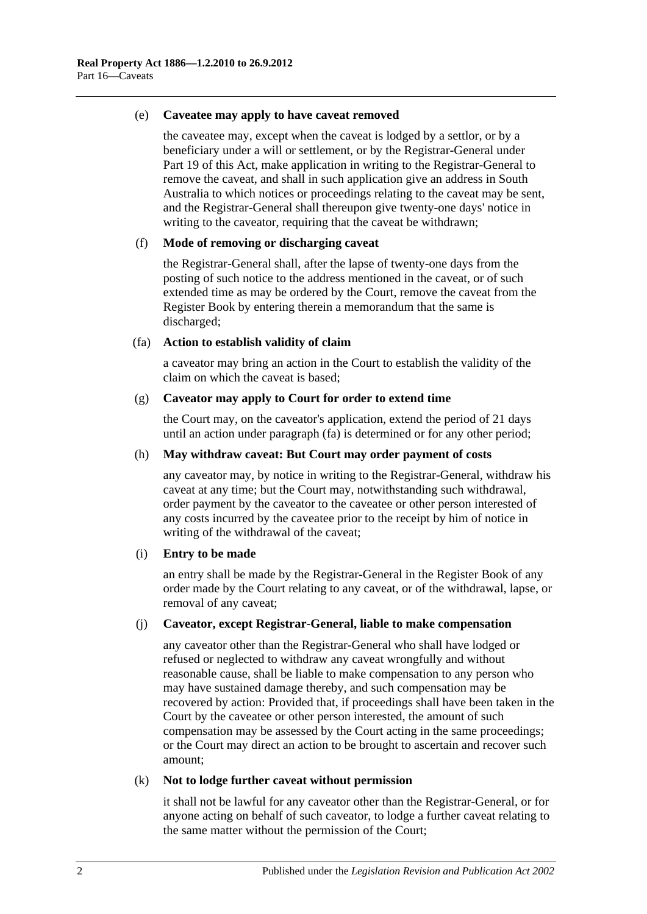#### (e) **Caveatee may apply to have caveat removed**

the caveatee may, except when the caveat is lodged by a settlor, or by a beneficiary under a will or settlement, or by the Registrar-General under [Part](#page-96-0) 19 of this Act, make application in writing to the Registrar-General to remove the caveat, and shall in such application give an address in South Australia to which notices or proceedings relating to the caveat may be sent, and the Registrar-General shall thereupon give twenty-one days' notice in writing to the caveator, requiring that the caveat be withdrawn;

#### (f) **Mode of removing or discharging caveat**

the Registrar-General shall, after the lapse of twenty-one days from the posting of such notice to the address mentioned in the caveat, or of such extended time as may be ordered by the Court, remove the caveat from the Register Book by entering therein a memorandum that the same is discharged;

#### <span id="page-85-0"></span>(fa) **Action to establish validity of claim**

a caveator may bring an action in the Court to establish the validity of the claim on which the caveat is based;

#### (g) **Caveator may apply to Court for order to extend time**

the Court may, on the caveator's application, extend the period of 21 days until an action under [paragraph](#page-85-0) (fa) is determined or for any other period;

#### (h) **May withdraw caveat: But Court may order payment of costs**

any caveator may, by notice in writing to the Registrar-General, withdraw his caveat at any time; but the Court may, notwithstanding such withdrawal, order payment by the caveator to the caveatee or other person interested of any costs incurred by the caveatee prior to the receipt by him of notice in writing of the withdrawal of the caveat;

#### (i) **Entry to be made**

an entry shall be made by the Registrar-General in the Register Book of any order made by the Court relating to any caveat, or of the withdrawal, lapse, or removal of any caveat;

#### (j) **Caveator, except Registrar-General, liable to make compensation**

any caveator other than the Registrar-General who shall have lodged or refused or neglected to withdraw any caveat wrongfully and without reasonable cause, shall be liable to make compensation to any person who may have sustained damage thereby, and such compensation may be recovered by action: Provided that, if proceedings shall have been taken in the Court by the caveatee or other person interested, the amount of such compensation may be assessed by the Court acting in the same proceedings; or the Court may direct an action to be brought to ascertain and recover such amount;

#### (k) **Not to lodge further caveat without permission**

it shall not be lawful for any caveator other than the Registrar-General, or for anyone acting on behalf of such caveator, to lodge a further caveat relating to the same matter without the permission of the Court;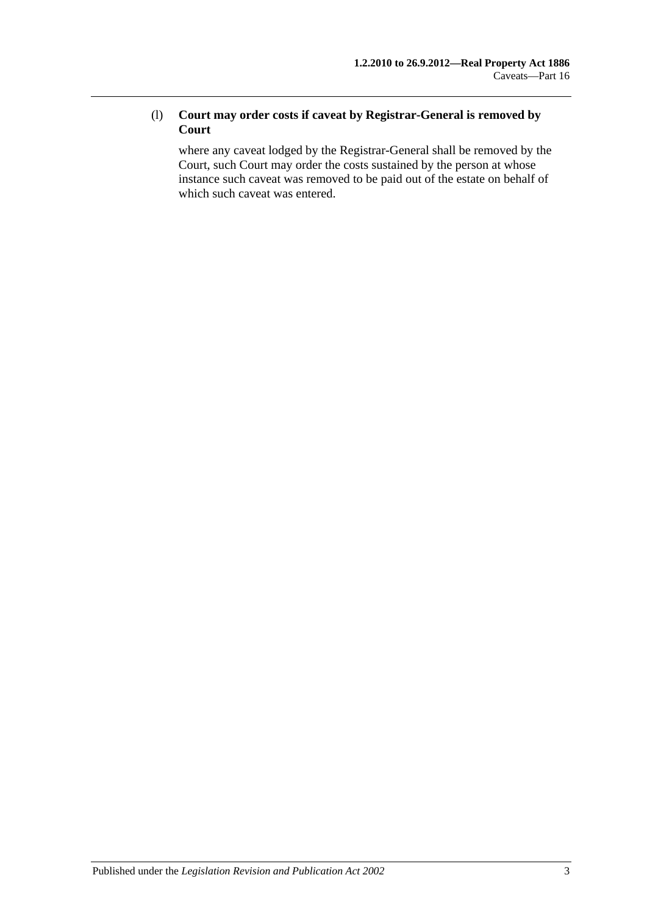### (l) **Court may order costs if caveat by Registrar-General is removed by Court**

where any caveat lodged by the Registrar-General shall be removed by the Court, such Court may order the costs sustained by the person at whose instance such caveat was removed to be paid out of the estate on behalf of which such caveat was entered.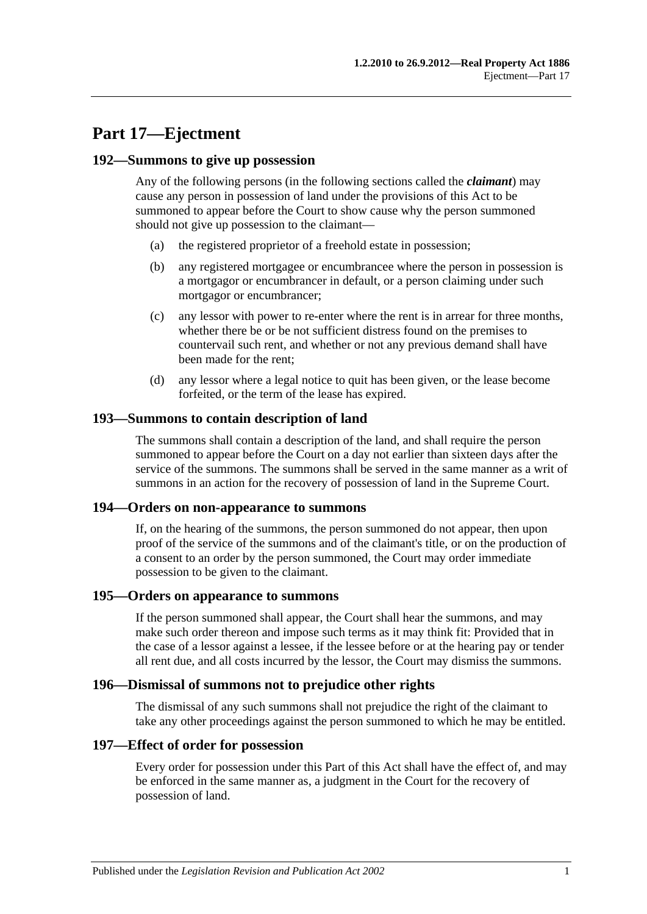## **Part 17—Ejectment**

#### **192—Summons to give up possession**

Any of the following persons (in the following sections called the *claimant*) may cause any person in possession of land under the provisions of this Act to be summoned to appear before the Court to show cause why the person summoned should not give up possession to the claimant—

- (a) the registered proprietor of a freehold estate in possession;
- (b) any registered mortgagee or encumbrancee where the person in possession is a mortgagor or encumbrancer in default, or a person claiming under such mortgagor or encumbrancer;
- (c) any lessor with power to re-enter where the rent is in arrear for three months, whether there be or be not sufficient distress found on the premises to countervail such rent, and whether or not any previous demand shall have been made for the rent;
- (d) any lessor where a legal notice to quit has been given, or the lease become forfeited, or the term of the lease has expired.

#### **193—Summons to contain description of land**

The summons shall contain a description of the land, and shall require the person summoned to appear before the Court on a day not earlier than sixteen days after the service of the summons. The summons shall be served in the same manner as a writ of summons in an action for the recovery of possession of land in the Supreme Court.

#### **194—Orders on non-appearance to summons**

If, on the hearing of the summons, the person summoned do not appear, then upon proof of the service of the summons and of the claimant's title, or on the production of a consent to an order by the person summoned, the Court may order immediate possession to be given to the claimant.

#### **195—Orders on appearance to summons**

If the person summoned shall appear, the Court shall hear the summons, and may make such order thereon and impose such terms as it may think fit: Provided that in the case of a lessor against a lessee, if the lessee before or at the hearing pay or tender all rent due, and all costs incurred by the lessor, the Court may dismiss the summons.

#### **196—Dismissal of summons not to prejudice other rights**

The dismissal of any such summons shall not prejudice the right of the claimant to take any other proceedings against the person summoned to which he may be entitled.

#### **197—Effect of order for possession**

Every order for possession under this Part of this Act shall have the effect of, and may be enforced in the same manner as, a judgment in the Court for the recovery of possession of land.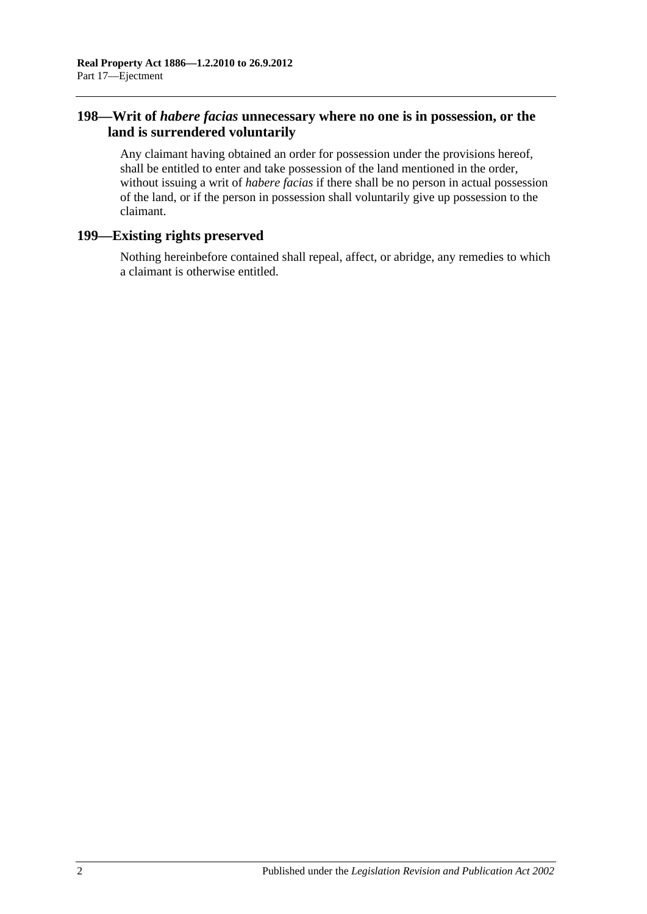### **198—Writ of** *habere facias* **unnecessary where no one is in possession, or the land is surrendered voluntarily**

Any claimant having obtained an order for possession under the provisions hereof, shall be entitled to enter and take possession of the land mentioned in the order, without issuing a writ of *habere facias* if there shall be no person in actual possession of the land, or if the person in possession shall voluntarily give up possession to the claimant.

### **199—Existing rights preserved**

Nothing hereinbefore contained shall repeal, affect, or abridge, any remedies to which a claimant is otherwise entitled.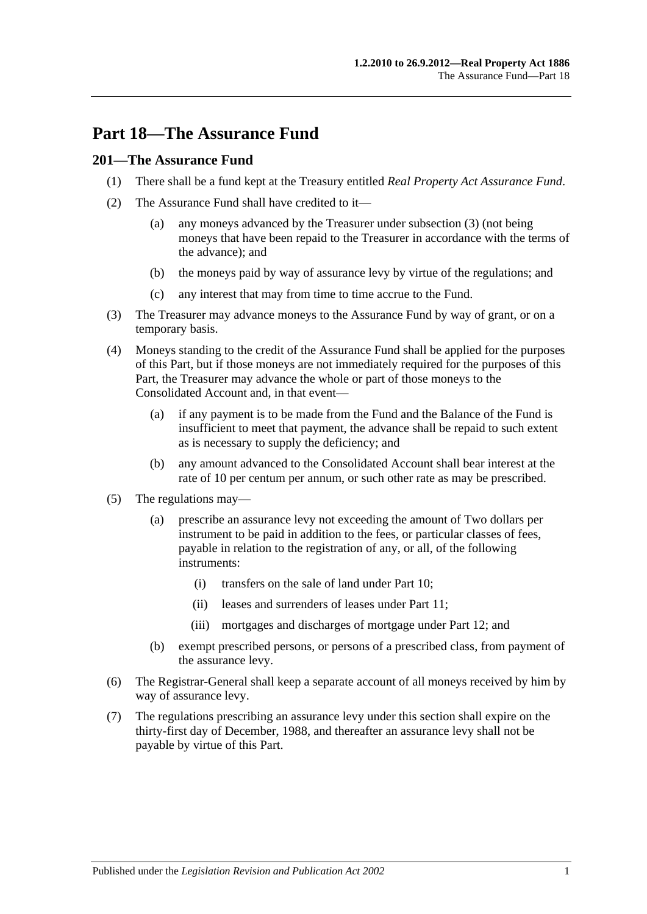## **Part 18—The Assurance Fund**

### **201—The Assurance Fund**

- (1) There shall be a fund kept at the Treasury entitled *Real Property Act Assurance Fund*.
- (2) The Assurance Fund shall have credited to it—
	- (a) any moneys advanced by the Treasurer under [subsection](#page-90-0) (3) (not being moneys that have been repaid to the Treasurer in accordance with the terms of the advance); and
	- (b) the moneys paid by way of assurance levy by virtue of the regulations; and
	- (c) any interest that may from time to time accrue to the Fund.
- <span id="page-90-0"></span>(3) The Treasurer may advance moneys to the Assurance Fund by way of grant, or on a temporary basis.
- (4) Moneys standing to the credit of the Assurance Fund shall be applied for the purposes of this Part, but if those moneys are not immediately required for the purposes of this Part, the Treasurer may advance the whole or part of those moneys to the Consolidated Account and, in that event—
	- (a) if any payment is to be made from the Fund and the Balance of the Fund is insufficient to meet that payment, the advance shall be repaid to such extent as is necessary to supply the deficiency; and
	- (b) any amount advanced to the Consolidated Account shall bear interest at the rate of 10 per centum per annum, or such other rate as may be prescribed.
- (5) The regulations may—
	- (a) prescribe an assurance levy not exceeding the amount of Two dollars per instrument to be paid in addition to the fees, or particular classes of fees, payable in relation to the registration of any, or all, of the following instruments:
		- (i) transfers on the sale of land under [Part 10;](#page-52-0)
		- (ii) leases and surrenders of leases under [Part 11;](#page-58-0)
		- (iii) mortgages and discharges of mortgage under [Part 12;](#page-62-0) and
	- (b) exempt prescribed persons, or persons of a prescribed class, from payment of the assurance levy.
- (6) The Registrar-General shall keep a separate account of all moneys received by him by way of assurance levy.
- (7) The regulations prescribing an assurance levy under this section shall expire on the thirty-first day of December, 1988, and thereafter an assurance levy shall not be payable by virtue of this Part.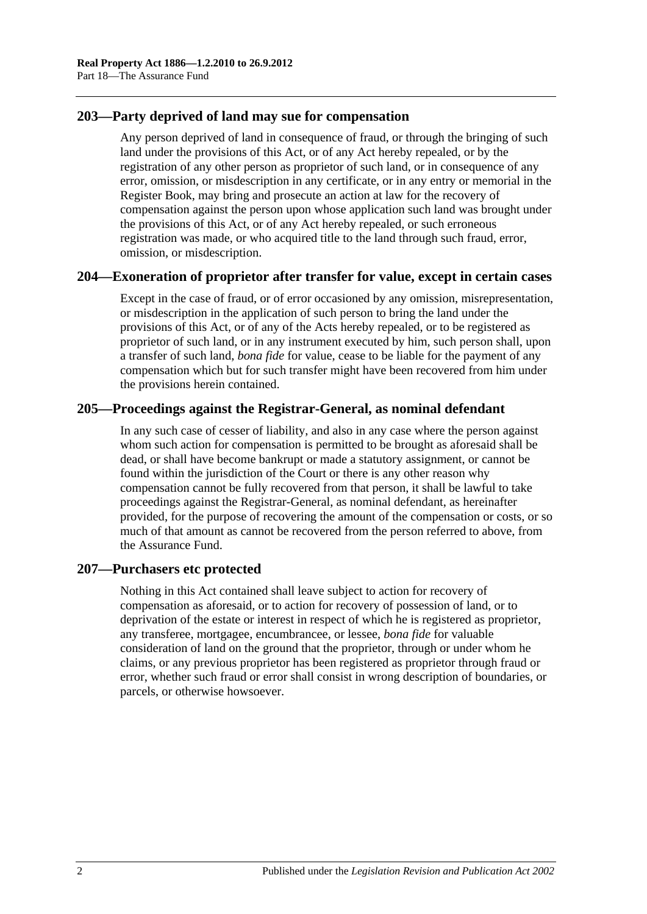### **203—Party deprived of land may sue for compensation**

Any person deprived of land in consequence of fraud, or through the bringing of such land under the provisions of this Act, or of any Act hereby repealed, or by the registration of any other person as proprietor of such land, or in consequence of any error, omission, or misdescription in any certificate, or in any entry or memorial in the Register Book, may bring and prosecute an action at law for the recovery of compensation against the person upon whose application such land was brought under the provisions of this Act, or of any Act hereby repealed, or such erroneous registration was made, or who acquired title to the land through such fraud, error, omission, or misdescription.

### **204—Exoneration of proprietor after transfer for value, except in certain cases**

Except in the case of fraud, or of error occasioned by any omission, misrepresentation, or misdescription in the application of such person to bring the land under the provisions of this Act, or of any of the Acts hereby repealed, or to be registered as proprietor of such land, or in any instrument executed by him, such person shall, upon a transfer of such land, *bona fide* for value, cease to be liable for the payment of any compensation which but for such transfer might have been recovered from him under the provisions herein contained.

### **205—Proceedings against the Registrar-General, as nominal defendant**

In any such case of cesser of liability, and also in any case where the person against whom such action for compensation is permitted to be brought as aforesaid shall be dead, or shall have become bankrupt or made a statutory assignment, or cannot be found within the jurisdiction of the Court or there is any other reason why compensation cannot be fully recovered from that person, it shall be lawful to take proceedings against the Registrar-General, as nominal defendant, as hereinafter provided, for the purpose of recovering the amount of the compensation or costs, or so much of that amount as cannot be recovered from the person referred to above, from the Assurance Fund.

### **207—Purchasers etc protected**

Nothing in this Act contained shall leave subject to action for recovery of compensation as aforesaid, or to action for recovery of possession of land, or to deprivation of the estate or interest in respect of which he is registered as proprietor, any transferee, mortgagee, encumbrancee, or lessee, *bona fide* for valuable consideration of land on the ground that the proprietor, through or under whom he claims, or any previous proprietor has been registered as proprietor through fraud or error, whether such fraud or error shall consist in wrong description of boundaries, or parcels, or otherwise howsoever.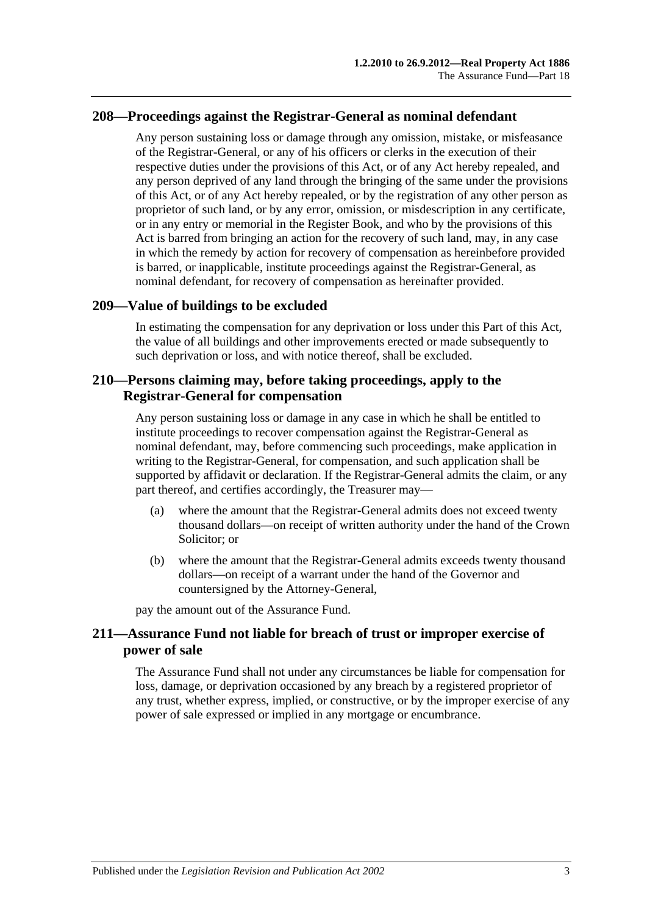#### **208—Proceedings against the Registrar-General as nominal defendant**

Any person sustaining loss or damage through any omission, mistake, or misfeasance of the Registrar-General, or any of his officers or clerks in the execution of their respective duties under the provisions of this Act, or of any Act hereby repealed, and any person deprived of any land through the bringing of the same under the provisions of this Act, or of any Act hereby repealed, or by the registration of any other person as proprietor of such land, or by any error, omission, or misdescription in any certificate, or in any entry or memorial in the Register Book, and who by the provisions of this Act is barred from bringing an action for the recovery of such land, may, in any case in which the remedy by action for recovery of compensation as hereinbefore provided is barred, or inapplicable, institute proceedings against the Registrar-General, as nominal defendant, for recovery of compensation as hereinafter provided.

#### **209—Value of buildings to be excluded**

In estimating the compensation for any deprivation or loss under this Part of this Act, the value of all buildings and other improvements erected or made subsequently to such deprivation or loss, and with notice thereof, shall be excluded.

### **210—Persons claiming may, before taking proceedings, apply to the Registrar-General for compensation**

Any person sustaining loss or damage in any case in which he shall be entitled to institute proceedings to recover compensation against the Registrar-General as nominal defendant, may, before commencing such proceedings, make application in writing to the Registrar-General, for compensation, and such application shall be supported by affidavit or declaration. If the Registrar-General admits the claim, or any part thereof, and certifies accordingly, the Treasurer may—

- (a) where the amount that the Registrar-General admits does not exceed twenty thousand dollars—on receipt of written authority under the hand of the Crown Solicitor; or
- (b) where the amount that the Registrar-General admits exceeds twenty thousand dollars—on receipt of a warrant under the hand of the Governor and countersigned by the Attorney-General,

pay the amount out of the Assurance Fund.

### **211—Assurance Fund not liable for breach of trust or improper exercise of power of sale**

The Assurance Fund shall not under any circumstances be liable for compensation for loss, damage, or deprivation occasioned by any breach by a registered proprietor of any trust, whether express, implied, or constructive, or by the improper exercise of any power of sale expressed or implied in any mortgage or encumbrance.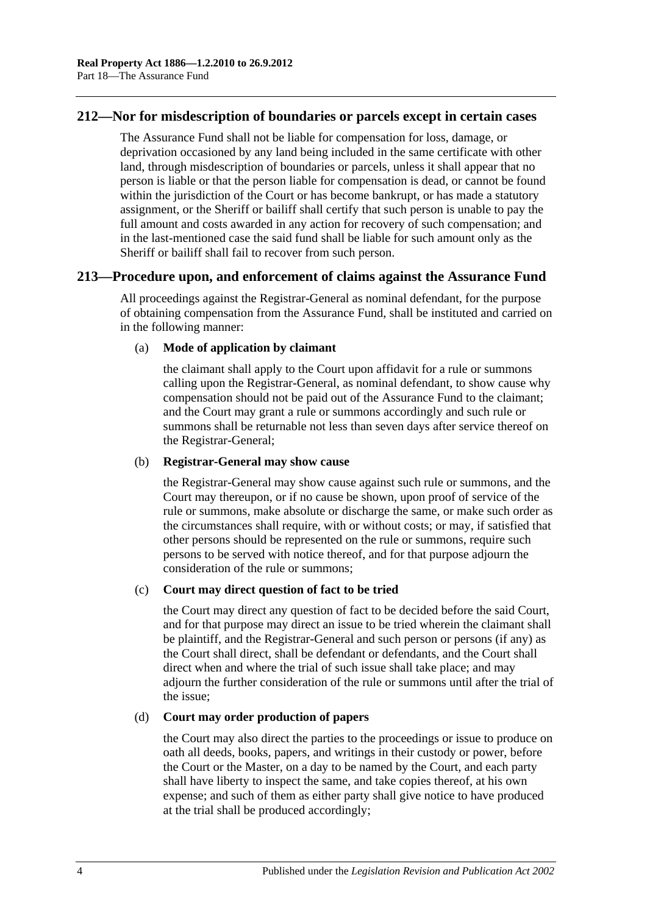### **212—Nor for misdescription of boundaries or parcels except in certain cases**

The Assurance Fund shall not be liable for compensation for loss, damage, or deprivation occasioned by any land being included in the same certificate with other land, through misdescription of boundaries or parcels, unless it shall appear that no person is liable or that the person liable for compensation is dead, or cannot be found within the jurisdiction of the Court or has become bankrupt, or has made a statutory assignment, or the Sheriff or bailiff shall certify that such person is unable to pay the full amount and costs awarded in any action for recovery of such compensation; and in the last-mentioned case the said fund shall be liable for such amount only as the Sheriff or bailiff shall fail to recover from such person.

#### **213—Procedure upon, and enforcement of claims against the Assurance Fund**

All proceedings against the Registrar-General as nominal defendant, for the purpose of obtaining compensation from the Assurance Fund, shall be instituted and carried on in the following manner:

#### (a) **Mode of application by claimant**

the claimant shall apply to the Court upon affidavit for a rule or summons calling upon the Registrar-General, as nominal defendant, to show cause why compensation should not be paid out of the Assurance Fund to the claimant; and the Court may grant a rule or summons accordingly and such rule or summons shall be returnable not less than seven days after service thereof on the Registrar-General;

#### (b) **Registrar-General may show cause**

the Registrar-General may show cause against such rule or summons, and the Court may thereupon, or if no cause be shown, upon proof of service of the rule or summons, make absolute or discharge the same, or make such order as the circumstances shall require, with or without costs; or may, if satisfied that other persons should be represented on the rule or summons, require such persons to be served with notice thereof, and for that purpose adjourn the consideration of the rule or summons;

#### (c) **Court may direct question of fact to be tried**

the Court may direct any question of fact to be decided before the said Court, and for that purpose may direct an issue to be tried wherein the claimant shall be plaintiff, and the Registrar-General and such person or persons (if any) as the Court shall direct, shall be defendant or defendants, and the Court shall direct when and where the trial of such issue shall take place; and may adjourn the further consideration of the rule or summons until after the trial of the issue;

#### (d) **Court may order production of papers**

the Court may also direct the parties to the proceedings or issue to produce on oath all deeds, books, papers, and writings in their custody or power, before the Court or the Master, on a day to be named by the Court, and each party shall have liberty to inspect the same, and take copies thereof, at his own expense; and such of them as either party shall give notice to have produced at the trial shall be produced accordingly;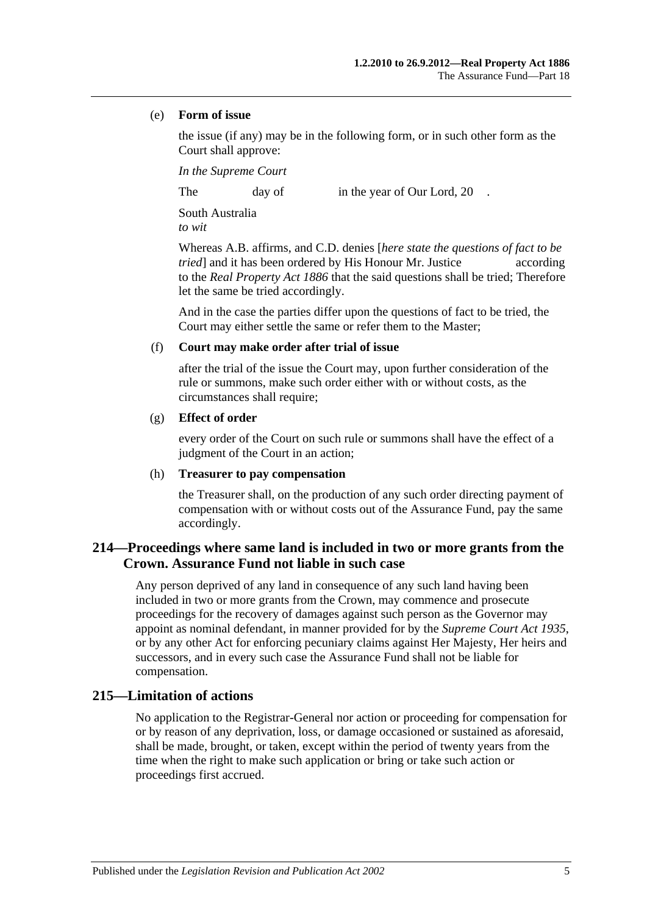#### (e) **Form of issue**

the issue (if any) may be in the following form, or in such other form as the Court shall approve:

*In the Supreme Court*

The day of in the year of Our Lord, 20

South Australia *to wit*

Whereas A.B. affirms, and C.D. denies [*here state the questions of fact to be tried* and it has been ordered by His Honour Mr. Justice according to the *[Real Property Act](http://www.legislation.sa.gov.au/index.aspx?action=legref&type=act&legtitle=Real%20Property%20Act%201886) 1886* that the said questions shall be tried; Therefore let the same be tried accordingly.

And in the case the parties differ upon the questions of fact to be tried, the Court may either settle the same or refer them to the Master;

#### (f) **Court may make order after trial of issue**

after the trial of the issue the Court may, upon further consideration of the rule or summons, make such order either with or without costs, as the circumstances shall require;

#### (g) **Effect of order**

every order of the Court on such rule or summons shall have the effect of a judgment of the Court in an action;

#### (h) **Treasurer to pay compensation**

the Treasurer shall, on the production of any such order directing payment of compensation with or without costs out of the Assurance Fund, pay the same accordingly.

### **214—Proceedings where same land is included in two or more grants from the Crown. Assurance Fund not liable in such case**

Any person deprived of any land in consequence of any such land having been included in two or more grants from the Crown, may commence and prosecute proceedings for the recovery of damages against such person as the Governor may appoint as nominal defendant, in manner provided for by the *[Supreme Court Act](http://www.legislation.sa.gov.au/index.aspx?action=legref&type=act&legtitle=Supreme%20Court%20Act%201935) 1935*, or by any other Act for enforcing pecuniary claims against Her Majesty, Her heirs and successors, and in every such case the Assurance Fund shall not be liable for compensation.

### **215—Limitation of actions**

No application to the Registrar-General nor action or proceeding for compensation for or by reason of any deprivation, loss, or damage occasioned or sustained as aforesaid, shall be made, brought, or taken, except within the period of twenty years from the time when the right to make such application or bring or take such action or proceedings first accrued.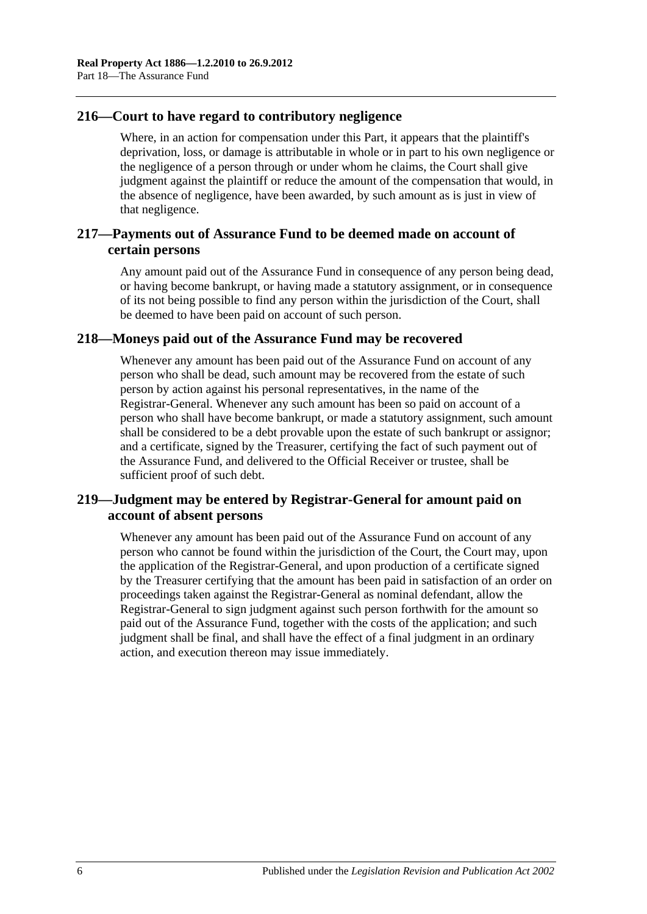### **216—Court to have regard to contributory negligence**

Where, in an action for compensation under this Part, it appears that the plaintiff's deprivation, loss, or damage is attributable in whole or in part to his own negligence or the negligence of a person through or under whom he claims, the Court shall give judgment against the plaintiff or reduce the amount of the compensation that would, in the absence of negligence, have been awarded, by such amount as is just in view of that negligence.

### **217—Payments out of Assurance Fund to be deemed made on account of certain persons**

Any amount paid out of the Assurance Fund in consequence of any person being dead, or having become bankrupt, or having made a statutory assignment, or in consequence of its not being possible to find any person within the jurisdiction of the Court, shall be deemed to have been paid on account of such person.

### **218—Moneys paid out of the Assurance Fund may be recovered**

Whenever any amount has been paid out of the Assurance Fund on account of any person who shall be dead, such amount may be recovered from the estate of such person by action against his personal representatives, in the name of the Registrar-General. Whenever any such amount has been so paid on account of a person who shall have become bankrupt, or made a statutory assignment, such amount shall be considered to be a debt provable upon the estate of such bankrupt or assignor; and a certificate, signed by the Treasurer, certifying the fact of such payment out of the Assurance Fund, and delivered to the Official Receiver or trustee, shall be sufficient proof of such debt.

### **219—Judgment may be entered by Registrar-General for amount paid on account of absent persons**

Whenever any amount has been paid out of the Assurance Fund on account of any person who cannot be found within the jurisdiction of the Court, the Court may, upon the application of the Registrar-General, and upon production of a certificate signed by the Treasurer certifying that the amount has been paid in satisfaction of an order on proceedings taken against the Registrar-General as nominal defendant, allow the Registrar-General to sign judgment against such person forthwith for the amount so paid out of the Assurance Fund, together with the costs of the application; and such judgment shall be final, and shall have the effect of a final judgment in an ordinary action, and execution thereon may issue immediately.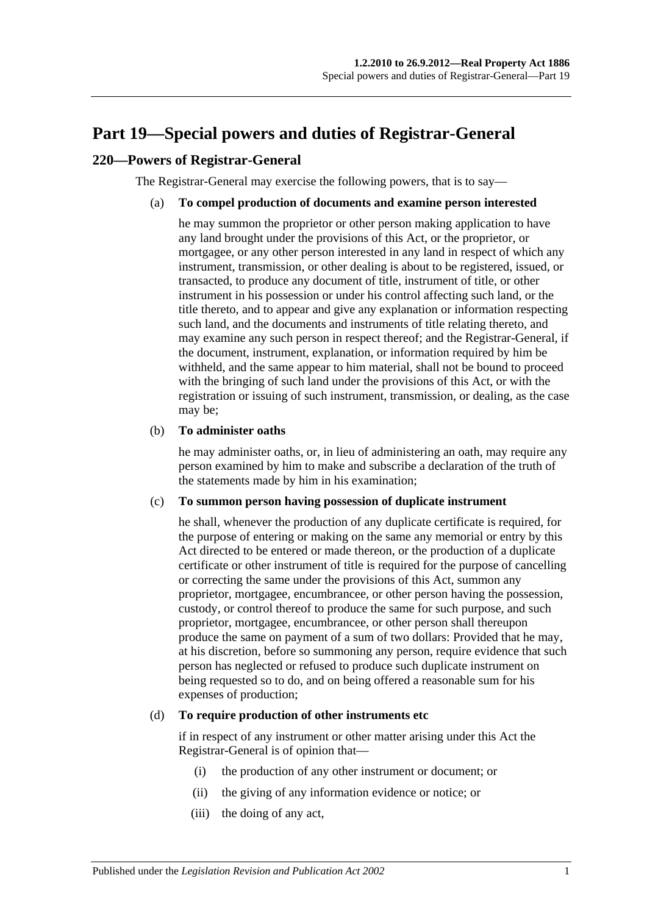## <span id="page-96-0"></span>**Part 19—Special powers and duties of Registrar-General**

### **220—Powers of Registrar-General**

The Registrar-General may exercise the following powers, that is to say—

#### (a) **To compel production of documents and examine person interested**

he may summon the proprietor or other person making application to have any land brought under the provisions of this Act, or the proprietor, or mortgagee, or any other person interested in any land in respect of which any instrument, transmission, or other dealing is about to be registered, issued, or transacted, to produce any document of title, instrument of title, or other instrument in his possession or under his control affecting such land, or the title thereto, and to appear and give any explanation or information respecting such land, and the documents and instruments of title relating thereto, and may examine any such person in respect thereof; and the Registrar-General, if the document, instrument, explanation, or information required by him be withheld, and the same appear to him material, shall not be bound to proceed with the bringing of such land under the provisions of this Act, or with the registration or issuing of such instrument, transmission, or dealing, as the case may be;

#### (b) **To administer oaths**

he may administer oaths, or, in lieu of administering an oath, may require any person examined by him to make and subscribe a declaration of the truth of the statements made by him in his examination;

#### (c) **To summon person having possession of duplicate instrument**

he shall, whenever the production of any duplicate certificate is required, for the purpose of entering or making on the same any memorial or entry by this Act directed to be entered or made thereon, or the production of a duplicate certificate or other instrument of title is required for the purpose of cancelling or correcting the same under the provisions of this Act, summon any proprietor, mortgagee, encumbrancee, or other person having the possession, custody, or control thereof to produce the same for such purpose, and such proprietor, mortgagee, encumbrancee, or other person shall thereupon produce the same on payment of a sum of two dollars: Provided that he may, at his discretion, before so summoning any person, require evidence that such person has neglected or refused to produce such duplicate instrument on being requested so to do, and on being offered a reasonable sum for his expenses of production;

#### <span id="page-96-1"></span>(d) **To require production of other instruments etc**

if in respect of any instrument or other matter arising under this Act the Registrar-General is of opinion that—

- (i) the production of any other instrument or document; or
- (ii) the giving of any information evidence or notice; or
- (iii) the doing of any act,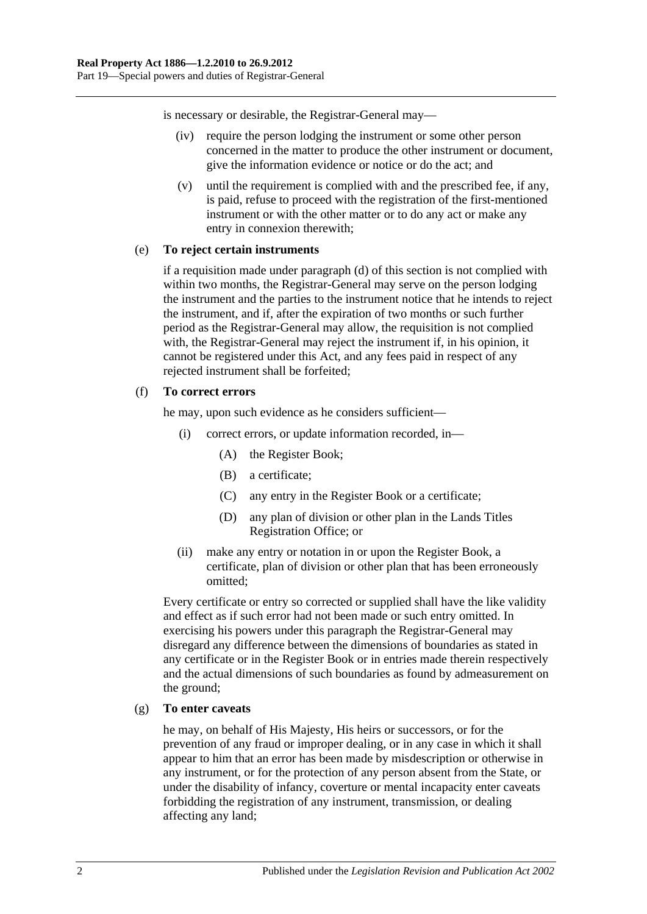is necessary or desirable, the Registrar-General may—

- (iv) require the person lodging the instrument or some other person concerned in the matter to produce the other instrument or document, give the information evidence or notice or do the act; and
- (v) until the requirement is complied with and the prescribed fee, if any, is paid, refuse to proceed with the registration of the first-mentioned instrument or with the other matter or to do any act or make any entry in connexion therewith;

#### (e) **To reject certain instruments**

if a requisition made under [paragraph](#page-96-1) (d) of this section is not complied with within two months, the Registrar-General may serve on the person lodging the instrument and the parties to the instrument notice that he intends to reject the instrument, and if, after the expiration of two months or such further period as the Registrar-General may allow, the requisition is not complied with, the Registrar-General may reject the instrument if, in his opinion, it cannot be registered under this Act, and any fees paid in respect of any rejected instrument shall be forfeited;

#### (f) **To correct errors**

he may, upon such evidence as he considers sufficient—

- (i) correct errors, or update information recorded, in—
	- (A) the Register Book;
	- (B) a certificate;
	- (C) any entry in the Register Book or a certificate;
	- (D) any plan of division or other plan in the Lands Titles Registration Office; or
- (ii) make any entry or notation in or upon the Register Book, a certificate, plan of division or other plan that has been erroneously omitted;

Every certificate or entry so corrected or supplied shall have the like validity and effect as if such error had not been made or such entry omitted. In exercising his powers under this paragraph the Registrar-General may disregard any difference between the dimensions of boundaries as stated in any certificate or in the Register Book or in entries made therein respectively and the actual dimensions of such boundaries as found by admeasurement on the ground;

#### (g) **To enter caveats**

he may, on behalf of His Majesty, His heirs or successors, or for the prevention of any fraud or improper dealing, or in any case in which it shall appear to him that an error has been made by misdescription or otherwise in any instrument, or for the protection of any person absent from the State, or under the disability of infancy, coverture or mental incapacity enter caveats forbidding the registration of any instrument, transmission, or dealing affecting any land;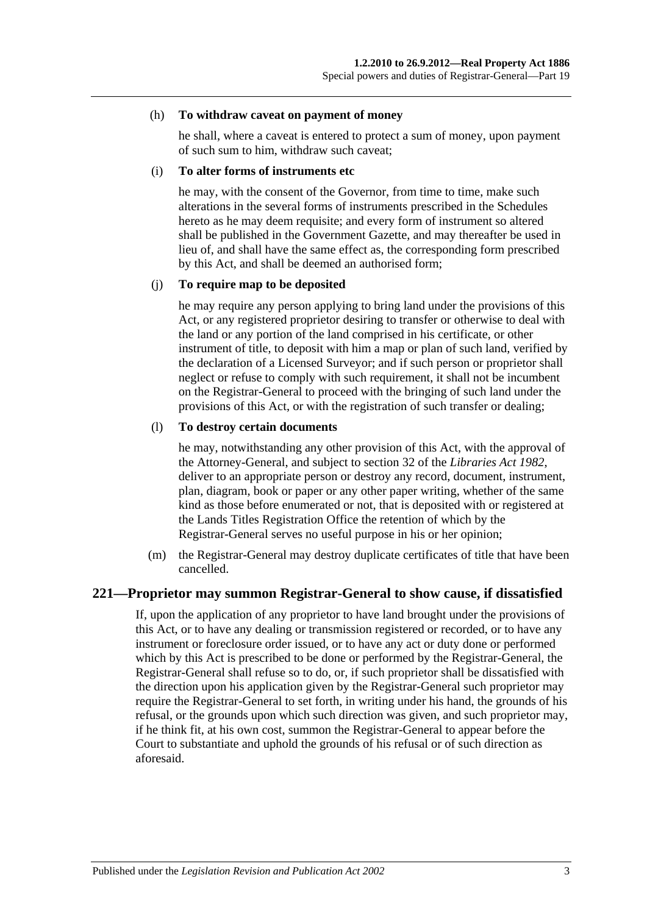#### (h) **To withdraw caveat on payment of money**

he shall, where a caveat is entered to protect a sum of money, upon payment of such sum to him, withdraw such caveat;

#### (i) **To alter forms of instruments etc**

he may, with the consent of the Governor, from time to time, make such alterations in the several forms of instruments prescribed in the Schedules hereto as he may deem requisite; and every form of instrument so altered shall be published in the Government Gazette, and may thereafter be used in lieu of, and shall have the same effect as, the corresponding form prescribed by this Act, and shall be deemed an authorised form;

#### (j) **To require map to be deposited**

he may require any person applying to bring land under the provisions of this Act, or any registered proprietor desiring to transfer or otherwise to deal with the land or any portion of the land comprised in his certificate, or other instrument of title, to deposit with him a map or plan of such land, verified by the declaration of a Licensed Surveyor; and if such person or proprietor shall neglect or refuse to comply with such requirement, it shall not be incumbent on the Registrar-General to proceed with the bringing of such land under the provisions of this Act, or with the registration of such transfer or dealing;

#### (l) **To destroy certain documents**

he may, notwithstanding any other provision of this Act, with the approval of the Attorney-General, and subject to section 32 of the *[Libraries Act](http://www.legislation.sa.gov.au/index.aspx?action=legref&type=act&legtitle=Libraries%20Act%201982) 1982*, deliver to an appropriate person or destroy any record, document, instrument, plan, diagram, book or paper or any other paper writing, whether of the same kind as those before enumerated or not, that is deposited with or registered at the Lands Titles Registration Office the retention of which by the Registrar-General serves no useful purpose in his or her opinion;

(m) the Registrar-General may destroy duplicate certificates of title that have been cancelled.

#### **221—Proprietor may summon Registrar-General to show cause, if dissatisfied**

If, upon the application of any proprietor to have land brought under the provisions of this Act, or to have any dealing or transmission registered or recorded, or to have any instrument or foreclosure order issued, or to have any act or duty done or performed which by this Act is prescribed to be done or performed by the Registrar-General, the Registrar-General shall refuse so to do, or, if such proprietor shall be dissatisfied with the direction upon his application given by the Registrar-General such proprietor may require the Registrar-General to set forth, in writing under his hand, the grounds of his refusal, or the grounds upon which such direction was given, and such proprietor may, if he think fit, at his own cost, summon the Registrar-General to appear before the Court to substantiate and uphold the grounds of his refusal or of such direction as aforesaid.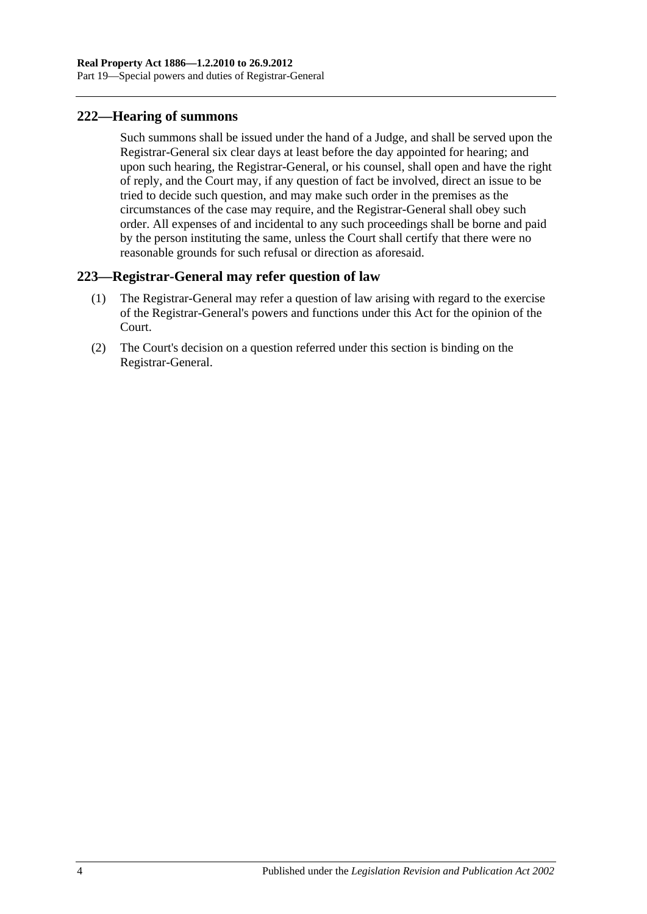### **222—Hearing of summons**

Such summons shall be issued under the hand of a Judge, and shall be served upon the Registrar-General six clear days at least before the day appointed for hearing; and upon such hearing, the Registrar-General, or his counsel, shall open and have the right of reply, and the Court may, if any question of fact be involved, direct an issue to be tried to decide such question, and may make such order in the premises as the circumstances of the case may require, and the Registrar-General shall obey such order. All expenses of and incidental to any such proceedings shall be borne and paid by the person instituting the same, unless the Court shall certify that there were no reasonable grounds for such refusal or direction as aforesaid.

### **223—Registrar-General may refer question of law**

- (1) The Registrar-General may refer a question of law arising with regard to the exercise of the Registrar-General's powers and functions under this Act for the opinion of the Court.
- (2) The Court's decision on a question referred under this section is binding on the Registrar-General.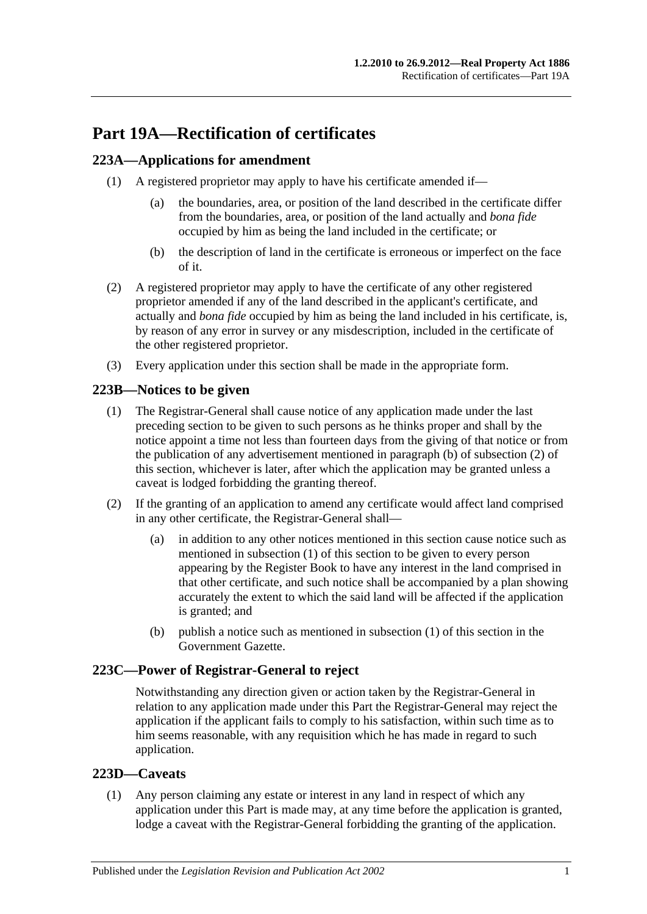# **Part 19A—Rectification of certificates**

### <span id="page-100-3"></span>**223A—Applications for amendment**

- (1) A registered proprietor may apply to have his certificate amended if—
	- (a) the boundaries, area, or position of the land described in the certificate differ from the boundaries, area, or position of the land actually and *bona fide* occupied by him as being the land included in the certificate; or
	- (b) the description of land in the certificate is erroneous or imperfect on the face of it.
- (2) A registered proprietor may apply to have the certificate of any other registered proprietor amended if any of the land described in the applicant's certificate, and actually and *bona fide* occupied by him as being the land included in his certificate, is, by reason of any error in survey or any misdescription, included in the certificate of the other registered proprietor.
- (3) Every application under this section shall be made in the appropriate form.

### <span id="page-100-2"></span>**223B—Notices to be given**

- (1) The Registrar-General shall cause notice of any application made under the last preceding section to be given to such persons as he thinks proper and shall by the notice appoint a time not less than fourteen days from the giving of that notice or from the publication of any advertisement mentioned in [paragraph](#page-100-0) (b) of [subsection](#page-100-1) (2) of this section, whichever is later, after which the application may be granted unless a caveat is lodged forbidding the granting thereof.
- <span id="page-100-1"></span>(2) If the granting of an application to amend any certificate would affect land comprised in any other certificate, the Registrar-General shall—
	- (a) in addition to any other notices mentioned in this section cause notice such as mentioned in [subsection](#page-100-2) (1) of this section to be given to every person appearing by the Register Book to have any interest in the land comprised in that other certificate, and such notice shall be accompanied by a plan showing accurately the extent to which the said land will be affected if the application is granted; and
	- (b) publish a notice such as mentioned in [subsection](#page-100-2) (1) of this section in the Government Gazette.

### <span id="page-100-0"></span>**223C—Power of Registrar-General to reject**

Notwithstanding any direction given or action taken by the Registrar-General in relation to any application made under this Part the Registrar-General may reject the application if the applicant fails to comply to his satisfaction, within such time as to him seems reasonable, with any requisition which he has made in regard to such application.

### **223D—Caveats**

(1) Any person claiming any estate or interest in any land in respect of which any application under this Part is made may, at any time before the application is granted, lodge a caveat with the Registrar-General forbidding the granting of the application.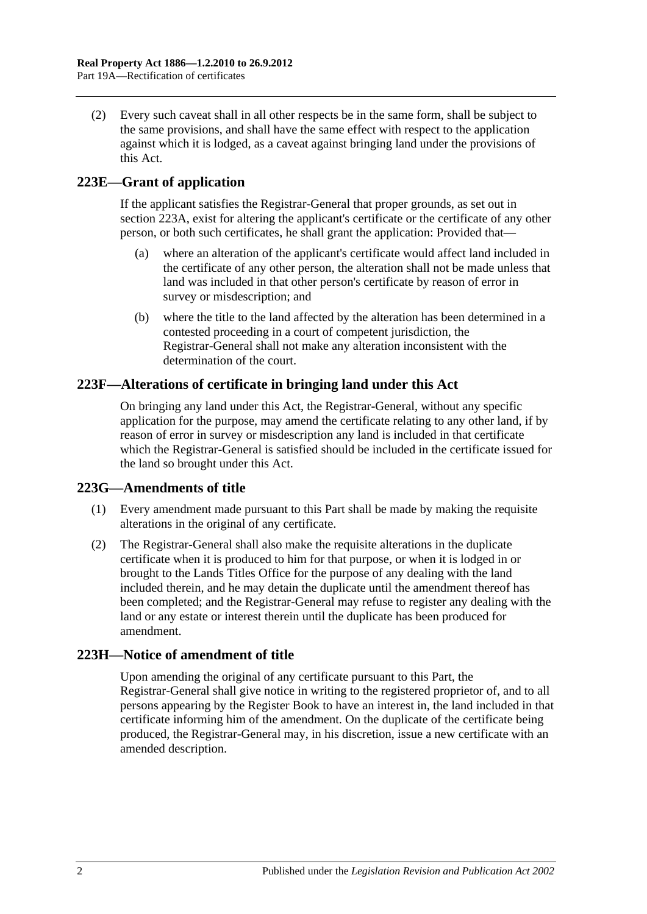(2) Every such caveat shall in all other respects be in the same form, shall be subject to the same provisions, and shall have the same effect with respect to the application against which it is lodged, as a caveat against bringing land under the provisions of this Act.

### **223E—Grant of application**

If the applicant satisfies the Registrar-General that proper grounds, as set out in [section](#page-100-3) 223A, exist for altering the applicant's certificate or the certificate of any other person, or both such certificates, he shall grant the application: Provided that—

- (a) where an alteration of the applicant's certificate would affect land included in the certificate of any other person, the alteration shall not be made unless that land was included in that other person's certificate by reason of error in survey or misdescription; and
- (b) where the title to the land affected by the alteration has been determined in a contested proceeding in a court of competent jurisdiction, the Registrar-General shall not make any alteration inconsistent with the determination of the court.

### **223F—Alterations of certificate in bringing land under this Act**

On bringing any land under this Act, the Registrar-General, without any specific application for the purpose, may amend the certificate relating to any other land, if by reason of error in survey or misdescription any land is included in that certificate which the Registrar-General is satisfied should be included in the certificate issued for the land so brought under this Act.

### **223G—Amendments of title**

- (1) Every amendment made pursuant to this Part shall be made by making the requisite alterations in the original of any certificate.
- (2) The Registrar-General shall also make the requisite alterations in the duplicate certificate when it is produced to him for that purpose, or when it is lodged in or brought to the Lands Titles Office for the purpose of any dealing with the land included therein, and he may detain the duplicate until the amendment thereof has been completed; and the Registrar-General may refuse to register any dealing with the land or any estate or interest therein until the duplicate has been produced for amendment.

### **223H—Notice of amendment of title**

Upon amending the original of any certificate pursuant to this Part, the Registrar-General shall give notice in writing to the registered proprietor of, and to all persons appearing by the Register Book to have an interest in, the land included in that certificate informing him of the amendment. On the duplicate of the certificate being produced, the Registrar-General may, in his discretion, issue a new certificate with an amended description.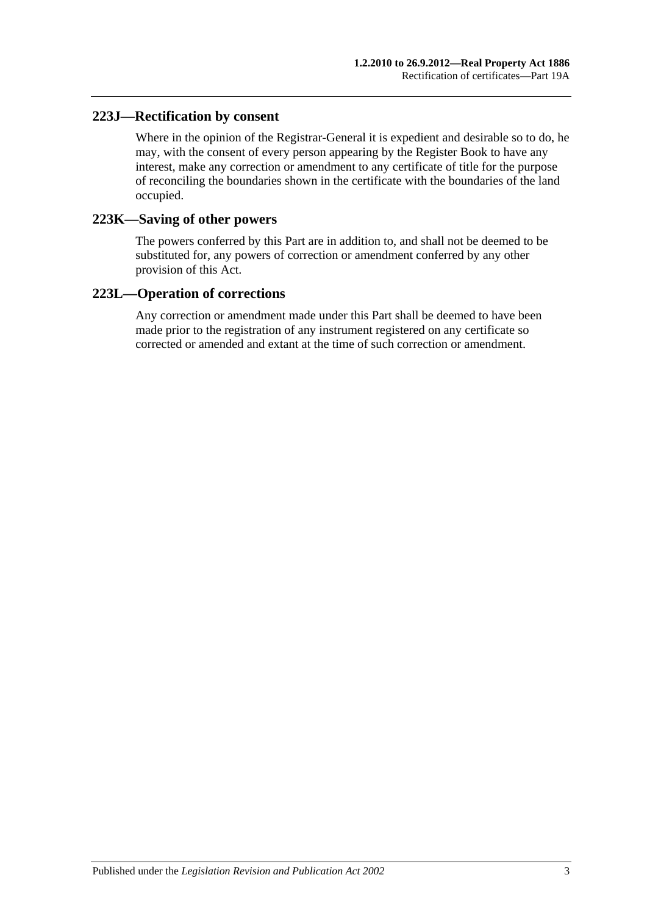### **223J—Rectification by consent**

Where in the opinion of the Registrar-General it is expedient and desirable so to do, he may, with the consent of every person appearing by the Register Book to have any interest, make any correction or amendment to any certificate of title for the purpose of reconciling the boundaries shown in the certificate with the boundaries of the land occupied.

#### **223K—Saving of other powers**

The powers conferred by this Part are in addition to, and shall not be deemed to be substituted for, any powers of correction or amendment conferred by any other provision of this Act.

### **223L—Operation of corrections**

Any correction or amendment made under this Part shall be deemed to have been made prior to the registration of any instrument registered on any certificate so corrected or amended and extant at the time of such correction or amendment.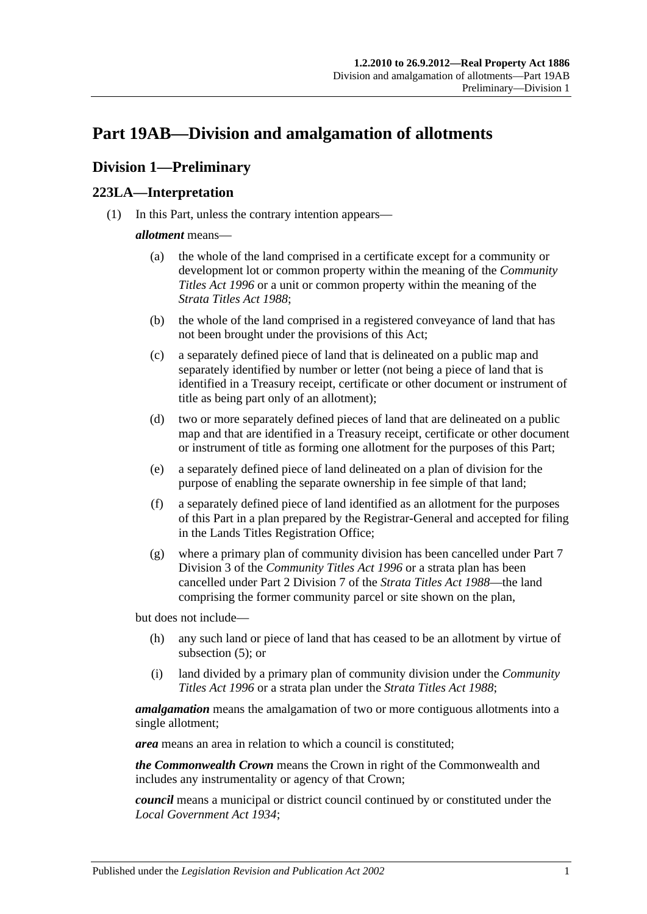# <span id="page-104-2"></span>**Part 19AB—Division and amalgamation of allotments**

## **Division 1—Preliminary**

### <span id="page-104-1"></span>**223LA—Interpretation**

(1) In this Part, unless the contrary intention appears—

#### *allotment* means—

- (a) the whole of the land comprised in a certificate except for a community or development lot or common property within the meaning of the *[Community](http://www.legislation.sa.gov.au/index.aspx?action=legref&type=act&legtitle=Community%20Titles%20Act%201996)  [Titles Act](http://www.legislation.sa.gov.au/index.aspx?action=legref&type=act&legtitle=Community%20Titles%20Act%201996) 1996* or a unit or common property within the meaning of the *[Strata Titles Act](http://www.legislation.sa.gov.au/index.aspx?action=legref&type=act&legtitle=Strata%20Titles%20Act%201988) 1988*;
- (b) the whole of the land comprised in a registered conveyance of land that has not been brought under the provisions of this Act;
- (c) a separately defined piece of land that is delineated on a public map and separately identified by number or letter (not being a piece of land that is identified in a Treasury receipt, certificate or other document or instrument of title as being part only of an allotment);
- (d) two or more separately defined pieces of land that are delineated on a public map and that are identified in a Treasury receipt, certificate or other document or instrument of title as forming one allotment for the purposes of this Part;
- <span id="page-104-0"></span>(e) a separately defined piece of land delineated on a plan of division for the purpose of enabling the separate ownership in fee simple of that land;
- (f) a separately defined piece of land identified as an allotment for the purposes of this Part in a plan prepared by the Registrar-General and accepted for filing in the Lands Titles Registration Office;
- (g) where a primary plan of community division has been cancelled under Part 7 Division 3 of the *[Community Titles Act](http://www.legislation.sa.gov.au/index.aspx?action=legref&type=act&legtitle=Community%20Titles%20Act%201996) 1996* or a strata plan has been cancelled under Part 2 Division 7 of the *[Strata Titles Act](http://www.legislation.sa.gov.au/index.aspx?action=legref&type=act&legtitle=Strata%20Titles%20Act%201988) 1988*—the land comprising the former community parcel or site shown on the plan,

but does not include—

- (h) any such land or piece of land that has ceased to be an allotment by virtue of [subsection](#page-106-0) (5); or
- (i) land divided by a primary plan of community division under the *[Community](http://www.legislation.sa.gov.au/index.aspx?action=legref&type=act&legtitle=Community%20Titles%20Act%201996)  [Titles Act](http://www.legislation.sa.gov.au/index.aspx?action=legref&type=act&legtitle=Community%20Titles%20Act%201996) 1996* or a strata plan under the *[Strata Titles Act](http://www.legislation.sa.gov.au/index.aspx?action=legref&type=act&legtitle=Strata%20Titles%20Act%201988) 1988*;

*amalgamation* means the amalgamation of two or more contiguous allotments into a single allotment;

*area* means an area in relation to which a council is constituted;

*the Commonwealth Crown* means the Crown in right of the Commonwealth and includes any instrumentality or agency of that Crown;

*council* means a municipal or district council continued by or constituted under the *[Local Government Act](http://www.legislation.sa.gov.au/index.aspx?action=legref&type=act&legtitle=Local%20Government%20Act%201934) 1934*;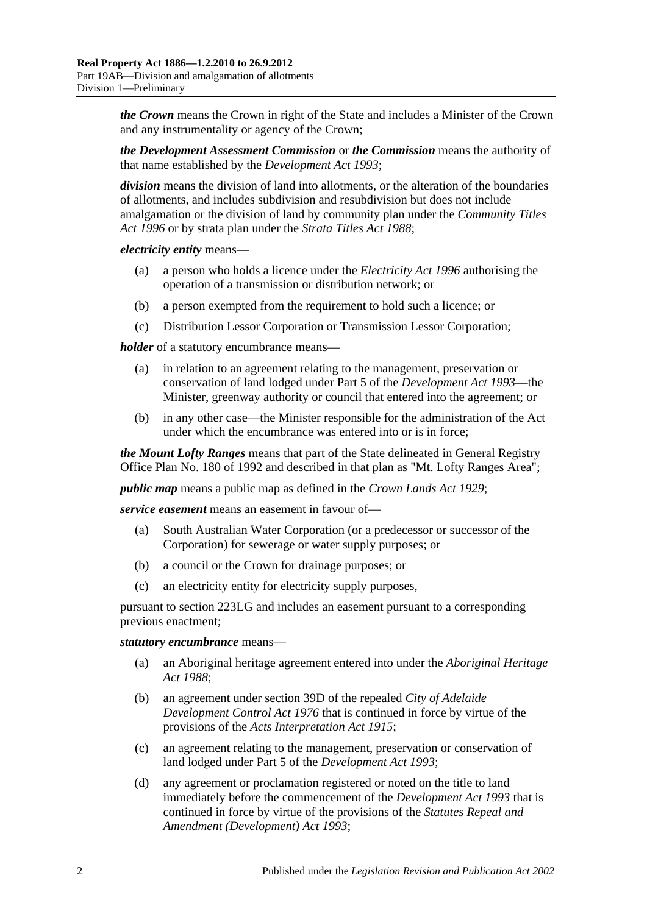*the Crown* means the Crown in right of the State and includes a Minister of the Crown and any instrumentality or agency of the Crown;

*the Development Assessment Commission* or *the Commission* means the authority of that name established by the *[Development Act](http://www.legislation.sa.gov.au/index.aspx?action=legref&type=act&legtitle=Development%20Act%201993) 1993*;

*division* means the division of land into allotments, or the alteration of the boundaries of allotments, and includes subdivision and resubdivision but does not include amalgamation or the division of land by community plan under the *[Community Titles](http://www.legislation.sa.gov.au/index.aspx?action=legref&type=act&legtitle=Community%20Titles%20Act%201996)  Act [1996](http://www.legislation.sa.gov.au/index.aspx?action=legref&type=act&legtitle=Community%20Titles%20Act%201996)* or by strata plan under the *[Strata Titles Act](http://www.legislation.sa.gov.au/index.aspx?action=legref&type=act&legtitle=Strata%20Titles%20Act%201988) 1988*;

*electricity entity* means—

- (a) a person who holds a licence under the *[Electricity Act](http://www.legislation.sa.gov.au/index.aspx?action=legref&type=act&legtitle=Electricity%20Act%201996) 1996* authorising the operation of a transmission or distribution network; or
- (b) a person exempted from the requirement to hold such a licence; or
- (c) Distribution Lessor Corporation or Transmission Lessor Corporation;

*holder* of a statutory encumbrance means—

- (a) in relation to an agreement relating to the management, preservation or conservation of land lodged under Part 5 of the *[Development Act](http://www.legislation.sa.gov.au/index.aspx?action=legref&type=act&legtitle=Development%20Act%201993) 1993*—the Minister, greenway authority or council that entered into the agreement; or
- (b) in any other case—the Minister responsible for the administration of the Act under which the encumbrance was entered into or is in force;

*the Mount Lofty Ranges* means that part of the State delineated in General Registry Office Plan No. 180 of 1992 and described in that plan as "Mt. Lofty Ranges Area";

*public map* means a public map as defined in the *[Crown Lands Act](http://www.legislation.sa.gov.au/index.aspx?action=legref&type=act&legtitle=Crown%20Lands%20Act%201929) 1929*;

*service easement* means an easement in favour of—

- (a) South Australian Water Corporation (or a predecessor or successor of the Corporation) for sewerage or water supply purposes; or
- (b) a council or the Crown for drainage purposes; or
- (c) an electricity entity for electricity supply purposes,

pursuant to [section](#page-112-0) 223LG and includes an easement pursuant to a corresponding previous enactment;

#### *statutory encumbrance* means—

- (a) an Aboriginal heritage agreement entered into under the *[Aboriginal Heritage](http://www.legislation.sa.gov.au/index.aspx?action=legref&type=act&legtitle=Aboriginal%20Heritage%20Act%201988)  Act [1988](http://www.legislation.sa.gov.au/index.aspx?action=legref&type=act&legtitle=Aboriginal%20Heritage%20Act%201988)*;
- (b) an agreement under section 39D of the repealed *[City of Adelaide](http://www.legislation.sa.gov.au/index.aspx?action=legref&type=act&legtitle=City%20of%20Adelaide%20Development%20Control%20Act%201976)  [Development Control Act](http://www.legislation.sa.gov.au/index.aspx?action=legref&type=act&legtitle=City%20of%20Adelaide%20Development%20Control%20Act%201976) 1976* that is continued in force by virtue of the provisions of the *[Acts Interpretation Act](http://www.legislation.sa.gov.au/index.aspx?action=legref&type=act&legtitle=Acts%20Interpretation%20Act%201915) 1915*;
- (c) an agreement relating to the management, preservation or conservation of land lodged under Part 5 of the *[Development Act](http://www.legislation.sa.gov.au/index.aspx?action=legref&type=act&legtitle=Development%20Act%201993) 1993*;
- (d) any agreement or proclamation registered or noted on the title to land immediately before the commencement of the *[Development Act](http://www.legislation.sa.gov.au/index.aspx?action=legref&type=act&legtitle=Development%20Act%201993) 1993* that is continued in force by virtue of the provisions of the *[Statutes Repeal and](http://www.legislation.sa.gov.au/index.aspx?action=legref&type=act&legtitle=Statutes%20Repeal%20and%20Amendment%20(Development)%20Act%201993)  [Amendment \(Development\) Act](http://www.legislation.sa.gov.au/index.aspx?action=legref&type=act&legtitle=Statutes%20Repeal%20and%20Amendment%20(Development)%20Act%201993) 1993*;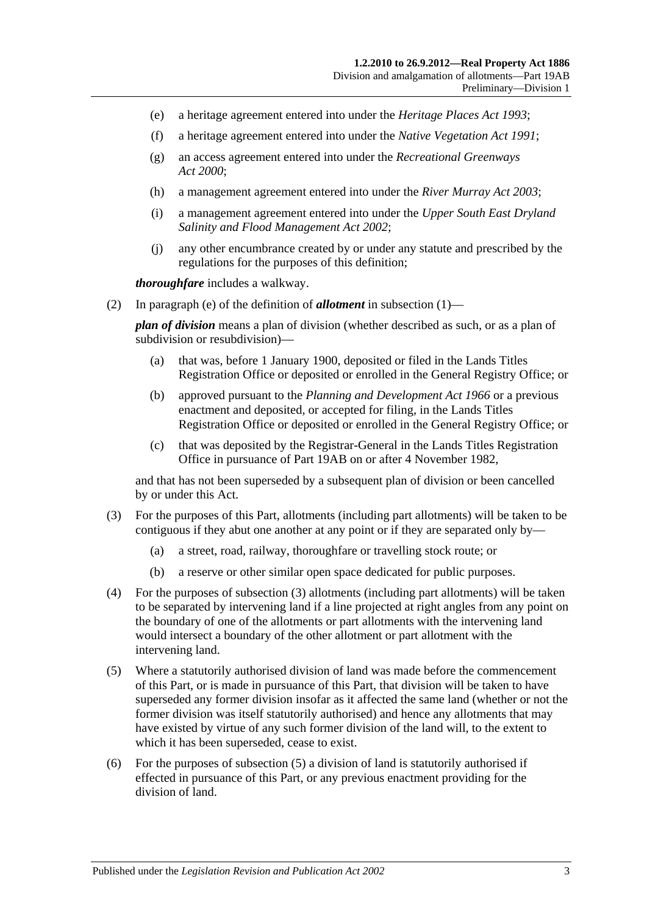- (e) a heritage agreement entered into under the *[Heritage Places Act](http://www.legislation.sa.gov.au/index.aspx?action=legref&type=act&legtitle=Heritage%20Places%20Act%201993) 1993*;
- (f) a heritage agreement entered into under the *[Native Vegetation Act](http://www.legislation.sa.gov.au/index.aspx?action=legref&type=act&legtitle=Native%20Vegetation%20Act%201991) 1991*;
- (g) an access agreement entered into under the *[Recreational Greenways](http://www.legislation.sa.gov.au/index.aspx?action=legref&type=act&legtitle=Recreational%20Greenways%20Act%202000)  Act [2000](http://www.legislation.sa.gov.au/index.aspx?action=legref&type=act&legtitle=Recreational%20Greenways%20Act%202000)*;
- (h) a management agreement entered into under the *[River Murray Act](http://www.legislation.sa.gov.au/index.aspx?action=legref&type=act&legtitle=River%20Murray%20Act%202003) 2003*;
- (i) a management agreement entered into under the *[Upper South East Dryland](http://www.legislation.sa.gov.au/index.aspx?action=legref&type=act&legtitle=Upper%20South%20East%20Dryland%20Salinity%20and%20Flood%20Management%20Act%202002)  [Salinity and Flood Management Act](http://www.legislation.sa.gov.au/index.aspx?action=legref&type=act&legtitle=Upper%20South%20East%20Dryland%20Salinity%20and%20Flood%20Management%20Act%202002) 2002*;
- (j) any other encumbrance created by or under any statute and prescribed by the regulations for the purposes of this definition;

*thoroughfare* includes a walkway.

(2) In [paragraph](#page-104-0) (e) of the definition of *allotment* in [subsection](#page-104-1) (1)—

*plan of division* means a plan of division (whether described as such, or as a plan of subdivision or resubdivision)—

- (a) that was, before 1 January 1900, deposited or filed in the Lands Titles Registration Office or deposited or enrolled in the General Registry Office; or
- (b) approved pursuant to the *[Planning and Development Act](http://www.legislation.sa.gov.au/index.aspx?action=legref&type=act&legtitle=Planning%20and%20Development%20Act%201966) 1966* or a previous enactment and deposited, or accepted for filing, in the Lands Titles Registration Office or deposited or enrolled in the General Registry Office; or
- (c) that was deposited by the Registrar-General in the Lands Titles Registration Office in pursuance of [Part 19AB](#page-104-2) on or after 4 November 1982,

and that has not been superseded by a subsequent plan of division or been cancelled by or under this Act.

- <span id="page-106-1"></span>(3) For the purposes of this Part, allotments (including part allotments) will be taken to be contiguous if they abut one another at any point or if they are separated only by—
	- (a) a street, road, railway, thoroughfare or travelling stock route; or
	- (b) a reserve or other similar open space dedicated for public purposes.
- (4) For the purposes of [subsection](#page-106-1) (3) allotments (including part allotments) will be taken to be separated by intervening land if a line projected at right angles from any point on the boundary of one of the allotments or part allotments with the intervening land would intersect a boundary of the other allotment or part allotment with the intervening land.
- <span id="page-106-0"></span>(5) Where a statutorily authorised division of land was made before the commencement of this Part, or is made in pursuance of this Part, that division will be taken to have superseded any former division insofar as it affected the same land (whether or not the former division was itself statutorily authorised) and hence any allotments that may have existed by virtue of any such former division of the land will, to the extent to which it has been superseded, cease to exist.
- (6) For the purposes of [subsection](#page-106-0) (5) a division of land is statutorily authorised if effected in pursuance of this Part, or any previous enactment providing for the division of land.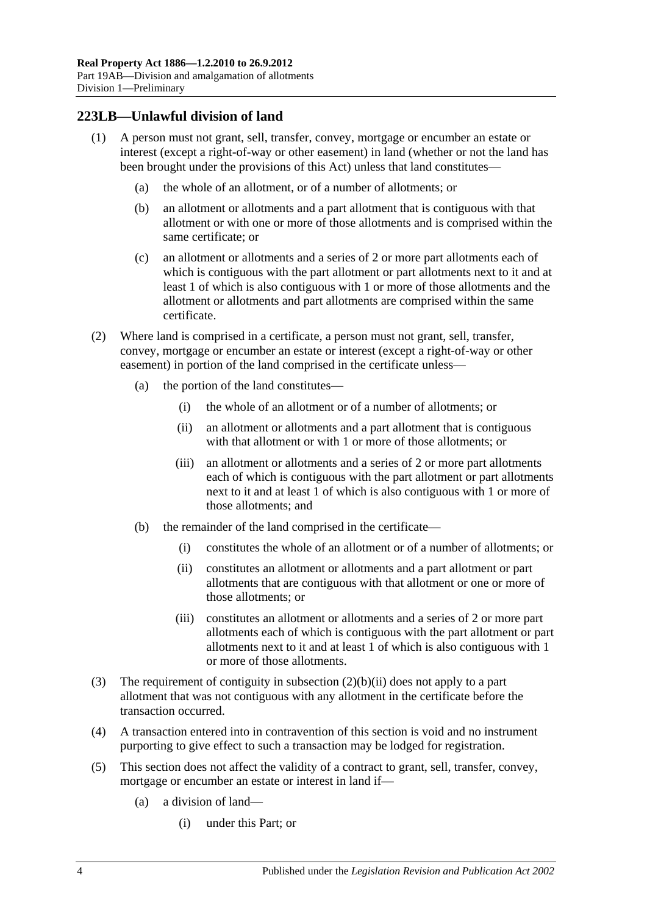### **223LB—Unlawful division of land**

- (1) A person must not grant, sell, transfer, convey, mortgage or encumber an estate or interest (except a right-of-way or other easement) in land (whether or not the land has been brought under the provisions of this Act) unless that land constitutes—
	- (a) the whole of an allotment, or of a number of allotments; or
	- (b) an allotment or allotments and a part allotment that is contiguous with that allotment or with one or more of those allotments and is comprised within the same certificate; or
	- (c) an allotment or allotments and a series of 2 or more part allotments each of which is contiguous with the part allotment or part allotments next to it and at least 1 of which is also contiguous with 1 or more of those allotments and the allotment or allotments and part allotments are comprised within the same certificate.
- (2) Where land is comprised in a certificate, a person must not grant, sell, transfer, convey, mortgage or encumber an estate or interest (except a right-of-way or other easement) in portion of the land comprised in the certificate unless—
	- (a) the portion of the land constitutes—
		- (i) the whole of an allotment or of a number of allotments; or
		- (ii) an allotment or allotments and a part allotment that is contiguous with that allotment or with 1 or more of those allotments; or
		- (iii) an allotment or allotments and a series of 2 or more part allotments each of which is contiguous with the part allotment or part allotments next to it and at least 1 of which is also contiguous with 1 or more of those allotments; and
	- (b) the remainder of the land comprised in the certificate—
		- (i) constitutes the whole of an allotment or of a number of allotments; or
		- (ii) constitutes an allotment or allotments and a part allotment or part allotments that are contiguous with that allotment or one or more of those allotments; or
		- (iii) constitutes an allotment or allotments and a series of 2 or more part allotments each of which is contiguous with the part allotment or part allotments next to it and at least 1 of which is also contiguous with 1 or more of those allotments.
- <span id="page-107-0"></span>(3) The requirement of contiguity in [subsection](#page-107-0) (2)(b)(ii) does not apply to a part allotment that was not contiguous with any allotment in the certificate before the transaction occurred.
- (4) A transaction entered into in contravention of this section is void and no instrument purporting to give effect to such a transaction may be lodged for registration.
- (5) This section does not affect the validity of a contract to grant, sell, transfer, convey, mortgage or encumber an estate or interest in land if—
	- (a) a division of land—
		- (i) under this Part; or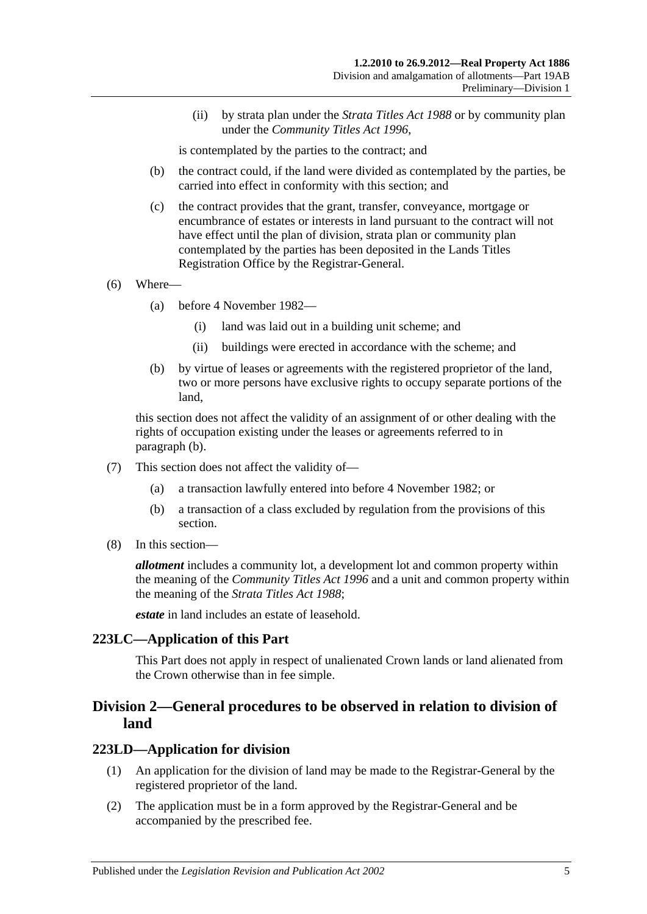(ii) by strata plan under the *[Strata Titles Act](http://www.legislation.sa.gov.au/index.aspx?action=legref&type=act&legtitle=Strata%20Titles%20Act%201988) 1988* or by community plan under the *[Community Titles Act](http://www.legislation.sa.gov.au/index.aspx?action=legref&type=act&legtitle=Community%20Titles%20Act%201996) 1996*,

is contemplated by the parties to the contract; and

- (b) the contract could, if the land were divided as contemplated by the parties, be carried into effect in conformity with this section; and
- (c) the contract provides that the grant, transfer, conveyance, mortgage or encumbrance of estates or interests in land pursuant to the contract will not have effect until the plan of division, strata plan or community plan contemplated by the parties has been deposited in the Lands Titles Registration Office by the Registrar-General.
- (6) Where—
	- (a) before 4 November 1982—
		- (i) land was laid out in a building unit scheme; and
		- (ii) buildings were erected in accordance with the scheme; and
	- (b) by virtue of leases or agreements with the registered proprietor of the land, two or more persons have exclusive rights to occupy separate portions of the land,

<span id="page-108-0"></span>this section does not affect the validity of an assignment of or other dealing with the rights of occupation existing under the leases or agreements referred to in [paragraph](#page-108-0) (b).

- (7) This section does not affect the validity of—
	- (a) a transaction lawfully entered into before 4 November 1982; or
	- (b) a transaction of a class excluded by regulation from the provisions of this section.
- (8) In this section—

*allotment* includes a community lot, a development lot and common property within the meaning of the *[Community Titles Act](http://www.legislation.sa.gov.au/index.aspx?action=legref&type=act&legtitle=Community%20Titles%20Act%201996) 1996* and a unit and common property within the meaning of the *[Strata Titles Act](http://www.legislation.sa.gov.au/index.aspx?action=legref&type=act&legtitle=Strata%20Titles%20Act%201988) 1988*;

*estate* in land includes an estate of leasehold.

#### **223LC—Application of this Part**

This Part does not apply in respect of unalienated Crown lands or land alienated from the Crown otherwise than in fee simple.

## **Division 2—General procedures to be observed in relation to division of land**

#### <span id="page-108-1"></span>**223LD—Application for division**

- (1) An application for the division of land may be made to the Registrar-General by the registered proprietor of the land.
- (2) The application must be in a form approved by the Registrar-General and be accompanied by the prescribed fee.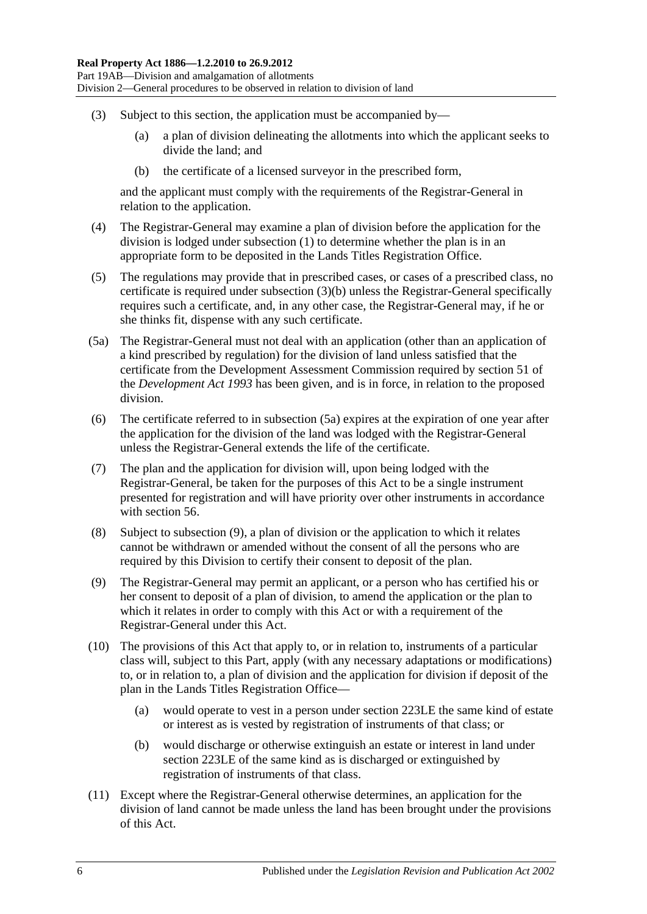- <span id="page-109-0"></span>(3) Subject to this section, the application must be accompanied by—
	- (a) a plan of division delineating the allotments into which the applicant seeks to divide the land; and
	- (b) the certificate of a licensed surveyor in the prescribed form,

and the applicant must comply with the requirements of the Registrar-General in relation to the application.

- (4) The Registrar-General may examine a plan of division before the application for the division is lodged under [subsection](#page-108-1) (1) to determine whether the plan is in an appropriate form to be deposited in the Lands Titles Registration Office.
- (5) The regulations may provide that in prescribed cases, or cases of a prescribed class, no certificate is required under [subsection](#page-109-0) (3)(b) unless the Registrar-General specifically requires such a certificate, and, in any other case, the Registrar-General may, if he or she thinks fit, dispense with any such certificate.
- <span id="page-109-1"></span>(5a) The Registrar-General must not deal with an application (other than an application of a kind prescribed by regulation) for the division of land unless satisfied that the certificate from the Development Assessment Commission required by section 51 of the *[Development Act](http://www.legislation.sa.gov.au/index.aspx?action=legref&type=act&legtitle=Development%20Act%201993) 1993* has been given, and is in force, in relation to the proposed division.
- (6) The certificate referred to in [subsection](#page-109-1) (5a) expires at the expiration of one year after the application for the division of the land was lodged with the Registrar-General unless the Registrar-General extends the life of the certificate.
- (7) The plan and the application for division will, upon being lodged with the Registrar-General, be taken for the purposes of this Act to be a single instrument presented for registration and will have priority over other instruments in accordance with [section](#page-29-0) 56.
- (8) Subject to [subsection](#page-109-2) (9), a plan of division or the application to which it relates cannot be withdrawn or amended without the consent of all the persons who are required by this Division to certify their consent to deposit of the plan.
- <span id="page-109-2"></span>(9) The Registrar-General may permit an applicant, or a person who has certified his or her consent to deposit of a plan of division, to amend the application or the plan to which it relates in order to comply with this Act or with a requirement of the Registrar-General under this Act.
- (10) The provisions of this Act that apply to, or in relation to, instruments of a particular class will, subject to this Part, apply (with any necessary adaptations or modifications) to, or in relation to, a plan of division and the application for division if deposit of the plan in the Lands Titles Registration Office—
	- (a) would operate to vest in a person under [section](#page-110-0) 223LE the same kind of estate or interest as is vested by registration of instruments of that class; or
	- (b) would discharge or otherwise extinguish an estate or interest in land under [section](#page-110-0) 223LE of the same kind as is discharged or extinguished by registration of instruments of that class.
- (11) Except where the Registrar-General otherwise determines, an application for the division of land cannot be made unless the land has been brought under the provisions of this Act.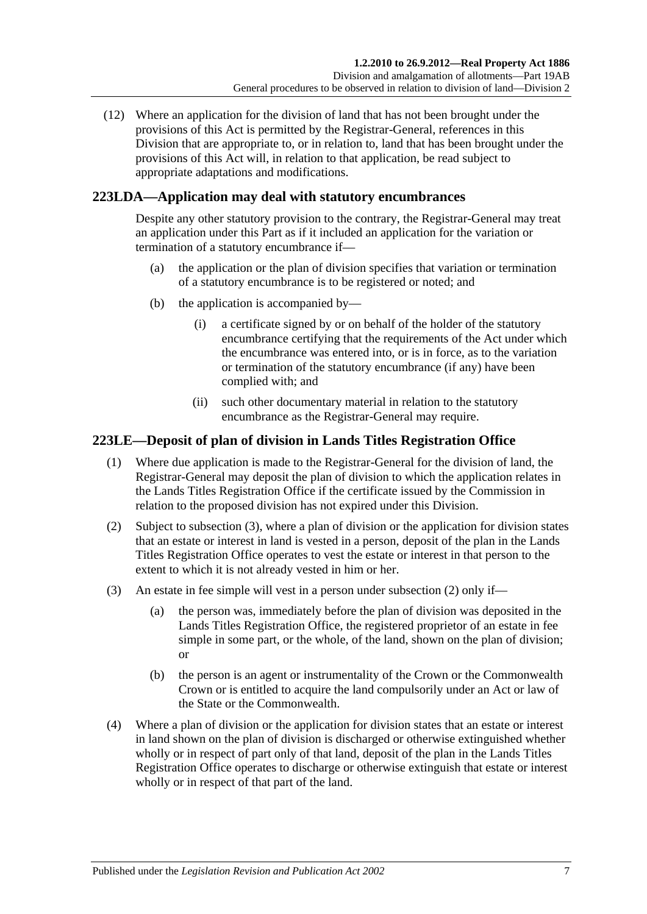(12) Where an application for the division of land that has not been brought under the provisions of this Act is permitted by the Registrar-General, references in this Division that are appropriate to, or in relation to, land that has been brought under the provisions of this Act will, in relation to that application, be read subject to appropriate adaptations and modifications.

## **223LDA—Application may deal with statutory encumbrances**

Despite any other statutory provision to the contrary, the Registrar-General may treat an application under this Part as if it included an application for the variation or termination of a statutory encumbrance if—

- (a) the application or the plan of division specifies that variation or termination of a statutory encumbrance is to be registered or noted; and
- (b) the application is accompanied by—
	- (i) a certificate signed by or on behalf of the holder of the statutory encumbrance certifying that the requirements of the Act under which the encumbrance was entered into, or is in force, as to the variation or termination of the statutory encumbrance (if any) have been complied with; and
	- (ii) such other documentary material in relation to the statutory encumbrance as the Registrar-General may require.

## <span id="page-110-0"></span>**223LE—Deposit of plan of division in Lands Titles Registration Office**

- (1) Where due application is made to the Registrar-General for the division of land, the Registrar-General may deposit the plan of division to which the application relates in the Lands Titles Registration Office if the certificate issued by the Commission in relation to the proposed division has not expired under this Division.
- <span id="page-110-2"></span>(2) Subject to [subsection](#page-110-1) (3), where a plan of division or the application for division states that an estate or interest in land is vested in a person, deposit of the plan in the Lands Titles Registration Office operates to vest the estate or interest in that person to the extent to which it is not already vested in him or her.
- <span id="page-110-1"></span>(3) An estate in fee simple will vest in a person under [subsection](#page-110-2) (2) only if—
	- (a) the person was, immediately before the plan of division was deposited in the Lands Titles Registration Office, the registered proprietor of an estate in fee simple in some part, or the whole, of the land, shown on the plan of division; or
	- (b) the person is an agent or instrumentality of the Crown or the Commonwealth Crown or is entitled to acquire the land compulsorily under an Act or law of the State or the Commonwealth.
- (4) Where a plan of division or the application for division states that an estate or interest in land shown on the plan of division is discharged or otherwise extinguished whether wholly or in respect of part only of that land, deposit of the plan in the Lands Titles Registration Office operates to discharge or otherwise extinguish that estate or interest wholly or in respect of that part of the land.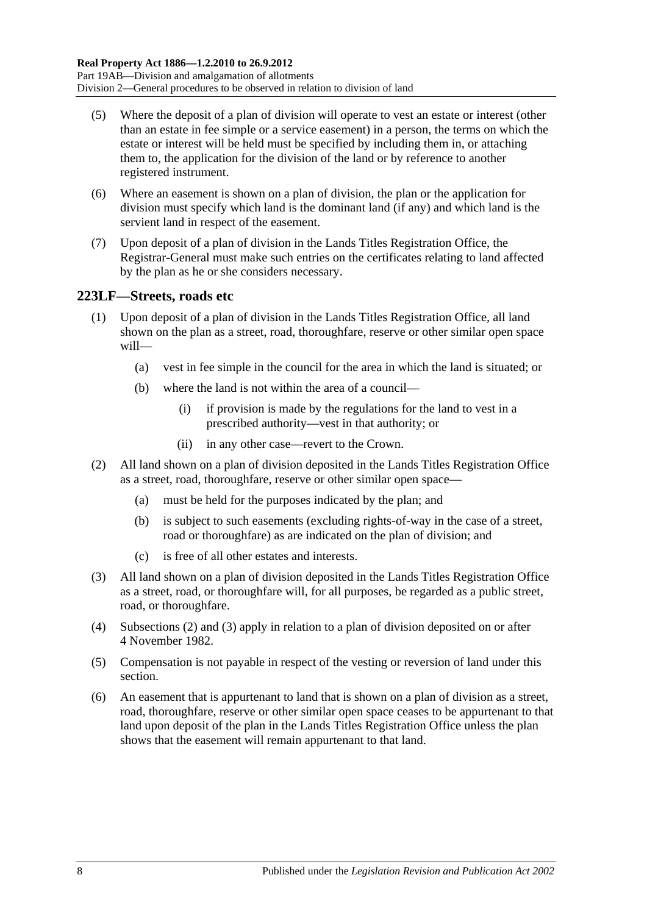- (5) Where the deposit of a plan of division will operate to vest an estate or interest (other than an estate in fee simple or a service easement) in a person, the terms on which the estate or interest will be held must be specified by including them in, or attaching them to, the application for the division of the land or by reference to another registered instrument.
- (6) Where an easement is shown on a plan of division, the plan or the application for division must specify which land is the dominant land (if any) and which land is the servient land in respect of the easement.
- (7) Upon deposit of a plan of division in the Lands Titles Registration Office, the Registrar-General must make such entries on the certificates relating to land affected by the plan as he or she considers necessary.

## <span id="page-111-2"></span>**223LF—Streets, roads etc**

- (1) Upon deposit of a plan of division in the Lands Titles Registration Office, all land shown on the plan as a street, road, thoroughfare, reserve or other similar open space will—
	- (a) vest in fee simple in the council for the area in which the land is situated; or
	- (b) where the land is not within the area of a council—
		- (i) if provision is made by the regulations for the land to vest in a prescribed authority—vest in that authority; or
		- (ii) in any other case—revert to the Crown.
- <span id="page-111-0"></span>(2) All land shown on a plan of division deposited in the Lands Titles Registration Office as a street, road, thoroughfare, reserve or other similar open space—
	- (a) must be held for the purposes indicated by the plan; and
	- (b) is subject to such easements (excluding rights-of-way in the case of a street, road or thoroughfare) as are indicated on the plan of division; and
	- (c) is free of all other estates and interests.
- <span id="page-111-1"></span>(3) All land shown on a plan of division deposited in the Lands Titles Registration Office as a street, road, or thoroughfare will, for all purposes, be regarded as a public street, road, or thoroughfare.
- (4) [Subsections](#page-111-0) (2) and [\(3\)](#page-111-1) apply in relation to a plan of division deposited on or after 4 November 1982.
- (5) Compensation is not payable in respect of the vesting or reversion of land under this section.
- (6) An easement that is appurtenant to land that is shown on a plan of division as a street, road, thoroughfare, reserve or other similar open space ceases to be appurtenant to that land upon deposit of the plan in the Lands Titles Registration Office unless the plan shows that the easement will remain appurtenant to that land.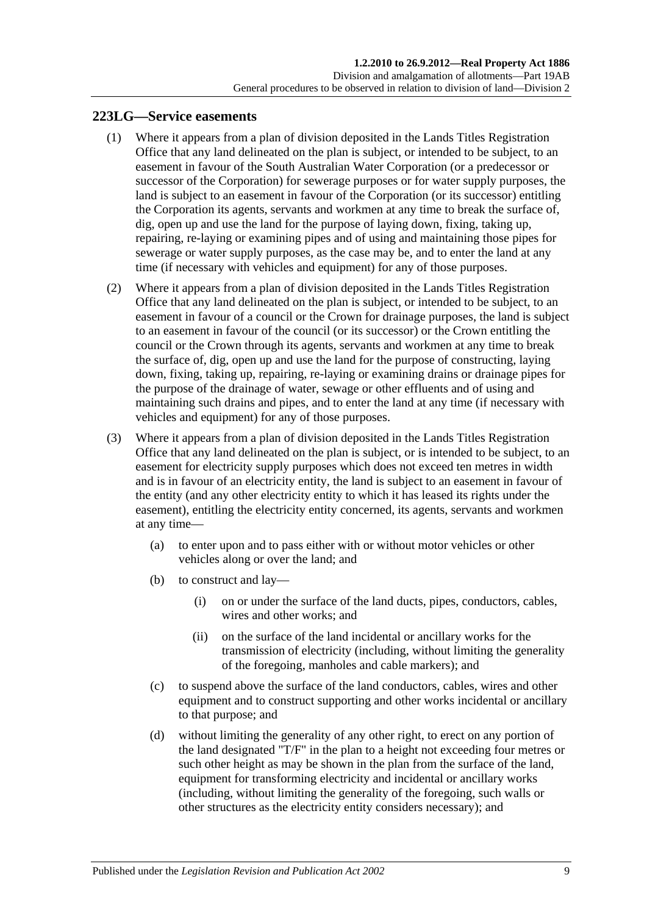#### <span id="page-112-3"></span><span id="page-112-0"></span>**223LG—Service easements**

- (1) Where it appears from a plan of division deposited in the Lands Titles Registration Office that any land delineated on the plan is subject, or intended to be subject, to an easement in favour of the South Australian Water Corporation (or a predecessor or successor of the Corporation) for sewerage purposes or for water supply purposes, the land is subject to an easement in favour of the Corporation (or its successor) entitling the Corporation its agents, servants and workmen at any time to break the surface of, dig, open up and use the land for the purpose of laying down, fixing, taking up, repairing, re-laying or examining pipes and of using and maintaining those pipes for sewerage or water supply purposes, as the case may be, and to enter the land at any time (if necessary with vehicles and equipment) for any of those purposes.
- <span id="page-112-1"></span>(2) Where it appears from a plan of division deposited in the Lands Titles Registration Office that any land delineated on the plan is subject, or intended to be subject, to an easement in favour of a council or the Crown for drainage purposes, the land is subject to an easement in favour of the council (or its successor) or the Crown entitling the council or the Crown through its agents, servants and workmen at any time to break the surface of, dig, open up and use the land for the purpose of constructing, laying down, fixing, taking up, repairing, re-laying or examining drains or drainage pipes for the purpose of the drainage of water, sewage or other effluents and of using and maintaining such drains and pipes, and to enter the land at any time (if necessary with vehicles and equipment) for any of those purposes.
- <span id="page-112-2"></span>(3) Where it appears from a plan of division deposited in the Lands Titles Registration Office that any land delineated on the plan is subject, or is intended to be subject, to an easement for electricity supply purposes which does not exceed ten metres in width and is in favour of an electricity entity, the land is subject to an easement in favour of the entity (and any other electricity entity to which it has leased its rights under the easement), entitling the electricity entity concerned, its agents, servants and workmen at any time—
	- (a) to enter upon and to pass either with or without motor vehicles or other vehicles along or over the land; and
	- (b) to construct and lay—
		- (i) on or under the surface of the land ducts, pipes, conductors, cables, wires and other works; and
		- (ii) on the surface of the land incidental or ancillary works for the transmission of electricity (including, without limiting the generality of the foregoing, manholes and cable markers); and
	- (c) to suspend above the surface of the land conductors, cables, wires and other equipment and to construct supporting and other works incidental or ancillary to that purpose; and
	- (d) without limiting the generality of any other right, to erect on any portion of the land designated "T/F" in the plan to a height not exceeding four metres or such other height as may be shown in the plan from the surface of the land, equipment for transforming electricity and incidental or ancillary works (including, without limiting the generality of the foregoing, such walls or other structures as the electricity entity considers necessary); and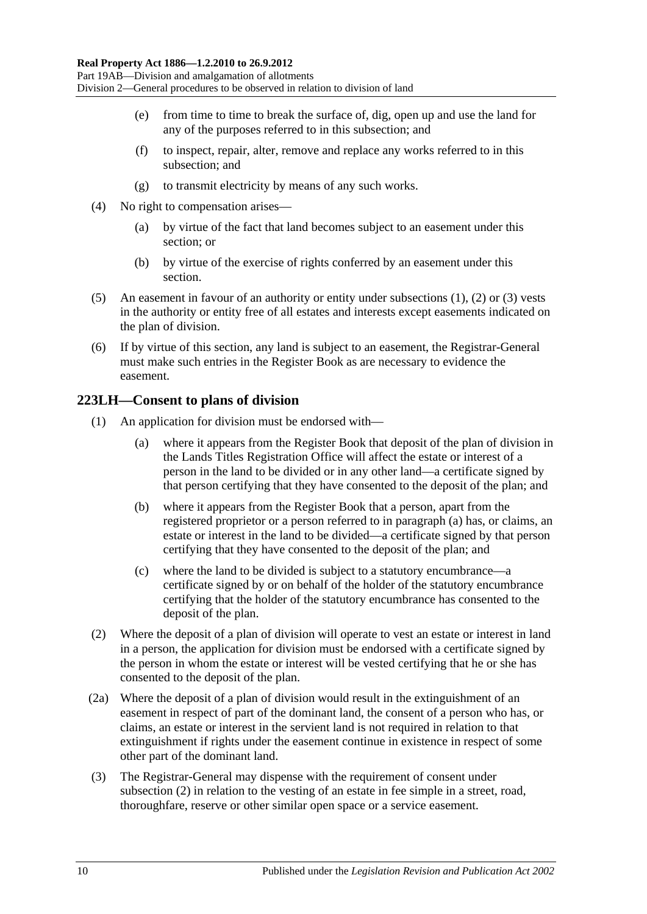- (e) from time to time to break the surface of, dig, open up and use the land for any of the purposes referred to in this subsection; and
- (f) to inspect, repair, alter, remove and replace any works referred to in this subsection; and
- (g) to transmit electricity by means of any such works.
- (4) No right to compensation arises—
	- (a) by virtue of the fact that land becomes subject to an easement under this section; or
	- (b) by virtue of the exercise of rights conferred by an easement under this section.
- (5) An easement in favour of an authority or entity under [subsections](#page-112-0) (1), [\(2\)](#page-112-1) or [\(3\)](#page-112-2) vests in the authority or entity free of all estates and interests except easements indicated on the plan of division.
- (6) If by virtue of this section, any land is subject to an easement, the Registrar-General must make such entries in the Register Book as are necessary to evidence the easement.

## **223LH—Consent to plans of division**

- <span id="page-113-0"></span>(1) An application for division must be endorsed with—
	- (a) where it appears from the Register Book that deposit of the plan of division in the Lands Titles Registration Office will affect the estate or interest of a person in the land to be divided or in any other land—a certificate signed by that person certifying that they have consented to the deposit of the plan; and
	- (b) where it appears from the Register Book that a person, apart from the registered proprietor or a person referred to in [paragraph](#page-113-0) (a) has, or claims, an estate or interest in the land to be divided—a certificate signed by that person certifying that they have consented to the deposit of the plan; and
	- (c) where the land to be divided is subject to a statutory encumbrance—a certificate signed by or on behalf of the holder of the statutory encumbrance certifying that the holder of the statutory encumbrance has consented to the deposit of the plan.
- <span id="page-113-1"></span>(2) Where the deposit of a plan of division will operate to vest an estate or interest in land in a person, the application for division must be endorsed with a certificate signed by the person in whom the estate or interest will be vested certifying that he or she has consented to the deposit of the plan.
- (2a) Where the deposit of a plan of division would result in the extinguishment of an easement in respect of part of the dominant land, the consent of a person who has, or claims, an estate or interest in the servient land is not required in relation to that extinguishment if rights under the easement continue in existence in respect of some other part of the dominant land.
- (3) The Registrar-General may dispense with the requirement of consent under [subsection](#page-113-1) (2) in relation to the vesting of an estate in fee simple in a street, road, thoroughfare, reserve or other similar open space or a service easement.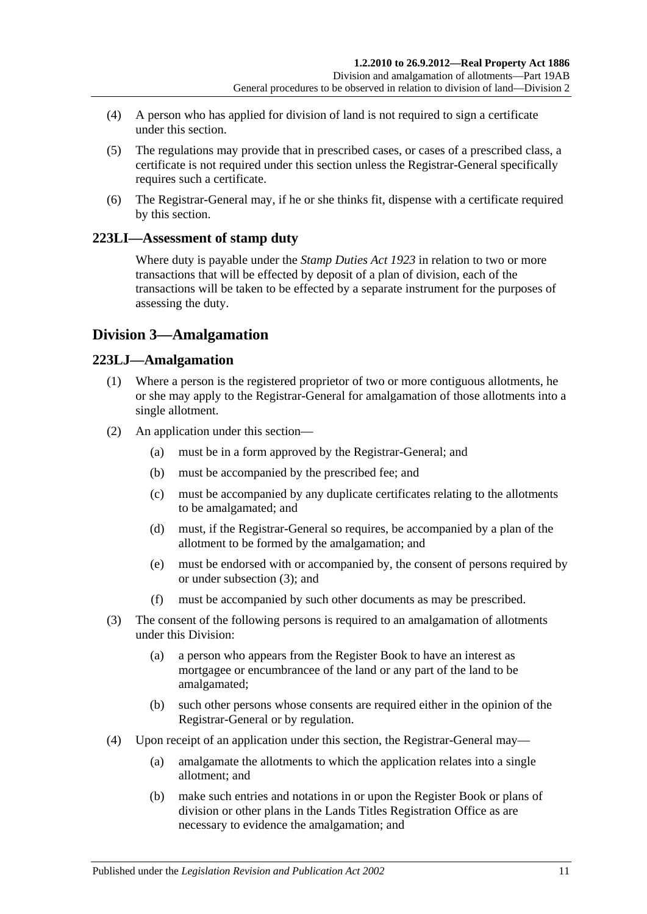- (4) A person who has applied for division of land is not required to sign a certificate under this section.
- (5) The regulations may provide that in prescribed cases, or cases of a prescribed class, a certificate is not required under this section unless the Registrar-General specifically requires such a certificate.
- (6) The Registrar-General may, if he or she thinks fit, dispense with a certificate required by this section.

## **223LI—Assessment of stamp duty**

Where duty is payable under the *[Stamp Duties Act](http://www.legislation.sa.gov.au/index.aspx?action=legref&type=act&legtitle=Stamp%20Duties%20Act%201923) 1923* in relation to two or more transactions that will be effected by deposit of a plan of division, each of the transactions will be taken to be effected by a separate instrument for the purposes of assessing the duty.

## **Division 3—Amalgamation**

## **223LJ—Amalgamation**

- (1) Where a person is the registered proprietor of two or more contiguous allotments, he or she may apply to the Registrar-General for amalgamation of those allotments into a single allotment.
- (2) An application under this section—
	- (a) must be in a form approved by the Registrar-General; and
	- (b) must be accompanied by the prescribed fee; and
	- (c) must be accompanied by any duplicate certificates relating to the allotments to be amalgamated; and
	- (d) must, if the Registrar-General so requires, be accompanied by a plan of the allotment to be formed by the amalgamation; and
	- (e) must be endorsed with or accompanied by, the consent of persons required by or under [subsection](#page-114-0) (3); and
	- (f) must be accompanied by such other documents as may be prescribed.
- <span id="page-114-0"></span>(3) The consent of the following persons is required to an amalgamation of allotments under this Division:
	- (a) a person who appears from the Register Book to have an interest as mortgagee or encumbrancee of the land or any part of the land to be amalgamated;
	- (b) such other persons whose consents are required either in the opinion of the Registrar-General or by regulation.
- (4) Upon receipt of an application under this section, the Registrar-General may—
	- (a) amalgamate the allotments to which the application relates into a single allotment; and
	- (b) make such entries and notations in or upon the Register Book or plans of division or other plans in the Lands Titles Registration Office as are necessary to evidence the amalgamation; and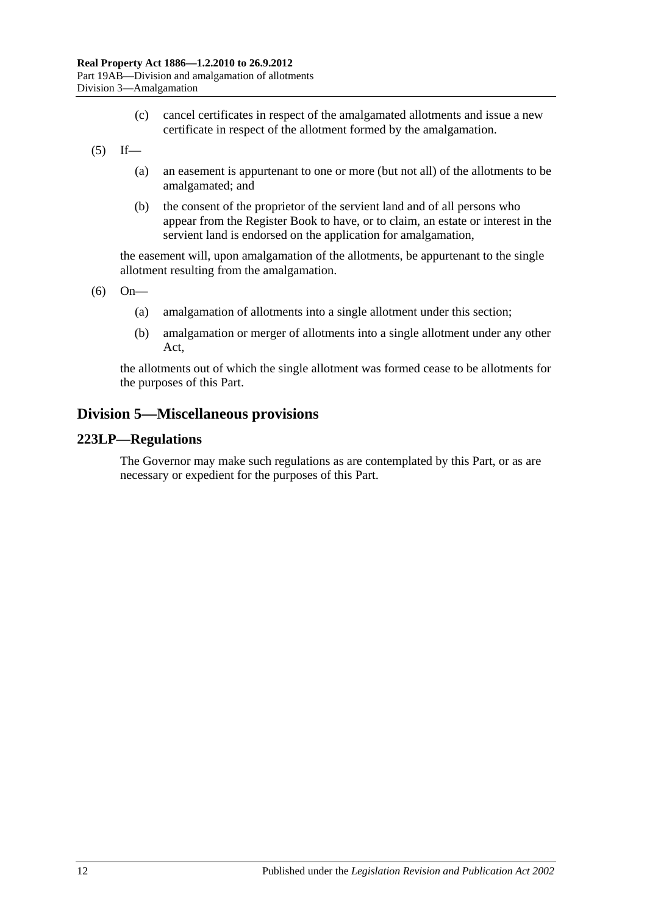- (c) cancel certificates in respect of the amalgamated allotments and issue a new certificate in respect of the allotment formed by the amalgamation.
- $(5)$  If—
	- (a) an easement is appurtenant to one or more (but not all) of the allotments to be amalgamated; and
	- (b) the consent of the proprietor of the servient land and of all persons who appear from the Register Book to have, or to claim, an estate or interest in the servient land is endorsed on the application for amalgamation,

the easement will, upon amalgamation of the allotments, be appurtenant to the single allotment resulting from the amalgamation.

(6) On—

- (a) amalgamation of allotments into a single allotment under this section;
- (b) amalgamation or merger of allotments into a single allotment under any other Act,

the allotments out of which the single allotment was formed cease to be allotments for the purposes of this Part.

## **Division 5—Miscellaneous provisions**

#### **223LP—Regulations**

The Governor may make such regulations as are contemplated by this Part, or as are necessary or expedient for the purposes of this Part.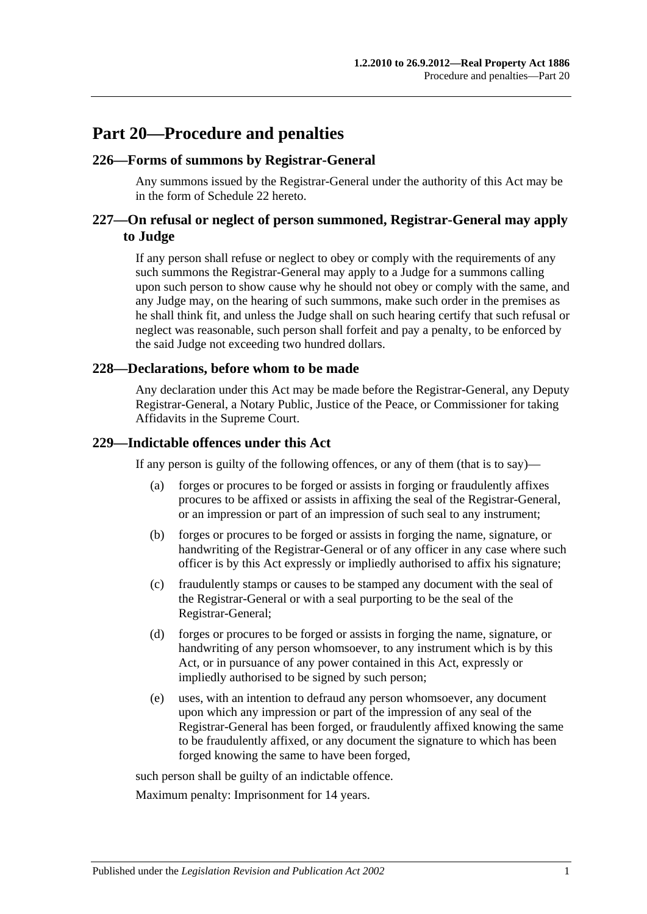## **Part 20—Procedure and penalties**

### **226—Forms of summons by Registrar-General**

Any summons issued by the Registrar-General under the authority of this Act may be in the form of [Schedule 22](#page-137-0) hereto.

## **227—On refusal or neglect of person summoned, Registrar-General may apply to Judge**

If any person shall refuse or neglect to obey or comply with the requirements of any such summons the Registrar-General may apply to a Judge for a summons calling upon such person to show cause why he should not obey or comply with the same, and any Judge may, on the hearing of such summons, make such order in the premises as he shall think fit, and unless the Judge shall on such hearing certify that such refusal or neglect was reasonable, such person shall forfeit and pay a penalty, to be enforced by the said Judge not exceeding two hundred dollars.

#### **228—Declarations, before whom to be made**

Any declaration under this Act may be made before the Registrar-General, any Deputy Registrar-General, a Notary Public, Justice of the Peace, or Commissioner for taking Affidavits in the Supreme Court.

#### **229—Indictable offences under this Act**

If any person is guilty of the following offences, or any of them (that is to say)—

- (a) forges or procures to be forged or assists in forging or fraudulently affixes procures to be affixed or assists in affixing the seal of the Registrar-General, or an impression or part of an impression of such seal to any instrument;
- (b) forges or procures to be forged or assists in forging the name, signature, or handwriting of the Registrar-General or of any officer in any case where such officer is by this Act expressly or impliedly authorised to affix his signature;
- (c) fraudulently stamps or causes to be stamped any document with the seal of the Registrar-General or with a seal purporting to be the seal of the Registrar-General;
- (d) forges or procures to be forged or assists in forging the name, signature, or handwriting of any person whomsoever, to any instrument which is by this Act, or in pursuance of any power contained in this Act, expressly or impliedly authorised to be signed by such person;
- (e) uses, with an intention to defraud any person whomsoever, any document upon which any impression or part of the impression of any seal of the Registrar-General has been forged, or fraudulently affixed knowing the same to be fraudulently affixed, or any document the signature to which has been forged knowing the same to have been forged,

such person shall be guilty of an indictable offence.

Maximum penalty: Imprisonment for 14 years.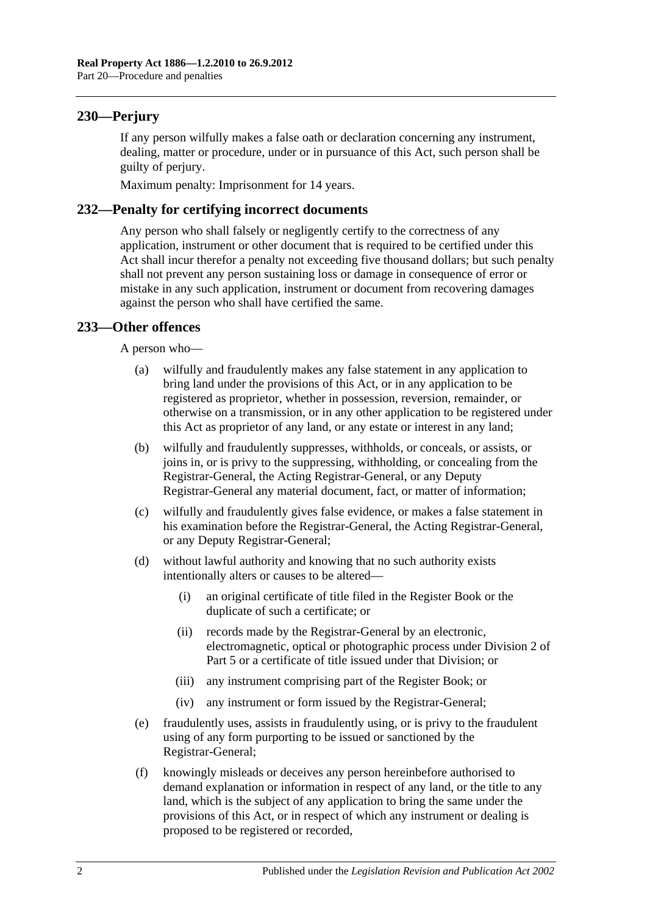## **230—Perjury**

If any person wilfully makes a false oath or declaration concerning any instrument, dealing, matter or procedure, under or in pursuance of this Act, such person shall be guilty of perjury.

Maximum penalty: Imprisonment for 14 years.

## **232—Penalty for certifying incorrect documents**

Any person who shall falsely or negligently certify to the correctness of any application, instrument or other document that is required to be certified under this Act shall incur therefor a penalty not exceeding five thousand dollars; but such penalty shall not prevent any person sustaining loss or damage in consequence of error or mistake in any such application, instrument or document from recovering damages against the person who shall have certified the same.

## **233—Other offences**

A person who—

- (a) wilfully and fraudulently makes any false statement in any application to bring land under the provisions of this Act, or in any application to be registered as proprietor, whether in possession, reversion, remainder, or otherwise on a transmission, or in any other application to be registered under this Act as proprietor of any land, or any estate or interest in any land;
- (b) wilfully and fraudulently suppresses, withholds, or conceals, or assists, or joins in, or is privy to the suppressing, withholding, or concealing from the Registrar-General, the Acting Registrar-General, or any Deputy Registrar-General any material document, fact, or matter of information;
- (c) wilfully and fraudulently gives false evidence, or makes a false statement in his examination before the Registrar-General, the Acting Registrar-General, or any Deputy Registrar-General;
- (d) without lawful authority and knowing that no such authority exists intentionally alters or causes to be altered—
	- (i) an original certificate of title filed in the Register Book or the duplicate of such a certificate; or
	- (ii) records made by the Registrar-General by an electronic, electromagnetic, optical or photographic process under [Division 2](#page-26-0) of [Part 5](#page-26-1) or a certificate of title issued under that Division; or
	- (iii) any instrument comprising part of the Register Book; or
	- (iv) any instrument or form issued by the Registrar-General;
- (e) fraudulently uses, assists in fraudulently using, or is privy to the fraudulent using of any form purporting to be issued or sanctioned by the Registrar-General;
- (f) knowingly misleads or deceives any person hereinbefore authorised to demand explanation or information in respect of any land, or the title to any land, which is the subject of any application to bring the same under the provisions of this Act, or in respect of which any instrument or dealing is proposed to be registered or recorded,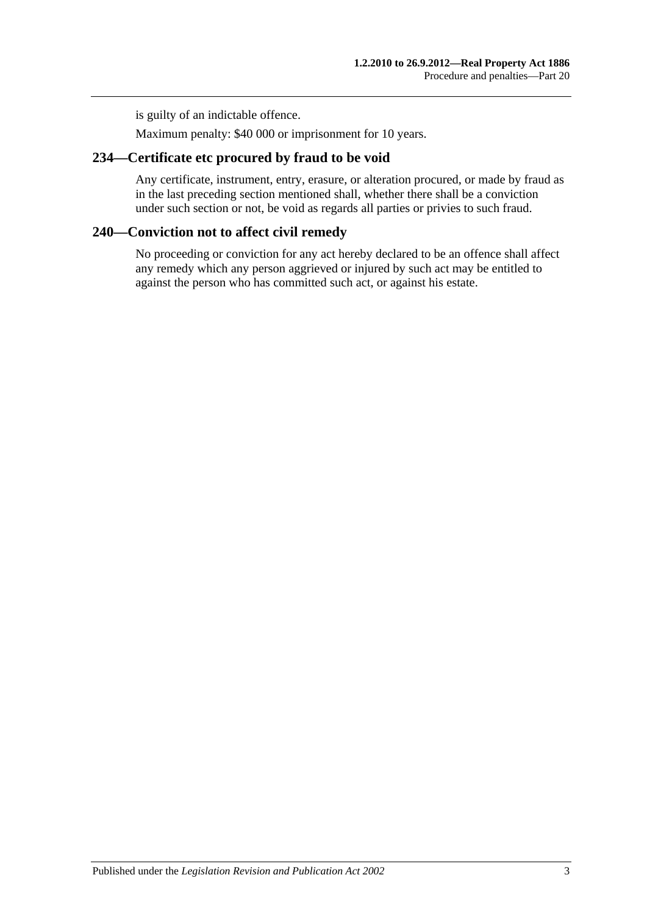is guilty of an indictable offence.

Maximum penalty: \$40 000 or imprisonment for 10 years.

## **234—Certificate etc procured by fraud to be void**

Any certificate, instrument, entry, erasure, or alteration procured, or made by fraud as in the last preceding section mentioned shall, whether there shall be a conviction under such section or not, be void as regards all parties or privies to such fraud.

## **240—Conviction not to affect civil remedy**

No proceeding or conviction for any act hereby declared to be an offence shall affect any remedy which any person aggrieved or injured by such act may be entitled to against the person who has committed such act, or against his estate.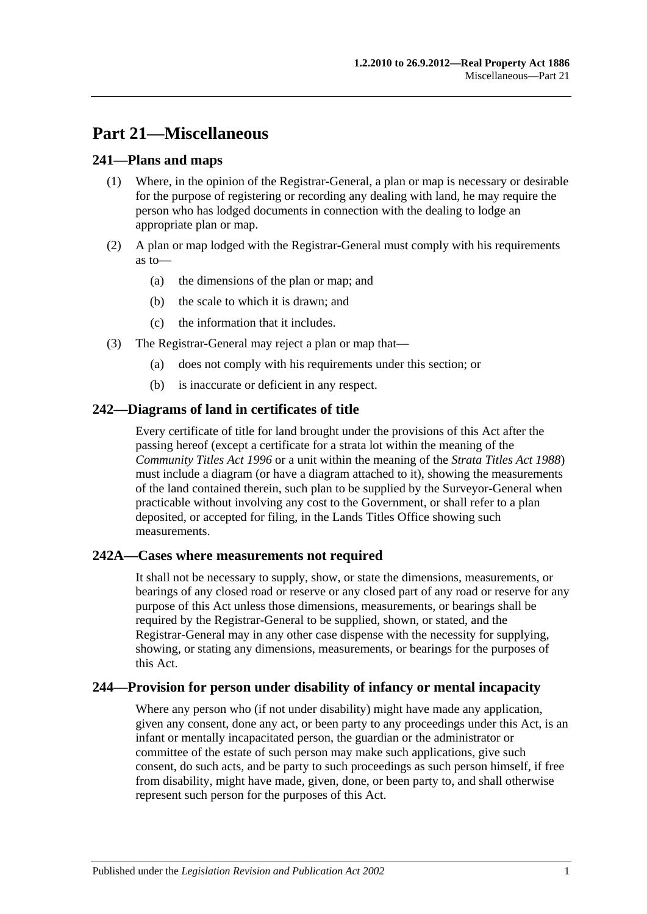## **Part 21—Miscellaneous**

## **241—Plans and maps**

- (1) Where, in the opinion of the Registrar-General, a plan or map is necessary or desirable for the purpose of registering or recording any dealing with land, he may require the person who has lodged documents in connection with the dealing to lodge an appropriate plan or map.
- (2) A plan or map lodged with the Registrar-General must comply with his requirements as to—
	- (a) the dimensions of the plan or map; and
	- (b) the scale to which it is drawn; and
	- (c) the information that it includes.
- (3) The Registrar-General may reject a plan or map that—
	- (a) does not comply with his requirements under this section; or
	- (b) is inaccurate or deficient in any respect.

## **242—Diagrams of land in certificates of title**

Every certificate of title for land brought under the provisions of this Act after the passing hereof (except a certificate for a strata lot within the meaning of the *[Community Titles Act](http://www.legislation.sa.gov.au/index.aspx?action=legref&type=act&legtitle=Community%20Titles%20Act%201996) 1996* or a unit within the meaning of the *[Strata Titles Act](http://www.legislation.sa.gov.au/index.aspx?action=legref&type=act&legtitle=Strata%20Titles%20Act%201988) 1988*) must include a diagram (or have a diagram attached to it), showing the measurements of the land contained therein, such plan to be supplied by the Surveyor-General when practicable without involving any cost to the Government, or shall refer to a plan deposited, or accepted for filing, in the Lands Titles Office showing such measurements.

## **242A—Cases where measurements not required**

It shall not be necessary to supply, show, or state the dimensions, measurements, or bearings of any closed road or reserve or any closed part of any road or reserve for any purpose of this Act unless those dimensions, measurements, or bearings shall be required by the Registrar-General to be supplied, shown, or stated, and the Registrar-General may in any other case dispense with the necessity for supplying, showing, or stating any dimensions, measurements, or bearings for the purposes of this Act.

## **244—Provision for person under disability of infancy or mental incapacity**

Where any person who (if not under disability) might have made any application, given any consent, done any act, or been party to any proceedings under this Act, is an infant or mentally incapacitated person, the guardian or the administrator or committee of the estate of such person may make such applications, give such consent, do such acts, and be party to such proceedings as such person himself, if free from disability, might have made, given, done, or been party to, and shall otherwise represent such person for the purposes of this Act.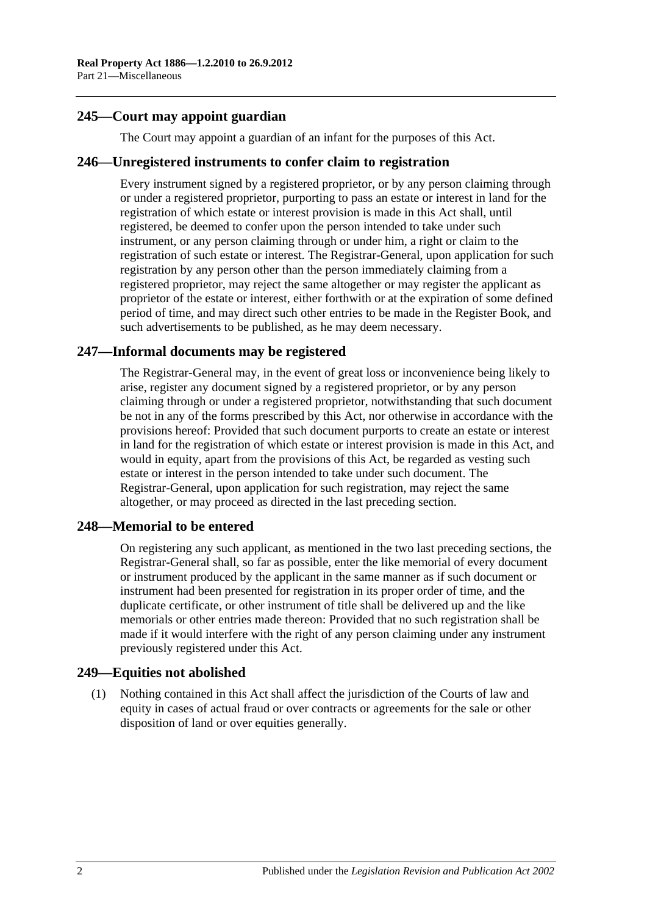## **245—Court may appoint guardian**

The Court may appoint a guardian of an infant for the purposes of this Act.

#### **246—Unregistered instruments to confer claim to registration**

Every instrument signed by a registered proprietor, or by any person claiming through or under a registered proprietor, purporting to pass an estate or interest in land for the registration of which estate or interest provision is made in this Act shall, until registered, be deemed to confer upon the person intended to take under such instrument, or any person claiming through or under him, a right or claim to the registration of such estate or interest. The Registrar-General, upon application for such registration by any person other than the person immediately claiming from a registered proprietor, may reject the same altogether or may register the applicant as proprietor of the estate or interest, either forthwith or at the expiration of some defined period of time, and may direct such other entries to be made in the Register Book, and such advertisements to be published, as he may deem necessary.

## **247—Informal documents may be registered**

The Registrar-General may, in the event of great loss or inconvenience being likely to arise, register any document signed by a registered proprietor, or by any person claiming through or under a registered proprietor, notwithstanding that such document be not in any of the forms prescribed by this Act, nor otherwise in accordance with the provisions hereof: Provided that such document purports to create an estate or interest in land for the registration of which estate or interest provision is made in this Act, and would in equity, apart from the provisions of this Act, be regarded as vesting such estate or interest in the person intended to take under such document. The Registrar-General, upon application for such registration, may reject the same altogether, or may proceed as directed in the last preceding section.

## **248—Memorial to be entered**

On registering any such applicant, as mentioned in the two last preceding sections, the Registrar-General shall, so far as possible, enter the like memorial of every document or instrument produced by the applicant in the same manner as if such document or instrument had been presented for registration in its proper order of time, and the duplicate certificate, or other instrument of title shall be delivered up and the like memorials or other entries made thereon: Provided that no such registration shall be made if it would interfere with the right of any person claiming under any instrument previously registered under this Act.

## **249—Equities not abolished**

(1) Nothing contained in this Act shall affect the jurisdiction of the Courts of law and equity in cases of actual fraud or over contracts or agreements for the sale or other disposition of land or over equities generally.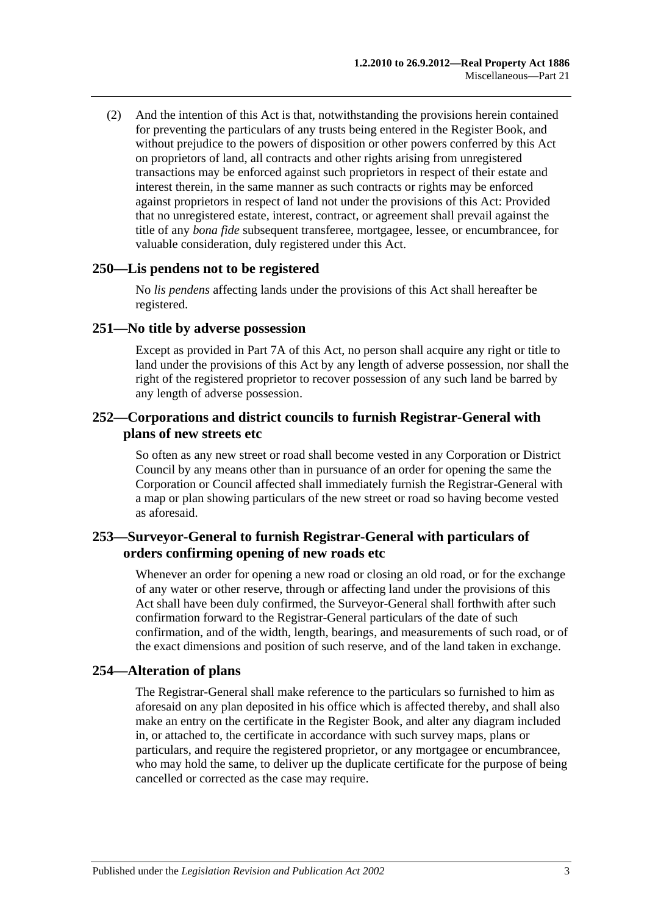(2) And the intention of this Act is that, notwithstanding the provisions herein contained for preventing the particulars of any trusts being entered in the Register Book, and without prejudice to the powers of disposition or other powers conferred by this Act on proprietors of land, all contracts and other rights arising from unregistered transactions may be enforced against such proprietors in respect of their estate and interest therein, in the same manner as such contracts or rights may be enforced against proprietors in respect of land not under the provisions of this Act: Provided that no unregistered estate, interest, contract, or agreement shall prevail against the title of any *bona fide* subsequent transferee, mortgagee, lessee, or encumbrancee, for valuable consideration, duly registered under this Act.

#### **250—Lis pendens not to be registered**

No *lis pendens* affecting lands under the provisions of this Act shall hereafter be registered.

#### **251—No title by adverse possession**

Except as provided in [Part 7A](#page-40-0) of this Act, no person shall acquire any right or title to land under the provisions of this Act by any length of adverse possession, nor shall the right of the registered proprietor to recover possession of any such land be barred by any length of adverse possession.

### **252—Corporations and district councils to furnish Registrar-General with plans of new streets etc**

So often as any new street or road shall become vested in any Corporation or District Council by any means other than in pursuance of an order for opening the same the Corporation or Council affected shall immediately furnish the Registrar-General with a map or plan showing particulars of the new street or road so having become vested as aforesaid.

## **253—Surveyor-General to furnish Registrar-General with particulars of orders confirming opening of new roads etc**

Whenever an order for opening a new road or closing an old road, or for the exchange of any water or other reserve, through or affecting land under the provisions of this Act shall have been duly confirmed, the Surveyor-General shall forthwith after such confirmation forward to the Registrar-General particulars of the date of such confirmation, and of the width, length, bearings, and measurements of such road, or of the exact dimensions and position of such reserve, and of the land taken in exchange.

## **254—Alteration of plans**

The Registrar-General shall make reference to the particulars so furnished to him as aforesaid on any plan deposited in his office which is affected thereby, and shall also make an entry on the certificate in the Register Book, and alter any diagram included in, or attached to, the certificate in accordance with such survey maps, plans or particulars, and require the registered proprietor, or any mortgagee or encumbrancee, who may hold the same, to deliver up the duplicate certificate for the purpose of being cancelled or corrected as the case may require.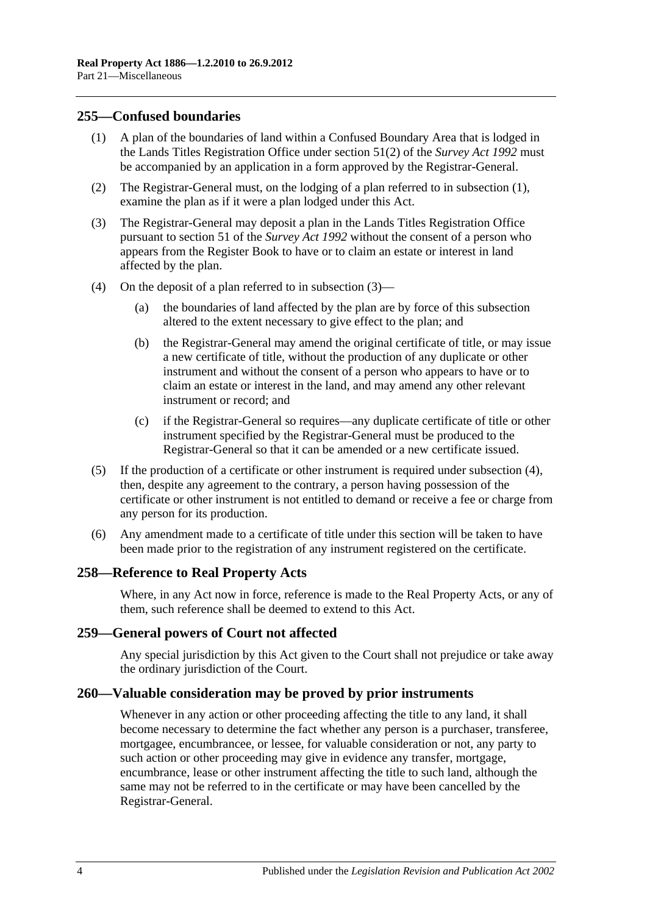### <span id="page-123-0"></span>**255—Confused boundaries**

- (1) A plan of the boundaries of land within a Confused Boundary Area that is lodged in the Lands Titles Registration Office under section 51(2) of the *[Survey Act](http://www.legislation.sa.gov.au/index.aspx?action=legref&type=act&legtitle=Survey%20Act%201992) 1992* must be accompanied by an application in a form approved by the Registrar-General.
- (2) The Registrar-General must, on the lodging of a plan referred to in [subsection](#page-123-0) (1), examine the plan as if it were a plan lodged under this Act.
- <span id="page-123-1"></span>(3) The Registrar-General may deposit a plan in the Lands Titles Registration Office pursuant to section 51 of the *[Survey Act](http://www.legislation.sa.gov.au/index.aspx?action=legref&type=act&legtitle=Survey%20Act%201992) 1992* without the consent of a person who appears from the Register Book to have or to claim an estate or interest in land affected by the plan.
- <span id="page-123-2"></span>(4) On the deposit of a plan referred to in [subsection](#page-123-1) (3)—
	- (a) the boundaries of land affected by the plan are by force of this subsection altered to the extent necessary to give effect to the plan; and
	- (b) the Registrar-General may amend the original certificate of title, or may issue a new certificate of title, without the production of any duplicate or other instrument and without the consent of a person who appears to have or to claim an estate or interest in the land, and may amend any other relevant instrument or record; and
	- (c) if the Registrar-General so requires—any duplicate certificate of title or other instrument specified by the Registrar-General must be produced to the Registrar-General so that it can be amended or a new certificate issued.
- (5) If the production of a certificate or other instrument is required under [subsection](#page-123-2) (4), then, despite any agreement to the contrary, a person having possession of the certificate or other instrument is not entitled to demand or receive a fee or charge from any person for its production.
- (6) Any amendment made to a certificate of title under this section will be taken to have been made prior to the registration of any instrument registered on the certificate.

#### **258—Reference to Real Property Acts**

Where, in any Act now in force, reference is made to the Real Property Acts, or any of them, such reference shall be deemed to extend to this Act.

#### **259—General powers of Court not affected**

Any special jurisdiction by this Act given to the Court shall not prejudice or take away the ordinary jurisdiction of the Court.

#### **260—Valuable consideration may be proved by prior instruments**

Whenever in any action or other proceeding affecting the title to any land, it shall become necessary to determine the fact whether any person is a purchaser, transferee, mortgagee, encumbrancee, or lessee, for valuable consideration or not, any party to such action or other proceeding may give in evidence any transfer, mortgage, encumbrance, lease or other instrument affecting the title to such land, although the same may not be referred to in the certificate or may have been cancelled by the Registrar-General.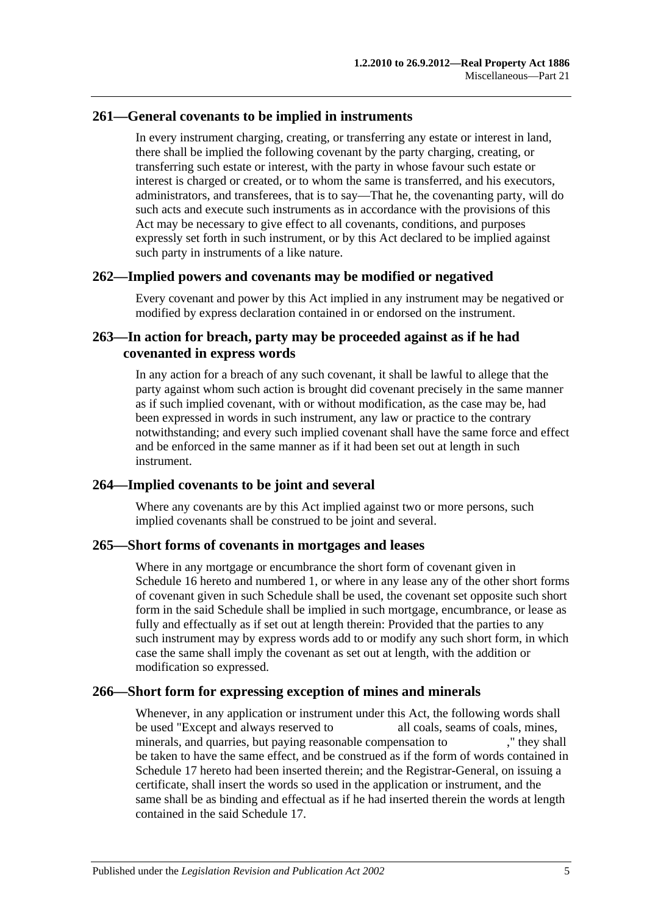## **261—General covenants to be implied in instruments**

In every instrument charging, creating, or transferring any estate or interest in land, there shall be implied the following covenant by the party charging, creating, or transferring such estate or interest, with the party in whose favour such estate or interest is charged or created, or to whom the same is transferred, and his executors, administrators, and transferees, that is to say—That he, the covenanting party, will do such acts and execute such instruments as in accordance with the provisions of this Act may be necessary to give effect to all covenants, conditions, and purposes expressly set forth in such instrument, or by this Act declared to be implied against such party in instruments of a like nature.

#### **262—Implied powers and covenants may be modified or negatived**

Every covenant and power by this Act implied in any instrument may be negatived or modified by express declaration contained in or endorsed on the instrument.

## **263—In action for breach, party may be proceeded against as if he had covenanted in express words**

In any action for a breach of any such covenant, it shall be lawful to allege that the party against whom such action is brought did covenant precisely in the same manner as if such implied covenant, with or without modification, as the case may be, had been expressed in words in such instrument, any law or practice to the contrary notwithstanding; and every such implied covenant shall have the same force and effect and be enforced in the same manner as if it had been set out at length in such instrument.

## **264—Implied covenants to be joint and several**

Where any covenants are by this Act implied against two or more persons, such implied covenants shall be construed to be joint and several.

#### **265—Short forms of covenants in mortgages and leases**

Where in any mortgage or encumbrance the short form of covenant given in [Schedule](#page-135-0) 16 hereto and numbered 1, or where in any lease any of the other short forms of covenant given in such Schedule shall be used, the covenant set opposite such short form in the said Schedule shall be implied in such mortgage, encumbrance, or lease as fully and effectually as if set out at length therein: Provided that the parties to any such instrument may by express words add to or modify any such short form, in which case the same shall imply the covenant as set out at length, with the addition or modification so expressed.

## **266—Short form for expressing exception of mines and minerals**

Whenever, in any application or instrument under this Act, the following words shall be used "Except and always reserved to all coals, seams of coals, mines, minerals, and quarries, but paying reasonable compensation to ," they shall be taken to have the same effect, and be construed as if the form of words contained in [Schedule 17](#page-137-1) hereto had been inserted therein; and the Registrar-General, on issuing a certificate, shall insert the words so used in the application or instrument, and the same shall be as binding and effectual as if he had inserted therein the words at length contained in the said [Schedule 17.](#page-137-1)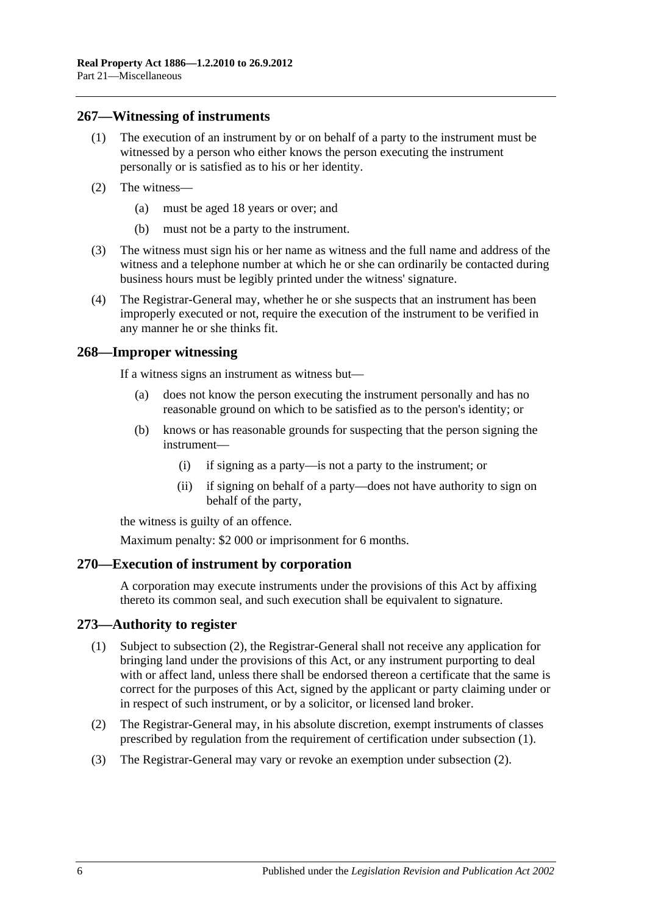#### **267—Witnessing of instruments**

- (1) The execution of an instrument by or on behalf of a party to the instrument must be witnessed by a person who either knows the person executing the instrument personally or is satisfied as to his or her identity.
- (2) The witness—
	- (a) must be aged 18 years or over; and
	- (b) must not be a party to the instrument.
- (3) The witness must sign his or her name as witness and the full name and address of the witness and a telephone number at which he or she can ordinarily be contacted during business hours must be legibly printed under the witness' signature.
- (4) The Registrar-General may, whether he or she suspects that an instrument has been improperly executed or not, require the execution of the instrument to be verified in any manner he or she thinks fit.

#### **268—Improper witnessing**

If a witness signs an instrument as witness but—

- (a) does not know the person executing the instrument personally and has no reasonable ground on which to be satisfied as to the person's identity; or
- (b) knows or has reasonable grounds for suspecting that the person signing the instrument—
	- (i) if signing as a party—is not a party to the instrument; or
	- (ii) if signing on behalf of a party—does not have authority to sign on behalf of the party,

the witness is guilty of an offence.

Maximum penalty: \$2 000 or imprisonment for 6 months.

#### **270—Execution of instrument by corporation**

A corporation may execute instruments under the provisions of this Act by affixing thereto its common seal, and such execution shall be equivalent to signature.

#### <span id="page-125-1"></span>**273—Authority to register**

- (1) Subject to [subsection](#page-125-0) (2), the Registrar-General shall not receive any application for bringing land under the provisions of this Act, or any instrument purporting to deal with or affect land, unless there shall be endorsed thereon a certificate that the same is correct for the purposes of this Act, signed by the applicant or party claiming under or in respect of such instrument, or by a solicitor, or licensed land broker.
- <span id="page-125-0"></span>(2) The Registrar-General may, in his absolute discretion, exempt instruments of classes prescribed by regulation from the requirement of certification under [subsection](#page-125-1) (1).
- (3) The Registrar-General may vary or revoke an exemption under [subsection](#page-125-0) (2).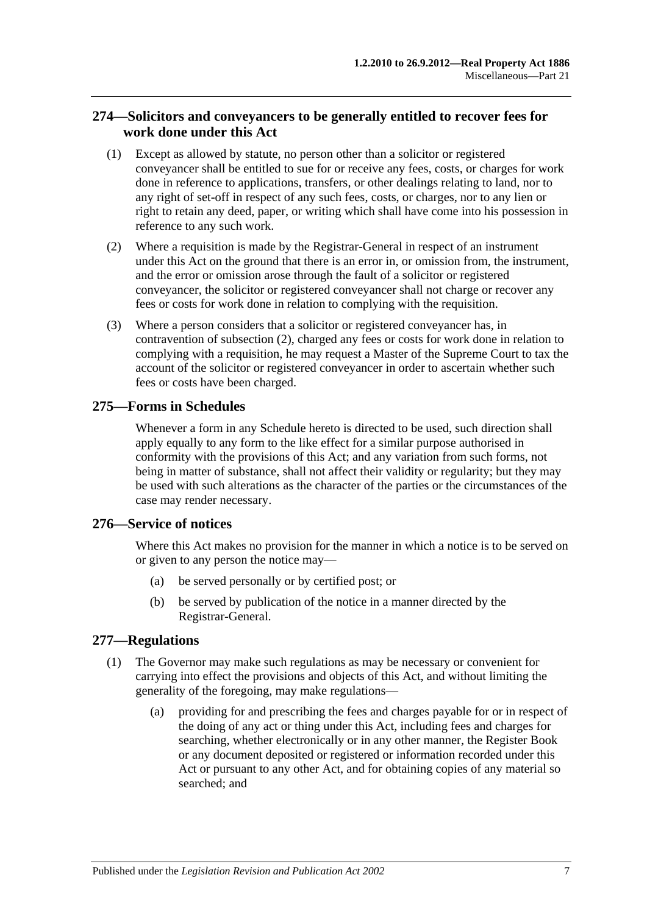## **274—Solicitors and conveyancers to be generally entitled to recover fees for work done under this Act**

- (1) Except as allowed by statute, no person other than a solicitor or registered conveyancer shall be entitled to sue for or receive any fees, costs, or charges for work done in reference to applications, transfers, or other dealings relating to land, nor to any right of set-off in respect of any such fees, costs, or charges, nor to any lien or right to retain any deed, paper, or writing which shall have come into his possession in reference to any such work.
- <span id="page-126-0"></span>(2) Where a requisition is made by the Registrar-General in respect of an instrument under this Act on the ground that there is an error in, or omission from, the instrument, and the error or omission arose through the fault of a solicitor or registered conveyancer, the solicitor or registered conveyancer shall not charge or recover any fees or costs for work done in relation to complying with the requisition.
- (3) Where a person considers that a solicitor or registered conveyancer has, in contravention of [subsection](#page-126-0) (2), charged any fees or costs for work done in relation to complying with a requisition, he may request a Master of the Supreme Court to tax the account of the solicitor or registered conveyancer in order to ascertain whether such fees or costs have been charged.

## **275—Forms in Schedules**

Whenever a form in any Schedule hereto is directed to be used, such direction shall apply equally to any form to the like effect for a similar purpose authorised in conformity with the provisions of this Act; and any variation from such forms, not being in matter of substance, shall not affect their validity or regularity; but they may be used with such alterations as the character of the parties or the circumstances of the case may render necessary.

## **276—Service of notices**

Where this Act makes no provision for the manner in which a notice is to be served on or given to any person the notice may—

- (a) be served personally or by certified post; or
- (b) be served by publication of the notice in a manner directed by the Registrar-General.

## <span id="page-126-1"></span>**277—Regulations**

- (1) The Governor may make such regulations as may be necessary or convenient for carrying into effect the provisions and objects of this Act, and without limiting the generality of the foregoing, may make regulations—
	- (a) providing for and prescribing the fees and charges payable for or in respect of the doing of any act or thing under this Act, including fees and charges for searching, whether electronically or in any other manner, the Register Book or any document deposited or registered or information recorded under this Act or pursuant to any other Act, and for obtaining copies of any material so searched; and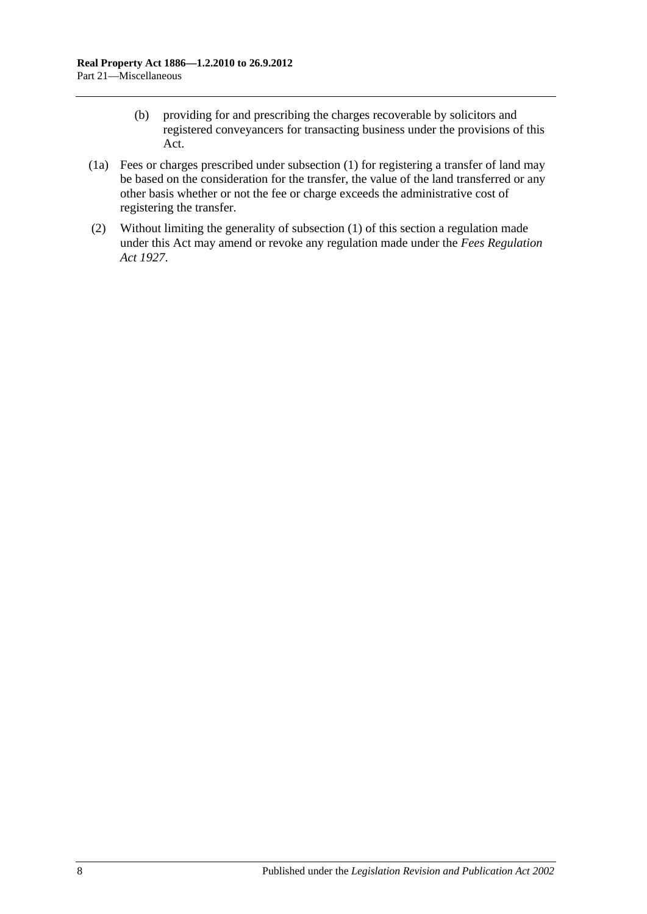- (b) providing for and prescribing the charges recoverable by solicitors and registered conveyancers for transacting business under the provisions of this Act.
- (1a) Fees or charges prescribed under [subsection](#page-126-1) (1) for registering a transfer of land may be based on the consideration for the transfer, the value of the land transferred or any other basis whether or not the fee or charge exceeds the administrative cost of registering the transfer.
- (2) Without limiting the generality of [subsection](#page-126-1) (1) of this section a regulation made under this Act may amend or revoke any regulation made under the *[Fees Regulation](http://www.legislation.sa.gov.au/index.aspx?action=legref&type=act&legtitle=Fees%20Regulation%20Act%201927)  Act [1927](http://www.legislation.sa.gov.au/index.aspx?action=legref&type=act&legtitle=Fees%20Regulation%20Act%201927)*.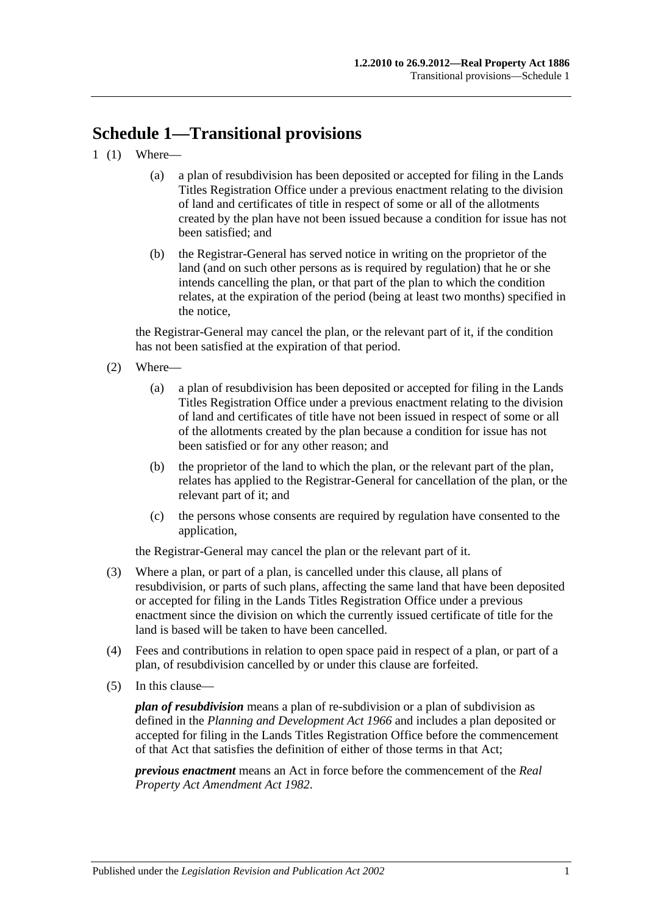# **Schedule 1—Transitional provisions**

- 1 (1) Where—
	- (a) a plan of resubdivision has been deposited or accepted for filing in the Lands Titles Registration Office under a previous enactment relating to the division of land and certificates of title in respect of some or all of the allotments created by the plan have not been issued because a condition for issue has not been satisfied; and
	- (b) the Registrar-General has served notice in writing on the proprietor of the land (and on such other persons as is required by regulation) that he or she intends cancelling the plan, or that part of the plan to which the condition relates, at the expiration of the period (being at least two months) specified in the notice,

the Registrar-General may cancel the plan, or the relevant part of it, if the condition has not been satisfied at the expiration of that period.

- (2) Where—
	- (a) a plan of resubdivision has been deposited or accepted for filing in the Lands Titles Registration Office under a previous enactment relating to the division of land and certificates of title have not been issued in respect of some or all of the allotments created by the plan because a condition for issue has not been satisfied or for any other reason; and
	- (b) the proprietor of the land to which the plan, or the relevant part of the plan, relates has applied to the Registrar-General for cancellation of the plan, or the relevant part of it; and
	- (c) the persons whose consents are required by regulation have consented to the application,

the Registrar-General may cancel the plan or the relevant part of it.

- (3) Where a plan, or part of a plan, is cancelled under this clause, all plans of resubdivision, or parts of such plans, affecting the same land that have been deposited or accepted for filing in the Lands Titles Registration Office under a previous enactment since the division on which the currently issued certificate of title for the land is based will be taken to have been cancelled.
- (4) Fees and contributions in relation to open space paid in respect of a plan, or part of a plan, of resubdivision cancelled by or under this clause are forfeited.
- (5) In this clause—

*plan of resubdivision* means a plan of re-subdivision or a plan of subdivision as defined in the *[Planning and Development Act](http://www.legislation.sa.gov.au/index.aspx?action=legref&type=act&legtitle=Planning%20and%20Development%20Act%201966) 1966* and includes a plan deposited or accepted for filing in the Lands Titles Registration Office before the commencement of that Act that satisfies the definition of either of those terms in that Act;

*previous enactment* means an Act in force before the commencement of the *[Real](http://www.legislation.sa.gov.au/index.aspx?action=legref&type=act&legtitle=Real%20Property%20Act%20Amendment%20Act%201982)  [Property Act Amendment Act](http://www.legislation.sa.gov.au/index.aspx?action=legref&type=act&legtitle=Real%20Property%20Act%20Amendment%20Act%201982) 1982*.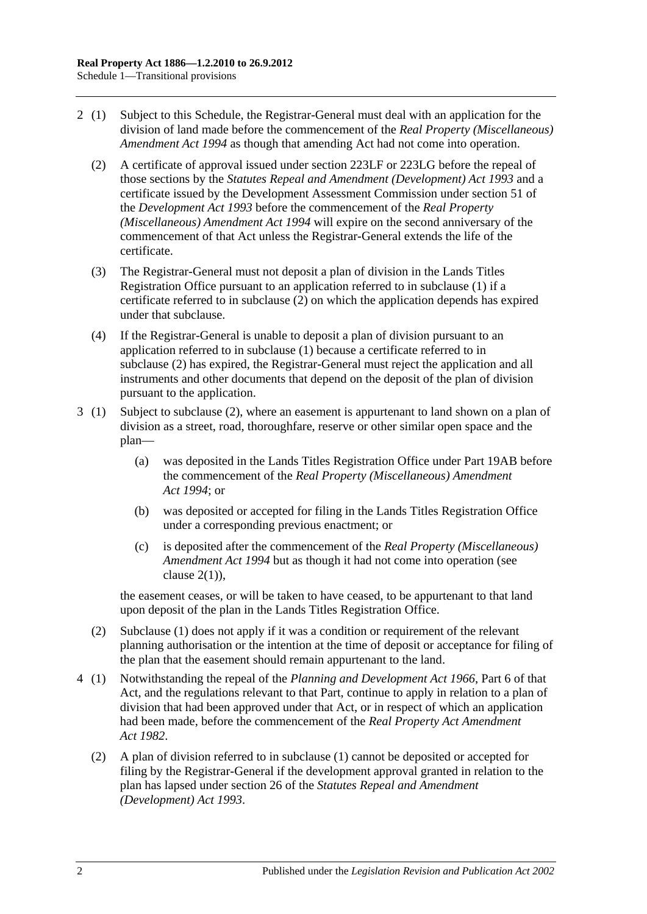- <span id="page-129-0"></span>2 (1) Subject to this Schedule, the Registrar-General must deal with an application for the division of land made before the commencement of the *[Real Property \(Miscellaneous\)](http://www.legislation.sa.gov.au/index.aspx?action=legref&type=act&legtitle=Real%20Property%20(Miscellaneous)%20Amendment%20Act%201994)  [Amendment Act](http://www.legislation.sa.gov.au/index.aspx?action=legref&type=act&legtitle=Real%20Property%20(Miscellaneous)%20Amendment%20Act%201994) 1994* as though that amending Act had not come into operation.
	- (2) A certificate of approval issued under [section](#page-111-2) 223LF or [223LG](#page-112-3) before the repeal of those sections by the *[Statutes Repeal and Amendment \(Development\) Act](http://www.legislation.sa.gov.au/index.aspx?action=legref&type=act&legtitle=Statutes%20Repeal%20and%20Amendment%20(Development)%20Act%201993) 1993* and a certificate issued by the Development Assessment Commission under section 51 of the *[Development Act](http://www.legislation.sa.gov.au/index.aspx?action=legref&type=act&legtitle=Development%20Act%201993) 1993* before the commencement of the *[Real Property](http://www.legislation.sa.gov.au/index.aspx?action=legref&type=act&legtitle=Real%20Property%20(Miscellaneous)%20Amendment%20Act%201994)  [\(Miscellaneous\) Amendment Act](http://www.legislation.sa.gov.au/index.aspx?action=legref&type=act&legtitle=Real%20Property%20(Miscellaneous)%20Amendment%20Act%201994) 1994* will expire on the second anniversary of the commencement of that Act unless the Registrar-General extends the life of the certificate.
	- (3) The Registrar-General must not deposit a plan of division in the Lands Titles Registration Office pursuant to an application referred to in subclause (1) if a certificate referred to in [subclause](#page-129-0) (2) on which the application depends has expired under that subclause.
	- (4) If the Registrar-General is unable to deposit a plan of division pursuant to an application referred to in subclause (1) because a certificate referred to in [subclause](#page-129-0) (2) has expired, the Registrar-General must reject the application and all instruments and other documents that depend on the deposit of the plan of division pursuant to the application.
- 3 (1) Subject to [subclause](#page-129-1) (2), where an easement is appurtenant to land shown on a plan of division as a street, road, thoroughfare, reserve or other similar open space and the plan—
	- (a) was deposited in the Lands Titles Registration Office under [Part 19AB](#page-104-0) before the commencement of the *[Real Property \(Miscellaneous\) Amendment](http://www.legislation.sa.gov.au/index.aspx?action=legref&type=act&legtitle=Real%20Property%20(Miscellaneous)%20Amendment%20Act%201994)  Act [1994](http://www.legislation.sa.gov.au/index.aspx?action=legref&type=act&legtitle=Real%20Property%20(Miscellaneous)%20Amendment%20Act%201994)*; or
	- (b) was deposited or accepted for filing in the Lands Titles Registration Office under a corresponding previous enactment; or
	- (c) is deposited after the commencement of the *[Real Property \(Miscellaneous\)](http://www.legislation.sa.gov.au/index.aspx?action=legref&type=act&legtitle=Real%20Property%20(Miscellaneous)%20Amendment%20Act%201994)  [Amendment Act](http://www.legislation.sa.gov.au/index.aspx?action=legref&type=act&legtitle=Real%20Property%20(Miscellaneous)%20Amendment%20Act%201994) 1994* but as though it had not come into operation (see clause  $2(1)$ ).

the easement ceases, or will be taken to have ceased, to be appurtenant to that land upon deposit of the plan in the Lands Titles Registration Office.

- <span id="page-129-1"></span>(2) Subclause (1) does not apply if it was a condition or requirement of the relevant planning authorisation or the intention at the time of deposit or acceptance for filing of the plan that the easement should remain appurtenant to the land.
- 4 (1) Notwithstanding the repeal of the *[Planning and Development Act](http://www.legislation.sa.gov.au/index.aspx?action=legref&type=act&legtitle=Planning%20and%20Development%20Act%201966) 1966*, Part 6 of that Act, and the regulations relevant to that Part, continue to apply in relation to a plan of division that had been approved under that Act, or in respect of which an application had been made, before the commencement of the *[Real Property Act Amendment](http://www.legislation.sa.gov.au/index.aspx?action=legref&type=act&legtitle=Real%20Property%20Act%20Amendment%20Act%201982)  Act [1982](http://www.legislation.sa.gov.au/index.aspx?action=legref&type=act&legtitle=Real%20Property%20Act%20Amendment%20Act%201982)*.
	- (2) A plan of division referred to in subclause (1) cannot be deposited or accepted for filing by the Registrar-General if the development approval granted in relation to the plan has lapsed under section 26 of the *[Statutes Repeal and Amendment](http://www.legislation.sa.gov.au/index.aspx?action=legref&type=act&legtitle=Statutes%20Repeal%20and%20Amendment%20(Development)%20Act%201993)  [\(Development\) Act](http://www.legislation.sa.gov.au/index.aspx?action=legref&type=act&legtitle=Statutes%20Repeal%20and%20Amendment%20(Development)%20Act%201993) 1993*.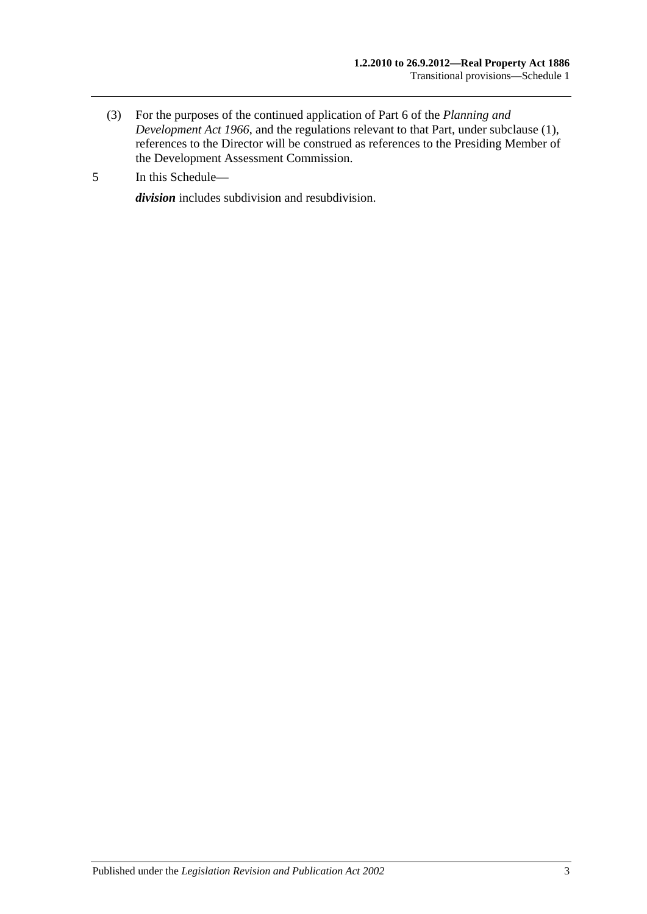- (3) For the purposes of the continued application of Part 6 of the *[Planning and](http://www.legislation.sa.gov.au/index.aspx?action=legref&type=act&legtitle=Planning%20and%20Development%20Act%201966)  [Development Act](http://www.legislation.sa.gov.au/index.aspx?action=legref&type=act&legtitle=Planning%20and%20Development%20Act%201966) 1966*, and the regulations relevant to that Part, under subclause (1), references to the Director will be construed as references to the Presiding Member of the Development Assessment Commission.
- 5 In this Schedule—

*division* includes subdivision and resubdivision.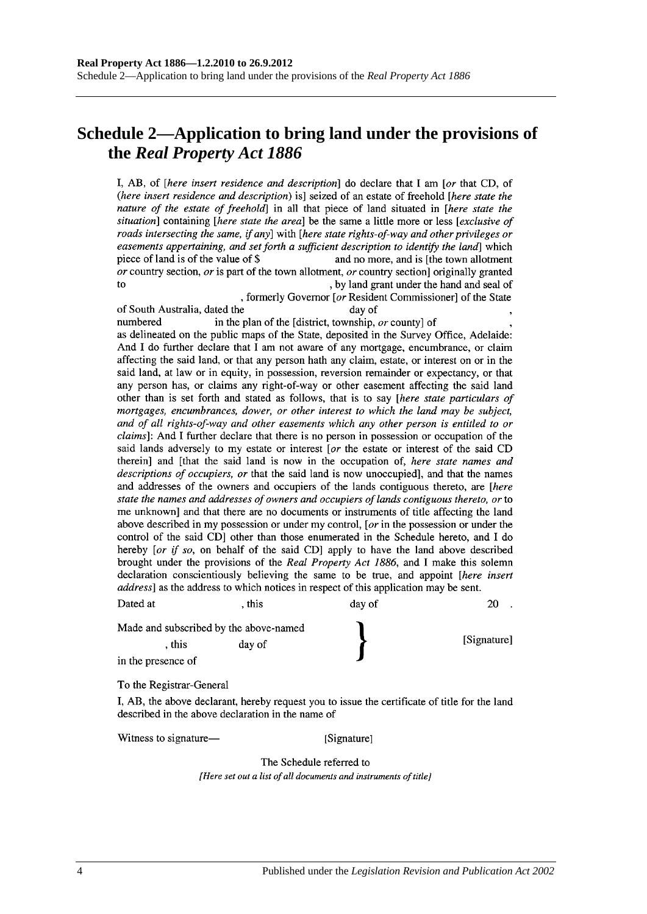## **Schedule 2—Application to bring land under the provisions of the** *Real Property Act 1886*

I, AB, of *[here insert residence and description*] do declare that I am *[or that CD, of* (here insert residence and description) is] seized of an estate of freehold [here state the nature of the estate of freehold] in all that piece of land situated in [here state the situation] containing [here state the area] be the same a little more or less [exclusive of roads intersecting the same, if any] with [here state rights-of-way and other privileges or easements appertaining, and set forth a sufficient description to identify the land which piece of land is of the value of \$ and no more, and is [the town allotment] or country section, or is part of the town allotment, or country section originally granted to , by land grant under the hand and seal of

, formerly Governor [or Resident Commissioner] of the State of South Australia, dated the day of numbered in the plan of the [district, township, or county] of as delineated on the public maps of the State, deposited in the Survey Office, Adelaide: And I do further declare that I am not aware of any mortgage, encumbrance, or claim affecting the said land, or that any person hath any claim, estate, or interest on or in the said land, at law or in equity, in possession, reversion remainder or expectancy, or that any person has, or claims any right-of-way or other easement affecting the said land other than is set forth and stated as follows, that is to say [here state particulars of mortgages, encumbrances, dower, or other interest to which the land may be subject, and of all rights-of-way and other easements which any other person is entitled to or *claims*]: And I further declare that there is no person in possession or occupation of the said lands adversely to my estate or interest [or the estate or interest of the said CD therein] and [that the said land is now in the occupation of, here state names and descriptions of occupiers, or that the said land is now unoccupied], and that the names and addresses of the owners and occupiers of the lands contiguous thereto, are [here

state the names and addresses of owners and occupiers of lands contiguous thereto, or to me unknown] and that there are no documents or instruments of title affecting the land above described in my possession or under my control, [ $or$  in the possession or under the control of the said CD] other than those enumerated in the Schedule hereto, and I do hereby [or if so, on behalf of the said CD] apply to have the land above described brought under the provisions of the Real Property Act 1886, and I make this solemn declaration conscientiously believing the same to be true, and appoint [here insert address] as the address to which notices in respect of this application may be sent.

| Dated at           | . this                                 | day of |             |
|--------------------|----------------------------------------|--------|-------------|
|                    | Made and subscribed by the above-named |        |             |
| . this             | day of                                 |        | [Signature] |
| in the presence of |                                        |        |             |

To the Registrar-General

I, AB, the above declarant, hereby request you to issue the certificate of title for the land described in the above declaration in the name of

Witness to signature—

[Signature]

The Schedule referred to [Here set out a list of all documents and instruments of title]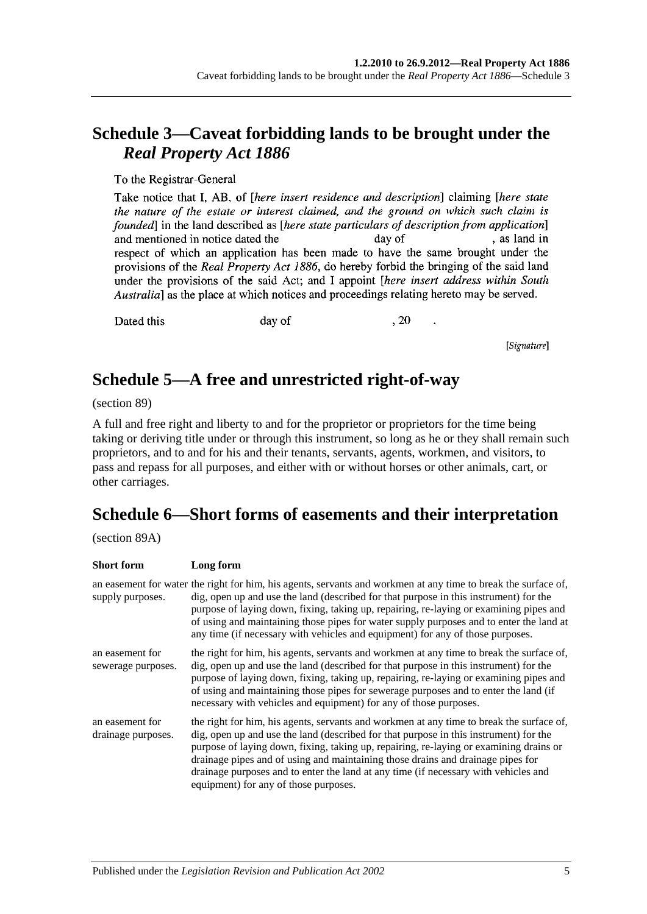## **Schedule 3—Caveat forbidding lands to be brought under the**  *Real Property Act 1886*

To the Registrar-General

Take notice that I, AB, of *[here insert residence and description*] claiming *[here state* the nature of the estate or interest claimed, and the ground on which such claim is founded in the land described as *[here state particulars of description from application*] , as land in and mentioned in notice dated the day of respect of which an application has been made to have the same brought under the provisions of the Real Property Act 1886, do hereby forbid the bringing of the said land under the provisions of the said Act; and I appoint *[here insert address within South* Australia] as the place at which notices and proceedings relating hereto may be served.

Dated this

day of

, 20

[Signature]

## **Schedule 5—A free and unrestricted right-of-way**

(section 89)

A full and free right and liberty to and for the proprietor or proprietors for the time being taking or deriving title under or through this instrument, so long as he or they shall remain such proprietors, and to and for his and their tenants, servants, agents, workmen, and visitors, to pass and repass for all purposes, and either with or without horses or other animals, cart, or other carriages.

## **Schedule 6—Short forms of easements and their interpretation**

(section 89A)

| <b>Short form</b>                     | Long form                                                                                                                                                                                                                                                                                                                                                                                                                                                                                      |
|---------------------------------------|------------------------------------------------------------------------------------------------------------------------------------------------------------------------------------------------------------------------------------------------------------------------------------------------------------------------------------------------------------------------------------------------------------------------------------------------------------------------------------------------|
| supply purposes.                      | an easement for water the right for him, his agents, servants and workmen at any time to break the surface of,<br>dig, open up and use the land (described for that purpose in this instrument) for the<br>purpose of laying down, fixing, taking up, repairing, re-laying or examining pipes and<br>of using and maintaining those pipes for water supply purposes and to enter the land at<br>any time (if necessary with vehicles and equipment) for any of those purposes.                 |
| an easement for<br>sewerage purposes. | the right for him, his agents, servants and workmen at any time to break the surface of,<br>dig, open up and use the land (described for that purpose in this instrument) for the<br>purpose of laying down, fixing, taking up, repairing, re-laying or examining pipes and<br>of using and maintaining those pipes for sewerage purposes and to enter the land (if<br>necessary with vehicles and equipment) for any of those purposes.                                                       |
| an easement for<br>drainage purposes. | the right for him, his agents, servants and workmen at any time to break the surface of,<br>dig, open up and use the land (described for that purpose in this instrument) for the<br>purpose of laying down, fixing, taking up, repairing, re-laying or examining drains or<br>drainage pipes and of using and maintaining those drains and drainage pipes for<br>drainage purposes and to enter the land at any time (if necessary with vehicles and<br>equipment) for any of those purposes. |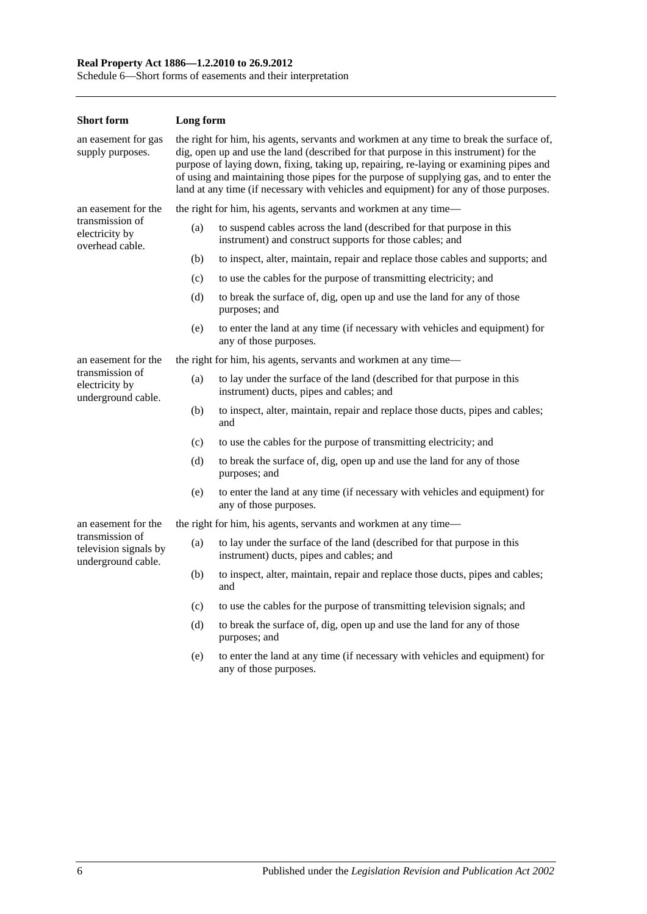#### **Real Property Act 1886—1.2.2010 to 26.9.2012**

Schedule 6—Short forms of easements and their interpretation

| <b>Short form</b>                                              | Long form                                                                                                                                                                                                                                                                                                                                                                                                                                                        |                                                                                                                                   |  |  |
|----------------------------------------------------------------|------------------------------------------------------------------------------------------------------------------------------------------------------------------------------------------------------------------------------------------------------------------------------------------------------------------------------------------------------------------------------------------------------------------------------------------------------------------|-----------------------------------------------------------------------------------------------------------------------------------|--|--|
| an easement for gas<br>supply purposes.                        | the right for him, his agents, servants and workmen at any time to break the surface of,<br>dig, open up and use the land (described for that purpose in this instrument) for the<br>purpose of laying down, fixing, taking up, repairing, re-laying or examining pipes and<br>of using and maintaining those pipes for the purpose of supplying gas, and to enter the<br>land at any time (if necessary with vehicles and equipment) for any of those purposes. |                                                                                                                                   |  |  |
| an easement for the                                            |                                                                                                                                                                                                                                                                                                                                                                                                                                                                  | the right for him, his agents, servants and workmen at any time—                                                                  |  |  |
| transmission of<br>electricity by<br>overhead cable.           | (a)                                                                                                                                                                                                                                                                                                                                                                                                                                                              | to suspend cables across the land (described for that purpose in this<br>instrument) and construct supports for those cables; and |  |  |
|                                                                | (b)                                                                                                                                                                                                                                                                                                                                                                                                                                                              | to inspect, alter, maintain, repair and replace those cables and supports; and                                                    |  |  |
|                                                                | (c)                                                                                                                                                                                                                                                                                                                                                                                                                                                              | to use the cables for the purpose of transmitting electricity; and                                                                |  |  |
|                                                                | (d)                                                                                                                                                                                                                                                                                                                                                                                                                                                              | to break the surface of, dig, open up and use the land for any of those<br>purposes; and                                          |  |  |
|                                                                | (e)                                                                                                                                                                                                                                                                                                                                                                                                                                                              | to enter the land at any time (if necessary with vehicles and equipment) for<br>any of those purposes.                            |  |  |
| an easement for the                                            |                                                                                                                                                                                                                                                                                                                                                                                                                                                                  | the right for him, his agents, servants and workmen at any time—                                                                  |  |  |
| transmission of<br>electricity by<br>underground cable.        | (a)                                                                                                                                                                                                                                                                                                                                                                                                                                                              | to lay under the surface of the land (described for that purpose in this<br>instrument) ducts, pipes and cables; and              |  |  |
|                                                                | (b)                                                                                                                                                                                                                                                                                                                                                                                                                                                              | to inspect, alter, maintain, repair and replace those ducts, pipes and cables;<br>and                                             |  |  |
|                                                                | (c)                                                                                                                                                                                                                                                                                                                                                                                                                                                              | to use the cables for the purpose of transmitting electricity; and                                                                |  |  |
|                                                                | (d)                                                                                                                                                                                                                                                                                                                                                                                                                                                              | to break the surface of, dig, open up and use the land for any of those<br>purposes; and                                          |  |  |
|                                                                | (e)                                                                                                                                                                                                                                                                                                                                                                                                                                                              | to enter the land at any time (if necessary with vehicles and equipment) for<br>any of those purposes.                            |  |  |
| an easement for the                                            |                                                                                                                                                                                                                                                                                                                                                                                                                                                                  | the right for him, his agents, servants and workmen at any time—                                                                  |  |  |
| transmission of<br>television signals by<br>underground cable. | (a)                                                                                                                                                                                                                                                                                                                                                                                                                                                              | to lay under the surface of the land (described for that purpose in this<br>instrument) ducts, pipes and cables; and              |  |  |
|                                                                | (b)                                                                                                                                                                                                                                                                                                                                                                                                                                                              | to inspect, alter, maintain, repair and replace those ducts, pipes and cables;<br>and                                             |  |  |
|                                                                | (c)                                                                                                                                                                                                                                                                                                                                                                                                                                                              | to use the cables for the purpose of transmitting television signals; and                                                         |  |  |
|                                                                | (d)                                                                                                                                                                                                                                                                                                                                                                                                                                                              | to break the surface of, dig, open up and use the land for any of those<br>purposes; and                                          |  |  |
|                                                                | (e)                                                                                                                                                                                                                                                                                                                                                                                                                                                              | to enter the land at any time (if necessary with vehicles and equipment) for<br>any of those purposes.                            |  |  |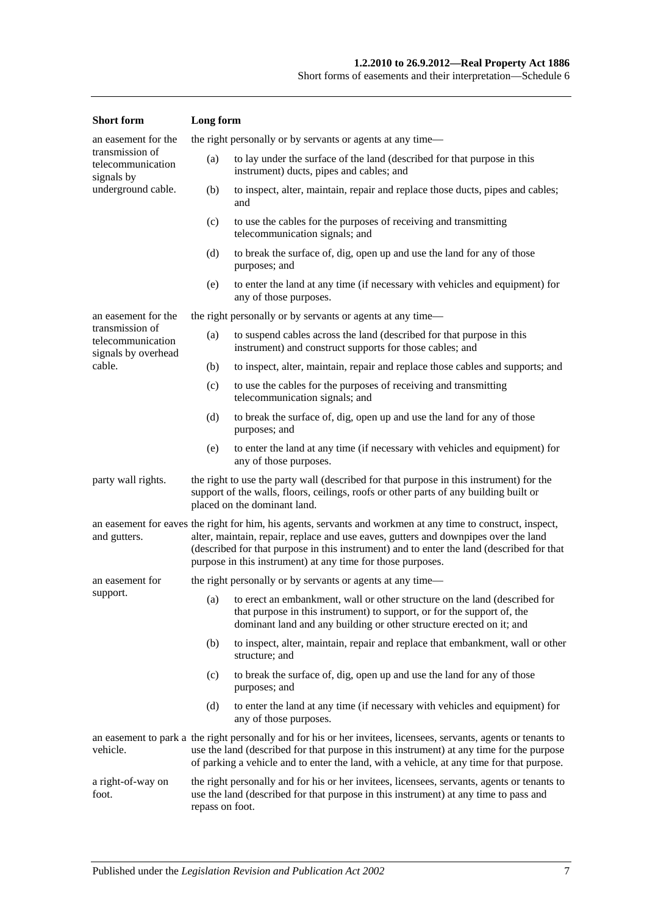| <b>Short</b> form                                           | Long form                                                                                                                                                                                                                                                                                                                                                       |                                                                                                                                                                                                                                   |  |
|-------------------------------------------------------------|-----------------------------------------------------------------------------------------------------------------------------------------------------------------------------------------------------------------------------------------------------------------------------------------------------------------------------------------------------------------|-----------------------------------------------------------------------------------------------------------------------------------------------------------------------------------------------------------------------------------|--|
| an easement for the                                         |                                                                                                                                                                                                                                                                                                                                                                 | the right personally or by servants or agents at any time—                                                                                                                                                                        |  |
| transmission of<br>telecommunication<br>signals by          | (a)                                                                                                                                                                                                                                                                                                                                                             | to lay under the surface of the land (described for that purpose in this<br>instrument) ducts, pipes and cables; and                                                                                                              |  |
| underground cable.                                          | (b)                                                                                                                                                                                                                                                                                                                                                             | to inspect, alter, maintain, repair and replace those ducts, pipes and cables;<br>and                                                                                                                                             |  |
|                                                             | (c)                                                                                                                                                                                                                                                                                                                                                             | to use the cables for the purposes of receiving and transmitting<br>telecommunication signals; and                                                                                                                                |  |
|                                                             | (d)                                                                                                                                                                                                                                                                                                                                                             | to break the surface of, dig, open up and use the land for any of those<br>purposes; and                                                                                                                                          |  |
|                                                             | (e)                                                                                                                                                                                                                                                                                                                                                             | to enter the land at any time (if necessary with vehicles and equipment) for<br>any of those purposes.                                                                                                                            |  |
| an easement for the                                         |                                                                                                                                                                                                                                                                                                                                                                 | the right personally or by servants or agents at any time—                                                                                                                                                                        |  |
| transmission of<br>telecommunication<br>signals by overhead | (a)                                                                                                                                                                                                                                                                                                                                                             | to suspend cables across the land (described for that purpose in this<br>instrument) and construct supports for those cables; and                                                                                                 |  |
| cable.                                                      | (b)                                                                                                                                                                                                                                                                                                                                                             | to inspect, alter, maintain, repair and replace those cables and supports; and                                                                                                                                                    |  |
|                                                             | (c)                                                                                                                                                                                                                                                                                                                                                             | to use the cables for the purposes of receiving and transmitting<br>telecommunication signals; and                                                                                                                                |  |
|                                                             | (d)                                                                                                                                                                                                                                                                                                                                                             | to break the surface of, dig, open up and use the land for any of those<br>purposes; and                                                                                                                                          |  |
|                                                             | to enter the land at any time (if necessary with vehicles and equipment) for<br>(e)<br>any of those purposes.                                                                                                                                                                                                                                                   |                                                                                                                                                                                                                                   |  |
| party wall rights.                                          | the right to use the party wall (described for that purpose in this instrument) for the<br>support of the walls, floors, ceilings, roofs or other parts of any building built or<br>placed on the dominant land.                                                                                                                                                |                                                                                                                                                                                                                                   |  |
| and gutters.                                                | an easement for eaves the right for him, his agents, servants and workmen at any time to construct, inspect,<br>alter, maintain, repair, replace and use eaves, gutters and downpipes over the land<br>(described for that purpose in this instrument) and to enter the land (described for that<br>purpose in this instrument) at any time for those purposes. |                                                                                                                                                                                                                                   |  |
| an easement for                                             |                                                                                                                                                                                                                                                                                                                                                                 | the right personally or by servants or agents at any time—                                                                                                                                                                        |  |
| support.                                                    |                                                                                                                                                                                                                                                                                                                                                                 | (a) to erect an embankment, wall or other structure on the land (described for<br>that purpose in this instrument) to support, or for the support of, the<br>dominant land and any building or other structure erected on it; and |  |
|                                                             | (b)                                                                                                                                                                                                                                                                                                                                                             | to inspect, alter, maintain, repair and replace that embankment, wall or other<br>structure; and                                                                                                                                  |  |
|                                                             | (c)                                                                                                                                                                                                                                                                                                                                                             | to break the surface of, dig, open up and use the land for any of those<br>purposes; and                                                                                                                                          |  |
|                                                             | (d)                                                                                                                                                                                                                                                                                                                                                             | to enter the land at any time (if necessary with vehicles and equipment) for<br>any of those purposes.                                                                                                                            |  |
| vehicle.                                                    | an easement to park a the right personally and for his or her invitees, licensees, servants, agents or tenants to<br>use the land (described for that purpose in this instrument) at any time for the purpose<br>of parking a vehicle and to enter the land, with a vehicle, at any time for that purpose.                                                      |                                                                                                                                                                                                                                   |  |
| a right-of-way on<br>foot.                                  | the right personally and for his or her invitees, licensees, servants, agents or tenants to<br>use the land (described for that purpose in this instrument) at any time to pass and<br>repass on foot.                                                                                                                                                          |                                                                                                                                                                                                                                   |  |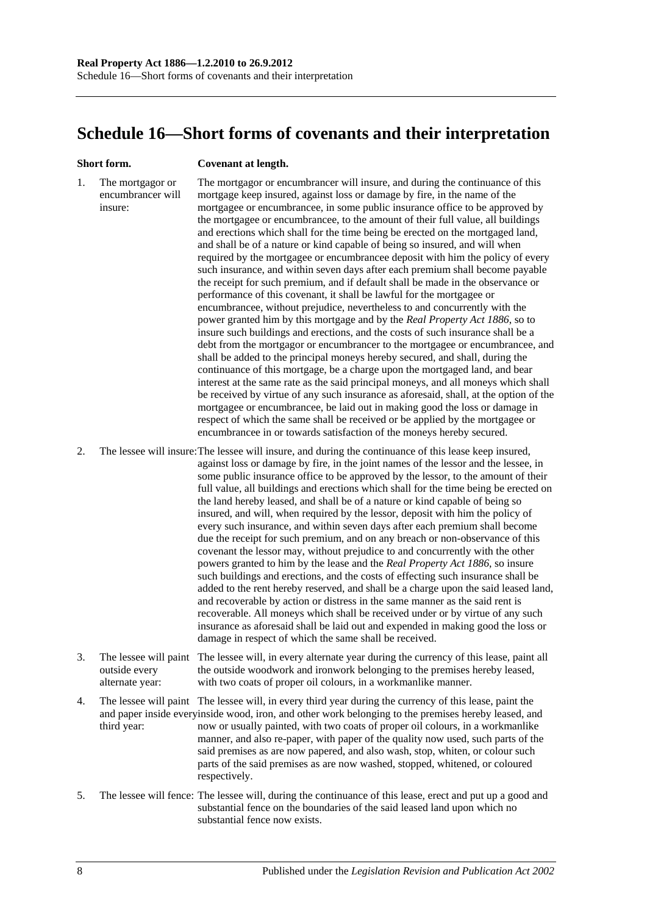## <span id="page-135-0"></span>**Schedule 16—Short forms of covenants and their interpretation**

#### **Short form. Covenant at length.**

1. The mortgagor or encumbrancer will insure: The mortgagor or encumbrancer will insure, and during the continuance of this mortgage keep insured, against loss or damage by fire, in the name of the mortgagee or encumbrancee, in some public insurance office to be approved by the mortgagee or encumbrancee, to the amount of their full value, all buildings and erections which shall for the time being be erected on the mortgaged land, and shall be of a nature or kind capable of being so insured, and will when required by the mortgagee or encumbrancee deposit with him the policy of every such insurance, and within seven days after each premium shall become payable the receipt for such premium, and if default shall be made in the observance or performance of this covenant, it shall be lawful for the mortgagee or encumbrancee, without prejudice, nevertheless to and concurrently with the power granted him by this mortgage and by the *[Real Property Act](http://www.legislation.sa.gov.au/index.aspx?action=legref&type=act&legtitle=Real%20Property%20Act%201886) 1886*, so to insure such buildings and erections, and the costs of such insurance shall be a debt from the mortgagor or encumbrancer to the mortgagee or encumbrancee, and shall be added to the principal moneys hereby secured, and shall, during the continuance of this mortgage, be a charge upon the mortgaged land, and bear interest at the same rate as the said principal moneys, and all moneys which shall be received by virtue of any such insurance as aforesaid, shall, at the option of the mortgagee or encumbrancee, be laid out in making good the loss or damage in respect of which the same shall be received or be applied by the mortgagee or encumbrancee in or towards satisfaction of the moneys hereby secured.

2. The lessee will insure:The lessee will insure, and during the continuance of this lease keep insured, against loss or damage by fire, in the joint names of the lessor and the lessee, in some public insurance office to be approved by the lessor, to the amount of their full value, all buildings and erections which shall for the time being be erected on the land hereby leased, and shall be of a nature or kind capable of being so insured, and will, when required by the lessor, deposit with him the policy of every such insurance, and within seven days after each premium shall become due the receipt for such premium, and on any breach or non-observance of this covenant the lessor may, without prejudice to and concurrently with the other powers granted to him by the lease and the *[Real Property Act](http://www.legislation.sa.gov.au/index.aspx?action=legref&type=act&legtitle=Real%20Property%20Act%201886) 1886*, so insure such buildings and erections, and the costs of effecting such insurance shall be added to the rent hereby reserved, and shall be a charge upon the said leased land, and recoverable by action or distress in the same manner as the said rent is recoverable. All moneys which shall be received under or by virtue of any such insurance as aforesaid shall be laid out and expended in making good the loss or damage in respect of which the same shall be received.

- 3. The lessee will paint The lessee will, in every alternate year during the currency of this lease, paint all outside every alternate year: the outside woodwork and ironwork belonging to the premises hereby leased, with two coats of proper oil colours, in a workmanlike manner.
- 4. The lessee will paint The lessee will, in every third year during the currency of this lease, paint the and paper inside everyinside wood, iron, and other work belonging to the premises hereby leased, and third year: now or usually painted, with two coats of proper oil colours, in a workmanlike manner, and also re-paper, with paper of the quality now used, such parts of the said premises as are now papered, and also wash, stop, whiten, or colour such parts of the said premises as are now washed, stopped, whitened, or coloured respectively.
- 5. The lessee will fence: The lessee will, during the continuance of this lease, erect and put up a good and substantial fence on the boundaries of the said leased land upon which no substantial fence now exists.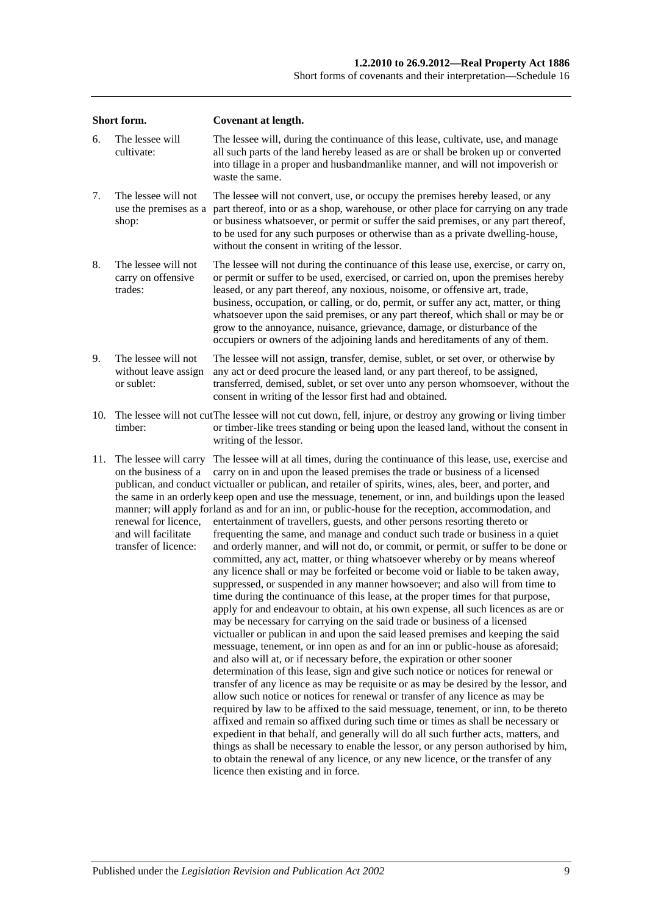| Short form. |                                                                                                                      | <b>Covenant at length.</b>                                                                                                                                                                                                                                                                                                                                                                                                                                                                                                                                                                                                                                                                                                                                                                                                                                                                                                                                                                                                                                                                                                                                                                                                                                                                                                                                                                                                                                                                                                                                                                                                                                                                                                                                                                                                                                                                                                                                                                                                                                                                                                                                                                                                                                              |  |  |  |
|-------------|----------------------------------------------------------------------------------------------------------------------|-------------------------------------------------------------------------------------------------------------------------------------------------------------------------------------------------------------------------------------------------------------------------------------------------------------------------------------------------------------------------------------------------------------------------------------------------------------------------------------------------------------------------------------------------------------------------------------------------------------------------------------------------------------------------------------------------------------------------------------------------------------------------------------------------------------------------------------------------------------------------------------------------------------------------------------------------------------------------------------------------------------------------------------------------------------------------------------------------------------------------------------------------------------------------------------------------------------------------------------------------------------------------------------------------------------------------------------------------------------------------------------------------------------------------------------------------------------------------------------------------------------------------------------------------------------------------------------------------------------------------------------------------------------------------------------------------------------------------------------------------------------------------------------------------------------------------------------------------------------------------------------------------------------------------------------------------------------------------------------------------------------------------------------------------------------------------------------------------------------------------------------------------------------------------------------------------------------------------------------------------------------------------|--|--|--|
| 6.          | The lessee will<br>cultivate:                                                                                        | The lessee will, during the continuance of this lease, cultivate, use, and manage<br>all such parts of the land hereby leased as are or shall be broken up or converted<br>into tillage in a proper and husbandmanlike manner, and will not impoverish or<br>waste the same.                                                                                                                                                                                                                                                                                                                                                                                                                                                                                                                                                                                                                                                                                                                                                                                                                                                                                                                                                                                                                                                                                                                                                                                                                                                                                                                                                                                                                                                                                                                                                                                                                                                                                                                                                                                                                                                                                                                                                                                            |  |  |  |
| 7.          | The lessee will not<br>use the premises as a<br>shop:                                                                | The lessee will not convert, use, or occupy the premises hereby leased, or any<br>part thereof, into or as a shop, warehouse, or other place for carrying on any trade<br>or business whatsoever, or permit or suffer the said premises, or any part thereof,<br>to be used for any such purposes or otherwise than as a private dwelling-house,<br>without the consent in writing of the lessor.                                                                                                                                                                                                                                                                                                                                                                                                                                                                                                                                                                                                                                                                                                                                                                                                                                                                                                                                                                                                                                                                                                                                                                                                                                                                                                                                                                                                                                                                                                                                                                                                                                                                                                                                                                                                                                                                       |  |  |  |
| 8.          | The lessee will not<br>carry on offensive<br>trades:                                                                 | The lessee will not during the continuance of this lease use, exercise, or carry on,<br>or permit or suffer to be used, exercised, or carried on, upon the premises hereby<br>leased, or any part thereof, any noxious, noisome, or offensive art, trade,<br>business, occupation, or calling, or do, permit, or suffer any act, matter, or thing<br>whatsoever upon the said premises, or any part thereof, which shall or may be or<br>grow to the annoyance, nuisance, grievance, damage, or disturbance of the<br>occupiers or owners of the adjoining lands and hereditaments of any of them.                                                                                                                                                                                                                                                                                                                                                                                                                                                                                                                                                                                                                                                                                                                                                                                                                                                                                                                                                                                                                                                                                                                                                                                                                                                                                                                                                                                                                                                                                                                                                                                                                                                                      |  |  |  |
| 9.          | The lessee will not<br>without leave assign<br>or sublet:                                                            | The lessee will not assign, transfer, demise, sublet, or set over, or otherwise by<br>any act or deed procure the leased land, or any part thereof, to be assigned,<br>transferred, demised, sublet, or set over unto any person whomsoever, without the<br>consent in writing of the lessor first had and obtained.                                                                                                                                                                                                                                                                                                                                                                                                                                                                                                                                                                                                                                                                                                                                                                                                                                                                                                                                                                                                                                                                                                                                                                                                                                                                                                                                                                                                                                                                                                                                                                                                                                                                                                                                                                                                                                                                                                                                                    |  |  |  |
| 10.         | timber:                                                                                                              | The lessee will not cut The lessee will not cut down, fell, injure, or destroy any growing or living timber<br>or timber-like trees standing or being upon the leased land, without the consent in<br>writing of the lessor.                                                                                                                                                                                                                                                                                                                                                                                                                                                                                                                                                                                                                                                                                                                                                                                                                                                                                                                                                                                                                                                                                                                                                                                                                                                                                                                                                                                                                                                                                                                                                                                                                                                                                                                                                                                                                                                                                                                                                                                                                                            |  |  |  |
| 11.         | The lessee will carry<br>on the business of a<br>renewal for licence,<br>and will facilitate<br>transfer of licence: | The lessee will at all times, during the continuance of this lease, use, exercise and<br>carry on in and upon the leased premises the trade or business of a licensed<br>publican, and conduct victualler or publican, and retailer of spirits, wines, ales, beer, and porter, and<br>the same in an orderly keep open and use the messuage, tenement, or inn, and buildings upon the leased<br>manner; will apply forland as and for an inn, or public-house for the reception, accommodation, and<br>entertainment of travellers, guests, and other persons resorting thereto or<br>frequenting the same, and manage and conduct such trade or business in a quiet<br>and orderly manner, and will not do, or commit, or permit, or suffer to be done or<br>committed, any act, matter, or thing whatsoever whereby or by means whereof<br>any licence shall or may be forfeited or become void or liable to be taken away,<br>suppressed, or suspended in any manner howsoever; and also will from time to<br>time during the continuance of this lease, at the proper times for that purpose,<br>apply for and endeavour to obtain, at his own expense, all such licences as are or<br>may be necessary for carrying on the said trade or business of a licensed<br>victualler or publican in and upon the said leased premises and keeping the said<br>messuage, tenement, or inn open as and for an inn or public-house as aforesaid;<br>and also will at, or if necessary before, the expiration or other sooner<br>determination of this lease, sign and give such notice or notices for renewal or<br>transfer of any licence as may be requisite or as may be desired by the lessor, and<br>allow such notice or notices for renewal or transfer of any licence as may be<br>required by law to be affixed to the said messuage, tenement, or inn, to be thereto<br>affixed and remain so affixed during such time or times as shall be necessary or<br>expedient in that behalf, and generally will do all such further acts, matters, and<br>things as shall be necessary to enable the lessor, or any person authorised by him,<br>to obtain the renewal of any licence, or any new licence, or the transfer of any<br>licence then existing and in force. |  |  |  |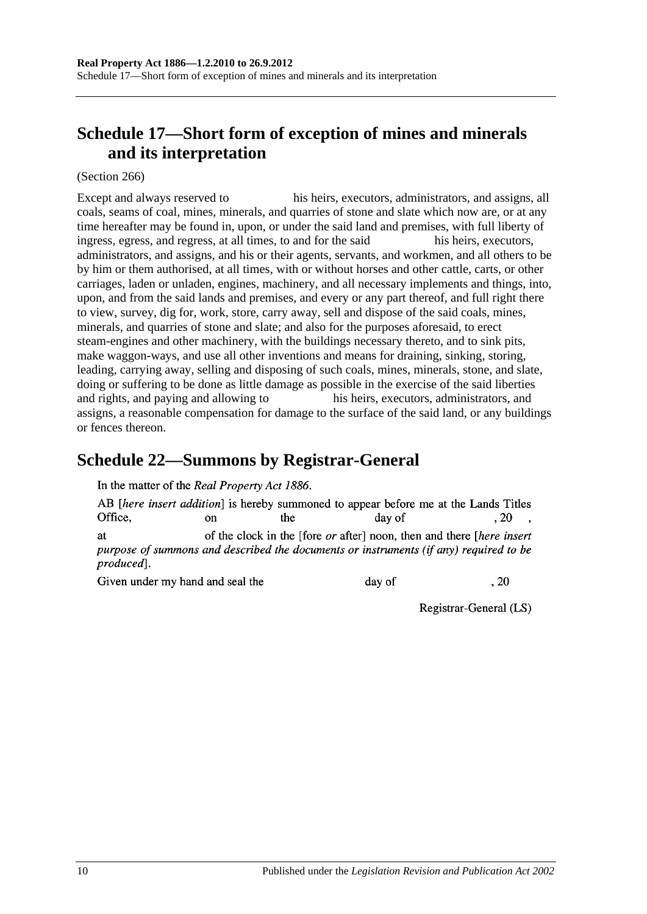# <span id="page-137-1"></span>**Schedule 17—Short form of exception of mines and minerals and its interpretation**

(Section 266)

Except and always reserved to his heirs, executors, administrators, and assigns, all coals, seams of coal, mines, minerals, and quarries of stone and slate which now are, or at any time hereafter may be found in, upon, or under the said land and premises, with full liberty of ingress, egress, and regress, at all times, to and for the said his heirs, executors, administrators, and assigns, and his or their agents, servants, and workmen, and all others to be by him or them authorised, at all times, with or without horses and other cattle, carts, or other carriages, laden or unladen, engines, machinery, and all necessary implements and things, into, upon, and from the said lands and premises, and every or any part thereof, and full right there to view, survey, dig for, work, store, carry away, sell and dispose of the said coals, mines, minerals, and quarries of stone and slate; and also for the purposes aforesaid, to erect steam-engines and other machinery, with the buildings necessary thereto, and to sink pits, make waggon-ways, and use all other inventions and means for draining, sinking, storing, leading, carrying away, selling and disposing of such coals, mines, minerals, stone, and slate, doing or suffering to be done as little damage as possible in the exercise of the said liberties and rights, and paying and allowing to his heirs, executors, administrators, and assigns, a reasonable compensation for damage to the surface of the said land, or any buildings or fences thereon.

## <span id="page-137-0"></span>**Schedule 22—Summons by Registrar-General**

In the matter of the Real Property Act 1886.

AB *[here insert addition]* is hereby summoned to appear before me at the Lands Titles Office. the  $.20$  $\alpha$ n day of of the clock in the [fore *or* after] noon, then and there [*here insert* **at** purpose of summons and described the documents or instruments (if any) required to be produced].

Given under my hand and seal the

day of

Registrar-General (LS)

 $.20$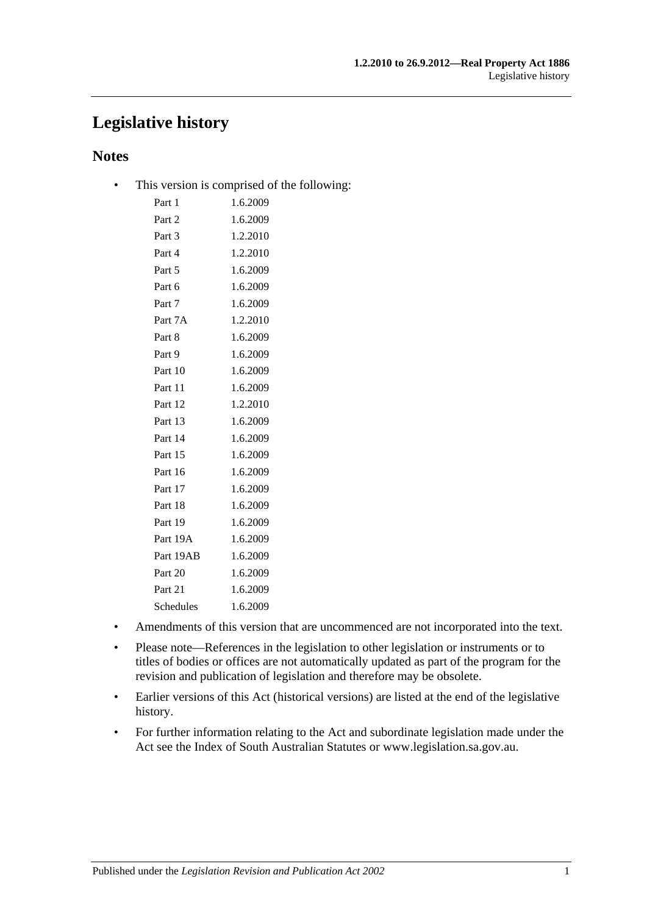## **Legislative history**

## **Notes**

• This version is comprised of the following:

| Part 1    | 1.6.2009 |
|-----------|----------|
| Part 2    | 1.6.2009 |
| Part 3    | 1.2.2010 |
| Part 4    | 1.2.2010 |
| Part 5    | 1.6.2009 |
| Part 6    | 1.6.2009 |
| Part 7    | 1.6.2009 |
| Part 7A   | 1.2.2010 |
| Part 8    | 1.6.2009 |
| Part 9    | 1.6.2009 |
| Part 10   | 1.6.2009 |
| Part 11   | 1.6.2009 |
| Part 12   | 1.2.2010 |
| Part 13   | 1.6.2009 |
| Part 14   | 1.6.2009 |
| Part 15   | 1.6.2009 |
| Part 16   | 1.6.2009 |
| Part 17   | 1.6.2009 |
| Part 18   | 1.6.2009 |
| Part 19   | 1.6.2009 |
| Part 19A  | 1.6.2009 |
| Part 19AB | 1.6.2009 |
| Part 20   | 1.6.2009 |
| Part 21   | 1.6.2009 |
| Schedules | 1.6.2009 |
|           |          |

- Amendments of this version that are uncommenced are not incorporated into the text.
- Please note—References in the legislation to other legislation or instruments or to titles of bodies or offices are not automatically updated as part of the program for the revision and publication of legislation and therefore may be obsolete.
- Earlier versions of this Act (historical versions) are listed at the end of the legislative history.
- For further information relating to the Act and subordinate legislation made under the Act see the Index of South Australian Statutes or www.legislation.sa.gov.au.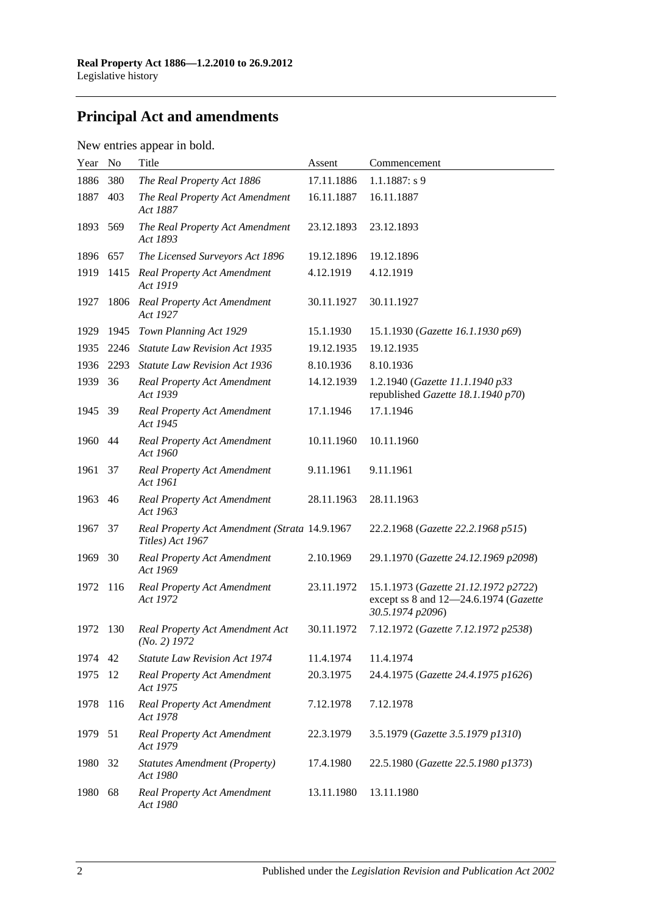# **Principal Act and amendments**

## New entries appear in bold.

| Year | No   | Title                                                             | Assent     | Commencement                                                                                      |
|------|------|-------------------------------------------------------------------|------------|---------------------------------------------------------------------------------------------------|
| 1886 | 380  | The Real Property Act 1886                                        | 17.11.1886 | $1.1.1887: s$ 9                                                                                   |
| 1887 | 403  | The Real Property Act Amendment<br>Act 1887                       | 16.11.1887 | 16.11.1887                                                                                        |
| 1893 | 569  | The Real Property Act Amendment<br>Act 1893                       | 23.12.1893 | 23.12.1893                                                                                        |
| 1896 | 657  | The Licensed Surveyors Act 1896                                   | 19.12.1896 | 19.12.1896                                                                                        |
| 1919 | 1415 | <b>Real Property Act Amendment</b><br>Act 1919                    | 4.12.1919  | 4.12.1919                                                                                         |
| 1927 | 1806 | <b>Real Property Act Amendment</b><br>Act 1927                    | 30.11.1927 | 30.11.1927                                                                                        |
| 1929 | 1945 | Town Planning Act 1929                                            | 15.1.1930  | 15.1.1930 (Gazette 16.1.1930 p69)                                                                 |
| 1935 | 2246 | <b>Statute Law Revision Act 1935</b>                              | 19.12.1935 | 19.12.1935                                                                                        |
| 1936 | 2293 | <b>Statute Law Revision Act 1936</b>                              | 8.10.1936  | 8.10.1936                                                                                         |
| 1939 | 36   | <b>Real Property Act Amendment</b><br>Act 1939                    | 14.12.1939 | 1.2.1940 (Gazette 11.1.1940 p33<br>republished Gazette 18.1.1940 p70)                             |
| 1945 | - 39 | <b>Real Property Act Amendment</b><br>Act 1945                    | 17.1.1946  | 17.1.1946                                                                                         |
| 1960 | 44   | <b>Real Property Act Amendment</b><br>Act 1960                    | 10.11.1960 | 10.11.1960                                                                                        |
| 1961 | 37   | <b>Real Property Act Amendment</b><br>Act 1961                    | 9.11.1961  | 9.11.1961                                                                                         |
| 1963 | 46   | <b>Real Property Act Amendment</b><br>Act 1963                    | 28.11.1963 | 28.11.1963                                                                                        |
| 1967 | 37   | Real Property Act Amendment (Strata 14.9.1967<br>Titles) Act 1967 |            | 22.2.1968 (Gazette 22.2.1968 p515)                                                                |
| 1969 | 30   | <b>Real Property Act Amendment</b><br>Act 1969                    | 2.10.1969  | 29.1.1970 (Gazette 24.12.1969 p2098)                                                              |
| 1972 | 116  | <b>Real Property Act Amendment</b><br>Act 1972                    | 23.11.1972 | 15.1.1973 (Gazette 21.12.1972 p2722)<br>except ss 8 and 12-24.6.1974 (Gazette<br>30.5.1974 p2096) |
| 1972 | 130  | Real Property Act Amendment Act<br>$(No. 2)$ 1972                 | 30.11.1972 | 7.12.1972 (Gazette 7.12.1972 p2538)                                                               |
| 1974 | 42   | <b>Statute Law Revision Act 1974</b>                              | 11.4.1974  | 11.4.1974                                                                                         |
| 1975 | 12   | <b>Real Property Act Amendment</b><br>Act 1975                    | 20.3.1975  | 24.4.1975 (Gazette 24.4.1975 p1626)                                                               |
| 1978 | 116  | <b>Real Property Act Amendment</b><br>Act 1978                    | 7.12.1978  | 7.12.1978                                                                                         |
| 1979 | 51   | <b>Real Property Act Amendment</b><br>Act 1979                    | 22.3.1979  | 3.5.1979 (Gazette 3.5.1979 p1310)                                                                 |
| 1980 | 32   | <b>Statutes Amendment (Property)</b><br>Act 1980                  | 17.4.1980  | 22.5.1980 (Gazette 22.5.1980 p1373)                                                               |
| 1980 | 68   | <b>Real Property Act Amendment</b><br>Act 1980                    | 13.11.1980 | 13.11.1980                                                                                        |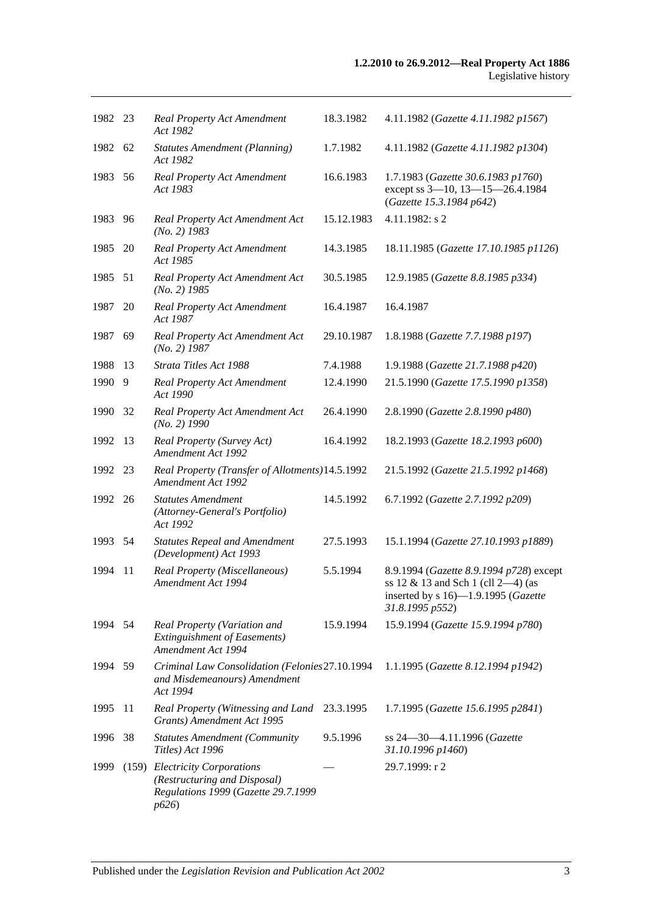| 1982 23 |    | <b>Real Property Act Amendment</b><br>Act 1982                                                                | 18.3.1982  | 4.11.1982 (Gazette 4.11.1982 p1567)                                                                                                        |
|---------|----|---------------------------------------------------------------------------------------------------------------|------------|--------------------------------------------------------------------------------------------------------------------------------------------|
| 1982 62 |    | <b>Statutes Amendment (Planning)</b><br>Act 1982                                                              | 1.7.1982   | 4.11.1982 (Gazette 4.11.1982 p1304)                                                                                                        |
| 1983    | 56 | Real Property Act Amendment<br>Act 1983                                                                       | 16.6.1983  | 1.7.1983 (Gazette 30.6.1983 p1760)<br>except ss 3-10, 13-15-26.4.1984<br>(Gazette 15.3.1984 p642)                                          |
| 1983    | 96 | Real Property Act Amendment Act<br>$(No. 2)$ 1983                                                             | 15.12.1983 | 4.11.1982: s 2                                                                                                                             |
| 1985    | 20 | <b>Real Property Act Amendment</b><br>Act 1985                                                                | 14.3.1985  | 18.11.1985 (Gazette 17.10.1985 p1126)                                                                                                      |
| 1985 51 |    | Real Property Act Amendment Act<br>$(No. 2)$ 1985                                                             | 30.5.1985  | 12.9.1985 (Gazette 8.8.1985 p334)                                                                                                          |
| 1987    | 20 | <b>Real Property Act Amendment</b><br>Act 1987                                                                | 16.4.1987  | 16.4.1987                                                                                                                                  |
| 1987    | 69 | Real Property Act Amendment Act<br>$(No. 2)$ 1987                                                             | 29.10.1987 | 1.8.1988 (Gazette 7.7.1988 p197)                                                                                                           |
| 1988    | 13 | Strata Titles Act 1988                                                                                        | 7.4.1988   | 1.9.1988 (Gazette 21.7.1988 p420)                                                                                                          |
| 1990    | 9  | <b>Real Property Act Amendment</b><br>Act 1990                                                                | 12.4.1990  | 21.5.1990 (Gazette 17.5.1990 p1358)                                                                                                        |
| 1990    | 32 | Real Property Act Amendment Act<br>$(No. 2)$ 1990                                                             | 26.4.1990  | 2.8.1990 (Gazette 2.8.1990 p480)                                                                                                           |
| 1992    | 13 | Real Property (Survey Act)<br><b>Amendment Act 1992</b>                                                       | 16.4.1992  | 18.2.1993 (Gazette 18.2.1993 p600)                                                                                                         |
| 1992    | 23 | Real Property (Transfer of Allotments) 14.5.1992<br>Amendment Act 1992                                        |            | 21.5.1992 (Gazette 21.5.1992 p1468)                                                                                                        |
| 1992 26 |    | <b>Statutes Amendment</b><br>(Attorney-General's Portfolio)<br>Act 1992                                       | 14.5.1992  | 6.7.1992 (Gazette 2.7.1992 p209)                                                                                                           |
| 1993 54 |    | <b>Statutes Repeal and Amendment</b><br>(Development) Act 1993                                                | 27.5.1993  | 15.1.1994 (Gazette 27.10.1993 p1889)                                                                                                       |
| 1994    | 11 | Real Property (Miscellaneous)<br>Amendment Act 1994                                                           | 5.5.1994   | 8.9.1994 (Gazette 8.9.1994 p728) except<br>ss $12 \& 13$ and Sch 1 (cll 2-4) (as<br>inserted by s 16)-1.9.1995 (Gazette<br>31.8.1995 p552) |
| 1994    | 54 | Real Property (Variation and<br><b>Extinguishment of Easements)</b><br>Amendment Act 1994                     | 15.9.1994  | 15.9.1994 (Gazette 15.9.1994 p780)                                                                                                         |
| 1994 59 |    | Criminal Law Consolidation (Felonies 27.10.1994<br>and Misdemeanours) Amendment<br>Act 1994                   |            | 1.1.1995 (Gazette 8.12.1994 p1942)                                                                                                         |
| 1995    | 11 | Real Property (Witnessing and Land<br>Grants) Amendment Act 1995                                              | 23.3.1995  | 1.7.1995 (Gazette 15.6.1995 p2841)                                                                                                         |
| 1996    | 38 | <b>Statutes Amendment (Community</b><br>Titles) Act 1996                                                      | 9.5.1996   | ss 24-30-4.11.1996 (Gazette<br>31.10.1996 p1460)                                                                                           |
| 1999    |    | (159) Electricity Corporations<br>(Restructuring and Disposal)<br>Regulations 1999 (Gazette 29.7.1999<br>p626 |            | 29.7.1999: r 2                                                                                                                             |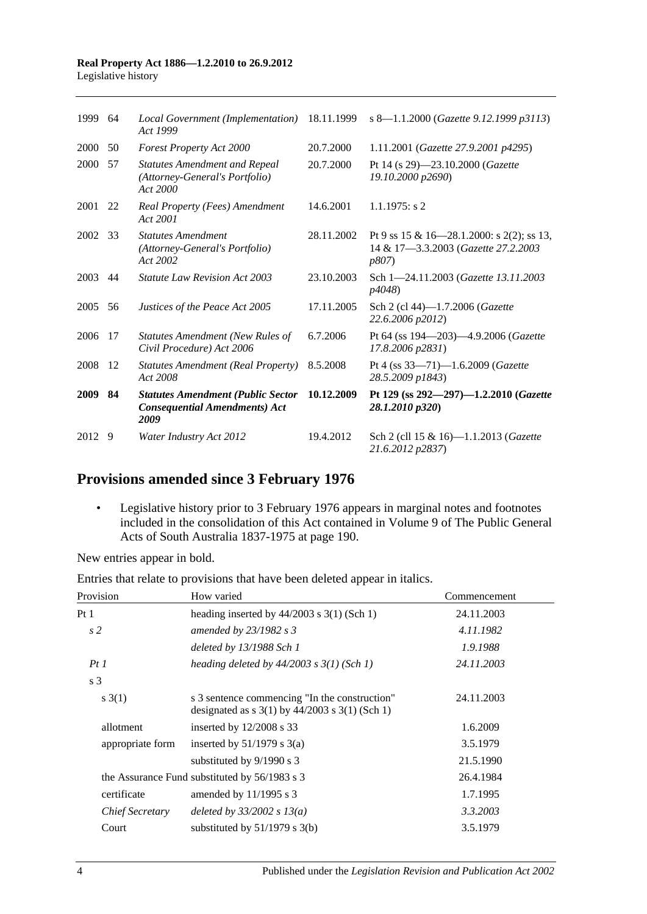## **Real Property Act 1886—1.2.2010 to 26.9.2012**

| Legislative history |  |
|---------------------|--|
|---------------------|--|

| 1999    | -64 | Local Government (Implementation)<br>Act 1999                                            | 18.11.1999 | s 8-1.1.2000 (Gazette 9.12.1999 p3113)                                                            |
|---------|-----|------------------------------------------------------------------------------------------|------------|---------------------------------------------------------------------------------------------------|
| 2000    | 50  | <b>Forest Property Act 2000</b>                                                          | 20.7.2000  | 1.11.2001 (Gazette 27.9.2001 p4295)                                                               |
| 2000    | 57  | <b>Statutes Amendment and Repeal</b><br>(Attorney-General's Portfolio)<br>Act 2000       | 20.7.2000  | Pt 14 (s 29)-23.10.2000 (Gazette<br>19.10.2000 p2690)                                             |
| 2001 22 |     | Real Property (Fees) Amendment<br>Act 2001                                               | 14.6.2001  | $1.1.1975$ : s 2                                                                                  |
| 2002 33 |     | <b>Statutes Amendment</b><br>(Attorney-General's Portfolio)<br>Act 2002                  | 28.11.2002 | Pt 9 ss 15 & 16—28.1.2000: s 2(2); ss 13,<br>14 & 17-3.3.2003 (Gazette 27.2.2003<br><i>p807</i> ) |
| 2003    | 44  | <b>Statute Law Revision Act 2003</b>                                                     | 23.10.2003 | Sch 1-24.11.2003 (Gazette 13.11.2003)<br><i>p4048</i> )                                           |
| 2005    | 56  | Justices of the Peace Act 2005                                                           | 17.11.2005 | Sch 2 (cl 44)-1.7.2006 ( <i>Gazette</i><br>22.6.2006 p2012)                                       |
| 2006    | 17  | Statutes Amendment (New Rules of<br>Civil Procedure) Act 2006                            | 6.7.2006   | Pt 64 (ss 194-203)-4.9.2006 (Gazette<br>17.8.2006 p2831)                                          |
| 2008    | -12 | <b>Statutes Amendment (Real Property)</b><br>Act 2008                                    | 8.5.2008   | Pt 4 (ss 33-71)-1.6.2009 (Gazette<br>28.5.2009 p1843)                                             |
| 2009    | 84  | <b>Statutes Amendment (Public Sector</b><br><b>Consequential Amendments) Act</b><br>2009 | 10.12.2009 | Pt 129 (ss 292-297)-1.2.2010 (Gazette<br>28.1.2010 p320)                                          |
| 2012    | 9   | Water Industry Act 2012                                                                  | 19.4.2012  | Sch 2 (cll 15 & 16)—1.1.2013 ( <i>Gazette</i><br>21.6.2012 p2837)                                 |

## **Provisions amended since 3 February 1976**

• Legislative history prior to 3 February 1976 appears in marginal notes and footnotes included in the consolidation of this Act contained in Volume 9 of The Public General Acts of South Australia 1837-1975 at page 190.

New entries appear in bold.

|  |  | Entries that relate to provisions that have been deleted appear in italics. |
|--|--|-----------------------------------------------------------------------------|
|--|--|-----------------------------------------------------------------------------|

| Provision              | How varied                                                                                            | Commencement |
|------------------------|-------------------------------------------------------------------------------------------------------|--------------|
| Pt 1                   | heading inserted by $44/2003$ s 3(1) (Sch 1)                                                          | 24.11.2003   |
| s <sub>2</sub>         | amended by $23/1982$ s 3                                                                              | 4.11.1982    |
|                        | deleted by $13/1988$ Sch 1                                                                            | 1.9.1988     |
| PtI                    | heading deleted by $44/2003$ s $3(1)$ (Sch 1)                                                         | 24.11.2003   |
| s <sub>3</sub>         |                                                                                                       |              |
| s(3(1))                | s 3 sentence commencing "In the construction"<br>designated as s $3(1)$ by $44/2003$ s $3(1)$ (Sch 1) | 24.11.2003   |
| allotment              | inserted by $12/2008$ s 33                                                                            | 1.6.2009     |
| appropriate form       | inserted by $51/1979$ s $3(a)$                                                                        | 3.5.1979     |
|                        | substituted by $9/1990$ s 3                                                                           | 21.5.1990    |
|                        | the Assurance Fund substituted by 56/1983 s 3                                                         | 26.4.1984    |
| certificate            | amended by $11/1995$ s 3                                                                              | 1.7.1995     |
| <i>Chief Secretary</i> | deleted by $33/2002 s 13(a)$                                                                          | 3.3.2003     |
| Court                  | substituted by $51/1979$ s $3(b)$                                                                     | 3.5.1979     |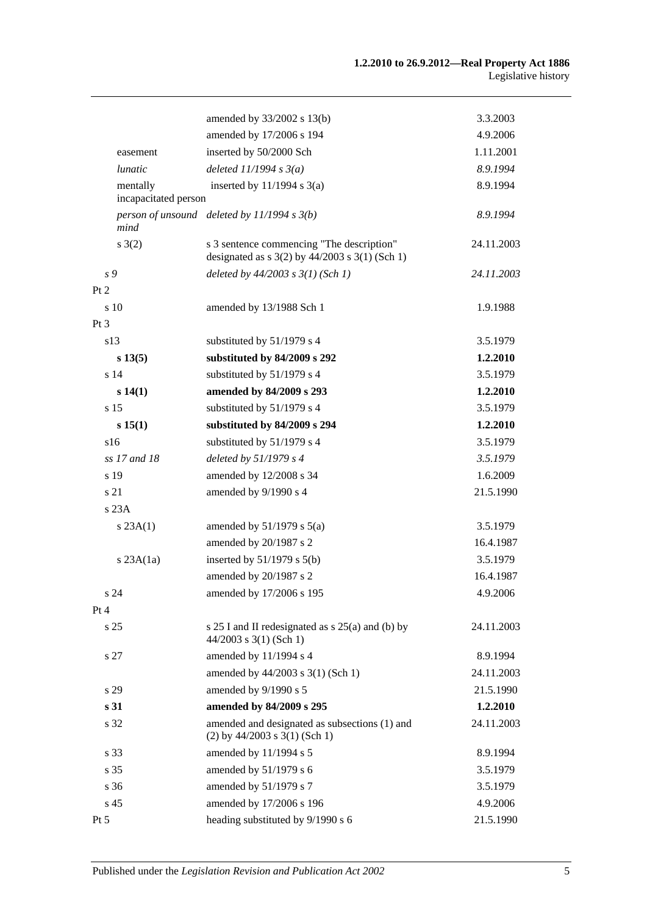|                      | amended by 33/2002 s 13(b)                                                                      | 3.3.2003   |
|----------------------|-------------------------------------------------------------------------------------------------|------------|
|                      | amended by 17/2006 s 194                                                                        | 4.9.2006   |
| easement             | inserted by 50/2000 Sch                                                                         | 1.11.2001  |
| lunatic              | deleted $11/1994 s3(a)$                                                                         | 8.9.1994   |
| mentally             | inserted by $11/1994$ s $3(a)$                                                                  | 8.9.1994   |
| incapacitated person |                                                                                                 |            |
| mind                 | person of unsound deleted by $11/1994 s 3(b)$                                                   | 8.9.1994   |
| $s \; 3(2)$          | s 3 sentence commencing "The description"<br>designated as $s$ 3(2) by 44/2003 $s$ 3(1) (Sch 1) | 24.11.2003 |
| s 9                  | deleted by $44/2003$ s $3(1)$ (Sch 1)                                                           | 24.11.2003 |
| Pt 2                 |                                                                                                 |            |
| s 10                 | amended by 13/1988 Sch 1                                                                        | 1.9.1988   |
| Pt 3                 |                                                                                                 |            |
| s13                  | substituted by 51/1979 s 4                                                                      | 3.5.1979   |
| s 13(5)              | substituted by 84/2009 s 292                                                                    | 1.2.2010   |
| s <sub>14</sub>      | substituted by 51/1979 s 4                                                                      | 3.5.1979   |
| s(14(1))             | amended by 84/2009 s 293                                                                        | 1.2.2010   |
| s 15                 | substituted by 51/1979 s 4                                                                      | 3.5.1979   |
| s 15(1)              | substituted by 84/2009 s 294                                                                    | 1.2.2010   |
| s16                  | substituted by 51/1979 s 4                                                                      | 3.5.1979   |
| ss 17 and 18         | deleted by $51/1979 s 4$                                                                        | 3.5.1979   |
| s 19                 | amended by 12/2008 s 34                                                                         | 1.6.2009   |
| s 21                 | amended by 9/1990 s 4                                                                           | 21.5.1990  |
| s 23A                |                                                                                                 |            |
| s 23A(1)             | amended by $51/1979$ s $5(a)$                                                                   | 3.5.1979   |
|                      | amended by 20/1987 s 2                                                                          | 16.4.1987  |
| $s$ 23A $(1a)$       | inserted by $51/1979$ s $5(b)$                                                                  | 3.5.1979   |
|                      | amended by 20/1987 s 2                                                                          | 16.4.1987  |
| s 24                 | amended by 17/2006 s 195                                                                        | 4.9.2006   |
| Pt 4                 |                                                                                                 |            |
| s <sub>25</sub>      | s $25 I$ and II redesignated as s $25(a)$ and (b) by<br>$44/2003$ s 3(1) (Sch 1)                | 24.11.2003 |
| s 27                 | amended by 11/1994 s 4                                                                          | 8.9.1994   |
|                      | amended by 44/2003 s 3(1) (Sch 1)                                                               | 24.11.2003 |
| s 29                 | amended by 9/1990 s 5                                                                           | 21.5.1990  |
| s 31                 | amended by 84/2009 s 295                                                                        | 1.2.2010   |
| s 32                 | amended and designated as subsections (1) and<br>$(2)$ by 44/2003 s 3(1) (Sch 1)                | 24.11.2003 |
| s 33                 | amended by 11/1994 s 5                                                                          | 8.9.1994   |
| s 35                 | amended by 51/1979 s 6                                                                          | 3.5.1979   |
| s 36                 | amended by 51/1979 s 7                                                                          | 3.5.1979   |
| s 45                 | amended by 17/2006 s 196                                                                        | 4.9.2006   |
| Pt 5                 | heading substituted by 9/1990 s 6                                                               | 21.5.1990  |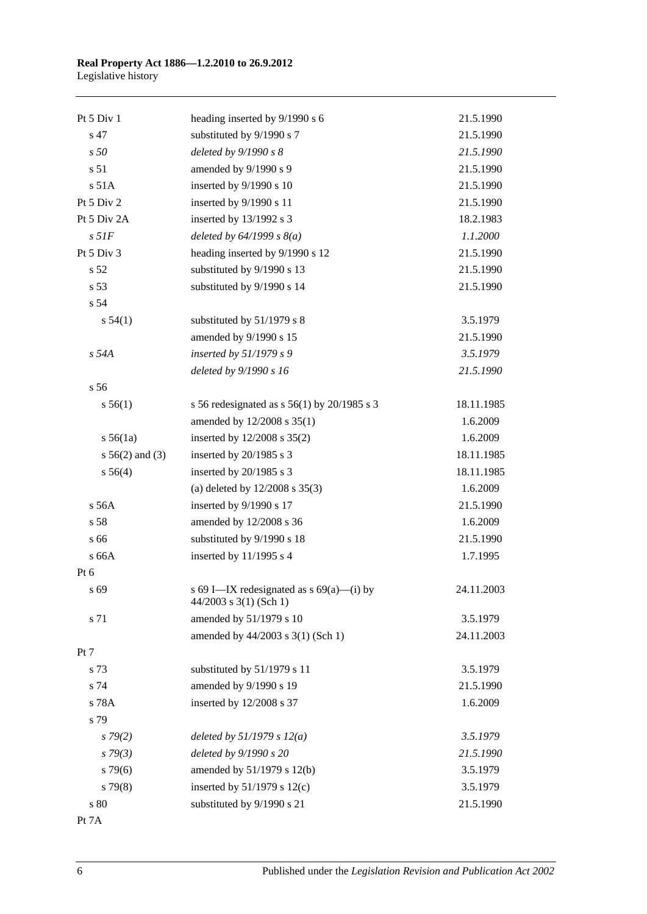#### **Real Property Act 1886—1.2.2010 to 26.9.2012** Legislative history

| Pt 5 Div 1         | heading inserted by 9/1990 s 6                                       | 21.5.1990  |
|--------------------|----------------------------------------------------------------------|------------|
| s 47               | substituted by 9/1990 s 7                                            | 21.5.1990  |
| s50                | deleted by $9/1990 s 8$                                              | 21.5.1990  |
| s 51               | amended by 9/1990 s 9                                                | 21.5.1990  |
| s 51A              | inserted by 9/1990 s 10                                              | 21.5.1990  |
| Pt 5 Div 2         | inserted by 9/1990 s 11                                              | 21.5.1990  |
| Pt 5 Div 2A        | inserted by 13/1992 s 3                                              | 18.2.1983  |
| $s$ 51 $F$         | deleted by $64/1999 s 8(a)$                                          | 1.1.2000   |
| Pt 5 Div 3         | heading inserted by 9/1990 s 12                                      | 21.5.1990  |
| s <sub>52</sub>    | substituted by 9/1990 s 13                                           | 21.5.1990  |
| s 53               | substituted by 9/1990 s 14                                           | 21.5.1990  |
| s 54               |                                                                      |            |
| s 54(1)            | substituted by 51/1979 s 8                                           | 3.5.1979   |
|                    | amended by 9/1990 s 15                                               | 21.5.1990  |
| s 54A              | inserted by $51/1979 s 9$                                            | 3.5.1979   |
|                    | deleted by 9/1990 s 16                                               | 21.5.1990  |
| s 56               |                                                                      |            |
| s 56(1)            | s 56 redesignated as s 56(1) by 20/1985 s 3                          | 18.11.1985 |
|                    | amended by 12/2008 s 35(1)                                           | 1.6.2009   |
| $s\,56(1a)$        | inserted by 12/2008 s 35(2)                                          | 1.6.2009   |
| $s\,56(2)$ and (3) | inserted by 20/1985 s 3                                              | 18.11.1985 |
| s 56(4)            | inserted by 20/1985 s 3                                              | 18.11.1985 |
|                    | (a) deleted by $12/2008$ s $35(3)$                                   | 1.6.2009   |
| $s$ 56A            | inserted by 9/1990 s 17                                              | 21.5.1990  |
| s 58               | amended by 12/2008 s 36                                              | 1.6.2009   |
| s 66               | substituted by 9/1990 s 18                                           | 21.5.1990  |
| s 66A              | inserted by $11/1995$ s 4                                            | 1.7.1995   |
| Pt 6               |                                                                      |            |
| s 69               | s 69 I-IX redesignated as s 69(a)-(i) by<br>$44/2003$ s 3(1) (Sch 1) | 24.11.2003 |
| s 71               | amended by 51/1979 s 10                                              | 3.5.1979   |
|                    | amended by 44/2003 s 3(1) (Sch 1)                                    | 24.11.2003 |
| Pt 7               |                                                                      |            |
| s 73               | substituted by 51/1979 s 11                                          | 3.5.1979   |
| s 74               | amended by 9/1990 s 19                                               | 21.5.1990  |
| s 78A              | inserted by 12/2008 s 37                                             | 1.6.2009   |
| s 79               |                                                                      |            |
| $s\,79(2)$         | deleted by $51/1979 s 12(a)$                                         | 3.5.1979   |
| s79(3)             | deleted by 9/1990 s 20                                               | 21.5.1990  |
| $s\,79(6)$         | amended by 51/1979 s 12(b)                                           | 3.5.1979   |
| $s\,79(8)$         | inserted by $51/1979$ s $12(c)$                                      | 3.5.1979   |
| s 80               | substituted by 9/1990 s 21                                           | 21.5.1990  |
| Pt 7A              |                                                                      |            |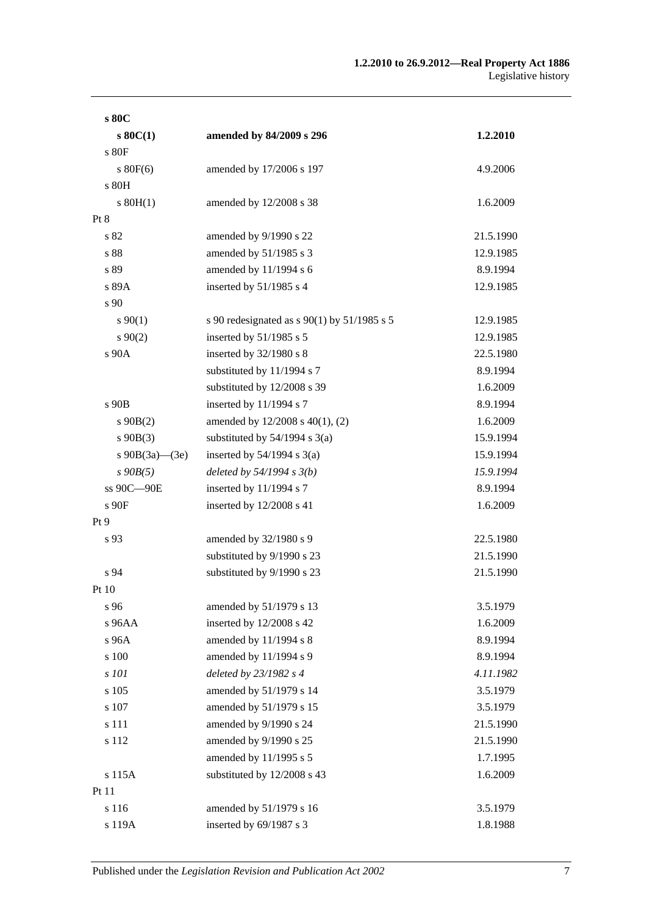| s 80C                |                                             |           |
|----------------------|---------------------------------------------|-----------|
| $s$ 80 $C(1)$        | amended by 84/2009 s 296                    | 1.2.2010  |
| s 80F                |                                             |           |
| $s$ 80 $F(6)$        | amended by 17/2006 s 197                    | 4.9.2006  |
| s 80H                |                                             |           |
| $s$ 80H(1)           | amended by 12/2008 s 38                     | 1.6.2009  |
| Pt 8                 |                                             |           |
| s 82                 | amended by 9/1990 s 22                      | 21.5.1990 |
| s 88                 | amended by 51/1985 s 3                      | 12.9.1985 |
| s 89                 | amended by 11/1994 s 6                      | 8.9.1994  |
| s 89A                | inserted by 51/1985 s 4                     | 12.9.1985 |
| s 90                 |                                             |           |
| $s\,90(1)$           | s 90 redesignated as s 90(1) by 51/1985 s 5 | 12.9.1985 |
| $s\,90(2)$           | inserted by 51/1985 s 5                     | 12.9.1985 |
| s 90A                | inserted by 32/1980 s 8                     | 22.5.1980 |
|                      | substituted by 11/1994 s 7                  | 8.9.1994  |
|                      | substituted by 12/2008 s 39                 | 1.6.2009  |
| s 90B                | inserted by 11/1994 s 7                     | 8.9.1994  |
| $s\ 90B(2)$          | amended by 12/2008 s 40(1), (2)             | 1.6.2009  |
| $s\ 90B(3)$          | substituted by $54/1994$ s $3(a)$           | 15.9.1994 |
| s $90B(3a)$ — $(3e)$ | inserted by $54/1994$ s $3(a)$              | 15.9.1994 |
| $s$ 90 $B(5)$        | deleted by $54/1994 s 3(b)$                 | 15.9.1994 |
| ss 90C-90E           | inserted by $11/1994$ s 7                   | 8.9.1994  |
| s 90F                | inserted by 12/2008 s 41                    | 1.6.2009  |
| Pt 9                 |                                             |           |
| s 93                 | amended by 32/1980 s 9                      | 22.5.1980 |
|                      | substituted by 9/1990 s 23                  | 21.5.1990 |
| s 94                 | substituted by 9/1990 s 23                  | 21.5.1990 |
| Pt 10                |                                             |           |
| s 96                 | amended by 51/1979 s 13                     | 3.5.1979  |
| s 96AA               | inserted by 12/2008 s 42                    | 1.6.2009  |
| s 96A                | amended by 11/1994 s 8                      | 8.9.1994  |
| s 100                | amended by 11/1994 s 9                      | 8.9.1994  |
| s 101                | deleted by 23/1982 s 4                      | 4.11.1982 |
| s 105                | amended by 51/1979 s 14                     | 3.5.1979  |
| s 107                | amended by 51/1979 s 15                     | 3.5.1979  |
| s 111                | amended by 9/1990 s 24                      | 21.5.1990 |
| s 112                | amended by 9/1990 s 25                      | 21.5.1990 |
|                      | amended by 11/1995 s 5                      | 1.7.1995  |
| s 115A               | substituted by 12/2008 s 43                 | 1.6.2009  |
| Pt 11                |                                             |           |
| s 116                | amended by 51/1979 s 16                     | 3.5.1979  |
| s 119A               | inserted by 69/1987 s 3                     | 1.8.1988  |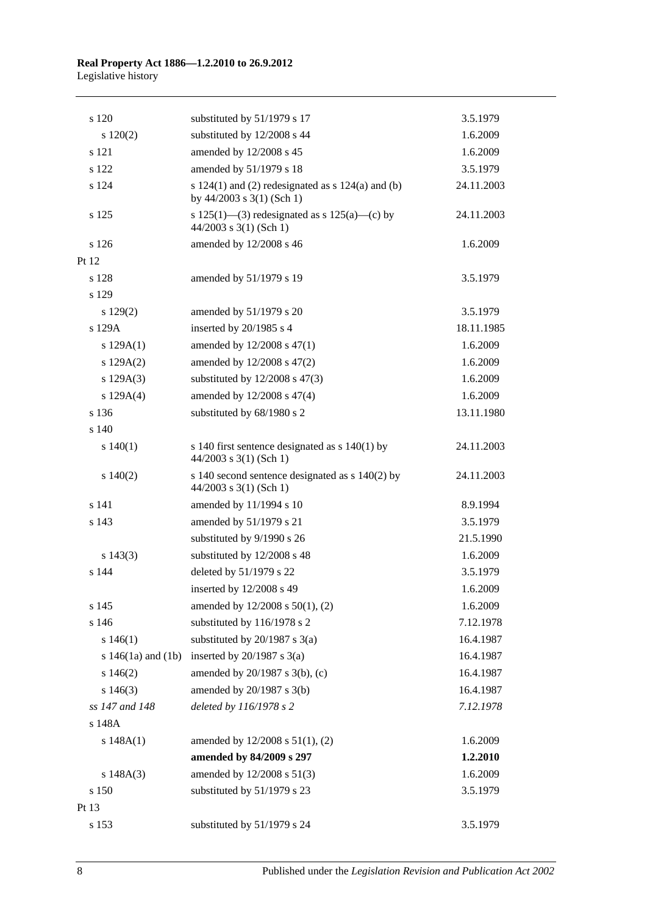## **Real Property Act 1886—1.2.2010 to 26.9.2012** Legislative history

| s 120                  | substituted by 51/1979 s 17                                                            | 3.5.1979   |
|------------------------|----------------------------------------------------------------------------------------|------------|
| 120(2)                 | substituted by 12/2008 s 44                                                            | 1.6.2009   |
| s 121                  | amended by 12/2008 s 45                                                                | 1.6.2009   |
| s 122                  | amended by 51/1979 s 18                                                                | 3.5.1979   |
| s 124                  | s $124(1)$ and (2) redesignated as s $124(a)$ and (b)<br>by $44/2003$ s $3(1)$ (Sch 1) | 24.11.2003 |
| s 125                  | s 125(1)—(3) redesignated as s 125(a)—(c) by<br>$44/2003$ s 3(1) (Sch 1)               | 24.11.2003 |
| s 126                  | amended by 12/2008 s 46                                                                | 1.6.2009   |
| Pt 12                  |                                                                                        |            |
| s 128                  | amended by 51/1979 s 19                                                                | 3.5.1979   |
| s 129                  |                                                                                        |            |
| 129(2)                 | amended by 51/1979 s 20                                                                | 3.5.1979   |
| s 129A                 | inserted by 20/1985 s 4                                                                | 18.11.1985 |
| s 129A(1)              | amended by 12/2008 s 47(1)                                                             | 1.6.2009   |
| s 129A(2)              | amended by 12/2008 s 47(2)                                                             | 1.6.2009   |
| s 129A(3)              | substituted by $12/2008$ s $47(3)$                                                     | 1.6.2009   |
| s 129A(4)              | amended by 12/2008 s 47(4)                                                             | 1.6.2009   |
| s 136                  | substituted by 68/1980 s 2                                                             | 13.11.1980 |
| s 140                  |                                                                                        |            |
| 140(1)                 | s 140 first sentence designated as $s$ 140(1) by<br>$44/2003$ s 3(1) (Sch 1)           | 24.11.2003 |
| 140(2)                 | s 140 second sentence designated as s 140(2) by<br>$44/2003$ s 3(1) (Sch 1)            | 24.11.2003 |
| s 141                  | amended by 11/1994 s 10                                                                | 8.9.1994   |
| s 143                  | amended by 51/1979 s 21                                                                | 3.5.1979   |
|                        | substituted by 9/1990 s 26                                                             | 21.5.1990  |
| $s\ 143(3)$            | substituted by 12/2008 s 48                                                            | 1.6.2009   |
| s 144                  | deleted by 51/1979 s 22                                                                | 3.5.1979   |
|                        | inserted by 12/2008 s 49                                                               | 1.6.2009   |
| s 145                  | amended by 12/2008 s 50(1), (2)                                                        | 1.6.2009   |
| s 146                  | substituted by 116/1978 s 2                                                            | 7.12.1978  |
| s 146(1)               | substituted by $20/1987$ s $3(a)$                                                      | 16.4.1987  |
| s $146(1a)$ and $(1b)$ | inserted by $20/1987$ s $3(a)$                                                         | 16.4.1987  |
| s 146(2)               | amended by 20/1987 s 3(b), (c)                                                         | 16.4.1987  |
| $s\,146(3)$            | amended by 20/1987 s 3(b)                                                              | 16.4.1987  |
| ss 147 and 148         | deleted by 116/1978 s 2                                                                | 7.12.1978  |
| s 148A                 |                                                                                        |            |
| s 148A(1)              | amended by 12/2008 s 51(1), (2)                                                        | 1.6.2009   |
|                        | amended by 84/2009 s 297                                                               | 1.2.2010   |
| s 148A(3)              | amended by 12/2008 s 51(3)                                                             | 1.6.2009   |
| s 150                  | substituted by 51/1979 s 23                                                            | 3.5.1979   |
| Pt 13                  |                                                                                        |            |
| s 153                  | substituted by 51/1979 s 24                                                            | 3.5.1979   |

8 Published under the *Legislation Revision and Publication Act 2002*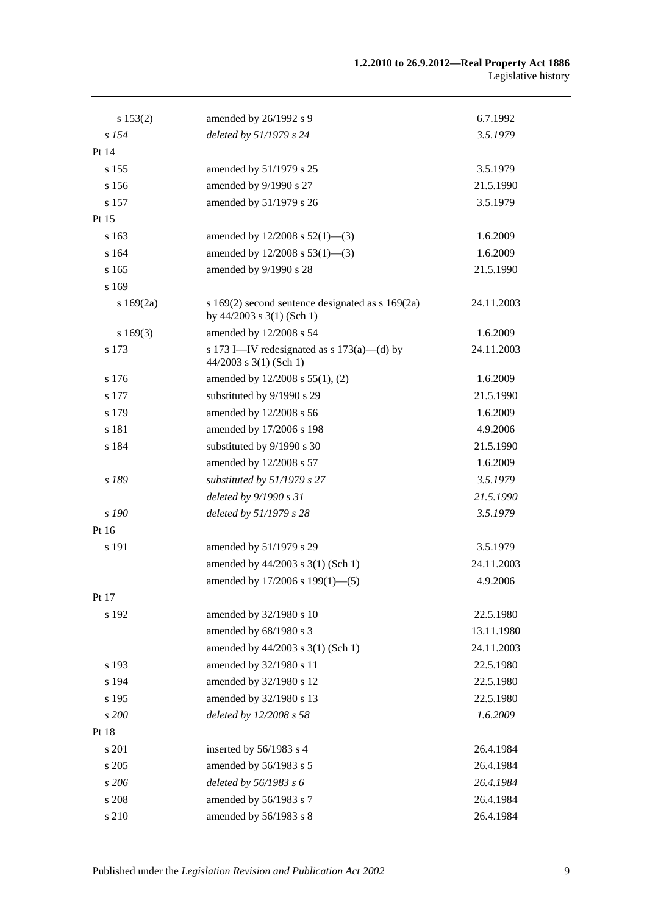| s 153(2) | amended by 26/1992 s 9                                                            | 6.7.1992   |
|----------|-----------------------------------------------------------------------------------|------------|
| $s$ 154  | deleted by 51/1979 s 24                                                           | 3.5.1979   |
| Pt 14    |                                                                                   |            |
| s 155    | amended by 51/1979 s 25                                                           | 3.5.1979   |
| s 156    | amended by 9/1990 s 27                                                            | 21.5.1990  |
| s 157    | amended by 51/1979 s 26                                                           | 3.5.1979   |
| Pt 15    |                                                                                   |            |
| s 163    | amended by $12/2008$ s $52(1)$ —(3)                                               | 1.6.2009   |
| s 164    | amended by $12/2008$ s $53(1)$ —(3)                                               | 1.6.2009   |
| s 165    | amended by 9/1990 s 28                                                            | 21.5.1990  |
| s 169    |                                                                                   |            |
| s169(2a) | s $169(2)$ second sentence designated as s $169(2a)$<br>by 44/2003 s 3(1) (Sch 1) | 24.11.2003 |
| s169(3)  | amended by 12/2008 s 54                                                           | 1.6.2009   |
| s 173    | s 173 I—IV redesignated as s $173(a)$ —(d) by<br>$44/2003$ s 3(1) (Sch 1)         | 24.11.2003 |
| s 176    | amended by 12/2008 s 55(1), (2)                                                   | 1.6.2009   |
| s 177    | substituted by 9/1990 s 29                                                        | 21.5.1990  |
| s 179    | amended by 12/2008 s 56                                                           | 1.6.2009   |
| s 181    | amended by 17/2006 s 198                                                          | 4.9.2006   |
| s 184    | substituted by 9/1990 s 30                                                        | 21.5.1990  |
|          | amended by 12/2008 s 57                                                           | 1.6.2009   |
| s 189    | substituted by 51/1979 s 27                                                       | 3.5.1979   |
|          | deleted by 9/1990 s 31                                                            | 21.5.1990  |
| s 190    | deleted by 51/1979 s 28                                                           | 3.5.1979   |
| Pt 16    |                                                                                   |            |
| s 191    | amended by 51/1979 s 29                                                           | 3.5.1979   |
|          | amended by 44/2003 s 3(1) (Sch 1)                                                 | 24.11.2003 |
|          | amended by 17/2006 s 199(1)-(5)                                                   | 4.9.2006   |
| Pt 17    |                                                                                   |            |
| s 192    | amended by 32/1980 s 10                                                           | 22.5.1980  |
|          | amended by 68/1980 s 3                                                            | 13.11.1980 |
|          | amended by 44/2003 s 3(1) (Sch 1)                                                 | 24.11.2003 |
| s 193    | amended by 32/1980 s 11                                                           | 22.5.1980  |
| s 194    | amended by 32/1980 s 12                                                           | 22.5.1980  |
| s 195    | amended by 32/1980 s 13                                                           | 22.5.1980  |
| s 200    | deleted by 12/2008 s 58                                                           | 1.6.2009   |
| Pt 18    |                                                                                   |            |
| s 201    | inserted by 56/1983 s 4                                                           | 26.4.1984  |
| s 205    | amended by 56/1983 s 5                                                            | 26.4.1984  |
| s 206    | deleted by $56/1983$ s 6                                                          | 26.4.1984  |
| s 208    | amended by 56/1983 s 7                                                            | 26.4.1984  |
| s 210    | amended by 56/1983 s 8                                                            | 26.4.1984  |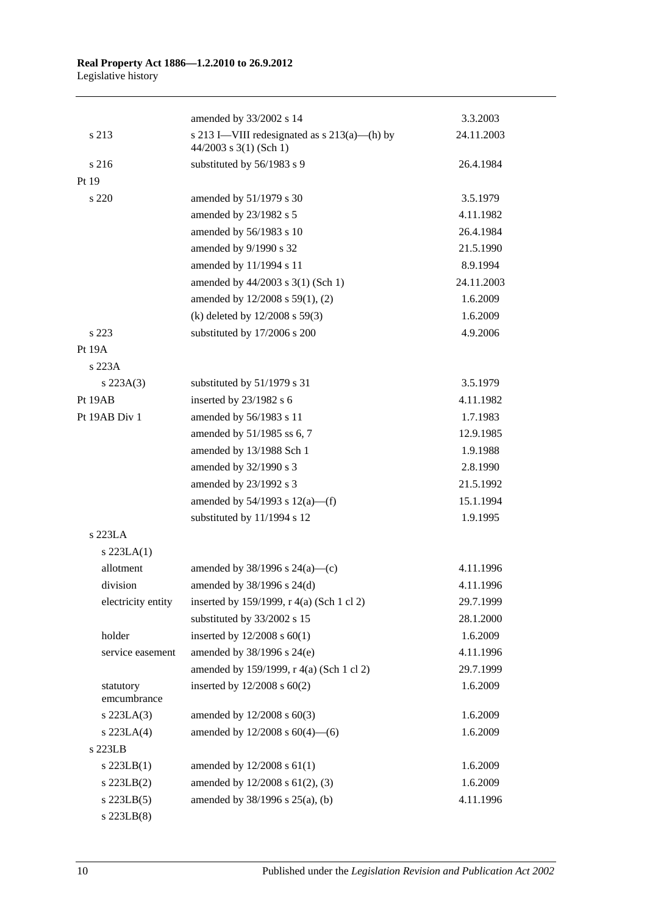|                          | amended by 33/2002 s 14                                                    | 3.3.2003   |
|--------------------------|----------------------------------------------------------------------------|------------|
| s 213                    | s 213 I—VIII redesignated as $s$ 213(a)—(h) by<br>$44/2003$ s 3(1) (Sch 1) | 24.11.2003 |
| s 216                    | substituted by 56/1983 s 9                                                 | 26.4.1984  |
| Pt 19                    |                                                                            |            |
| s 220                    | amended by 51/1979 s 30                                                    | 3.5.1979   |
|                          | amended by 23/1982 s 5                                                     | 4.11.1982  |
|                          | amended by 56/1983 s 10                                                    | 26.4.1984  |
|                          | amended by 9/1990 s 32                                                     | 21.5.1990  |
|                          | amended by 11/1994 s 11                                                    | 8.9.1994   |
|                          | amended by 44/2003 s 3(1) (Sch 1)                                          | 24.11.2003 |
|                          | amended by 12/2008 s 59(1), (2)                                            | 1.6.2009   |
|                          | (k) deleted by $12/2008$ s 59(3)                                           | 1.6.2009   |
| s 223                    | substituted by 17/2006 s 200                                               | 4.9.2006   |
| Pt 19A                   |                                                                            |            |
| s 223A                   |                                                                            |            |
| $s\,223A(3)$             | substituted by 51/1979 s 31                                                | 3.5.1979   |
| Pt 19AB                  | inserted by 23/1982 s 6                                                    | 4.11.1982  |
| Pt 19AB Div 1            | amended by 56/1983 s 11                                                    | 1.7.1983   |
|                          | amended by 51/1985 ss 6, 7                                                 | 12.9.1985  |
|                          | amended by 13/1988 Sch 1                                                   | 1.9.1988   |
|                          | amended by 32/1990 s 3                                                     | 2.8.1990   |
|                          | amended by 23/1992 s 3                                                     | 21.5.1992  |
|                          | amended by $54/1993$ s $12(a)$ —(f)                                        | 15.1.1994  |
|                          | substituted by 11/1994 s 12                                                | 1.9.1995   |
| $s$ 223LA                |                                                                            |            |
| $s$ 223LA $(1)$          |                                                                            |            |
| allotment                | amended by $38/1996$ s $24(a)$ —(c)                                        | 4.11.1996  |
| division                 | amended by 38/1996 s 24(d)                                                 | 4.11.1996  |
| electricity entity       | inserted by 159/1999, r 4(a) (Sch 1 cl 2)                                  | 29.7.1999  |
|                          | substituted by 33/2002 s 15                                                | 28.1.2000  |
| holder                   | inserted by $12/2008$ s $60(1)$                                            | 1.6.2009   |
| service easement         | amended by 38/1996 s 24(e)                                                 | 4.11.1996  |
|                          | amended by 159/1999, r 4(a) (Sch 1 cl 2)                                   | 29.7.1999  |
| statutory<br>emcumbrance | inserted by $12/2008$ s $60(2)$                                            | 1.6.2009   |
| s 223LA(3)               | amended by 12/2008 s 60(3)                                                 | 1.6.2009   |
| $s$ 223LA $(4)$          | amended by $12/2008$ s $60(4)$ —(6)                                        | 1.6.2009   |
| s 223LB                  |                                                                            |            |
| $s$ 223LB(1)             | amended by 12/2008 s 61(1)                                                 | 1.6.2009   |
| $s$ 223LB $(2)$          | amended by 12/2008 s 61(2), (3)                                            | 1.6.2009   |
| $s$ 223LB $(5)$          | amended by 38/1996 s 25(a), (b)                                            | 4.11.1996  |
| $s$ 223LB $(8)$          |                                                                            |            |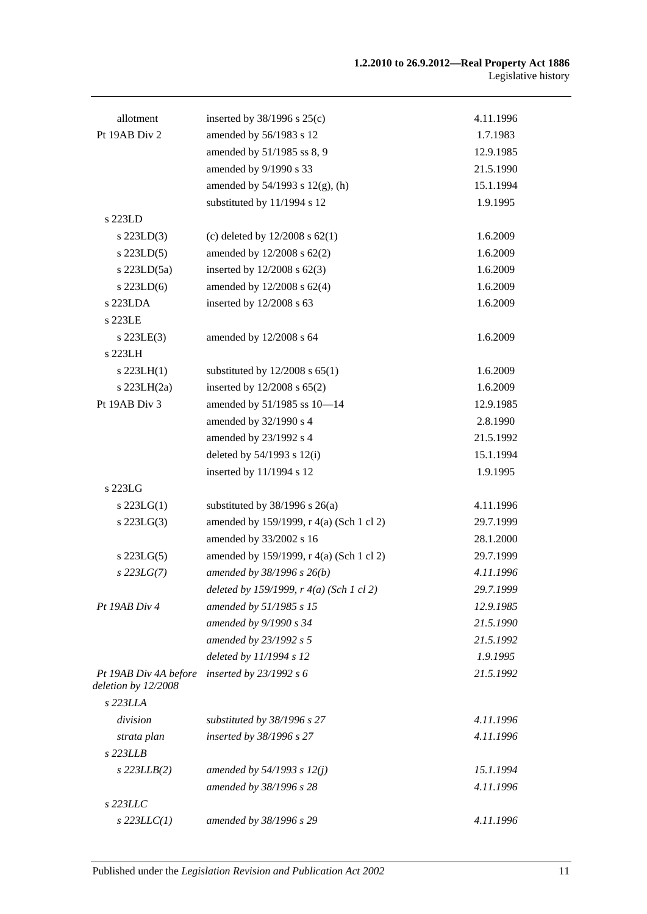| allotment                                    | inserted by $38/1996$ s $25(c)$                  | 4.11.1996 |
|----------------------------------------------|--------------------------------------------------|-----------|
| Pt 19AB Div 2                                | amended by 56/1983 s 12                          | 1.7.1983  |
|                                              | amended by 51/1985 ss 8, 9                       | 12.9.1985 |
|                                              | amended by 9/1990 s 33                           | 21.5.1990 |
|                                              | amended by $54/1993$ s $12(g)$ , (h)             | 15.1.1994 |
|                                              | substituted by 11/1994 s 12                      | 1.9.1995  |
| s 223LD                                      |                                                  |           |
| $s$ 223LD(3)                                 | (c) deleted by $12/2008$ s $62(1)$               | 1.6.2009  |
| $s$ 223LD $(5)$                              | amended by 12/2008 s 62(2)                       | 1.6.2009  |
| s $223LD(5a)$                                | inserted by $12/2008$ s $62(3)$                  | 1.6.2009  |
| $s$ 223LD(6)                                 | amended by 12/2008 s 62(4)                       | 1.6.2009  |
| s 223LDA                                     | inserted by 12/2008 s 63                         | 1.6.2009  |
| s 223LE                                      |                                                  |           |
| $s$ 223LE $(3)$                              | amended by 12/2008 s 64                          | 1.6.2009  |
| s 223LH                                      |                                                  |           |
| $s$ 223LH $(1)$                              | substituted by $12/2008$ s $65(1)$               | 1.6.2009  |
| s $223LH(2a)$                                | inserted by 12/2008 s 65(2)                      | 1.6.2009  |
| Pt 19AB Div 3                                | amended by 51/1985 ss 10-14                      | 12.9.1985 |
|                                              | amended by 32/1990 s 4                           | 2.8.1990  |
|                                              | amended by 23/1992 s 4                           | 21.5.1992 |
|                                              | deleted by $54/1993$ s $12(i)$                   | 15.1.1994 |
|                                              | inserted by 11/1994 s 12                         | 1.9.1995  |
| s 223LG                                      |                                                  |           |
| $s$ 223LG(1)                                 | substituted by $38/1996$ s $26(a)$               | 4.11.1996 |
| $s$ 223LG $(3)$                              | amended by 159/1999, r 4(a) (Sch 1 cl 2)         | 29.7.1999 |
|                                              | amended by 33/2002 s 16                          | 28.1.2000 |
| $s$ 223LG $(5)$                              | amended by 159/1999, r 4(a) (Sch 1 cl 2)         | 29.7.1999 |
| $s$ 223LG(7)                                 | amended by 38/1996 s 26(b)                       | 4.11.1996 |
|                                              | deleted by 159/1999, $r \cdot 4(a)$ (Sch 1 cl 2) | 29.7.1999 |
| Pt 19AB Div 4                                | amended by 51/1985 s 15                          | 12.9.1985 |
|                                              | amended by 9/1990 s 34                           | 21.5.1990 |
|                                              | amended by 23/1992 s 5                           | 21.5.1992 |
|                                              | deleted by 11/1994 s 12                          | 1.9.1995  |
| Pt 19AB Div 4A before<br>deletion by 12/2008 | inserted by $23/1992 s 6$                        | 21.5.1992 |
| s 223LLA                                     |                                                  |           |
| division                                     | substituted by 38/1996 s 27                      | 4.11.1996 |
| strata plan                                  | inserted by 38/1996 s 27                         | 4.11.1996 |
| $s$ 223LLB                                   |                                                  |           |
| $s$ 223LLB $(2)$                             | amended by 54/1993 s 12(j)                       | 15.1.1994 |
|                                              | amended by 38/1996 s 28                          | 4.11.1996 |
| s 223LLC                                     |                                                  |           |
| $s$ 223LLC(1)                                | amended by 38/1996 s 29                          | 4.11.1996 |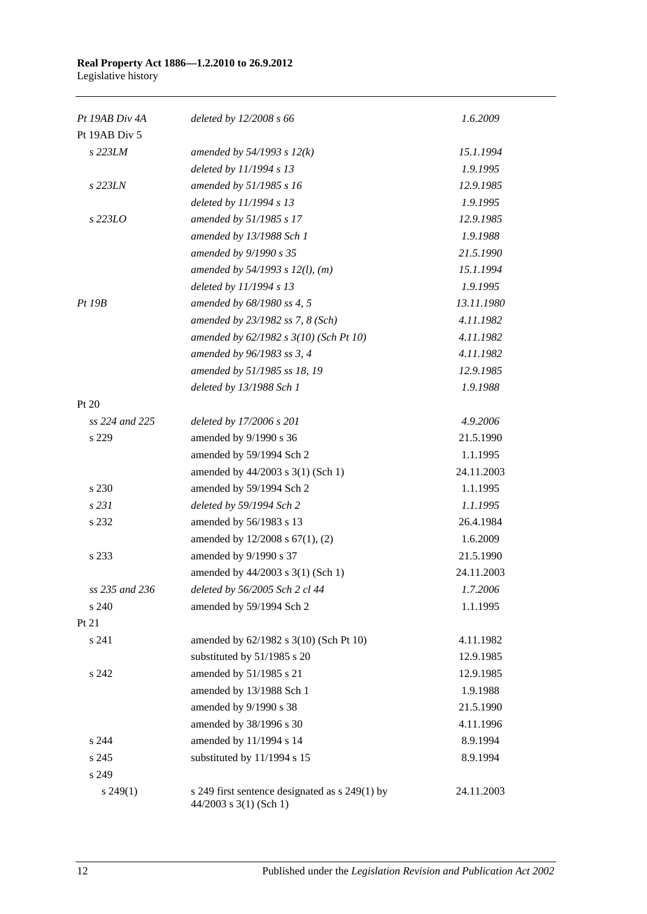## **Real Property Act 1886—1.2.2010 to 26.9.2012** Legislative history

| Pt 19AB Div 4A | deleted by $12/2008 s 66$                                                  | 1.6.2009   |
|----------------|----------------------------------------------------------------------------|------------|
| Pt 19AB Div 5  |                                                                            |            |
| s 223LM        | amended by $54/1993$ s $12(k)$                                             | 15.1.1994  |
|                | deleted by 11/1994 s 13                                                    | 1.9.1995   |
| s 223LN        | amended by 51/1985 s 16                                                    | 12.9.1985  |
|                | deleted by 11/1994 s 13                                                    | 1.9.1995   |
| s 223LO        | amended by 51/1985 s 17                                                    | 12.9.1985  |
|                | amended by 13/1988 Sch 1                                                   | 1.9.1988   |
|                | amended by 9/1990 s 35                                                     | 21.5.1990  |
|                | amended by $54/1993$ s $12(l)$ , (m)                                       | 15.1.1994  |
|                | deleted by 11/1994 s 13                                                    | 1.9.1995   |
| Pt~19B         | amended by 68/1980 ss 4, 5                                                 | 13.11.1980 |
|                | amended by 23/1982 ss 7, 8 (Sch)                                           | 4.11.1982  |
|                | amended by 62/1982 s 3(10) (Sch Pt 10)                                     | 4.11.1982  |
|                | amended by 96/1983 ss 3, 4                                                 | 4.11.1982  |
|                | amended by 51/1985 ss 18, 19                                               | 12.9.1985  |
|                | deleted by 13/1988 Sch 1                                                   | 1.9.1988   |
| Pt $20$        |                                                                            |            |
| ss 224 and 225 | deleted by 17/2006 s 201                                                   | 4.9.2006   |
| s 229          | amended by 9/1990 s 36                                                     | 21.5.1990  |
|                | amended by 59/1994 Sch 2                                                   | 1.1.1995   |
|                | amended by 44/2003 s 3(1) (Sch 1)                                          | 24.11.2003 |
| s 230          | amended by 59/1994 Sch 2                                                   | 1.1.1995   |
| s 231          | deleted by 59/1994 Sch 2                                                   | 1.1.1995   |
| s 232          | amended by 56/1983 s 13                                                    | 26.4.1984  |
|                | amended by 12/2008 s 67(1), (2)                                            | 1.6.2009   |
| s 233          | amended by 9/1990 s 37                                                     | 21.5.1990  |
|                | amended by 44/2003 s 3(1) (Sch 1)                                          | 24.11.2003 |
| ss 235 and 236 | deleted by 56/2005 Sch 2 cl 44                                             | 1.7.2006   |
| s 240          | amended by 59/1994 Sch 2                                                   | 1.1.1995   |
| Pt 21          |                                                                            |            |
| s 241          | amended by 62/1982 s 3(10) (Sch Pt 10)                                     | 4.11.1982  |
|                | substituted by 51/1985 s 20                                                | 12.9.1985  |
| s 242          | amended by 51/1985 s 21                                                    | 12.9.1985  |
|                | amended by 13/1988 Sch 1                                                   | 1.9.1988   |
|                | amended by 9/1990 s 38                                                     | 21.5.1990  |
|                | amended by 38/1996 s 30                                                    | 4.11.1996  |
| s 244          | amended by 11/1994 s 14                                                    | 8.9.1994   |
| s 245          | substituted by 11/1994 s 15                                                | 8.9.1994   |
| s 249          |                                                                            |            |
| $s\,249(1)$    | s 249 first sentence designated as s 249(1) by<br>$44/2003$ s 3(1) (Sch 1) | 24.11.2003 |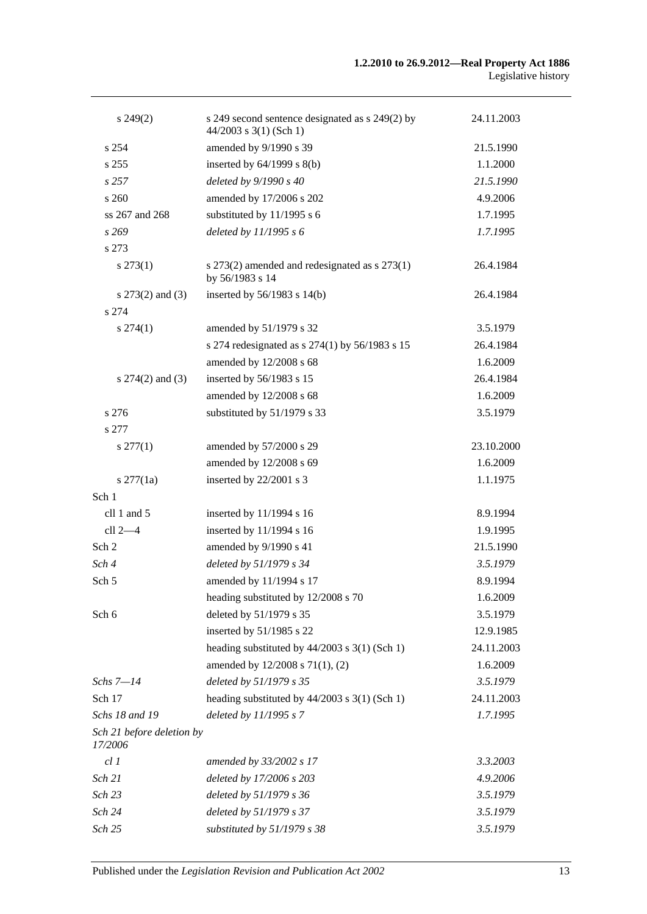| $s\,249(2)$                          | s 249 second sentence designated as s 249(2) by<br>$44/2003$ s 3(1) (Sch 1) | 24.11.2003 |
|--------------------------------------|-----------------------------------------------------------------------------|------------|
| s 254                                | amended by 9/1990 s 39                                                      | 21.5.1990  |
| s 255                                | inserted by $64/1999$ s $8(b)$                                              | 1.1.2000   |
| s257                                 | deleted by 9/1990 s 40                                                      | 21.5.1990  |
| s260                                 | amended by 17/2006 s 202                                                    | 4.9.2006   |
| ss 267 and 268                       | substituted by 11/1995 s 6                                                  | 1.7.1995   |
| s 269                                | deleted by $11/1995 s 6$                                                    | 1.7.1995   |
| s 273                                |                                                                             |            |
| $s\,273(1)$                          | s 273(2) amended and redesignated as s 273(1)<br>by 56/1983 s 14            | 26.4.1984  |
| s 273(2) and (3)                     | inserted by 56/1983 s 14(b)                                                 | 26.4.1984  |
| s 274                                |                                                                             |            |
| $s\,274(1)$                          | amended by 51/1979 s 32                                                     | 3.5.1979   |
|                                      | s 274 redesignated as s 274(1) by 56/1983 s 15                              | 26.4.1984  |
|                                      | amended by 12/2008 s 68                                                     | 1.6.2009   |
| s $274(2)$ and $(3)$                 | inserted by 56/1983 s 15                                                    | 26.4.1984  |
|                                      | amended by 12/2008 s 68                                                     | 1.6.2009   |
| s 276                                | substituted by 51/1979 s 33                                                 | 3.5.1979   |
| s 277                                |                                                                             |            |
| $s \, 277(1)$                        | amended by 57/2000 s 29                                                     | 23.10.2000 |
|                                      | amended by 12/2008 s 69                                                     | 1.6.2009   |
| $s \, 277(1a)$                       | inserted by 22/2001 s 3                                                     | 1.1.1975   |
| Sch 1                                |                                                                             |            |
| cll 1 and 5                          | inserted by 11/1994 s 16                                                    | 8.9.1994   |
| cll 2-4                              | inserted by 11/1994 s 16                                                    | 1.9.1995   |
| Sch 2                                | amended by 9/1990 s 41                                                      | 21.5.1990  |
| Sch 4                                | deleted by 51/1979 s 34                                                     | 3.5.1979   |
| Sch 5                                | amended by 11/1994 s 17                                                     | 8.9.1994   |
|                                      | heading substituted by 12/2008 s 70                                         | 1.6.2009   |
| Sch 6                                | deleted by 51/1979 s 35                                                     | 3.5.1979   |
|                                      | inserted by 51/1985 s 22                                                    | 12.9.1985  |
|                                      | heading substituted by $44/2003$ s $3(1)$ (Sch 1)                           | 24.11.2003 |
|                                      | amended by 12/2008 s 71(1), (2)                                             | 1.6.2009   |
| Schs 7-14                            | deleted by 51/1979 s 35                                                     | 3.5.1979   |
| Sch 17                               | heading substituted by $44/2003$ s 3(1) (Sch 1)                             | 24.11.2003 |
| Schs 18 and 19                       | deleted by 11/1995 s 7                                                      | 1.7.1995   |
| Sch 21 before deletion by<br>17/2006 |                                                                             |            |
| $cl$ $I$                             | amended by 33/2002 s 17                                                     | 3.3.2003   |
| Sch 21                               | deleted by 17/2006 s 203                                                    | 4.9.2006   |
| Sch 23                               | deleted by 51/1979 s 36                                                     | 3.5.1979   |
| Sch 24                               | deleted by 51/1979 s 37                                                     | 3.5.1979   |
| Sch 25                               | substituted by 51/1979 s 38                                                 | 3.5.1979   |